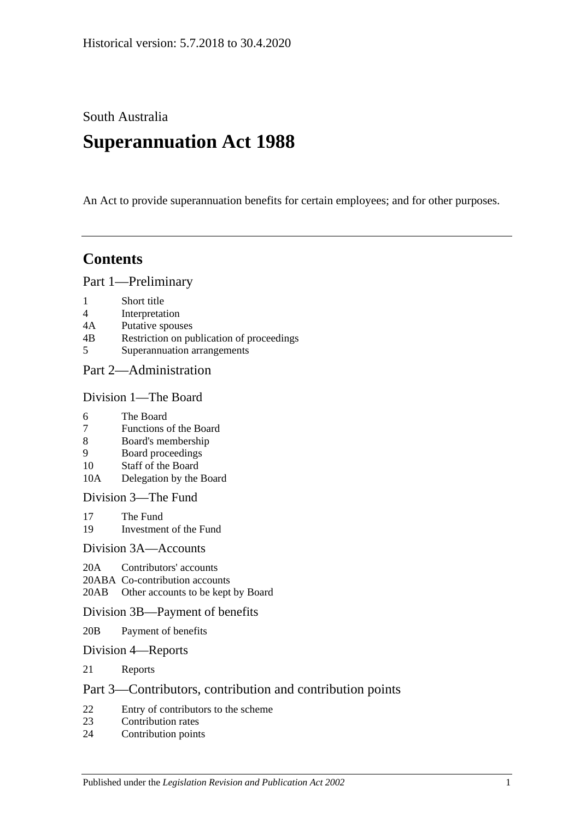South Australia

# **Superannuation Act 1988**

An Act to provide superannuation benefits for certain employees; and for other purposes.

# **Contents**

[Part 1—Preliminary](#page-6-0)

- 1 [Short title](#page-6-1)
- 4 [Interpretation](#page-6-2)
- 4A [Putative spouses](#page-14-0)
- 4B [Restriction on publication of proceedings](#page-15-0)
- 5 [Superannuation arrangements](#page-16-0)

## [Part 2—Administration](#page-18-0)

#### [Division 1—The Board](#page-18-1)

- 6 [The Board](#page-18-2)
- 7 [Functions of the Board](#page-18-3)
- 8 [Board's membership](#page-18-4)
- 9 [Board proceedings](#page-19-0)
- 10 [Staff of the Board](#page-19-1)
- 10A [Delegation by the Board](#page-20-0)

[Division 3—The Fund](#page-20-1)

- 17 [The Fund](#page-20-2)
- 19 [Investment of the Fund](#page-21-0)

#### [Division 3A—Accounts](#page-21-1)

- 20A [Contributors' accounts](#page-21-2)
- 20ABA [Co-contribution accounts](#page-22-0)
- 20AB [Other accounts to be kept by Board](#page-23-0)

#### [Division 3B—Payment of benefits](#page-23-1)

- 20B [Payment of benefits](#page-23-2)
- [Division 4—Reports](#page-23-3)
- 21 [Reports](#page-23-4)

## [Part 3—Contributors, contribution and contribution points](#page-24-0)

- 22 [Entry of contributors to the scheme](#page-24-1)<br>23 Contribution rates
- [Contribution rates](#page-26-0)
- 24 [Contribution points](#page-28-0)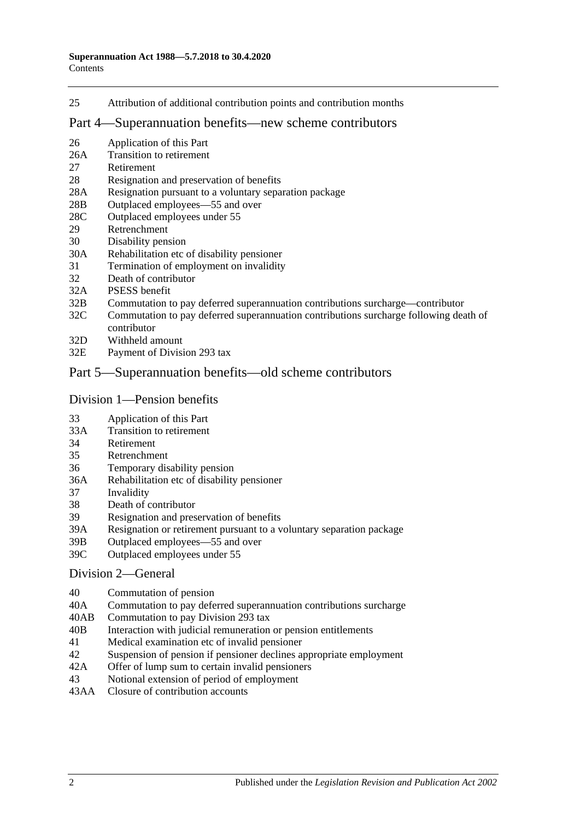25 [Attribution of additional contribution points and contribution months](#page-29-0)

#### [Part 4—Superannuation benefits—new scheme contributors](#page-30-0)

- 26 [Application of this Part](#page-30-1)
- 26A [Transition to retirement](#page-30-2)
- 27 [Retirement](#page-33-0)
- 28 [Resignation and preservation of benefits](#page-34-0)
- 28A [Resignation pursuant to a voluntary separation package](#page-38-0)
- 28B [Outplaced employees—55 and over](#page-39-0)
- 28C [Outplaced employees under 55](#page-39-1)
- 29 [Retrenchment](#page-40-0)
- 30 [Disability pension](#page-41-0)
- 30A [Rehabilitation etc of disability pensioner](#page-42-0)
- 31 [Termination of employment on invalidity](#page-42-1)
- 32 [Death of contributor](#page-45-0)
- 32A [PSESS benefit](#page-50-0)
- 32B [Commutation to pay deferred superannuation contributions surcharge—contributor](#page-51-0)
- 32C [Commutation to pay deferred superannuation contributions surcharge following death of](#page-52-0)  [contributor](#page-52-0)
- 32D [Withheld amount](#page-54-0)
- 32E [Payment of Division](#page-54-1) 293 tax

#### [Part 5—Superannuation benefits—old scheme contributors](#page-56-0)

#### [Division 1—Pension benefits](#page-56-1)

- 33 [Application of this Part](#page-56-2)
- 33A [Transition to retirement](#page-56-3)
- 34 [Retirement](#page-59-0)
- 35 [Retrenchment](#page-61-0)
- 36 [Temporary disability pension](#page-63-0)
- 36A [Rehabilitation etc of disability pensioner](#page-64-0)
- 37 [Invalidity](#page-65-0)
- 38 [Death of contributor](#page-68-0)
- 39 [Resignation and preservation of benefits](#page-71-0)
- 39A [Resignation or retirement pursuant to a voluntary separation package](#page-77-0)
- 39B [Outplaced employees—55 and over](#page-79-0)
- 39C [Outplaced employees under 55](#page-80-0)

#### [Division 2—General](#page-81-0)

- 40 [Commutation of pension](#page-81-1)
- 40A [Commutation to pay deferred superannuation contributions surcharge](#page-81-2)
- 40AB [Commutation to pay Division](#page-82-0) 293 tax
- 40B [Interaction with judicial remuneration or pension entitlements](#page-83-0)
- 41 [Medical examination etc of invalid pensioner](#page-84-0)
- 42 [Suspension of pension if pensioner declines appropriate employment](#page-84-1)<br>42A Offer of lump sum to certain invalid pensioners
- [Offer of lump sum to certain invalid pensioners](#page-85-0)
- 43 [Notional extension of period of employment](#page-85-1)
- 43AA [Closure of contribution accounts](#page-86-0)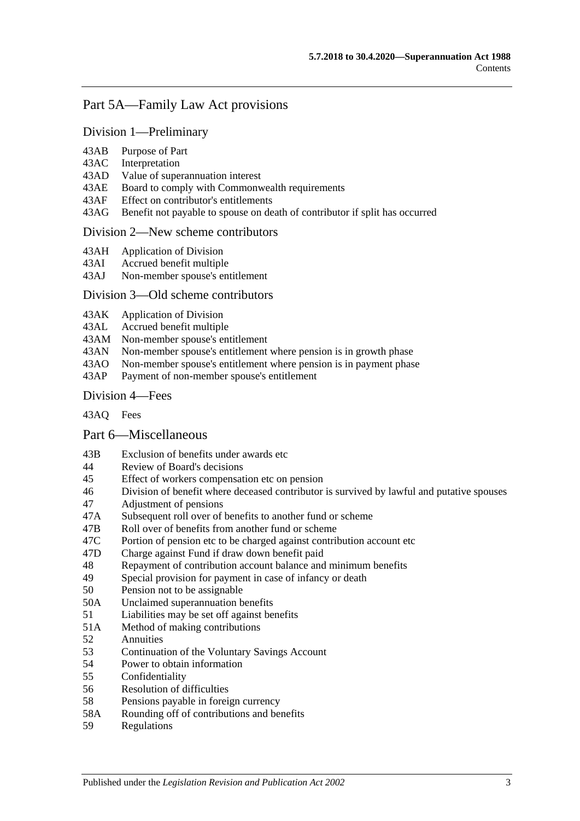# [Part 5A—Family Law Act provisions](#page-88-0)

### [Division 1—Preliminary](#page-88-1)

- 43AB [Purpose of Part](#page-88-2)
- 43AC [Interpretation](#page-88-3)
- 43AD [Value of superannuation interest](#page-89-0)
- 43AE [Board to comply with Commonwealth requirements](#page-89-1)
- 43AF [Effect on contributor's entitlements](#page-89-2)
- 43AG [Benefit not payable to spouse on death of contributor if split has occurred](#page-90-0)

#### [Division 2—New scheme contributors](#page-90-1)

- 43AH [Application of Division](#page-90-2)
- 43AI [Accrued benefit multiple](#page-90-3)
- 43AJ [Non-member spouse's entitlement](#page-91-0)

#### [Division 3—Old scheme contributors](#page-91-1)

- 43AK [Application of Division](#page-91-2)
- 43AL [Accrued benefit multiple](#page-91-3)
- 43AM [Non-member spouse's entitlement](#page-92-0)<br>43AN Non-member spouse's entitlement
- 43AN [Non-member spouse's entitlement where pension is in growth phase](#page-92-1)<br>43AO Non-member spouse's entitlement where pension is in payment phase
- [Non-member spouse's entitlement where pension is in payment phase](#page-92-2)
- 43AP [Payment of non-member spouse's entitlement](#page-94-0)

#### [Division 4—Fees](#page-94-1)

[43AQ](#page-94-2) Fees

## [Part 6—Miscellaneous](#page-96-0)

- 43B [Exclusion of benefits under awards etc](#page-96-1)
- 44 [Review of Board's decisions](#page-96-2)
- 45 [Effect of workers compensation etc on pension](#page-96-3)
- 46 [Division of benefit where deceased contributor is](#page-98-0) survived by lawful and putative spouses
- 47 [Adjustment of pensions](#page-99-0)
- 47A [Subsequent roll over of benefits to another fund or scheme](#page-100-0)
- 47B [Roll over of benefits from another fund or scheme](#page-100-1)<br>47C Portion of pension etc to be charged against contril
- [Portion of pension etc to be charged against contribution account etc](#page-100-2)
- 47D [Charge against Fund if draw down benefit paid](#page-100-3)
- 48 [Repayment of contribution account balance and minimum](#page-100-4) benefits
- 49 [Special provision for payment in case of infancy or death](#page-102-0)
- 50 [Pension not to be assignable](#page-102-1)
- 50A [Unclaimed superannuation benefits](#page-102-2)
- 51 [Liabilities may be set off against benefits](#page-102-3)
- 51A [Method of making contributions](#page-102-4)
- 52 [Annuities](#page-103-0)
- 53 [Continuation of the Voluntary Savings Account](#page-103-1)
- 54 [Power to obtain information](#page-103-2)
- 55 [Confidentiality](#page-104-0)
- 56 [Resolution of difficulties](#page-104-1)
- 58 [Pensions payable in foreign currency](#page-105-0)
- 58A [Rounding off of contributions and benefits](#page-105-1)
- 59 [Regulations](#page-105-2)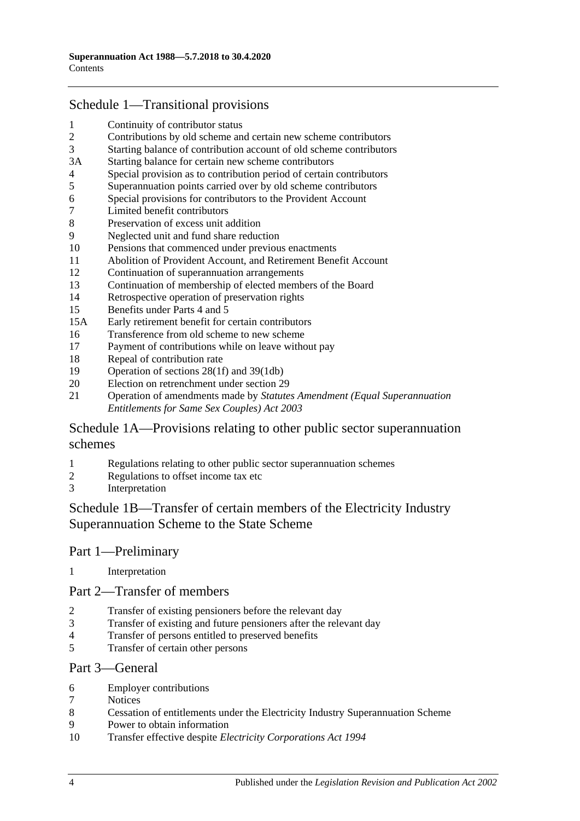# [Schedule 1—Transitional provisions](#page-108-0)

- [Continuity of contributor status](#page-108-1)<br>2 Contributions by old scheme an
- [Contributions by old scheme and certain new scheme contributors](#page-108-2)
- [Starting balance of contribution account of old scheme contributors](#page-109-0)
- 3A [Starting balance for certain new scheme contributors](#page-109-1)
- [Special provision as to contribution period of certain contributors](#page-109-2)
- [Superannuation points carried over by old scheme contributors](#page-110-0)
- [Special provisions for contributors to the](#page-111-0) Provident Account
- [Limited benefit contributors](#page-112-0)
- [Preservation of excess unit addition](#page-113-0)
- [Neglected unit and fund share reduction](#page-113-1)
- [Pensions that commenced under previous enactments](#page-113-2)
- [Abolition of Provident Account, and Retirement Benefit Account](#page-114-0)
- [Continuation of superannuation arrangements](#page-114-1)
- [Continuation of membership of elected members of the Board](#page-114-2)
- [Retrospective operation of preservation rights](#page-114-3)
- [Benefits under Parts 4](#page-114-4) and [5](#page-114-4)
- 15A [Early retirement benefit for certain contributors](#page-115-0)
- [Transference from old scheme to new scheme](#page-116-0)
- [Payment of contributions while on leave without pay](#page-117-0)
- [Repeal of contribution rate](#page-117-1)
- [Operation of sections](#page-118-0) 28(1f) and [39\(1db\)](#page-118-0)
- [Election on retrenchment under section](#page-118-1) 29
- Operation of amendments made by *[Statutes Amendment \(Equal Superannuation](#page-118-2)  [Entitlements for Same Sex Couples\) Act 2003](#page-118-2)*

# [Schedule 1A—Provisions relating to other public sector superannuation](#page-118-3)  [schemes](#page-118-3)

- [Regulations relating to other public sector superannuation schemes](#page-118-4)<br>2 Regulations to offset income tax etc
- [Regulations to offset income tax etc](#page-119-0)
- [Interpretation](#page-119-1)

# [Schedule 1B—Transfer of certain members of the Electricity Industry](#page-119-2)  [Superannuation Scheme to the State Scheme](#page-119-2)

## Part 1—Preliminary

[Interpretation](#page-119-3)

#### Part 2—Transfer of members

- [Transfer of existing pensioners before the relevant day](#page-120-0)
- [Transfer of existing and future pensioners after the relevant day](#page-121-0)
- [Transfer of persons entitled to preserved benefits](#page-123-0)<br>5 Transfer of certain other persons
- [Transfer of certain other persons](#page-125-0)

#### Part 3—General

- [Employer contributions](#page-126-0)
- [Notices](#page-127-0)
- [Cessation of entitlements under the Electricity Industry Superannuation Scheme](#page-127-1)
- [Power to obtain information](#page-127-2)
- Transfer effective despite *[Electricity Corporations Act](#page-127-3) 1994*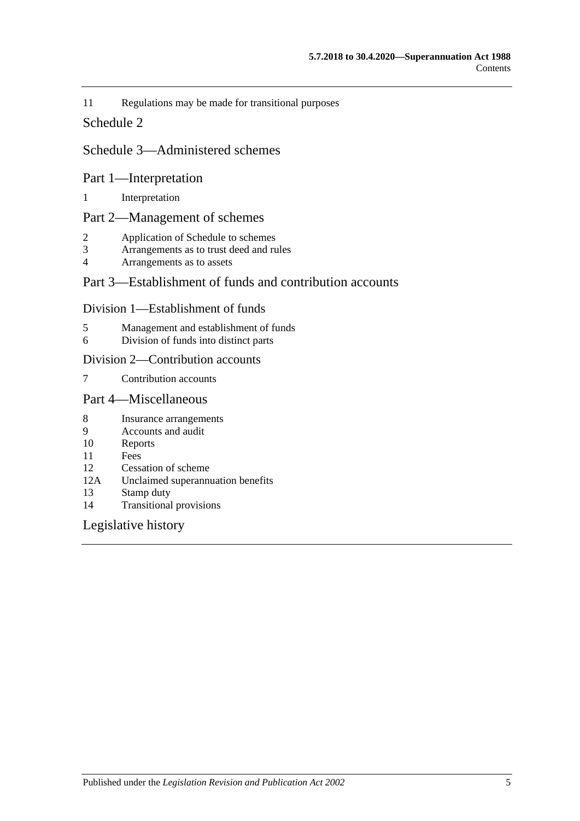11 [Regulations may be made for transitional purposes](#page-127-4)

### [Schedule 2](#page-128-0)

# [Schedule 3—Administered schemes](#page-132-0)

#### Part 1—Interpretation

1 [Interpretation](#page-132-1)

## Part 2—Management of schemes

- 2 [Application of Schedule to schemes](#page-133-0)
- 3 [Arrangements as to trust deed and rules](#page-134-0)<br>4 Arrangements as to assets
- [Arrangements as to assets](#page-135-0)

# Part 3—Establishment of funds and contribution accounts

#### Division 1—Establishment of funds

- 5 [Management and establishment of funds](#page-135-1)
- 6 [Division of funds into distinct parts](#page-136-0)

#### Division 2—Contribution accounts

7 [Contribution accounts](#page-137-0)

## Part 4—Miscellaneous

- 8 [Insurance arrangements](#page-137-1)
- 9 [Accounts and audit](#page-138-0)<br>10 Reports
- **[Reports](#page-138-1)**
- 11 [Fees](#page-138-2)
- 12 [Cessation of scheme](#page-139-0)
- 12A [Unclaimed superannuation benefits](#page-139-1)
- 13 [Stamp duty](#page-139-2)
- 14 [Transitional provisions](#page-139-3)

## [Legislative history](#page-140-0)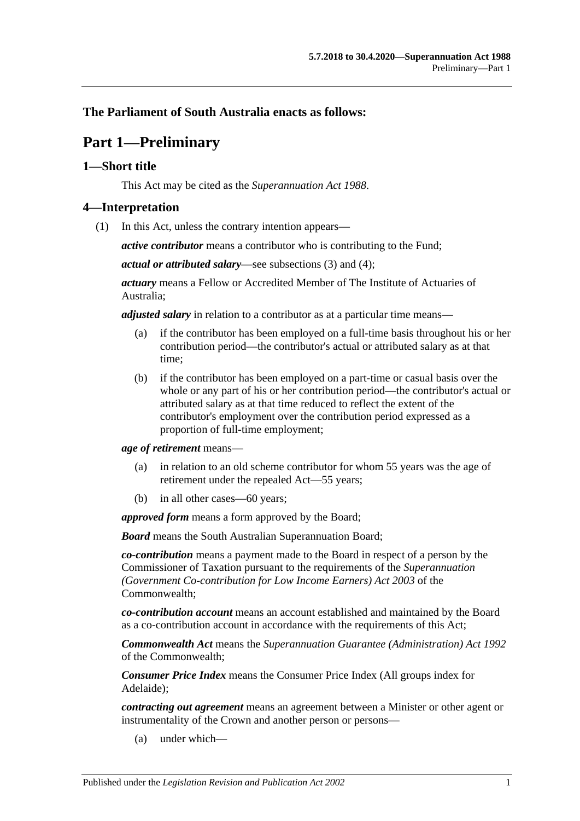# <span id="page-6-0"></span>**The Parliament of South Australia enacts as follows:**

# **Part 1—Preliminary**

### <span id="page-6-1"></span>**1—Short title**

This Act may be cited as the *Superannuation Act 1988*.

#### <span id="page-6-3"></span><span id="page-6-2"></span>**4—Interpretation**

(1) In this Act, unless the contrary intention appears—

*active contributor* means a contributor who is contributing to the Fund;

*actual or attributed salary*—see [subsections](#page-11-0) (3) and [\(4\);](#page-11-1)

*actuary* means a Fellow or Accredited Member of The Institute of Actuaries of Australia;

*adjusted salary* in relation to a contributor as at a particular time means—

- (a) if the contributor has been employed on a full-time basis throughout his or her contribution period—the contributor's actual or attributed salary as at that time;
- (b) if the contributor has been employed on a part-time or casual basis over the whole or any part of his or her contribution period—the contributor's actual or attributed salary as at that time reduced to reflect the extent of the contributor's employment over the contribution period expressed as a proportion of full-time employment;

*age of retirement* means—

- (a) in relation to an old scheme contributor for whom 55 years was the age of retirement under the repealed Act—55 years;
- (b) in all other cases—60 years;

*approved form* means a form approved by the Board;

*Board* means the South Australian Superannuation Board;

*co-contribution* means a payment made to the Board in respect of a person by the Commissioner of Taxation pursuant to the requirements of the *Superannuation (Government Co-contribution for Low Income Earners) Act 2003* of the Commonwealth;

*co-contribution account* means an account established and maintained by the Board as a co-contribution account in accordance with the requirements of this Act;

*Commonwealth Act* means the *Superannuation Guarantee (Administration) Act 1992* of the Commonwealth;

*Consumer Price Index* means the Consumer Price Index (All groups index for Adelaide);

*contracting out agreement* means an agreement between a Minister or other agent or instrumentality of the Crown and another person or persons—

(a) under which—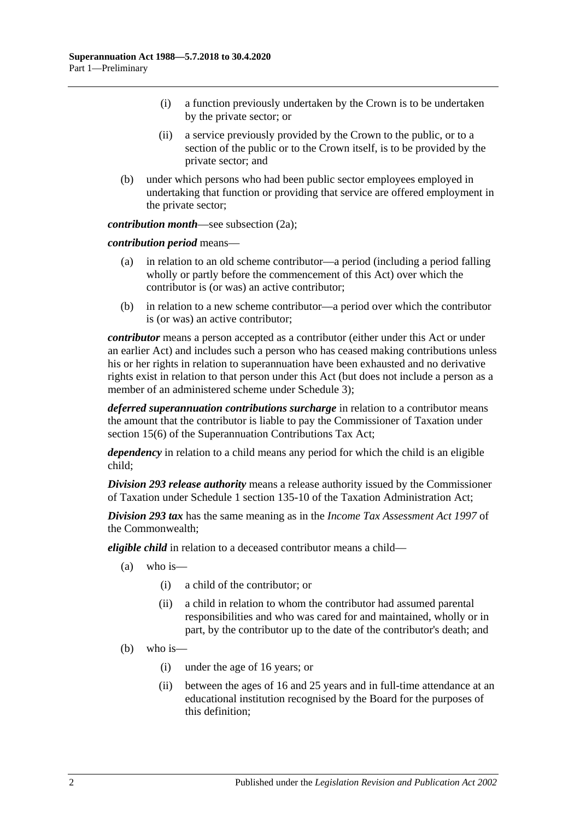- (i) a function previously undertaken by the Crown is to be undertaken by the private sector; or
- (ii) a service previously provided by the Crown to the public, or to a section of the public or to the Crown itself, is to be provided by the private sector; and
- (b) under which persons who had been public sector employees employed in undertaking that function or providing that service are offered employment in the private sector;

*contribution month—see [subsection](#page-11-2) (2a)*;

*contribution period* means—

- (a) in relation to an old scheme contributor—a period (including a period falling wholly or partly before the commencement of this Act) over which the contributor is (or was) an active contributor;
- (b) in relation to a new scheme contributor—a period over which the contributor is (or was) an active contributor;

*contributor* means a person accepted as a contributor (either under this Act or under an earlier Act) and includes such a person who has ceased making contributions unless his or her rights in relation to superannuation have been exhausted and no derivative rights exist in relation to that person under this Act (but does not include a person as a member of an administered scheme under [Schedule](#page-132-0) 3);

*deferred superannuation contributions surcharge* in relation to a contributor means the amount that the contributor is liable to pay the Commissioner of Taxation under section 15(6) of the Superannuation Contributions Tax Act;

*dependency* in relation to a child means any period for which the child is an eligible child;

*Division 293 release authority* means a release authority issued by the Commissioner of Taxation under Schedule 1 section 135-10 of the Taxation Administration Act;

*Division 293 tax* has the same meaning as in the *Income Tax Assessment Act 1997* of the Commonwealth;

*eligible child* in relation to a deceased contributor means a child—

- (a) who is—
	- (i) a child of the contributor; or
	- (ii) a child in relation to whom the contributor had assumed parental responsibilities and who was cared for and maintained, wholly or in part, by the contributor up to the date of the contributor's death; and
- (b) who is—
	- (i) under the age of 16 years; or
	- (ii) between the ages of 16 and 25 years and in full-time attendance at an educational institution recognised by the Board for the purposes of this definition;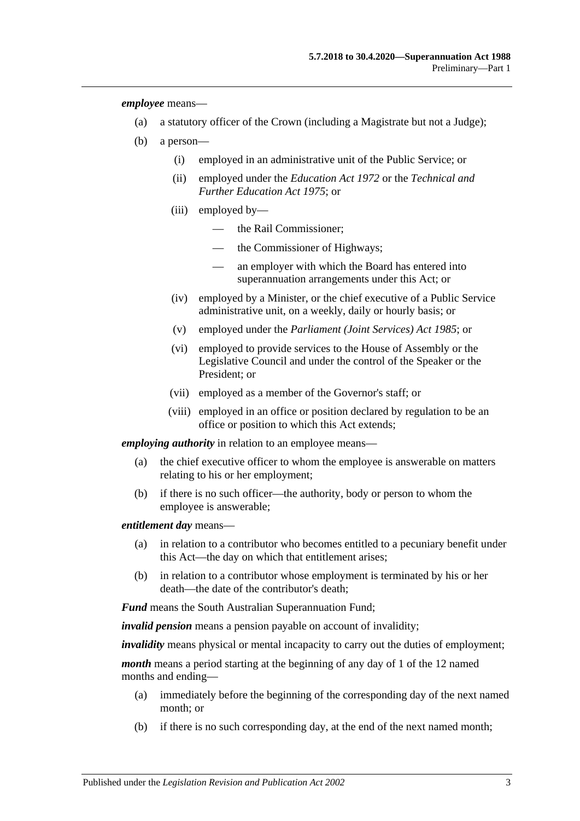*employee* means—

- (a) a statutory officer of the Crown (including a Magistrate but not a Judge);
- (b) a person—
	- (i) employed in an administrative unit of the Public Service; or
	- (ii) employed under the *[Education Act](http://www.legislation.sa.gov.au/index.aspx?action=legref&type=act&legtitle=Education%20Act%201972) 1972* or the *[Technical and](http://www.legislation.sa.gov.au/index.aspx?action=legref&type=act&legtitle=Technical%20and%20Further%20Education%20Act%201975)  [Further Education Act](http://www.legislation.sa.gov.au/index.aspx?action=legref&type=act&legtitle=Technical%20and%20Further%20Education%20Act%201975) 1975*; or
	- (iii) employed by
		- the Rail Commissioner;
		- the Commissioner of Highways;
		- an employer with which the Board has entered into superannuation arrangements under this Act; or
	- (iv) employed by a Minister, or the chief executive of a Public Service administrative unit, on a weekly, daily or hourly basis; or
	- (v) employed under the *[Parliament \(Joint Services\) Act](http://www.legislation.sa.gov.au/index.aspx?action=legref&type=act&legtitle=Parliament%20(Joint%20Services)%20Act%201985) 1985*; or
	- (vi) employed to provide services to the House of Assembly or the Legislative Council and under the control of the Speaker or the President; or
	- (vii) employed as a member of the Governor's staff; or
	- (viii) employed in an office or position declared by regulation to be an office or position to which this Act extends;

*employing authority* in relation to an employee means—

- (a) the chief executive officer to whom the employee is answerable on matters relating to his or her employment;
- (b) if there is no such officer—the authority, body or person to whom the employee is answerable;

*entitlement day* means—

- (a) in relation to a contributor who becomes entitled to a pecuniary benefit under this Act—the day on which that entitlement arises;
- (b) in relation to a contributor whose employment is terminated by his or her death—the date of the contributor's death;

*Fund* means the South Australian Superannuation Fund;

*invalid pension* means a pension payable on account of invalidity;

*invalidity* means physical or mental incapacity to carry out the duties of employment;

*month* means a period starting at the beginning of any day of 1 of the 12 named months and ending—

- (a) immediately before the beginning of the corresponding day of the next named month; or
- (b) if there is no such corresponding day, at the end of the next named month;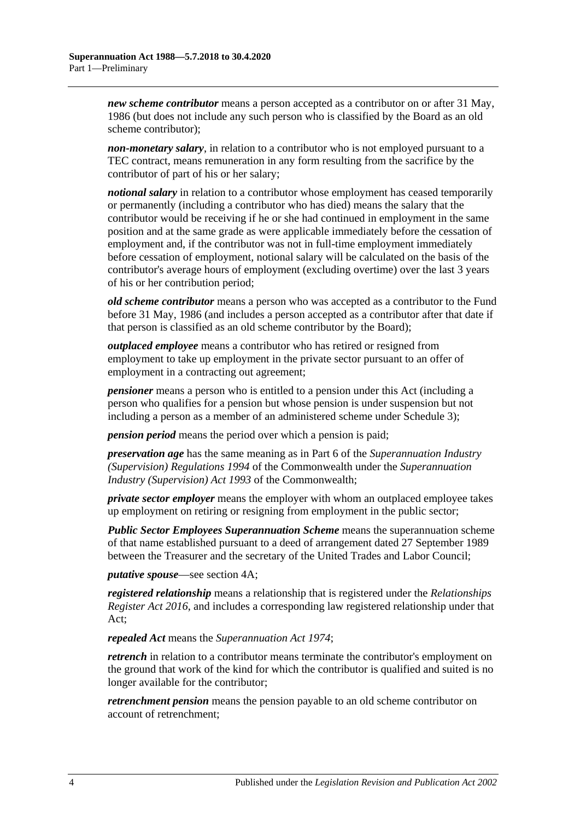*new scheme contributor* means a person accepted as a contributor on or after 31 May, 1986 (but does not include any such person who is classified by the Board as an old scheme contributor);

*non-monetary salary*, in relation to a contributor who is not employed pursuant to a TEC contract, means remuneration in any form resulting from the sacrifice by the contributor of part of his or her salary;

*notional salary* in relation to a contributor whose employment has ceased temporarily or permanently (including a contributor who has died) means the salary that the contributor would be receiving if he or she had continued in employment in the same position and at the same grade as were applicable immediately before the cessation of employment and, if the contributor was not in full-time employment immediately before cessation of employment, notional salary will be calculated on the basis of the contributor's average hours of employment (excluding overtime) over the last 3 years of his or her contribution period;

*old scheme contributor* means a person who was accepted as a contributor to the Fund before 31 May, 1986 (and includes a person accepted as a contributor after that date if that person is classified as an old scheme contributor by the Board);

*outplaced employee* means a contributor who has retired or resigned from employment to take up employment in the private sector pursuant to an offer of employment in a contracting out agreement;

*pensioner* means a person who is entitled to a pension under this Act (including a person who qualifies for a pension but whose pension is under suspension but not including a person as a member of an administered scheme under [Schedule 3\)](#page-132-0);

*pension period* means the period over which a pension is paid;

*preservation age* has the same meaning as in Part 6 of the *Superannuation Industry (Supervision) Regulations 1994* of the Commonwealth under the *Superannuation Industry (Supervision) Act 1993* of the Commonwealth;

*private sector employer* means the employer with whom an outplaced employee takes up employment on retiring or resigning from employment in the public sector;

*Public Sector Employees Superannuation Scheme* means the superannuation scheme of that name established pursuant to a deed of arrangement dated 27 September 1989 between the Treasurer and the secretary of the United Trades and Labor Council;

*putative spouse*—see [section](#page-14-0) 4A;

*registered relationship* means a relationship that is registered under the *[Relationships](http://www.legislation.sa.gov.au/index.aspx?action=legref&type=act&legtitle=Relationships%20Register%20Act%202016)  [Register Act](http://www.legislation.sa.gov.au/index.aspx?action=legref&type=act&legtitle=Relationships%20Register%20Act%202016) 2016*, and includes a corresponding law registered relationship under that Act;

*repealed Act* means the *[Superannuation Act](http://www.legislation.sa.gov.au/index.aspx?action=legref&type=act&legtitle=Superannuation%20Act%201974) 1974*;

*retrench* in relation to a contributor means terminate the contributor's employment on the ground that work of the kind for which the contributor is qualified and suited is no longer available for the contributor;

*retrenchment pension* means the pension payable to an old scheme contributor on account of retrenchment;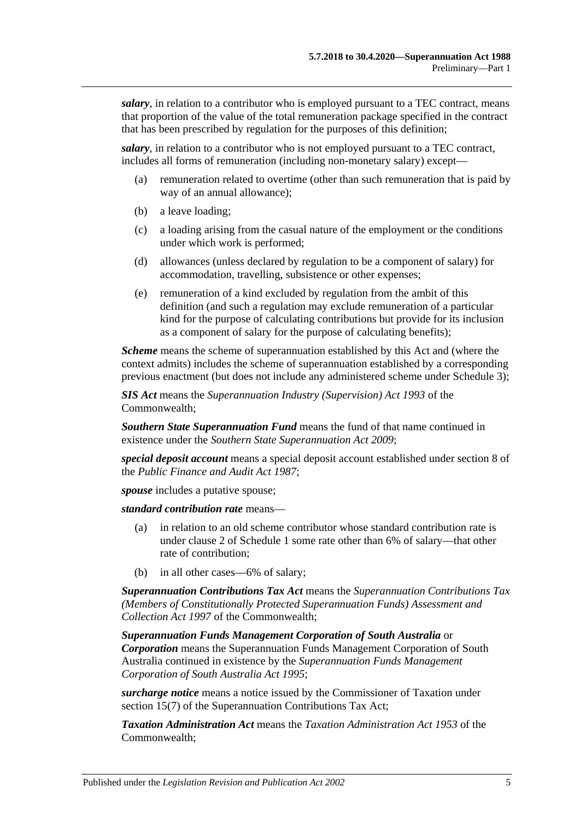*salary*, in relation to a contributor who is employed pursuant to a TEC contract, means that proportion of the value of the total remuneration package specified in the contract that has been prescribed by regulation for the purposes of this definition;

*salary*, in relation to a contributor who is not employed pursuant to a TEC contract, includes all forms of remuneration (including non-monetary salary) except—

- (a) remuneration related to overtime (other than such remuneration that is paid by way of an annual allowance);
- (b) a leave loading;
- (c) a loading arising from the casual nature of the employment or the conditions under which work is performed;
- (d) allowances (unless declared by regulation to be a component of salary) for accommodation, travelling, subsistence or other expenses;
- (e) remuneration of a kind excluded by regulation from the ambit of this definition (and such a regulation may exclude remuneration of a particular kind for the purpose of calculating contributions but provide for its inclusion as a component of salary for the purpose of calculating benefits);

*Scheme* means the scheme of superannuation established by this Act and (where the context admits) includes the scheme of superannuation established by a corresponding previous enactment (but does not include any administered scheme under [Schedule 3\)](#page-132-0);

*SIS Act* means the *Superannuation Industry (Supervision) Act 1993* of the Commonwealth;

*Southern State Superannuation Fund* means the fund of that name continued in existence under the *[Southern State Superannuation Act](http://www.legislation.sa.gov.au/index.aspx?action=legref&type=act&legtitle=Southern%20State%20Superannuation%20Act%202009) 2009*;

*special deposit account* means a special deposit account established under section 8 of the *[Public Finance and Audit Act](http://www.legislation.sa.gov.au/index.aspx?action=legref&type=act&legtitle=Public%20Finance%20and%20Audit%20Act%201987) 1987*;

*spouse* includes a putative spouse:

*standard contribution rate* means—

- (a) in relation to an old scheme contributor whose standard contribution rate is under [clause](#page-108-2) 2 of [Schedule 1](#page-108-0) some rate other than 6% of salary—that other rate of contribution;
- (b) in all other cases—6% of salary;

*Superannuation Contributions Tax Act* means the *Superannuation Contributions Tax (Members of Constitutionally Protected Superannuation Funds) Assessment and Collection Act 1997* of the Commonwealth;

*Superannuation Funds Management Corporation of South Australia* or *Corporation* means the Superannuation Funds Management Corporation of South Australia continued in existence by the *[Superannuation Funds Management](http://www.legislation.sa.gov.au/index.aspx?action=legref&type=act&legtitle=Superannuation%20Funds%20Management%20Corporation%20of%20South%20Australia%20Act%201995)  [Corporation of South Australia Act](http://www.legislation.sa.gov.au/index.aspx?action=legref&type=act&legtitle=Superannuation%20Funds%20Management%20Corporation%20of%20South%20Australia%20Act%201995) 1995*;

*surcharge notice* means a notice issued by the Commissioner of Taxation under section 15(7) of the Superannuation Contributions Tax Act:

*Taxation Administration Act* means the *Taxation Administration Act 1953* of the Commonwealth;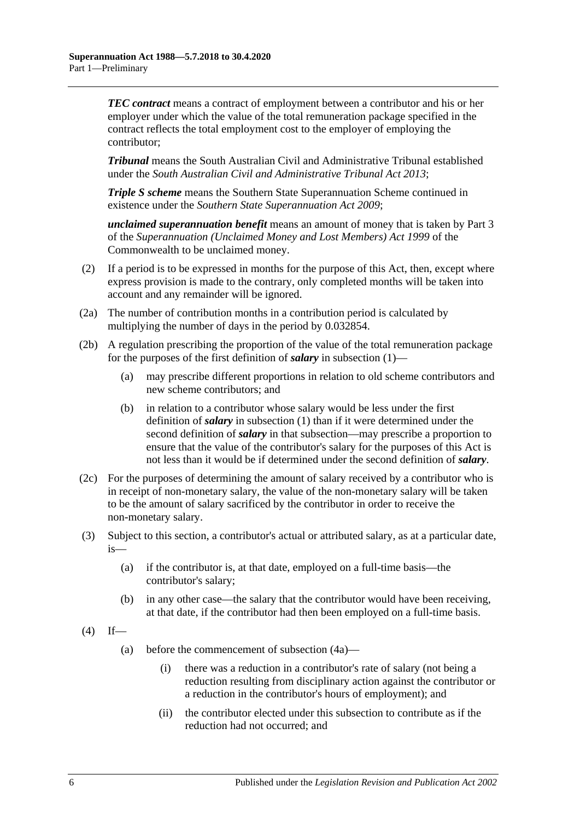*TEC contract* means a contract of employment between a contributor and his or her employer under which the value of the total remuneration package specified in the contract reflects the total employment cost to the employer of employing the contributor;

*Tribunal* means the South Australian Civil and Administrative Tribunal established under the *[South Australian Civil and Administrative Tribunal Act](http://www.legislation.sa.gov.au/index.aspx?action=legref&type=act&legtitle=South%20Australian%20Civil%20and%20Administrative%20Tribunal%20Act%202013) 2013*;

*Triple S scheme* means the Southern State Superannuation Scheme continued in existence under the *[Southern State Superannuation Act](http://www.legislation.sa.gov.au/index.aspx?action=legref&type=act&legtitle=Southern%20State%20Superannuation%20Act%202009) 2009*;

*unclaimed superannuation benefit* means an amount of money that is taken by Part 3 of the *Superannuation (Unclaimed Money and Lost Members) Act 1999* of the Commonwealth to be unclaimed money.

- (2) If a period is to be expressed in months for the purpose of this Act, then, except where express provision is made to the contrary, only completed months will be taken into account and any remainder will be ignored.
- <span id="page-11-2"></span>(2a) The number of contribution months in a contribution period is calculated by multiplying the number of days in the period by 0.032854.
- (2b) A regulation prescribing the proportion of the value of the total remuneration package for the purposes of the first definition of *salary* in [subsection](#page-6-3) (1)—
	- (a) may prescribe different proportions in relation to old scheme contributors and new scheme contributors; and
	- (b) in relation to a contributor whose salary would be less under the first definition of *salary* in [subsection](#page-6-3) (1) than if it were determined under the second definition of *salary* in that subsection—may prescribe a proportion to ensure that the value of the contributor's salary for the purposes of this Act is not less than it would be if determined under the second definition of *salary*.
- (2c) For the purposes of determining the amount of salary received by a contributor who is in receipt of non-monetary salary, the value of the non-monetary salary will be taken to be the amount of salary sacrificed by the contributor in order to receive the non-monetary salary.
- <span id="page-11-0"></span>(3) Subject to this section, a contributor's actual or attributed salary, as at a particular date, is—
	- (a) if the contributor is, at that date, employed on a full-time basis—the contributor's salary;
	- (b) in any other case—the salary that the contributor would have been receiving, at that date, if the contributor had then been employed on a full-time basis.
- <span id="page-11-1"></span> $(4)$  If—
	- (a) before the commencement of [subsection](#page-12-0) (4a)—
		- (i) there was a reduction in a contributor's rate of salary (not being a reduction resulting from disciplinary action against the contributor or a reduction in the contributor's hours of employment); and
		- (ii) the contributor elected under this subsection to contribute as if the reduction had not occurred; and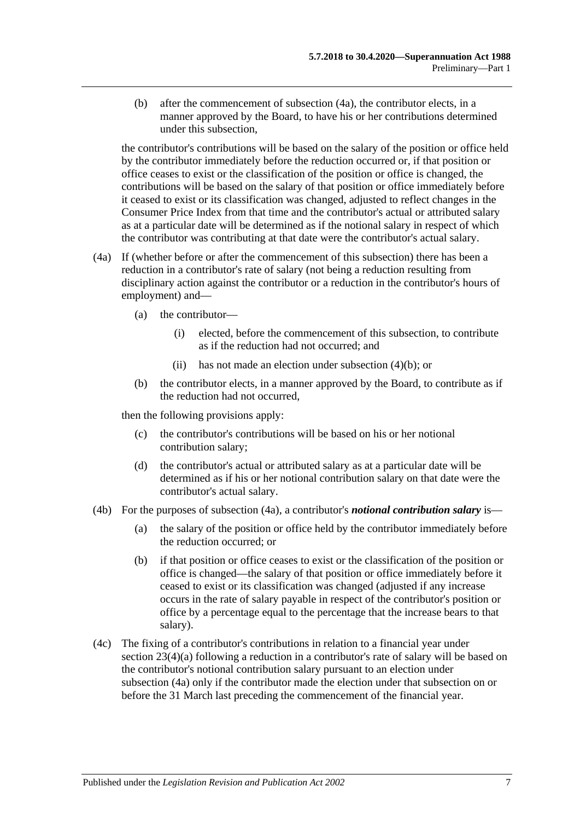<span id="page-12-1"></span>(b) after the commencement of [subsection](#page-12-0) (4a), the contributor elects, in a manner approved by the Board, to have his or her contributions determined under this subsection,

the contributor's contributions will be based on the salary of the position or office held by the contributor immediately before the reduction occurred or, if that position or office ceases to exist or the classification of the position or office is changed, the contributions will be based on the salary of that position or office immediately before it ceased to exist or its classification was changed, adjusted to reflect changes in the Consumer Price Index from that time and the contributor's actual or attributed salary as at a particular date will be determined as if the notional salary in respect of which the contributor was contributing at that date were the contributor's actual salary.

- <span id="page-12-0"></span>(4a) If (whether before or after the commencement of this subsection) there has been a reduction in a contributor's rate of salary (not being a reduction resulting from disciplinary action against the contributor or a reduction in the contributor's hours of employment) and—
	- (a) the contributor—
		- (i) elected, before the commencement of this subsection, to contribute as if the reduction had not occurred; and
		- (ii) has not made an election under [subsection](#page-12-1) (4)(b); or
	- (b) the contributor elects, in a manner approved by the Board, to contribute as if the reduction had not occurred,

then the following provisions apply:

- (c) the contributor's contributions will be based on his or her notional contribution salary;
- (d) the contributor's actual or attributed salary as at a particular date will be determined as if his or her notional contribution salary on that date were the contributor's actual salary.
- (4b) For the purposes of [subsection](#page-12-0) (4a), a contributor's *notional contribution salary* is—
	- (a) the salary of the position or office held by the contributor immediately before the reduction occurred; or
	- (b) if that position or office ceases to exist or the classification of the position or office is changed—the salary of that position or office immediately before it ceased to exist or its classification was changed (adjusted if any increase occurs in the rate of salary payable in respect of the contributor's position or office by a percentage equal to the percentage that the increase bears to that salary).
- (4c) The fixing of a contributor's contributions in relation to a financial year under section [23\(4\)\(a\)](#page-27-0) following a reduction in a contributor's rate of salary will be based on the contributor's notional contribution salary pursuant to an election under [subsection](#page-12-0) (4a) only if the contributor made the election under that subsection on or before the 31 March last preceding the commencement of the financial year.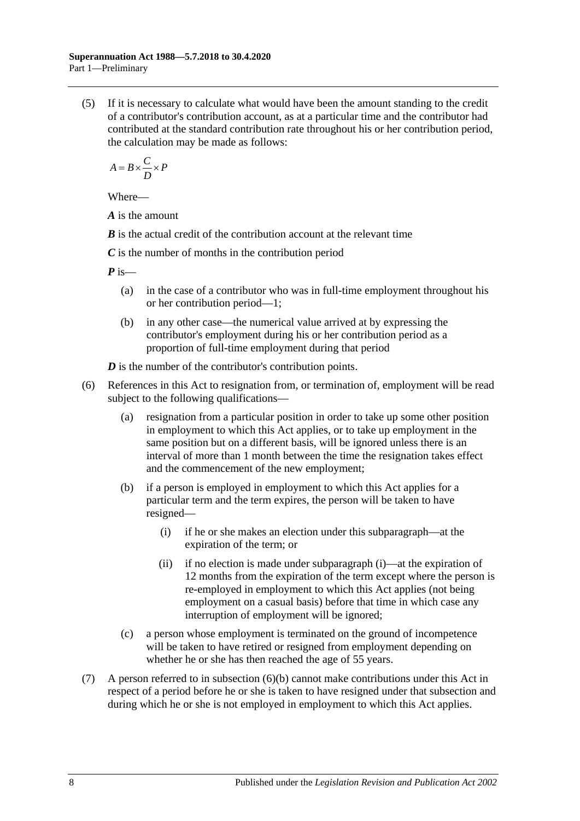(5) If it is necessary to calculate what would have been the amount standing to the credit of a contributor's contribution account, as at a particular time and the contributor had contributed at the standard contribution rate throughout his or her contribution period, the calculation may be made as follows:

$$
A = B \times \frac{C}{D} \times P
$$

Where—

*A* is the amount

*B* is the actual credit of the contribution account at the relevant time

*C* is the number of months in the contribution period

*P* is—

- (a) in the case of a contributor who was in full-time employment throughout his or her contribution period—1;
- (b) in any other case—the numerical value arrived at by expressing the contributor's employment during his or her contribution period as a proportion of full-time employment during that period

*D* is the number of the contributor's contribution points.

- <span id="page-13-1"></span><span id="page-13-0"></span>(6) References in this Act to resignation from, or termination of, employment will be read subject to the following qualifications—
	- (a) resignation from a particular position in order to take up some other position in employment to which this Act applies, or to take up employment in the same position but on a different basis, will be ignored unless there is an interval of more than 1 month between the time the resignation takes effect and the commencement of the new employment;
	- (b) if a person is employed in employment to which this Act applies for a particular term and the term expires, the person will be taken to have resigned—
		- (i) if he or she makes an election under this subparagraph—at the expiration of the term; or
		- (ii) if no election is made under [subparagraph](#page-13-0) (i)—at the expiration of 12 months from the expiration of the term except where the person is re-employed in employment to which this Act applies (not being employment on a casual basis) before that time in which case any interruption of employment will be ignored;
	- (c) a person whose employment is terminated on the ground of incompetence will be taken to have retired or resigned from employment depending on whether he or she has then reached the age of 55 years.
- (7) A person referred to in [subsection](#page-13-1) (6)(b) cannot make contributions under this Act in respect of a period before he or she is taken to have resigned under that subsection and during which he or she is not employed in employment to which this Act applies.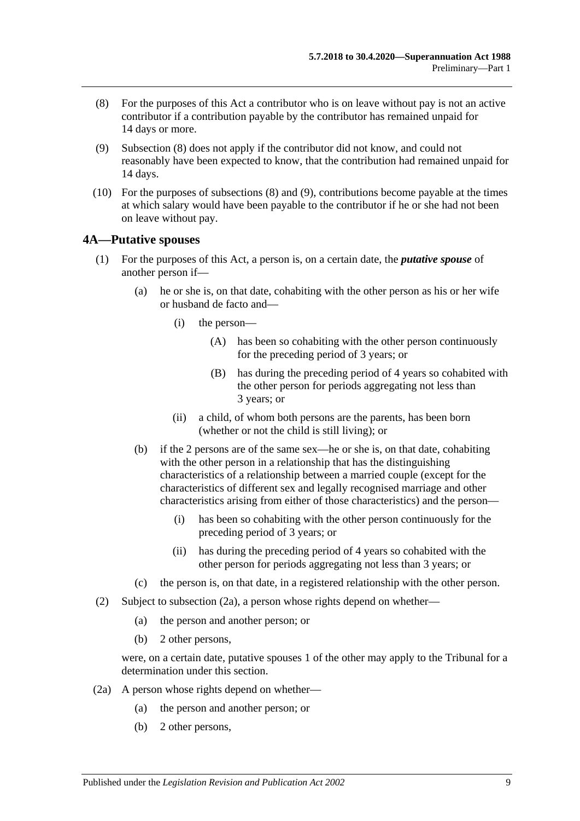- <span id="page-14-1"></span>(8) For the purposes of this Act a contributor who is on leave without pay is not an active contributor if a contribution payable by the contributor has remained unpaid for 14 days or more.
- <span id="page-14-2"></span>(9) [Subsection](#page-14-1) (8) does not apply if the contributor did not know, and could not reasonably have been expected to know, that the contribution had remained unpaid for 14 days.
- (10) For the purposes of [subsections](#page-14-1) (8) and [\(9\),](#page-14-2) contributions become payable at the times at which salary would have been payable to the contributor if he or she had not been on leave without pay.

## <span id="page-14-4"></span><span id="page-14-0"></span>**4A—Putative spouses**

- (1) For the purposes of this Act, a person is, on a certain date, the *putative spouse* of another person if—
	- (a) he or she is, on that date, cohabiting with the other person as his or her wife or husband de facto and—
		- (i) the person—
			- (A) has been so cohabiting with the other person continuously for the preceding period of 3 years; or
			- (B) has during the preceding period of 4 years so cohabited with the other person for periods aggregating not less than 3 years; or
		- (ii) a child, of whom both persons are the parents, has been born (whether or not the child is still living); or
	- (b) if the 2 persons are of the same sex—he or she is, on that date, cohabiting with the other person in a relationship that has the distinguishing characteristics of a relationship between a married couple (except for the characteristics of different sex and legally recognised marriage and other characteristics arising from either of those characteristics) and the person—
		- (i) has been so cohabiting with the other person continuously for the preceding period of 3 years; or
		- (ii) has during the preceding period of 4 years so cohabited with the other person for periods aggregating not less than 3 years; or
	- (c) the person is, on that date, in a registered relationship with the other person.
- (2) Subject to [subsection](#page-14-3) (2a), a person whose rights depend on whether—
	- (a) the person and another person; or
	- (b) 2 other persons,

were, on a certain date, putative spouses 1 of the other may apply to the Tribunal for a determination under this section.

- <span id="page-14-3"></span>(2a) A person whose rights depend on whether—
	- (a) the person and another person; or
	- (b) 2 other persons,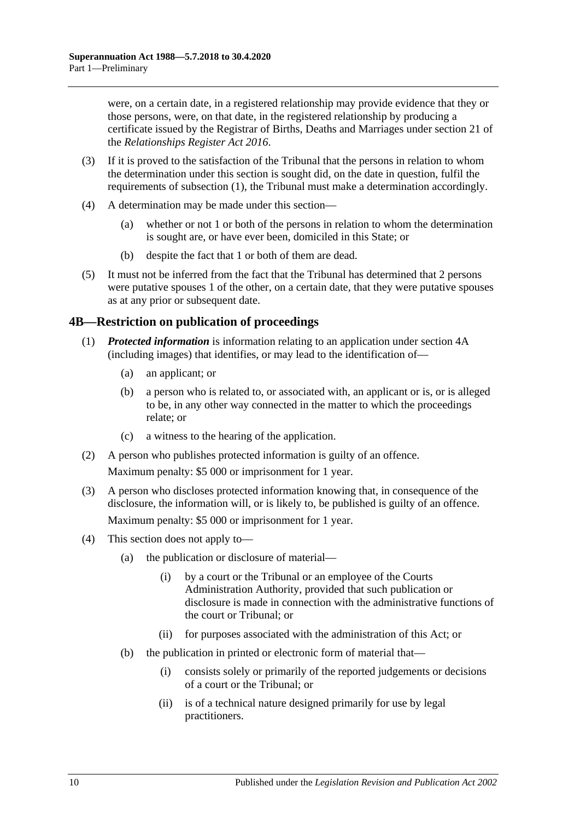were, on a certain date, in a registered relationship may provide evidence that they or those persons, were, on that date, in the registered relationship by producing a certificate issued by the Registrar of Births, Deaths and Marriages under section 21 of the *[Relationships Register Act](http://www.legislation.sa.gov.au/index.aspx?action=legref&type=act&legtitle=Relationships%20Register%20Act%202016) 2016*.

- (3) If it is proved to the satisfaction of the Tribunal that the persons in relation to whom the determination under this section is sought did, on the date in question, fulfil the requirements of [subsection](#page-14-4) (1), the Tribunal must make a determination accordingly.
- (4) A determination may be made under this section—
	- (a) whether or not 1 or both of the persons in relation to whom the determination is sought are, or have ever been, domiciled in this State; or
	- (b) despite the fact that 1 or both of them are dead.
- (5) It must not be inferred from the fact that the Tribunal has determined that 2 persons were putative spouses 1 of the other, on a certain date, that they were putative spouses as at any prior or subsequent date.

## <span id="page-15-0"></span>**4B—Restriction on publication of proceedings**

- (1) *Protected information* is information relating to an application under [section](#page-14-0) 4A (including images) that identifies, or may lead to the identification of—
	- (a) an applicant; or
	- (b) a person who is related to, or associated with, an applicant or is, or is alleged to be, in any other way connected in the matter to which the proceedings relate; or
	- (c) a witness to the hearing of the application.
- (2) A person who publishes protected information is guilty of an offence.

Maximum penalty: \$5 000 or imprisonment for 1 year.

- (3) A person who discloses protected information knowing that, in consequence of the disclosure, the information will, or is likely to, be published is guilty of an offence. Maximum penalty: \$5 000 or imprisonment for 1 year.
- (4) This section does not apply to—
	- (a) the publication or disclosure of material—
		- (i) by a court or the Tribunal or an employee of the Courts Administration Authority, provided that such publication or disclosure is made in connection with the administrative functions of the court or Tribunal; or
		- (ii) for purposes associated with the administration of this Act; or
	- (b) the publication in printed or electronic form of material that—
		- (i) consists solely or primarily of the reported judgements or decisions of a court or the Tribunal; or
		- (ii) is of a technical nature designed primarily for use by legal practitioners.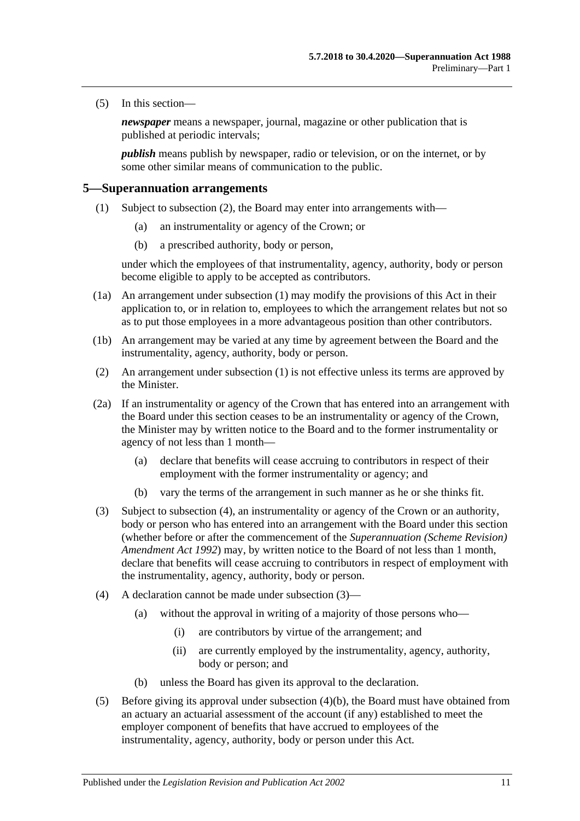(5) In this section—

*newspaper* means a newspaper, journal, magazine or other publication that is published at periodic intervals;

*publish* means publish by newspaper, radio or television, or on the internet, or by some other similar means of communication to the public.

#### <span id="page-16-2"></span><span id="page-16-0"></span>**5—Superannuation arrangements**

- (1) Subject to [subsection](#page-16-1) (2), the Board may enter into arrangements with—
	- (a) an instrumentality or agency of the Crown; or
	- (b) a prescribed authority, body or person,

under which the employees of that instrumentality, agency, authority, body or person become eligible to apply to be accepted as contributors.

- (1a) An arrangement under [subsection](#page-16-2) (1) may modify the provisions of this Act in their application to, or in relation to, employees to which the arrangement relates but not so as to put those employees in a more advantageous position than other contributors.
- (1b) An arrangement may be varied at any time by agreement between the Board and the instrumentality, agency, authority, body or person.
- <span id="page-16-1"></span>(2) An arrangement under [subsection](#page-16-2) (1) is not effective unless its terms are approved by the Minister.
- <span id="page-16-6"></span>(2a) If an instrumentality or agency of the Crown that has entered into an arrangement with the Board under this section ceases to be an instrumentality or agency of the Crown, the Minister may by written notice to the Board and to the former instrumentality or agency of not less than 1 month—
	- (a) declare that benefits will cease accruing to contributors in respect of their employment with the former instrumentality or agency; and
	- (b) vary the terms of the arrangement in such manner as he or she thinks fit.
- <span id="page-16-4"></span>(3) Subject to [subsection](#page-16-3) (4), an instrumentality or agency of the Crown or an authority, body or person who has entered into an arrangement with the Board under this section (whether before or after the commencement of the *[Superannuation \(Scheme Revision\)](http://www.legislation.sa.gov.au/index.aspx?action=legref&type=act&legtitle=Superannuation%20(Scheme%20Revision)%20Amendment%20Act%201992)  [Amendment Act](http://www.legislation.sa.gov.au/index.aspx?action=legref&type=act&legtitle=Superannuation%20(Scheme%20Revision)%20Amendment%20Act%201992) 1992*) may, by written notice to the Board of not less than 1 month, declare that benefits will cease accruing to contributors in respect of employment with the instrumentality, agency, authority, body or person.
- <span id="page-16-3"></span>(4) A declaration cannot be made under [subsection](#page-16-4) (3)—
	- (a) without the approval in writing of a majority of those persons who—
		- (i) are contributors by virtue of the arrangement; and
		- (ii) are currently employed by the instrumentality, agency, authority, body or person; and
	- (b) unless the Board has given its approval to the declaration.
- <span id="page-16-5"></span>(5) Before giving its approval under [subsection](#page-16-5) (4)(b), the Board must have obtained from an actuary an actuarial assessment of the account (if any) established to meet the employer component of benefits that have accrued to employees of the instrumentality, agency, authority, body or person under this Act.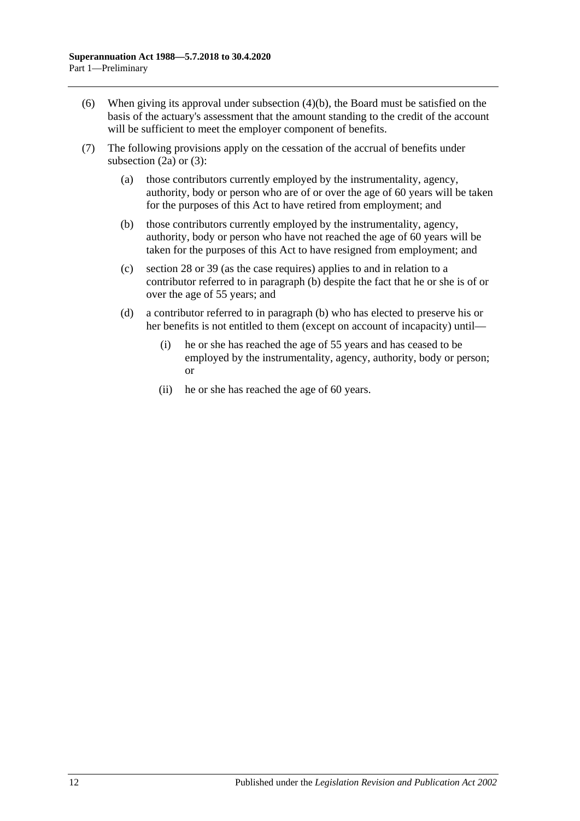- (6) When giving its approval under [subsection](#page-16-5) (4)(b), the Board must be satisfied on the basis of the actuary's assessment that the amount standing to the credit of the account will be sufficient to meet the employer component of benefits.
- <span id="page-17-0"></span>(7) The following provisions apply on the cessation of the accrual of benefits under [subsection](#page-16-6) (2a) or [\(3\):](#page-16-4)
	- (a) those contributors currently employed by the instrumentality, agency, authority, body or person who are of or over the age of 60 years will be taken for the purposes of this Act to have retired from employment; and
	- (b) those contributors currently employed by the instrumentality, agency, authority, body or person who have not reached the age of 60 years will be taken for the purposes of this Act to have resigned from employment; and
	- (c) [section](#page-34-0) 28 or [39](#page-71-0) (as the case requires) applies to and in relation to a contributor referred to in [paragraph](#page-17-0) (b) despite the fact that he or she is of or over the age of 55 years; and
	- (d) a contributor referred to in [paragraph](#page-17-0) (b) who has elected to preserve his or her benefits is not entitled to them (except on account of incapacity) until—
		- (i) he or she has reached the age of 55 years and has ceased to be employed by the instrumentality, agency, authority, body or person; or
		- (ii) he or she has reached the age of 60 years.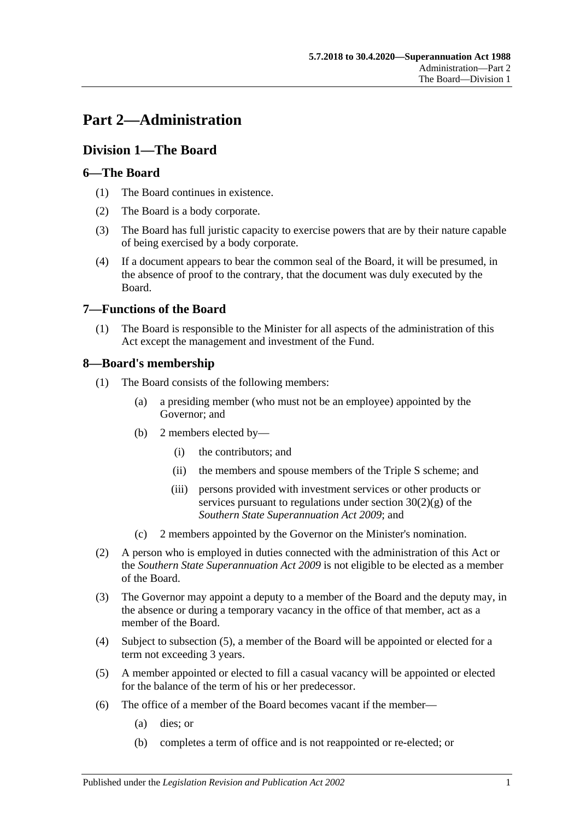# <span id="page-18-0"></span>**Part 2—Administration**

# <span id="page-18-1"></span>**Division 1—The Board**

# <span id="page-18-2"></span>**6—The Board**

- (1) The Board continues in existence.
- (2) The Board is a body corporate.
- (3) The Board has full juristic capacity to exercise powers that are by their nature capable of being exercised by a body corporate.
- (4) If a document appears to bear the common seal of the Board, it will be presumed, in the absence of proof to the contrary, that the document was duly executed by the Board.

# <span id="page-18-3"></span>**7—Functions of the Board**

(1) The Board is responsible to the Minister for all aspects of the administration of this Act except the management and investment of the Fund.

# <span id="page-18-4"></span>**8—Board's membership**

- (1) The Board consists of the following members:
	- (a) a presiding member (who must not be an employee) appointed by the Governor; and
	- (b) 2 members elected by—
		- (i) the contributors; and
		- (ii) the members and spouse members of the Triple S scheme; and
		- (iii) persons provided with investment services or other products or services pursuant to regulations under section  $30(2)(g)$  of the *[Southern State Superannuation Act](http://www.legislation.sa.gov.au/index.aspx?action=legref&type=act&legtitle=Southern%20State%20Superannuation%20Act%202009) 2009*; and
	- (c) 2 members appointed by the Governor on the Minister's nomination.
- (2) A person who is employed in duties connected with the administration of this Act or the *[Southern State Superannuation Act](http://www.legislation.sa.gov.au/index.aspx?action=legref&type=act&legtitle=Southern%20State%20Superannuation%20Act%202009) 2009* is not eligible to be elected as a member of the Board.
- (3) The Governor may appoint a deputy to a member of the Board and the deputy may, in the absence or during a temporary vacancy in the office of that member, act as a member of the Board.
- (4) Subject to [subsection](#page-18-5) (5), a member of the Board will be appointed or elected for a term not exceeding 3 years.
- <span id="page-18-5"></span>(5) A member appointed or elected to fill a casual vacancy will be appointed or elected for the balance of the term of his or her predecessor.
- (6) The office of a member of the Board becomes vacant if the member—
	- (a) dies; or
	- (b) completes a term of office and is not reappointed or re-elected; or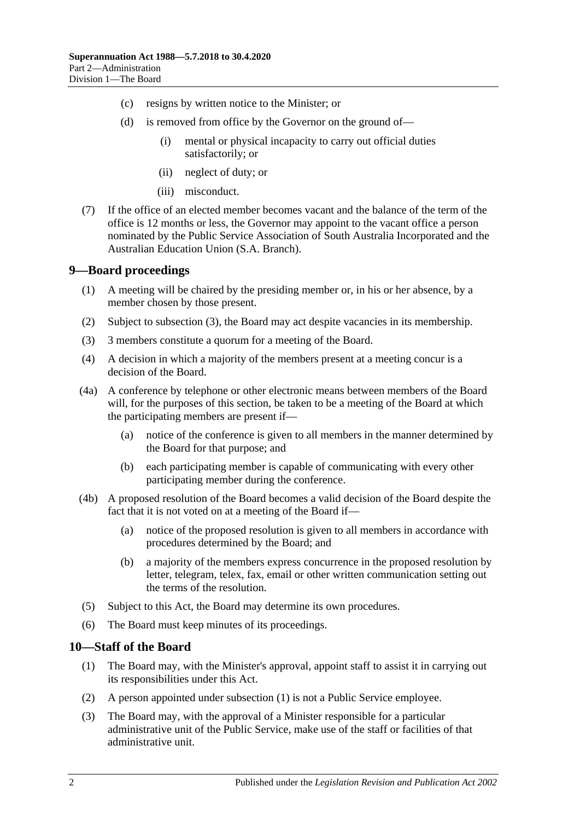- (c) resigns by written notice to the Minister; or
- (d) is removed from office by the Governor on the ground of—
	- (i) mental or physical incapacity to carry out official duties satisfactorily; or
	- (ii) neglect of duty; or
	- (iii) misconduct.
- (7) If the office of an elected member becomes vacant and the balance of the term of the office is 12 months or less, the Governor may appoint to the vacant office a person nominated by the Public Service Association of South Australia Incorporated and the Australian Education Union (S.A. Branch).

#### <span id="page-19-0"></span>**9—Board proceedings**

- (1) A meeting will be chaired by the presiding member or, in his or her absence, by a member chosen by those present.
- (2) Subject to [subsection](#page-19-2) (3), the Board may act despite vacancies in its membership.
- <span id="page-19-2"></span>(3) 3 members constitute a quorum for a meeting of the Board.
- (4) A decision in which a majority of the members present at a meeting concur is a decision of the Board.
- (4a) A conference by telephone or other electronic means between members of the Board will, for the purposes of this section, be taken to be a meeting of the Board at which the participating members are present if—
	- (a) notice of the conference is given to all members in the manner determined by the Board for that purpose; and
	- (b) each participating member is capable of communicating with every other participating member during the conference.
- (4b) A proposed resolution of the Board becomes a valid decision of the Board despite the fact that it is not voted on at a meeting of the Board if—
	- (a) notice of the proposed resolution is given to all members in accordance with procedures determined by the Board; and
	- (b) a majority of the members express concurrence in the proposed resolution by letter, telegram, telex, fax, email or other written communication setting out the terms of the resolution.
- (5) Subject to this Act, the Board may determine its own procedures.
- (6) The Board must keep minutes of its proceedings.

## <span id="page-19-3"></span><span id="page-19-1"></span>**10—Staff of the Board**

- (1) The Board may, with the Minister's approval, appoint staff to assist it in carrying out its responsibilities under this Act.
- (2) A person appointed under [subsection](#page-19-3) (1) is not a Public Service employee.
- (3) The Board may, with the approval of a Minister responsible for a particular administrative unit of the Public Service, make use of the staff or facilities of that administrative unit.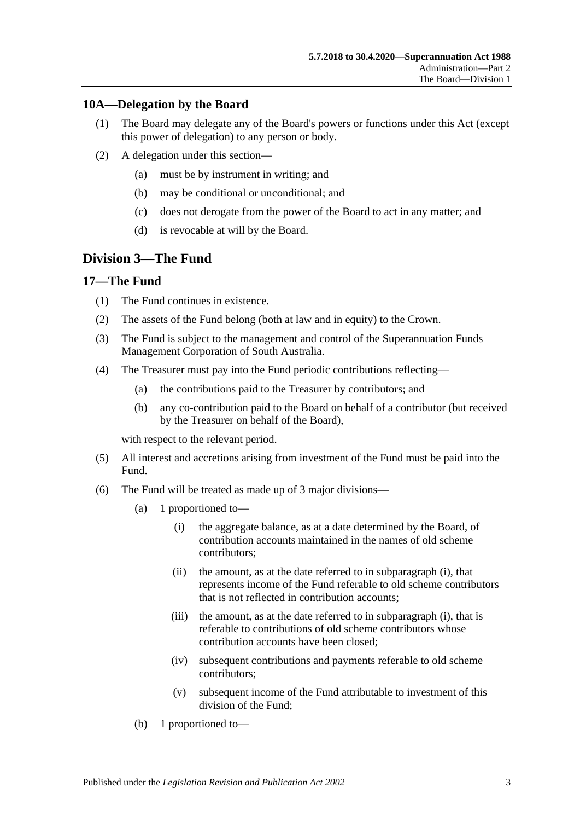# <span id="page-20-0"></span>**10A—Delegation by the Board**

- (1) The Board may delegate any of the Board's powers or functions under this Act (except this power of delegation) to any person or body.
- (2) A delegation under this section—
	- (a) must be by instrument in writing; and
	- (b) may be conditional or unconditional; and
	- (c) does not derogate from the power of the Board to act in any matter; and
	- (d) is revocable at will by the Board.

# <span id="page-20-1"></span>**Division 3—The Fund**

## <span id="page-20-2"></span>**17—The Fund**

- (1) The Fund continues in existence.
- (2) The assets of the Fund belong (both at law and in equity) to the Crown.
- (3) The Fund is subject to the management and control of the Superannuation Funds Management Corporation of South Australia.
- (4) The Treasurer must pay into the Fund periodic contributions reflecting—
	- (a) the contributions paid to the Treasurer by contributors; and
	- (b) any co-contribution paid to the Board on behalf of a contributor (but received by the Treasurer on behalf of the Board),

with respect to the relevant period.

- (5) All interest and accretions arising from investment of the Fund must be paid into the Fund.
- <span id="page-20-3"></span>(6) The Fund will be treated as made up of 3 major divisions—
	- (a) 1 proportioned to—
		- (i) the aggregate balance, as at a date determined by the Board, of contribution accounts maintained in the names of old scheme contributors;
		- (ii) the amount, as at the date referred to in [subparagraph](#page-20-3) (i), that represents income of the Fund referable to old scheme contributors that is not reflected in contribution accounts;
		- (iii) the amount, as at the date referred to in [subparagraph](#page-20-3) (i), that is referable to contributions of old scheme contributors whose contribution accounts have been closed;
		- (iv) subsequent contributions and payments referable to old scheme contributors;
		- (v) subsequent income of the Fund attributable to investment of this division of the Fund;
	- (b) 1 proportioned to—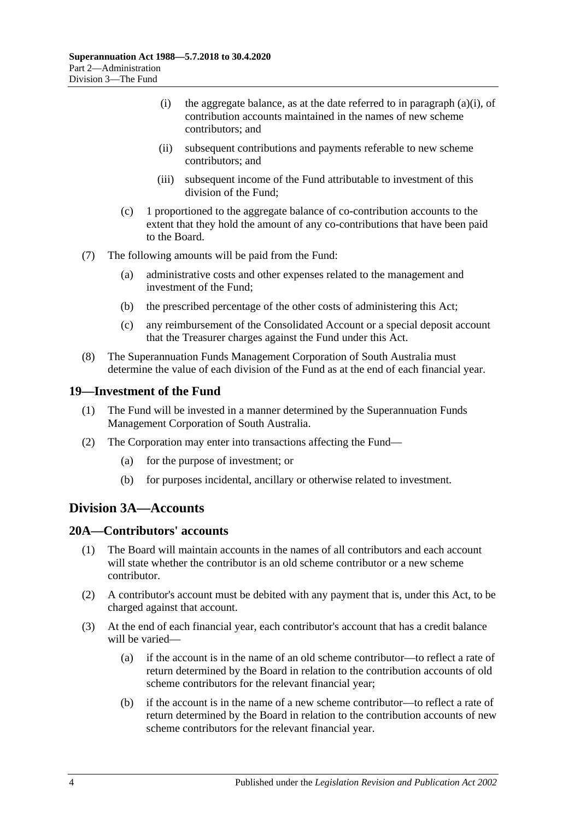- (i) the aggregate balance, as at the date referred to in [paragraph](#page-20-3)  $(a)(i)$ , of contribution accounts maintained in the names of new scheme contributors; and
- (ii) subsequent contributions and payments referable to new scheme contributors; and
- (iii) subsequent income of the Fund attributable to investment of this division of the Fund;
- (c) 1 proportioned to the aggregate balance of co-contribution accounts to the extent that they hold the amount of any co-contributions that have been paid to the Board.
- (7) The following amounts will be paid from the Fund:
	- (a) administrative costs and other expenses related to the management and investment of the Fund;
	- (b) the prescribed percentage of the other costs of administering this Act;
	- (c) any reimbursement of the Consolidated Account or a special deposit account that the Treasurer charges against the Fund under this Act.
- (8) The Superannuation Funds Management Corporation of South Australia must determine the value of each division of the Fund as at the end of each financial year.

#### <span id="page-21-0"></span>**19—Investment of the Fund**

- (1) The Fund will be invested in a manner determined by the Superannuation Funds Management Corporation of South Australia.
- (2) The Corporation may enter into transactions affecting the Fund—
	- (a) for the purpose of investment; or
	- (b) for purposes incidental, ancillary or otherwise related to investment.

# <span id="page-21-1"></span>**Division 3A—Accounts**

# <span id="page-21-2"></span>**20A—Contributors' accounts**

- (1) The Board will maintain accounts in the names of all contributors and each account will state whether the contributor is an old scheme contributor or a new scheme contributor.
- (2) A contributor's account must be debited with any payment that is, under this Act, to be charged against that account.
- <span id="page-21-3"></span>(3) At the end of each financial year, each contributor's account that has a credit balance will be varied—
	- (a) if the account is in the name of an old scheme contributor—to reflect a rate of return determined by the Board in relation to the contribution accounts of old scheme contributors for the relevant financial year;
	- (b) if the account is in the name of a new scheme contributor—to reflect a rate of return determined by the Board in relation to the contribution accounts of new scheme contributors for the relevant financial year.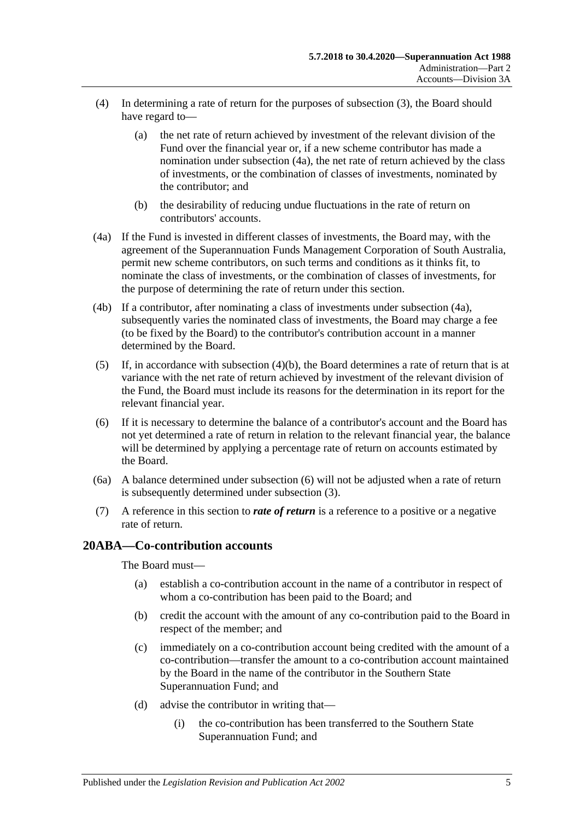- (4) In determining a rate of return for the purposes of [subsection](#page-21-3) (3), the Board should have regard to—
	- (a) the net rate of return achieved by investment of the relevant division of the Fund over the financial year or, if a new scheme contributor has made a nomination under [subsection](#page-22-1) (4a), the net rate of return achieved by the class of investments, or the combination of classes of investments, nominated by the contributor; and
	- (b) the desirability of reducing undue fluctuations in the rate of return on contributors' accounts.
- <span id="page-22-2"></span><span id="page-22-1"></span>(4a) If the Fund is invested in different classes of investments, the Board may, with the agreement of the Superannuation Funds Management Corporation of South Australia, permit new scheme contributors, on such terms and conditions as it thinks fit, to nominate the class of investments, or the combination of classes of investments, for the purpose of determining the rate of return under this section.
- (4b) If a contributor, after nominating a class of investments under [subsection](#page-22-1) (4a), subsequently varies the nominated class of investments, the Board may charge a fee (to be fixed by the Board) to the contributor's contribution account in a manner determined by the Board.
- (5) If, in accordance with [subsection](#page-22-2)  $(4)(b)$ , the Board determines a rate of return that is at variance with the net rate of return achieved by investment of the relevant division of the Fund, the Board must include its reasons for the determination in its report for the relevant financial year.
- <span id="page-22-3"></span>(6) If it is necessary to determine the balance of a contributor's account and the Board has not yet determined a rate of return in relation to the relevant financial year, the balance will be determined by applying a percentage rate of return on accounts estimated by the Board.
- (6a) A balance determined under [subsection](#page-22-3) (6) will not be adjusted when a rate of return is subsequently determined under [subsection](#page-21-3) (3).
- (7) A reference in this section to *rate of return* is a reference to a positive or a negative rate of return.

## <span id="page-22-0"></span>**20ABA—Co-contribution accounts**

The Board must—

- (a) establish a co-contribution account in the name of a contributor in respect of whom a co-contribution has been paid to the Board; and
- (b) credit the account with the amount of any co-contribution paid to the Board in respect of the member; and
- (c) immediately on a co-contribution account being credited with the amount of a co-contribution—transfer the amount to a co-contribution account maintained by the Board in the name of the contributor in the Southern State Superannuation Fund; and
- (d) advise the contributor in writing that—
	- (i) the co-contribution has been transferred to the Southern State Superannuation Fund; and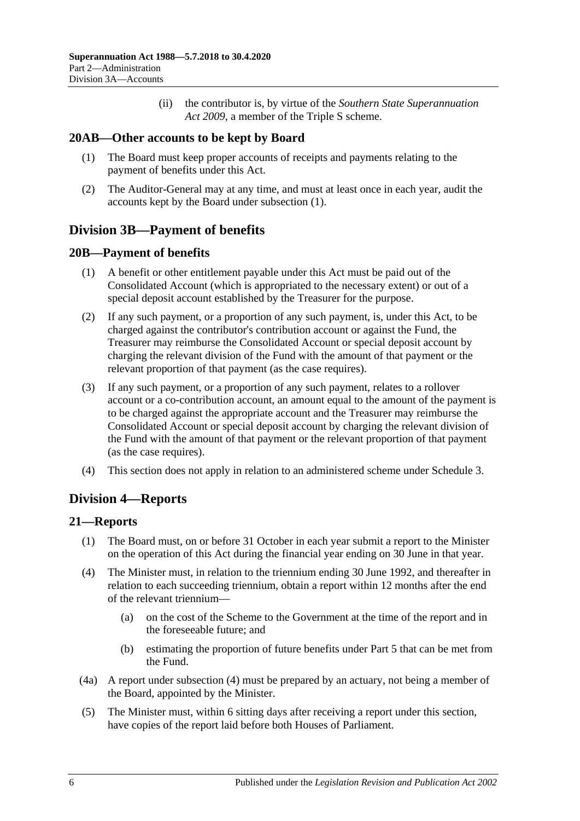(ii) the contributor is, by virtue of the *[Southern State Superannuation](http://www.legislation.sa.gov.au/index.aspx?action=legref&type=act&legtitle=Southern%20State%20Superannuation%20Act%202009)  Act [2009](http://www.legislation.sa.gov.au/index.aspx?action=legref&type=act&legtitle=Southern%20State%20Superannuation%20Act%202009)*, a member of the Triple S scheme.

## <span id="page-23-5"></span><span id="page-23-0"></span>**20AB—Other accounts to be kept by Board**

- (1) The Board must keep proper accounts of receipts and payments relating to the payment of benefits under this Act.
- (2) The Auditor-General may at any time, and must at least once in each year, audit the accounts kept by the Board under [subsection](#page-23-5) (1).

# <span id="page-23-1"></span>**Division 3B—Payment of benefits**

## <span id="page-23-2"></span>**20B—Payment of benefits**

- (1) A benefit or other entitlement payable under this Act must be paid out of the Consolidated Account (which is appropriated to the necessary extent) or out of a special deposit account established by the Treasurer for the purpose.
- (2) If any such payment, or a proportion of any such payment, is, under this Act, to be charged against the contributor's contribution account or against the Fund, the Treasurer may reimburse the Consolidated Account or special deposit account by charging the relevant division of the Fund with the amount of that payment or the relevant proportion of that payment (as the case requires).
- (3) If any such payment, or a proportion of any such payment, relates to a rollover account or a co-contribution account, an amount equal to the amount of the payment is to be charged against the appropriate account and the Treasurer may reimburse the Consolidated Account or special deposit account by charging the relevant division of the Fund with the amount of that payment or the relevant proportion of that payment (as the case requires).
- (4) This section does not apply in relation to an administered scheme under [Schedule 3.](#page-132-0)

# <span id="page-23-3"></span>**Division 4—Reports**

## <span id="page-23-4"></span>**21—Reports**

- (1) The Board must, on or before 31 October in each year submit a report to the Minister on the operation of this Act during the financial year ending on 30 June in that year.
- <span id="page-23-6"></span>(4) The Minister must, in relation to the triennium ending 30 June 1992, and thereafter in relation to each succeeding triennium, obtain a report within 12 months after the end of the relevant triennium—
	- (a) on the cost of the Scheme to the Government at the time of the report and in the foreseeable future; and
	- (b) estimating the proportion of future benefits under [Part 5](#page-56-0) that can be met from the Fund.
- (4a) A report under [subsection](#page-23-6) (4) must be prepared by an actuary, not being a member of the Board, appointed by the Minister.
- (5) The Minister must, within 6 sitting days after receiving a report under this section, have copies of the report laid before both Houses of Parliament.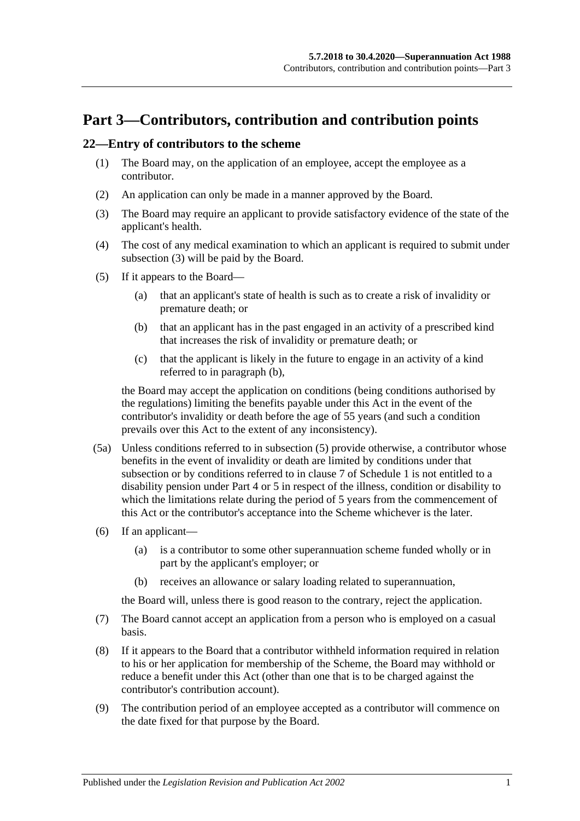# <span id="page-24-0"></span>**Part 3—Contributors, contribution and contribution points**

### <span id="page-24-5"></span><span id="page-24-1"></span>**22—Entry of contributors to the scheme**

- (1) The Board may, on the application of an employee, accept the employee as a contributor.
- (2) An application can only be made in a manner approved by the Board.
- <span id="page-24-2"></span>(3) The Board may require an applicant to provide satisfactory evidence of the state of the applicant's health.
- (4) The cost of any medical examination to which an applicant is required to submit under [subsection](#page-24-2) (3) will be paid by the Board.
- <span id="page-24-4"></span><span id="page-24-3"></span>(5) If it appears to the Board—
	- (a) that an applicant's state of health is such as to create a risk of invalidity or premature death; or
	- (b) that an applicant has in the past engaged in an activity of a prescribed kind that increases the risk of invalidity or premature death; or
	- (c) that the applicant is likely in the future to engage in an activity of a kind referred to in [paragraph](#page-24-3) (b),

the Board may accept the application on conditions (being conditions authorised by the regulations) limiting the benefits payable under this Act in the event of the contributor's invalidity or death before the age of 55 years (and such a condition prevails over this Act to the extent of any inconsistency).

- (5a) Unless conditions referred to in [subsection](#page-24-4) (5) provide otherwise, a contributor whose benefits in the event of invalidity or death are limited by conditions under that subsection or by conditions referred to in [clause](#page-112-0) 7 of [Schedule 1](#page-108-0) is not entitled to a disability pension under [Part 4](#page-30-0) or [5](#page-56-0) in respect of the illness, condition or disability to which the limitations relate during the period of 5 years from the commencement of this Act or the contributor's acceptance into the Scheme whichever is the later.
- (6) If an applicant—
	- (a) is a contributor to some other superannuation scheme funded wholly or in part by the applicant's employer; or
	- (b) receives an allowance or salary loading related to superannuation,

the Board will, unless there is good reason to the contrary, reject the application.

- (7) The Board cannot accept an application from a person who is employed on a casual basis.
- (8) If it appears to the Board that a contributor withheld information required in relation to his or her application for membership of the Scheme, the Board may withhold or reduce a benefit under this Act (other than one that is to be charged against the contributor's contribution account).
- (9) The contribution period of an employee accepted as a contributor will commence on the date fixed for that purpose by the Board.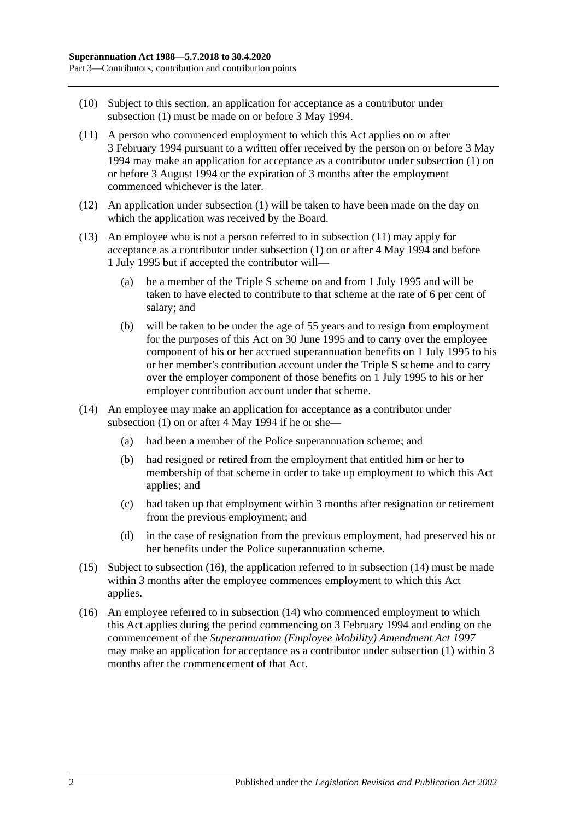- (10) Subject to this section, an application for acceptance as a contributor under [subsection](#page-24-5) (1) must be made on or before 3 May 1994.
- <span id="page-25-0"></span>(11) A person who commenced employment to which this Act applies on or after 3 February 1994 pursuant to a written offer received by the person on or before 3 May 1994 may make an application for acceptance as a contributor under [subsection](#page-24-5) (1) on or before 3 August 1994 or the expiration of 3 months after the employment commenced whichever is the later.
- (12) An application under [subsection](#page-24-5) (1) will be taken to have been made on the day on which the application was received by the Board.
- (13) An employee who is not a person referred to in [subsection](#page-25-0) (11) may apply for acceptance as a contributor under [subsection](#page-24-5) (1) on or after 4 May 1994 and before 1 July 1995 but if accepted the contributor will—
	- (a) be a member of the Triple S scheme on and from 1 July 1995 and will be taken to have elected to contribute to that scheme at the rate of 6 per cent of salary; and
	- (b) will be taken to be under the age of 55 years and to resign from employment for the purposes of this Act on 30 June 1995 and to carry over the employee component of his or her accrued superannuation benefits on 1 July 1995 to his or her member's contribution account under the Triple S scheme and to carry over the employer component of those benefits on 1 July 1995 to his or her employer contribution account under that scheme.
- <span id="page-25-2"></span>(14) An employee may make an application for acceptance as a contributor under [subsection](#page-24-5) (1) on or after 4 May 1994 if he or she—
	- (a) had been a member of the Police superannuation scheme; and
	- (b) had resigned or retired from the employment that entitled him or her to membership of that scheme in order to take up employment to which this Act applies; and
	- (c) had taken up that employment within 3 months after resignation or retirement from the previous employment; and
	- (d) in the case of resignation from the previous employment, had preserved his or her benefits under the Police superannuation scheme.
- (15) Subject to [subsection](#page-25-1) (16), the application referred to in [subsection](#page-25-2) (14) must be made within 3 months after the employee commences employment to which this Act applies.
- <span id="page-25-1"></span>(16) An employee referred to in [subsection](#page-25-2) (14) who commenced employment to which this Act applies during the period commencing on 3 February 1994 and ending on the commencement of the *[Superannuation \(Employee Mobility\) Amendment Act](http://www.legislation.sa.gov.au/index.aspx?action=legref&type=act&legtitle=Superannuation%20(Employee%20Mobility)%20Amendment%20Act%201997) 1997* may make an application for acceptance as a contributor under [subsection](#page-24-5) (1) within 3 months after the commencement of that Act.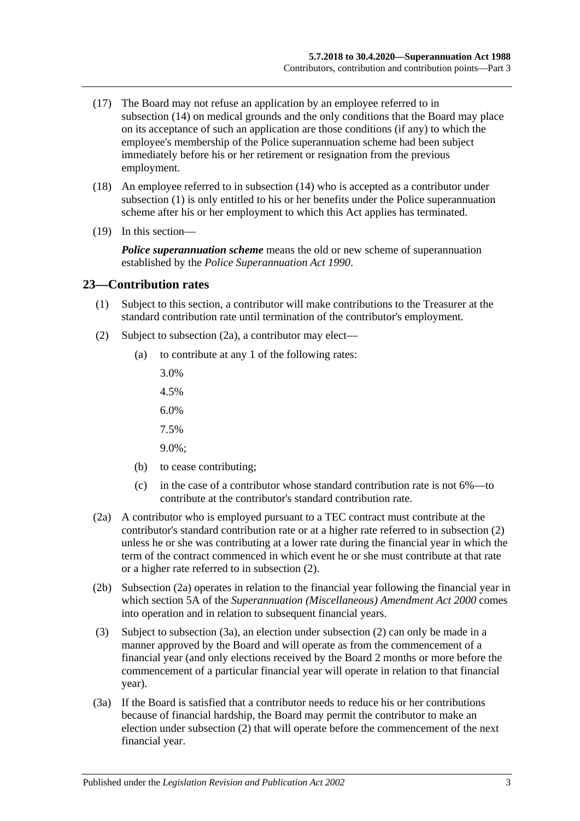- (17) The Board may not refuse an application by an employee referred to in [subsection](#page-25-2) (14) on medical grounds and the only conditions that the Board may place on its acceptance of such an application are those conditions (if any) to which the employee's membership of the Police superannuation scheme had been subject immediately before his or her retirement or resignation from the previous employment.
- (18) An employee referred to in [subsection](#page-25-2) (14) who is accepted as a contributor under [subsection](#page-24-5) (1) is only entitled to his or her benefits under the Police superannuation scheme after his or her employment to which this Act applies has terminated.
- (19) In this section—

*Police superannuation scheme* means the old or new scheme of superannuation established by the *[Police Superannuation Act](http://www.legislation.sa.gov.au/index.aspx?action=legref&type=act&legtitle=Police%20Superannuation%20Act%201990) 1990*.

#### <span id="page-26-0"></span>**23—Contribution rates**

- (1) Subject to this section, a contributor will make contributions to the Treasurer at the standard contribution rate until termination of the contributor's employment.
- <span id="page-26-2"></span>(2) Subject to [subsection](#page-26-1) (2a), a contributor may elect—
	- (a) to contribute at any 1 of the following rates:
		- 3.0%
		- 4.5%
		- 6.0%
		- 7.5%
		- 9.0%;
	- (b) to cease contributing;
	- (c) in the case of a contributor whose standard contribution rate is not 6%—to contribute at the contributor's standard contribution rate.
- <span id="page-26-1"></span>(2a) A contributor who is employed pursuant to a TEC contract must contribute at the contributor's standard contribution rate or at a higher rate referred to in [subsection](#page-26-2) (2) unless he or she was contributing at a lower rate during the financial year in which the term of the contract commenced in which event he or she must contribute at that rate or a higher rate referred to in [subsection](#page-26-2) (2).
- (2b) [Subsection](#page-26-1) (2a) operates in relation to the financial year following the financial year in which section 5A of the *[Superannuation \(Miscellaneous\) Amendment Act](http://www.legislation.sa.gov.au/index.aspx?action=legref&type=act&legtitle=Superannuation%20(Miscellaneous)%20Amendment%20Act%202000) 2000* comes into operation and in relation to subsequent financial years.
- (3) Subject to [subsection](#page-26-3) (3a), an election under [subsection](#page-26-2) (2) can only be made in a manner approved by the Board and will operate as from the commencement of a financial year (and only elections received by the Board 2 months or more before the commencement of a particular financial year will operate in relation to that financial year).
- <span id="page-26-3"></span>(3a) If the Board is satisfied that a contributor needs to reduce his or her contributions because of financial hardship, the Board may permit the contributor to make an election under [subsection](#page-26-2) (2) that will operate before the commencement of the next financial year.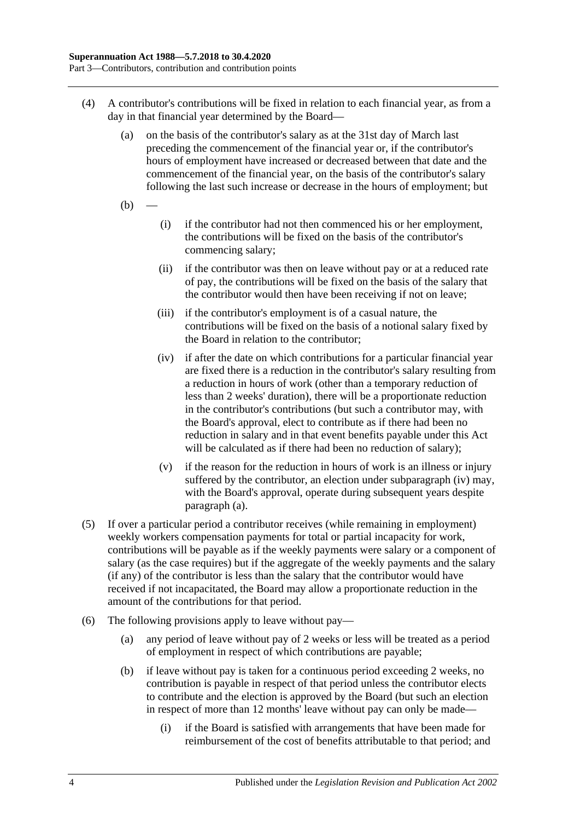- <span id="page-27-0"></span>(4) A contributor's contributions will be fixed in relation to each financial year, as from a day in that financial year determined by the Board—
	- (a) on the basis of the contributor's salary as at the 31st day of March last preceding the commencement of the financial year or, if the contributor's hours of employment have increased or decreased between that date and the commencement of the financial year, on the basis of the contributor's salary following the last such increase or decrease in the hours of employment; but
	- $(b)$
- (i) if the contributor had not then commenced his or her employment, the contributions will be fixed on the basis of the contributor's commencing salary;
- (ii) if the contributor was then on leave without pay or at a reduced rate of pay, the contributions will be fixed on the basis of the salary that the contributor would then have been receiving if not on leave;
- (iii) if the contributor's employment is of a casual nature, the contributions will be fixed on the basis of a notional salary fixed by the Board in relation to the contributor;
- <span id="page-27-1"></span>(iv) if after the date on which contributions for a particular financial year are fixed there is a reduction in the contributor's salary resulting from a reduction in hours of work (other than a temporary reduction of less than 2 weeks' duration), there will be a proportionate reduction in the contributor's contributions (but such a contributor may, with the Board's approval, elect to contribute as if there had been no reduction in salary and in that event benefits payable under this Act will be calculated as if there had been no reduction of salary);
- (v) if the reason for the reduction in hours of work is an illness or injury suffered by the contributor, an election under [subparagraph](#page-27-1) (iv) may, with the Board's approval, operate during subsequent years despite [paragraph](#page-27-0) (a).
- (5) If over a particular period a contributor receives (while remaining in employment) weekly workers compensation payments for total or partial incapacity for work, contributions will be payable as if the weekly payments were salary or a component of salary (as the case requires) but if the aggregate of the weekly payments and the salary (if any) of the contributor is less than the salary that the contributor would have received if not incapacitated, the Board may allow a proportionate reduction in the amount of the contributions for that period.
- <span id="page-27-2"></span>(6) The following provisions apply to leave without pay—
	- (a) any period of leave without pay of 2 weeks or less will be treated as a period of employment in respect of which contributions are payable;
	- (b) if leave without pay is taken for a continuous period exceeding 2 weeks, no contribution is payable in respect of that period unless the contributor elects to contribute and the election is approved by the Board (but such an election in respect of more than 12 months' leave without pay can only be made—
		- (i) if the Board is satisfied with arrangements that have been made for reimbursement of the cost of benefits attributable to that period; and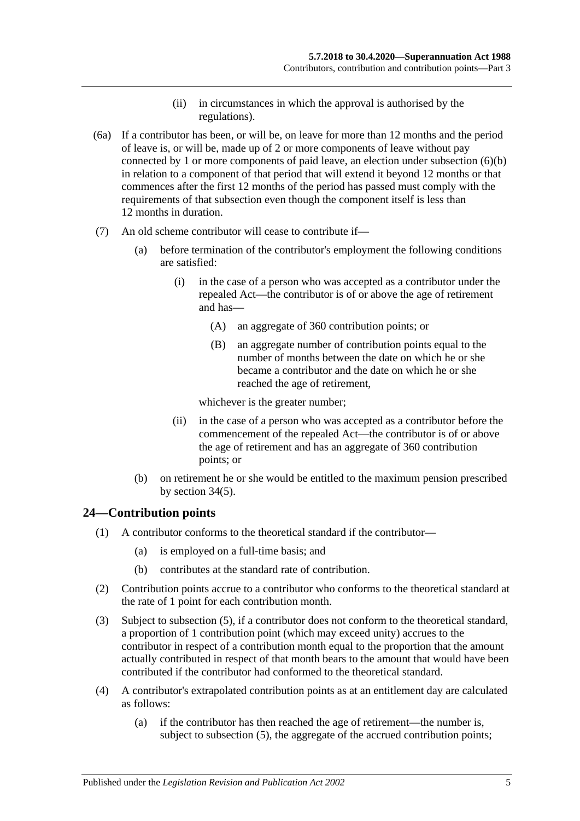- (ii) in circumstances in which the approval is authorised by the regulations).
- (6a) If a contributor has been, or will be, on leave for more than 12 months and the period of leave is, or will be, made up of 2 or more components of leave without pay connected by 1 or more components of paid leave, an election under [subsection](#page-27-2) (6)(b) in relation to a component of that period that will extend it beyond 12 months or that commences after the first 12 months of the period has passed must comply with the requirements of that subsection even though the component itself is less than 12 months in duration.
- (7) An old scheme contributor will cease to contribute if—
	- (a) before termination of the contributor's employment the following conditions are satisfied:
		- (i) in the case of a person who was accepted as a contributor under the repealed Act—the contributor is of or above the age of retirement and has—
			- (A) an aggregate of 360 contribution points; or
			- (B) an aggregate number of contribution points equal to the number of months between the date on which he or she became a contributor and the date on which he or she reached the age of retirement,

whichever is the greater number;

- (ii) in the case of a person who was accepted as a contributor before the commencement of the repealed Act—the contributor is of or above the age of retirement and has an aggregate of 360 contribution points; or
- (b) on retirement he or she would be entitled to the maximum pension prescribed by [section](#page-60-0) 34(5).

## <span id="page-28-0"></span>**24—Contribution points**

- (1) A contributor conforms to the theoretical standard if the contributor—
	- (a) is employed on a full-time basis; and
	- (b) contributes at the standard rate of contribution.
- (2) Contribution points accrue to a contributor who conforms to the theoretical standard at the rate of 1 point for each contribution month.
- (3) Subject to [subsection](#page-29-1) (5), if a contributor does not conform to the theoretical standard, a proportion of 1 contribution point (which may exceed unity) accrues to the contributor in respect of a contribution month equal to the proportion that the amount actually contributed in respect of that month bears to the amount that would have been contributed if the contributor had conformed to the theoretical standard.
- <span id="page-28-1"></span>(4) A contributor's extrapolated contribution points as at an entitlement day are calculated as follows:
	- (a) if the contributor has then reached the age of retirement—the number is, subject to [subsection](#page-29-1) (5), the aggregate of the accrued contribution points;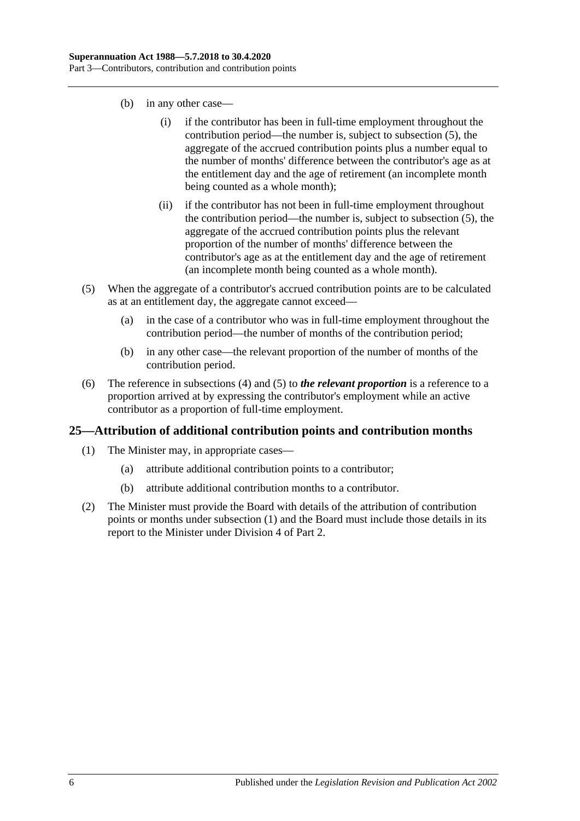- (b) in any other case—
	- (i) if the contributor has been in full-time employment throughout the contribution period—the number is, subject to [subsection](#page-29-1) (5), the aggregate of the accrued contribution points plus a number equal to the number of months' difference between the contributor's age as at the entitlement day and the age of retirement (an incomplete month being counted as a whole month);
	- (ii) if the contributor has not been in full-time employment throughout the contribution period—the number is, subject to [subsection](#page-29-1) (5), the aggregate of the accrued contribution points plus the relevant proportion of the number of months' difference between the contributor's age as at the entitlement day and the age of retirement (an incomplete month being counted as a whole month).
- <span id="page-29-1"></span>(5) When the aggregate of a contributor's accrued contribution points are to be calculated as at an entitlement day, the aggregate cannot exceed—
	- (a) in the case of a contributor who was in full-time employment throughout the contribution period—the number of months of the contribution period;
	- (b) in any other case—the relevant proportion of the number of months of the contribution period.
- (6) The reference in [subsections](#page-28-1) (4) and [\(5\)](#page-29-1) to *the relevant proportion* is a reference to a proportion arrived at by expressing the contributor's employment while an active contributor as a proportion of full-time employment.

## <span id="page-29-2"></span><span id="page-29-0"></span>**25—Attribution of additional contribution points and contribution months**

- (1) The Minister may, in appropriate cases—
	- (a) attribute additional contribution points to a contributor;
	- (b) attribute additional contribution months to a contributor.
- (2) The Minister must provide the Board with details of the attribution of contribution points or months under [subsection](#page-29-2) (1) and the Board must include those details in its report to the Minister under [Division 4](#page-23-3) of [Part 2.](#page-18-0)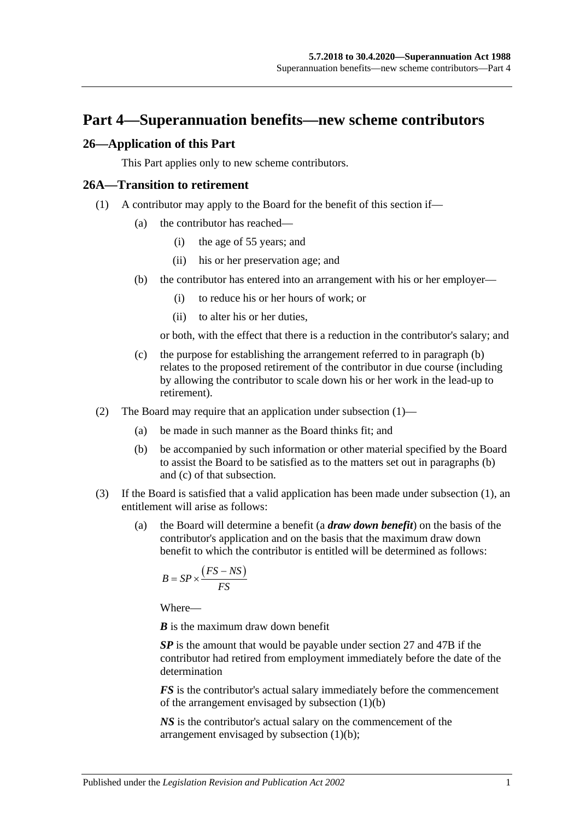# <span id="page-30-0"></span>**Part 4—Superannuation benefits—new scheme contributors**

#### <span id="page-30-1"></span>**26—Application of this Part**

This Part applies only to new scheme contributors.

#### <span id="page-30-4"></span><span id="page-30-2"></span>**26A—Transition to retirement**

- <span id="page-30-3"></span>(1) A contributor may apply to the Board for the benefit of this section if—
	- (a) the contributor has reached—
		- (i) the age of 55 years; and
		- (ii) his or her preservation age; and
	- (b) the contributor has entered into an arrangement with his or her employer—
		- (i) to reduce his or her hours of work; or
		- (ii) to alter his or her duties,

or both, with the effect that there is a reduction in the contributor's salary; and

- <span id="page-30-5"></span>(c) the purpose for establishing the arrangement referred to in [paragraph](#page-30-3) (b) relates to the proposed retirement of the contributor in due course (including by allowing the contributor to scale down his or her work in the lead-up to retirement).
- (2) The Board may require that an application under [subsection](#page-30-4) (1)—
	- (a) be made in such manner as the Board thinks fit; and
	- (b) be accompanied by such information or other material specified by the Board to assist the Board to be satisfied as to the matters set out in [paragraphs](#page-30-3) (b) and [\(c\)](#page-30-5) of that subsection.
- <span id="page-30-7"></span><span id="page-30-6"></span>(3) If the Board is satisfied that a valid application has been made under [subsection](#page-30-4) (1), an entitlement will arise as follows:
	- (a) the Board will determine a benefit (a *draw down benefit*) on the basis of the contributor's application and on the basis that the maximum draw down benefit to which the contributor is entitled will be determined as follows:

$$
B = SP \times \frac{(FS - NS)}{FS}
$$

Where—

*B* is the maximum draw down benefit

*SP* is the amount that would be payable under [section](#page-33-0) 27 and [47B](#page-100-1) if the contributor had retired from employment immediately before the date of the determination

*FS* is the contributor's actual salary immediately before the commencement of the arrangement envisaged by [subsection](#page-30-3) (1)(b)

*NS* is the contributor's actual salary on the commencement of the arrangement envisaged by [subsection](#page-30-3) (1)(b);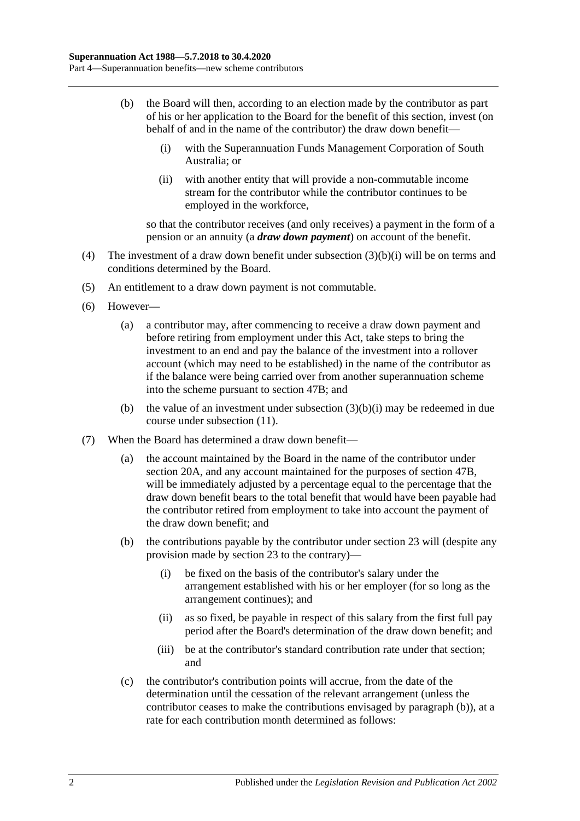- <span id="page-31-2"></span><span id="page-31-0"></span>(b) the Board will then, according to an election made by the contributor as part of his or her application to the Board for the benefit of this section, invest (on behalf of and in the name of the contributor) the draw down benefit—
	- (i) with the Superannuation Funds Management Corporation of South Australia; or
	- (ii) with another entity that will provide a non-commutable income stream for the contributor while the contributor continues to be employed in the workforce,

so that the contributor receives (and only receives) a payment in the form of a pension or an annuity (a *draw down payment*) on account of the benefit.

- (4) The investment of a draw down benefit under [subsection](#page-31-0) (3)(b)(i) will be on terms and conditions determined by the Board.
- (5) An entitlement to a draw down payment is not commutable.
- (6) However—
	- (a) a contributor may, after commencing to receive a draw down payment and before retiring from employment under this Act, take steps to bring the investment to an end and pay the balance of the investment into a rollover account (which may need to be established) in the name of the contributor as if the balance were being carried over from another superannuation scheme into the scheme pursuant to [section](#page-100-1) 47B; and
	- (b) the value of an investment under [subsection](#page-31-0)  $(3)(b)(i)$  may be redeemed in due course under [subsection](#page-32-0) (11).
- <span id="page-31-1"></span>(7) When the Board has determined a draw down benefit—
	- (a) the account maintained by the Board in the name of the contributor under [section](#page-21-2) 20A, and any account maintained for the purposes of [section](#page-100-1) 47B, will be immediately adjusted by a percentage equal to the percentage that the draw down benefit bears to the total benefit that would have been payable had the contributor retired from employment to take into account the payment of the draw down benefit; and
	- (b) the contributions payable by the contributor under [section](#page-26-0) 23 will (despite any provision made by [section](#page-26-0) 23 to the contrary)—
		- (i) be fixed on the basis of the contributor's salary under the arrangement established with his or her employer (for so long as the arrangement continues); and
		- (ii) as so fixed, be payable in respect of this salary from the first full pay period after the Board's determination of the draw down benefit; and
		- (iii) be at the contributor's standard contribution rate under that section; and
	- (c) the contributor's contribution points will accrue, from the date of the determination until the cessation of the relevant arrangement (unless the contributor ceases to make the contributions envisaged by [paragraph](#page-31-1) (b)), at a rate for each contribution month determined as follows: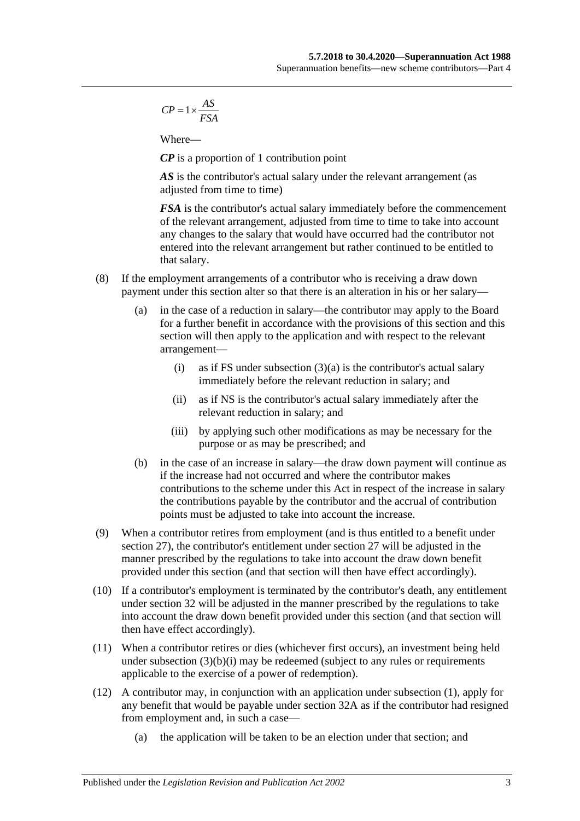$$
CP = 1 \times \frac{AS}{FSA}
$$

Where—

*CP* is a proportion of 1 contribution point

AS is the contributor's actual salary under the relevant arrangement (as adjusted from time to time)

*FSA* is the contributor's actual salary immediately before the commencement of the relevant arrangement, adjusted from time to time to take into account any changes to the salary that would have occurred had the contributor not entered into the relevant arrangement but rather continued to be entitled to that salary.

- (8) If the employment arrangements of a contributor who is receiving a draw down payment under this section alter so that there is an alteration in his or her salary—
	- (a) in the case of a reduction in salary—the contributor may apply to the Board for a further benefit in accordance with the provisions of this section and this section will then apply to the application and with respect to the relevant arrangement
		- (i) as if FS under [subsection](#page-30-6)  $(3)(a)$  is the contributor's actual salary immediately before the relevant reduction in salary; and
		- (ii) as if NS is the contributor's actual salary immediately after the relevant reduction in salary; and
		- (iii) by applying such other modifications as may be necessary for the purpose or as may be prescribed; and
	- (b) in the case of an increase in salary—the draw down payment will continue as if the increase had not occurred and where the contributor makes contributions to the scheme under this Act in respect of the increase in salary the contributions payable by the contributor and the accrual of contribution points must be adjusted to take into account the increase.
- (9) When a contributor retires from employment (and is thus entitled to a benefit under [section](#page-33-0) 27), the contributor's entitlement under [section](#page-33-0) 27 will be adjusted in the manner prescribed by the regulations to take into account the draw down benefit provided under this section (and that section will then have effect accordingly).
- (10) If a contributor's employment is terminated by the contributor's death, any entitlement under [section](#page-45-0) 32 will be adjusted in the manner prescribed by the regulations to take into account the draw down benefit provided under this section (and that section will then have effect accordingly).
- <span id="page-32-0"></span>(11) When a contributor retires or dies (whichever first occurs), an investment being held under [subsection](#page-31-0)  $(3)(b)(i)$  may be redeemed (subject to any rules or requirements applicable to the exercise of a power of redemption).
- (12) A contributor may, in conjunction with an application under [subsection](#page-30-4) (1), apply for any benefit that would be payable under [section](#page-50-0) 32A as if the contributor had resigned from employment and, in such a case—
	- (a) the application will be taken to be an election under that section; and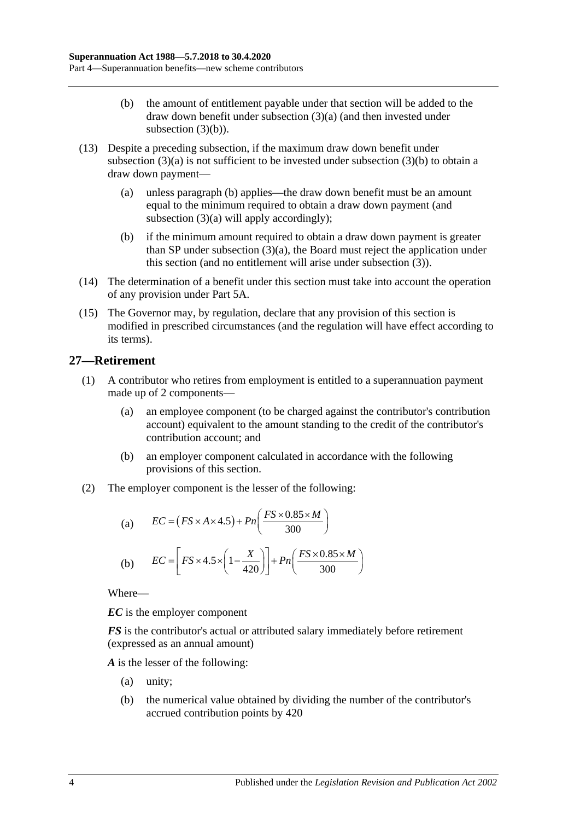- (b) the amount of entitlement payable under that section will be added to the draw down benefit under [subsection](#page-30-6) (3)(a) (and then invested under [subsection](#page-31-2)  $(3)(b)$ ).
- (13) Despite a preceding subsection, if the maximum draw down benefit under [subsection](#page-30-6)  $(3)(a)$  is not sufficient to be invested under [subsection](#page-31-2)  $(3)(b)$  to obtain a draw down payment—
	- (a) unless [paragraph](#page-33-1) (b) applies—the draw down benefit must be an amount equal to the minimum required to obtain a draw down payment (and [subsection](#page-30-6) (3)(a) will apply accordingly);
	- (b) if the minimum amount required to obtain a draw down payment is greater than SP under [subsection](#page-30-6) (3)(a), the Board must reject the application under this section (and no entitlement will arise under [subsection](#page-30-7) (3)).
- <span id="page-33-1"></span>(14) The determination of a benefit under this section must take into account the operation of any provision under [Part 5A.](#page-88-0)
- (15) The Governor may, by regulation, declare that any provision of this section is modified in prescribed circumstances (and the regulation will have effect according to its terms).

# <span id="page-33-0"></span>**27—Retirement**

- (1) A contributor who retires from employment is entitled to a superannuation payment made up of 2 components—
	- (a) an employee component (to be charged against the contributor's contribution account) equivalent to the amount standing to the credit of the contributor's contribution account; and
	- (b) an employer component calculated in accordance with the following provisions of this section.
- (2) The employer component is the lesser of the following:

(a) 
$$
EC = (FS \times A \times 4.5) + Pn\left(\frac{FS \times 0.85 \times M}{300}\right)
$$
  
(b) 
$$
EC = \left[FS \times 4.5 \times \left(1 - \frac{X}{420}\right)\right] + Pn\left(\frac{FS \times 0.85 \times M}{300}\right)
$$

Where—

*EC* is the employer component

*FS* is the contributor's actual or attributed salary immediately before retirement (expressed as an annual amount)

*A* is the lesser of the following:

- (a) unity;
- (b) the numerical value obtained by dividing the number of the contributor's accrued contribution points by 420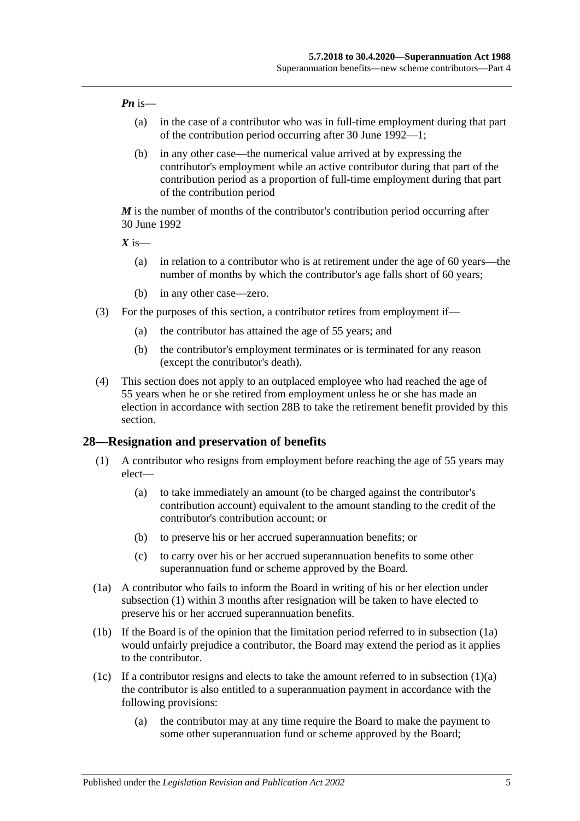#### *Pn* is—

- (a) in the case of a contributor who was in full-time employment during that part of the contribution period occurring after 30 June 1992—1;
- (b) in any other case—the numerical value arrived at by expressing the contributor's employment while an active contributor during that part of the contribution period as a proportion of full-time employment during that part of the contribution period

*M* is the number of months of the contributor's contribution period occurring after 30 June 1992

 $X$  is—

- (a) in relation to a contributor who is at retirement under the age of 60 years—the number of months by which the contributor's age falls short of 60 years;
- (b) in any other case—zero.
- (3) For the purposes of this section, a contributor retires from employment if—
	- (a) the contributor has attained the age of 55 years; and
	- (b) the contributor's employment terminates or is terminated for any reason (except the contributor's death).
- (4) This section does not apply to an outplaced employee who had reached the age of 55 years when he or she retired from employment unless he or she has made an election in accordance with [section](#page-39-0) 28B to take the retirement benefit provided by this section.

#### <span id="page-34-1"></span><span id="page-34-0"></span>**28—Resignation and preservation of benefits**

- <span id="page-34-3"></span>(1) A contributor who resigns from employment before reaching the age of 55 years may elect—
	- (a) to take immediately an amount (to be charged against the contributor's contribution account) equivalent to the amount standing to the credit of the contributor's contribution account; or
	- (b) to preserve his or her accrued superannuation benefits; or
	- (c) to carry over his or her accrued superannuation benefits to some other superannuation fund or scheme approved by the Board.
- <span id="page-34-2"></span>(1a) A contributor who fails to inform the Board in writing of his or her election under [subsection](#page-34-1) (1) within 3 months after resignation will be taken to have elected to preserve his or her accrued superannuation benefits.
- (1b) If the Board is of the opinion that the limitation period referred to in [subsection](#page-34-2) (1a) would unfairly prejudice a contributor, the Board may extend the period as it applies to the contributor.
- <span id="page-34-4"></span>(1c) If a contributor resigns and elects to take the amount referred to in [subsection](#page-34-3)  $(1)(a)$ the contributor is also entitled to a superannuation payment in accordance with the following provisions:
	- (a) the contributor may at any time require the Board to make the payment to some other superannuation fund or scheme approved by the Board;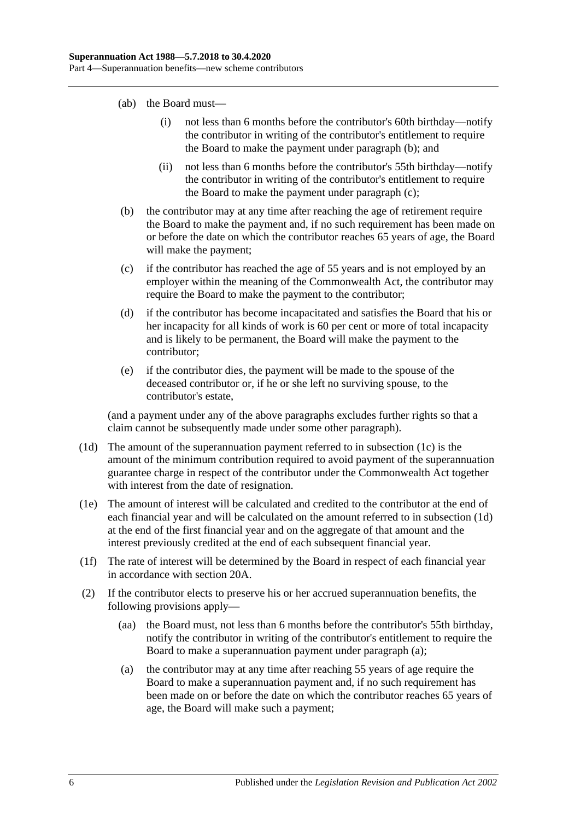- (ab) the Board must—
	- (i) not less than 6 months before the contributor's 60th birthday—notify the contributor in writing of the contributor's entitlement to require the Board to make the payment under [paragraph](#page-35-0) (b); and
	- (ii) not less than 6 months before the contributor's 55th birthday—notify the contributor in writing of the contributor's entitlement to require the Board to make the payment under [paragraph](#page-35-1) (c);
- <span id="page-35-0"></span>(b) the contributor may at any time after reaching the age of retirement require the Board to make the payment and, if no such requirement has been made on or before the date on which the contributor reaches 65 years of age, the Board will make the payment;
- <span id="page-35-1"></span>(c) if the contributor has reached the age of 55 years and is not employed by an employer within the meaning of the Commonwealth Act, the contributor may require the Board to make the payment to the contributor;
- (d) if the contributor has become incapacitated and satisfies the Board that his or her incapacity for all kinds of work is 60 per cent or more of total incapacity and is likely to be permanent, the Board will make the payment to the contributor;
- (e) if the contributor dies, the payment will be made to the spouse of the deceased contributor or, if he or she left no surviving spouse, to the contributor's estate,

(and a payment under any of the above paragraphs excludes further rights so that a claim cannot be subsequently made under some other paragraph).

- <span id="page-35-2"></span>(1d) The amount of the superannuation payment referred to in [subsection](#page-34-4) (1c) is the amount of the minimum contribution required to avoid payment of the superannuation guarantee charge in respect of the contributor under the Commonwealth Act together with interest from the date of resignation.
- (1e) The amount of interest will be calculated and credited to the contributor at the end of each financial year and will be calculated on the amount referred to in [subsection](#page-35-2) (1d) at the end of the first financial year and on the aggregate of that amount and the interest previously credited at the end of each subsequent financial year.
- (1f) The rate of interest will be determined by the Board in respect of each financial year in accordance with [section](#page-21-2) 20A.
- <span id="page-35-3"></span>(2) If the contributor elects to preserve his or her accrued superannuation benefits, the following provisions apply—
	- (aa) the Board must, not less than 6 months before the contributor's 55th birthday, notify the contributor in writing of the contributor's entitlement to require the Board to make a superannuation payment under [paragraph](#page-35-3) (a);
	- (a) the contributor may at any time after reaching 55 years of age require the Board to make a superannuation payment and, if no such requirement has been made on or before the date on which the contributor reaches 65 years of age, the Board will make such a payment;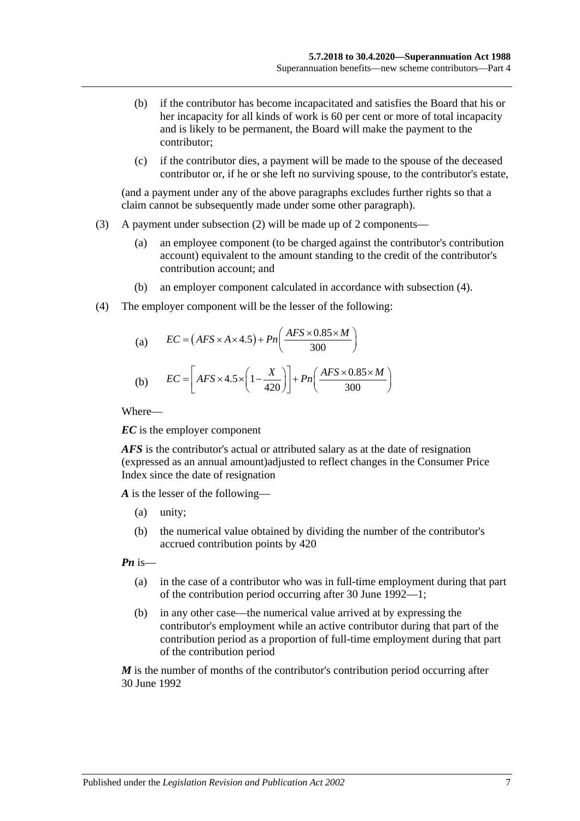- (b) if the contributor has become incapacitated and satisfies the Board that his or her incapacity for all kinds of work is 60 per cent or more of total incapacity and is likely to be permanent, the Board will make the payment to the contributor;
- (c) if the contributor dies, a payment will be made to the spouse of the deceased contributor or, if he or she left no surviving spouse, to the contributor's estate,

(and a payment under any of the above paragraphs excludes further rights so that a claim cannot be subsequently made under some other paragraph).

- (3) A payment under [subsection](#page-35-0) (2) will be made up of 2 components—
	- (a) an employee component (to be charged against the contributor's contribution account) equivalent to the amount standing to the credit of the contributor's contribution account; and
	- (b) an employer component calculated in accordance with [subsection](#page-36-0) (4).
- <span id="page-36-0"></span>(4) The employer component will be the lesser of the following:

(a) 
$$
EC = (AFS \times A \times 4.5) + Pn\left(\frac{AFS \times 0.85 \times M}{300}\right)
$$
  
(b) 
$$
EC = \left[ AFS \times 4.5 \times \left(1 - \frac{X}{420}\right)\right] + Pn\left(\frac{AFS \times 0.85 \times M}{300}\right)
$$

Where—

*EC* is the employer component

*AFS* is the contributor's actual or attributed salary as at the date of resignation (expressed as an annual amount)adjusted to reflect changes in the Consumer Price Index since the date of resignation

*A* is the lesser of the following—

- (a) unity;
- (b) the numerical value obtained by dividing the number of the contributor's accrued contribution points by 420

*Pn* is—

- (a) in the case of a contributor who was in full-time employment during that part of the contribution period occurring after 30 June 1992—1;
- (b) in any other case—the numerical value arrived at by expressing the contributor's employment while an active contributor during that part of the contribution period as a proportion of full-time employment during that part of the contribution period

*M* is the number of months of the contributor's contribution period occurring after 30 June 1992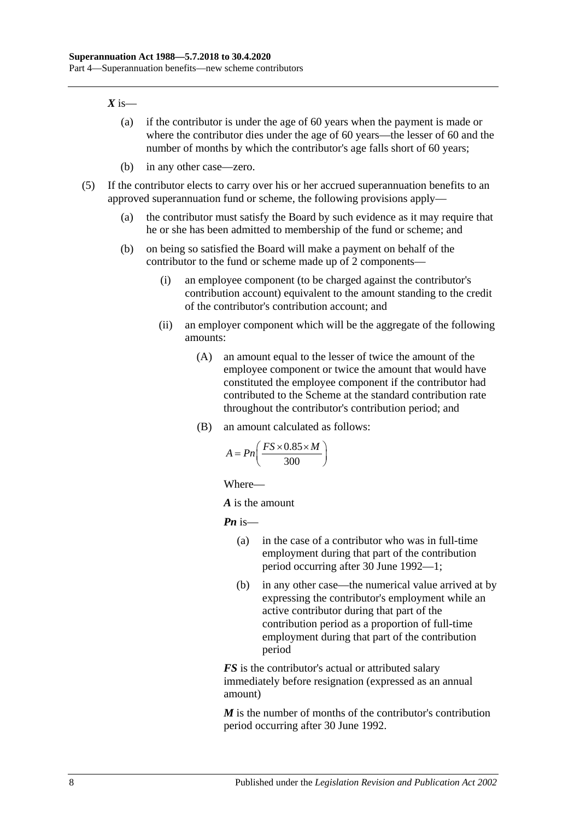#### $X$  is—

- (a) if the contributor is under the age of 60 years when the payment is made or where the contributor dies under the age of 60 years—the lesser of 60 and the number of months by which the contributor's age falls short of 60 years;
- (b) in any other case—zero.
- (5) If the contributor elects to carry over his or her accrued superannuation benefits to an approved superannuation fund or scheme, the following provisions apply—
	- (a) the contributor must satisfy the Board by such evidence as it may require that he or she has been admitted to membership of the fund or scheme; and
	- (b) on being so satisfied the Board will make a payment on behalf of the contributor to the fund or scheme made up of 2 components—
		- (i) an employee component (to be charged against the contributor's contribution account) equivalent to the amount standing to the credit of the contributor's contribution account; and
		- (ii) an employer component which will be the aggregate of the following amounts:
			- (A) an amount equal to the lesser of twice the amount of the employee component or twice the amount that would have constituted the employee component if the contributor had contributed to the Scheme at the standard contribution rate throughout the contributor's contribution period; and
			- (B) an amount calculated as follows:

$$
A = P_n\left(\frac{FS \times 0.85 \times M}{300}\right)
$$

Where—

*A* is the amount

*Pn* is—

- (a) in the case of a contributor who was in full-time employment during that part of the contribution period occurring after 30 June 1992—1;
- (b) in any other case—the numerical value arrived at by expressing the contributor's employment while an active contributor during that part of the contribution period as a proportion of full-time employment during that part of the contribution period

*FS* is the contributor's actual or attributed salary immediately before resignation (expressed as an annual amount)

*M* is the number of months of the contributor's contribution period occurring after 30 June 1992.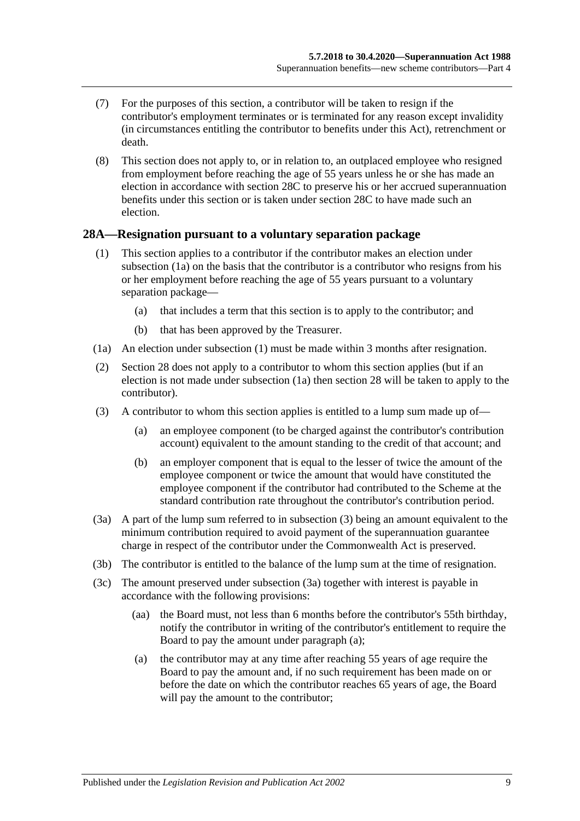- (7) For the purposes of this section, a contributor will be taken to resign if the contributor's employment terminates or is terminated for any reason except invalidity (in circumstances entitling the contributor to benefits under this Act), retrenchment or death.
- (8) This section does not apply to, or in relation to, an outplaced employee who resigned from employment before reaching the age of 55 years unless he or she has made an election in accordance with [section](#page-39-0) 28C to preserve his or her accrued superannuation benefits under this section or is taken under [section](#page-39-0) 28C to have made such an election.

#### <span id="page-38-5"></span><span id="page-38-1"></span>**28A—Resignation pursuant to a voluntary separation package**

- (1) This section applies to a contributor if the contributor makes an election under [subsection](#page-38-0) (1a) on the basis that the contributor is a contributor who resigns from his or her employment before reaching the age of 55 years pursuant to a voluntary separation package—
	- (a) that includes a term that this section is to apply to the contributor; and
	- (b) that has been approved by the Treasurer.
- <span id="page-38-0"></span>(1a) An election under [subsection](#page-38-1) (1) must be made within 3 months after resignation.
- (2) [Section](#page-34-0) 28 does not apply to a contributor to whom this section applies (but if an election is not made under subsection (1a) then section 28 will be taken to apply to the contributor).
- <span id="page-38-2"></span>(3) A contributor to whom this section applies is entitled to a lump sum made up of—
	- (a) an employee component (to be charged against the contributor's contribution account) equivalent to the amount standing to the credit of that account; and
	- (b) an employer component that is equal to the lesser of twice the amount of the employee component or twice the amount that would have constituted the employee component if the contributor had contributed to the Scheme at the standard contribution rate throughout the contributor's contribution period.
- <span id="page-38-3"></span>(3a) A part of the lump sum referred to in [subsection](#page-38-2) (3) being an amount equivalent to the minimum contribution required to avoid payment of the superannuation guarantee charge in respect of the contributor under the Commonwealth Act is preserved.
- (3b) The contributor is entitled to the balance of the lump sum at the time of resignation.
- <span id="page-38-4"></span>(3c) The amount preserved under [subsection](#page-38-3) (3a) together with interest is payable in accordance with the following provisions:
	- (aa) the Board must, not less than 6 months before the contributor's 55th birthday, notify the contributor in writing of the contributor's entitlement to require the Board to pay the amount under [paragraph](#page-38-4) (a);
	- (a) the contributor may at any time after reaching 55 years of age require the Board to pay the amount and, if no such requirement has been made on or before the date on which the contributor reaches 65 years of age, the Board will pay the amount to the contributor;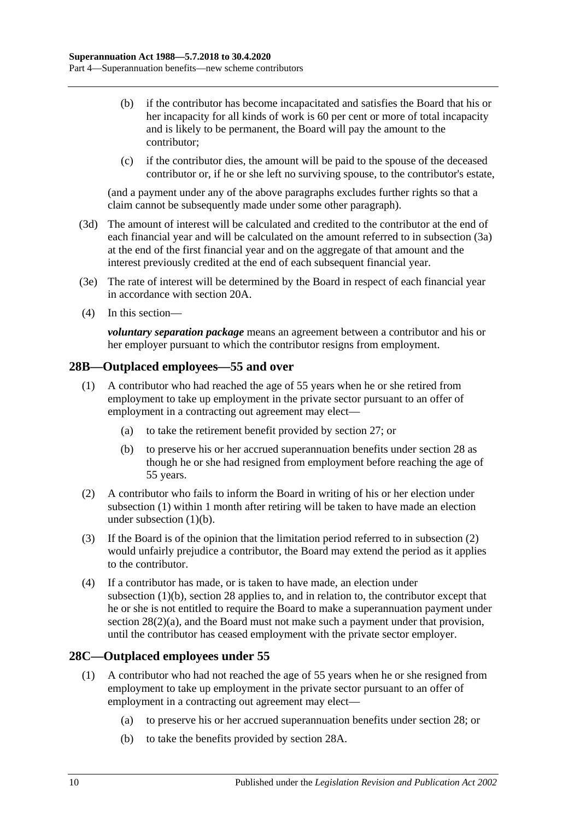- (b) if the contributor has become incapacitated and satisfies the Board that his or her incapacity for all kinds of work is 60 per cent or more of total incapacity and is likely to be permanent, the Board will pay the amount to the contributor;
- (c) if the contributor dies, the amount will be paid to the spouse of the deceased contributor or, if he or she left no surviving spouse, to the contributor's estate,

(and a payment under any of the above paragraphs excludes further rights so that a claim cannot be subsequently made under some other paragraph).

- (3d) The amount of interest will be calculated and credited to the contributor at the end of each financial year and will be calculated on the amount referred to in [subsection](#page-38-3) (3a) at the end of the first financial year and on the aggregate of that amount and the interest previously credited at the end of each subsequent financial year.
- (3e) The rate of interest will be determined by the Board in respect of each financial year in accordance with [section](#page-21-0) 20A.
- (4) In this section—

*voluntary separation package* means an agreement between a contributor and his or her employer pursuant to which the contributor resigns from employment.

#### <span id="page-39-1"></span>**28B—Outplaced employees—55 and over**

- (1) A contributor who had reached the age of 55 years when he or she retired from employment to take up employment in the private sector pursuant to an offer of employment in a contracting out agreement may elect—
	- (a) to take the retirement benefit provided by [section](#page-33-0) 27; or
	- (b) to preserve his or her accrued superannuation benefits under [section](#page-34-0) 28 as though he or she had resigned from employment before reaching the age of 55 years.
- <span id="page-39-3"></span><span id="page-39-2"></span>(2) A contributor who fails to inform the Board in writing of his or her election under [subsection](#page-39-1) (1) within 1 month after retiring will be taken to have made an election under [subsection](#page-39-2) (1)(b).
- (3) If the Board is of the opinion that the limitation period referred to in [subsection](#page-39-3) (2) would unfairly prejudice a contributor, the Board may extend the period as it applies to the contributor.
- (4) If a contributor has made, or is taken to have made, an election under [subsection](#page-39-2) (1)(b), [section](#page-34-0) 28 applies to, and in relation to, the contributor except that he or she is not entitled to require the Board to make a superannuation payment under section [28\(2\)\(a\),](#page-35-1) and the Board must not make such a payment under that provision, until the contributor has ceased employment with the private sector employer.

#### <span id="page-39-4"></span><span id="page-39-0"></span>**28C—Outplaced employees under 55**

- <span id="page-39-6"></span><span id="page-39-5"></span>(1) A contributor who had not reached the age of 55 years when he or she resigned from employment to take up employment in the private sector pursuant to an offer of employment in a contracting out agreement may elect—
	- (a) to preserve his or her accrued superannuation benefits under [section](#page-34-0) 28; or
	- (b) to take the benefits provided by [section](#page-38-5) 28A.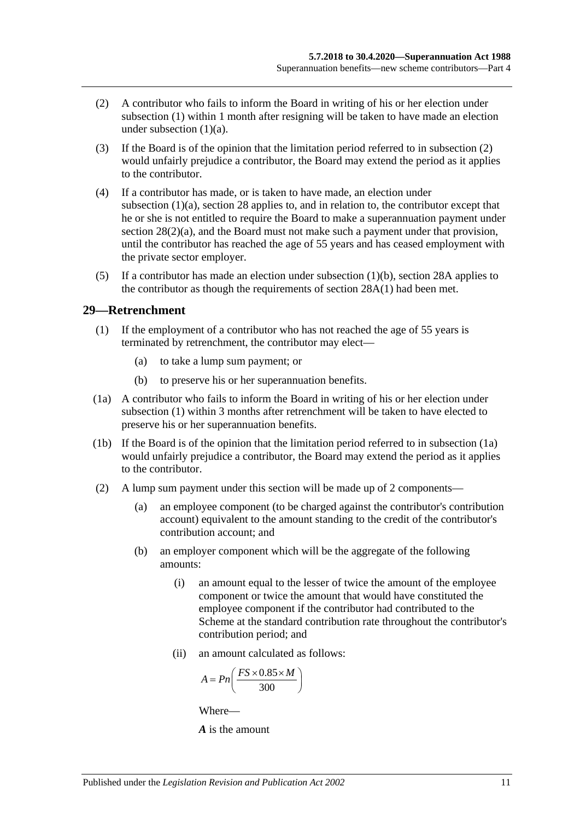- <span id="page-40-0"></span>(2) A contributor who fails to inform the Board in writing of his or her election under [subsection](#page-39-4) (1) within 1 month after resigning will be taken to have made an election under [subsection](#page-39-5)  $(1)(a)$ .
- (3) If the Board is of the opinion that the limitation period referred to in [subsection](#page-40-0) (2) would unfairly prejudice a contributor, the Board may extend the period as it applies to the contributor.
- (4) If a contributor has made, or is taken to have made, an election under [subsection](#page-39-5) (1)(a), [section](#page-34-0) 28 applies to, and in relation to, the contributor except that he or she is not entitled to require the Board to make a superannuation payment under section [28\(2\)\(a\),](#page-35-1) and the Board must not make such a payment under that provision, until the contributor has reached the age of 55 years and has ceased employment with the private sector employer.
- (5) If a contributor has made an election under [subsection](#page-39-6)  $(1)(b)$ , [section](#page-38-5) 28A applies to the contributor as though the requirements of [section](#page-38-1) 28A(1) had been met.

#### <span id="page-40-1"></span>**29—Retrenchment**

- (1) If the employment of a contributor who has not reached the age of 55 years is terminated by retrenchment, the contributor may elect—
	- (a) to take a lump sum payment; or
	- (b) to preserve his or her superannuation benefits.
- <span id="page-40-2"></span>(1a) A contributor who fails to inform the Board in writing of his or her election under [subsection](#page-40-1) (1) within 3 months after retrenchment will be taken to have elected to preserve his or her superannuation benefits.
- (1b) If the Board is of the opinion that the limitation period referred to in [subsection](#page-40-2) (1a) would unfairly prejudice a contributor, the Board may extend the period as it applies to the contributor.
- (2) A lump sum payment under this section will be made up of 2 components—
	- (a) an employee component (to be charged against the contributor's contribution account) equivalent to the amount standing to the credit of the contributor's contribution account; and
	- (b) an employer component which will be the aggregate of the following amounts:
		- (i) an amount equal to the lesser of twice the amount of the employee component or twice the amount that would have constituted the employee component if the contributor had contributed to the Scheme at the standard contribution rate throughout the contributor's contribution period; and
		- (ii) an amount calculated as follows:

$$
A = P n \left( \frac{FS \times 0.85 \times M}{300} \right)
$$

Where—

*A* is the amount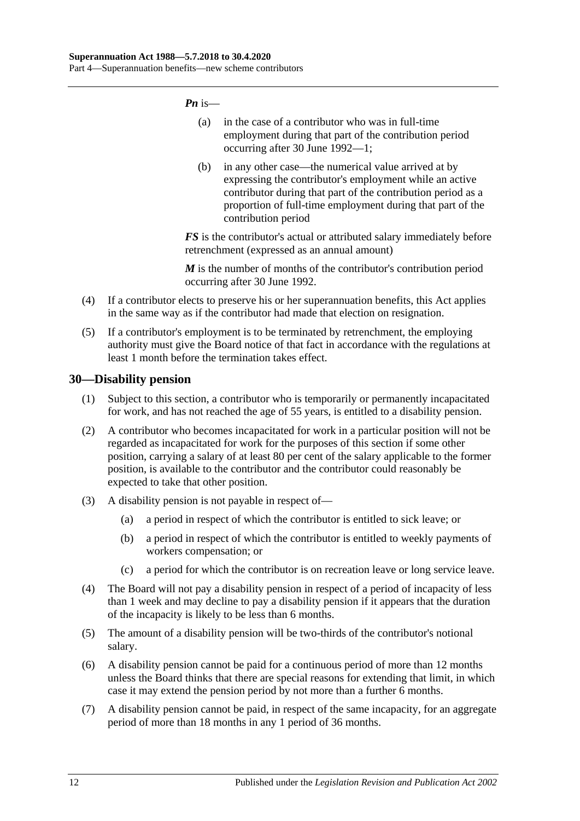*Pn* is—

- (a) in the case of a contributor who was in full-time employment during that part of the contribution period occurring after 30 June 1992—1;
- (b) in any other case—the numerical value arrived at by expressing the contributor's employment while an active contributor during that part of the contribution period as a proportion of full-time employment during that part of the contribution period

*FS* is the contributor's actual or attributed salary immediately before retrenchment (expressed as an annual amount)

*M* is the number of months of the contributor's contribution period occurring after 30 June 1992.

- (4) If a contributor elects to preserve his or her superannuation benefits, this Act applies in the same way as if the contributor had made that election on resignation.
- (5) If a contributor's employment is to be terminated by retrenchment, the employing authority must give the Board notice of that fact in accordance with the regulations at least 1 month before the termination takes effect.

#### **30—Disability pension**

- (1) Subject to this section, a contributor who is temporarily or permanently incapacitated for work, and has not reached the age of 55 years, is entitled to a disability pension.
- (2) A contributor who becomes incapacitated for work in a particular position will not be regarded as incapacitated for work for the purposes of this section if some other position, carrying a salary of at least 80 per cent of the salary applicable to the former position, is available to the contributor and the contributor could reasonably be expected to take that other position.
- (3) A disability pension is not payable in respect of—
	- (a) a period in respect of which the contributor is entitled to sick leave; or
	- (b) a period in respect of which the contributor is entitled to weekly payments of workers compensation; or
	- (c) a period for which the contributor is on recreation leave or long service leave.
- (4) The Board will not pay a disability pension in respect of a period of incapacity of less than 1 week and may decline to pay a disability pension if it appears that the duration of the incapacity is likely to be less than 6 months.
- (5) The amount of a disability pension will be two-thirds of the contributor's notional salary.
- (6) A disability pension cannot be paid for a continuous period of more than 12 months unless the Board thinks that there are special reasons for extending that limit, in which case it may extend the pension period by not more than a further 6 months.
- (7) A disability pension cannot be paid, in respect of the same incapacity, for an aggregate period of more than 18 months in any 1 period of 36 months.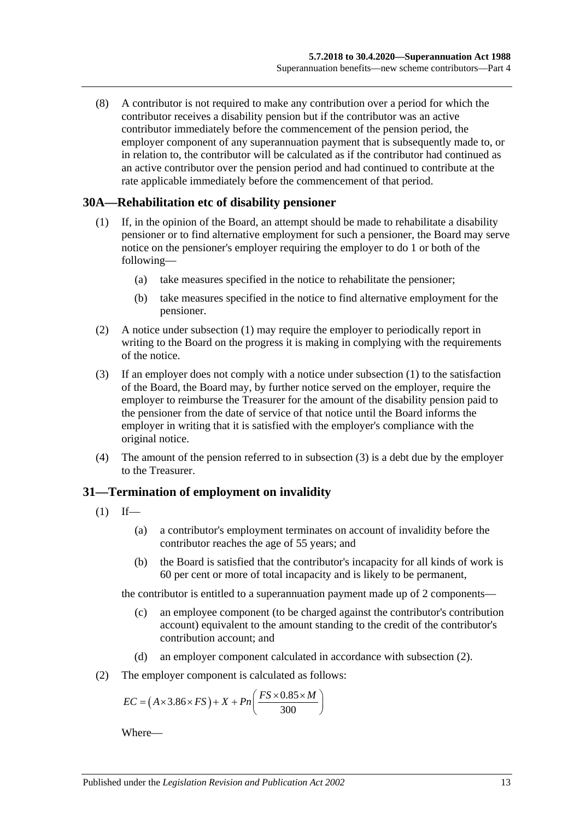(8) A contributor is not required to make any contribution over a period for which the contributor receives a disability pension but if the contributor was an active contributor immediately before the commencement of the pension period, the employer component of any superannuation payment that is subsequently made to, or in relation to, the contributor will be calculated as if the contributor had continued as an active contributor over the pension period and had continued to contribute at the rate applicable immediately before the commencement of that period.

#### <span id="page-42-0"></span>**30A—Rehabilitation etc of disability pensioner**

- (1) If, in the opinion of the Board, an attempt should be made to rehabilitate a disability pensioner or to find alternative employment for such a pensioner, the Board may serve notice on the pensioner's employer requiring the employer to do 1 or both of the following—
	- (a) take measures specified in the notice to rehabilitate the pensioner;
	- (b) take measures specified in the notice to find alternative employment for the pensioner.
- (2) A notice under [subsection](#page-42-0) (1) may require the employer to periodically report in writing to the Board on the progress it is making in complying with the requirements of the notice.
- <span id="page-42-1"></span>(3) If an employer does not comply with a notice under [subsection](#page-42-0) (1) to the satisfaction of the Board, the Board may, by further notice served on the employer, require the employer to reimburse the Treasurer for the amount of the disability pension paid to the pensioner from the date of service of that notice until the Board informs the employer in writing that it is satisfied with the employer's compliance with the original notice.
- (4) The amount of the pension referred to in [subsection](#page-42-1) (3) is a debt due by the employer to the Treasurer.

#### **31—Termination of employment on invalidity**

- <span id="page-42-3"></span> $(1)$  If—
	- (a) a contributor's employment terminates on account of invalidity before the contributor reaches the age of 55 years; and
	- (b) the Board is satisfied that the contributor's incapacity for all kinds of work is 60 per cent or more of total incapacity and is likely to be permanent,

the contributor is entitled to a superannuation payment made up of 2 components—

- (c) an employee component (to be charged against the contributor's contribution account) equivalent to the amount standing to the credit of the contributor's contribution account; and
- (d) an employer component calculated in accordance with [subsection](#page-42-2) (2).
- <span id="page-42-2"></span>(2) The employer component is calculated as follows:

$$
EC = (A \times 3.86 \times FS) + X + Pn\left(\frac{FS \times 0.85 \times M}{300}\right)
$$

Where—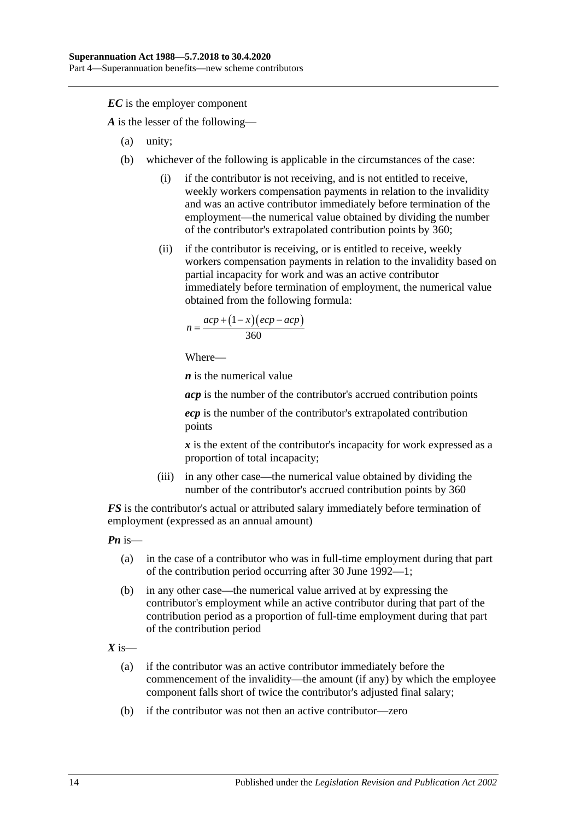*EC* is the employer component

*A* is the lesser of the following—

- (a) unity;
- (b) whichever of the following is applicable in the circumstances of the case:
	- (i) if the contributor is not receiving, and is not entitled to receive, weekly workers compensation payments in relation to the invalidity and was an active contributor immediately before termination of the employment—the numerical value obtained by dividing the number of the contributor's extrapolated contribution points by 360;
	- (ii) if the contributor is receiving, or is entitled to receive, weekly workers compensation payments in relation to the invalidity based on partial incapacity for work and was an active contributor immediately before termination of employment, the numerical value obtained from the following formula:

$$
n = \frac{acp + (1 - x)(ecp - acp)}{360}
$$

Where—

*n* is the numerical value

*acp* is the number of the contributor's accrued contribution points

*ecp* is the number of the contributor's extrapolated contribution points

*x* is the extent of the contributor's incapacity for work expressed as a proportion of total incapacity;

(iii) in any other case—the numerical value obtained by dividing the number of the contributor's accrued contribution points by 360

*FS* is the contributor's actual or attributed salary immediately before termination of employment (expressed as an annual amount)

*Pn* is—

- (a) in the case of a contributor who was in full-time employment during that part of the contribution period occurring after 30 June 1992—1;
- (b) in any other case—the numerical value arrived at by expressing the contributor's employment while an active contributor during that part of the contribution period as a proportion of full-time employment during that part of the contribution period

 $X$  is—

- (a) if the contributor was an active contributor immediately before the commencement of the invalidity—the amount (if any) by which the employee component falls short of twice the contributor's adjusted final salary;
- (b) if the contributor was not then an active contributor—zero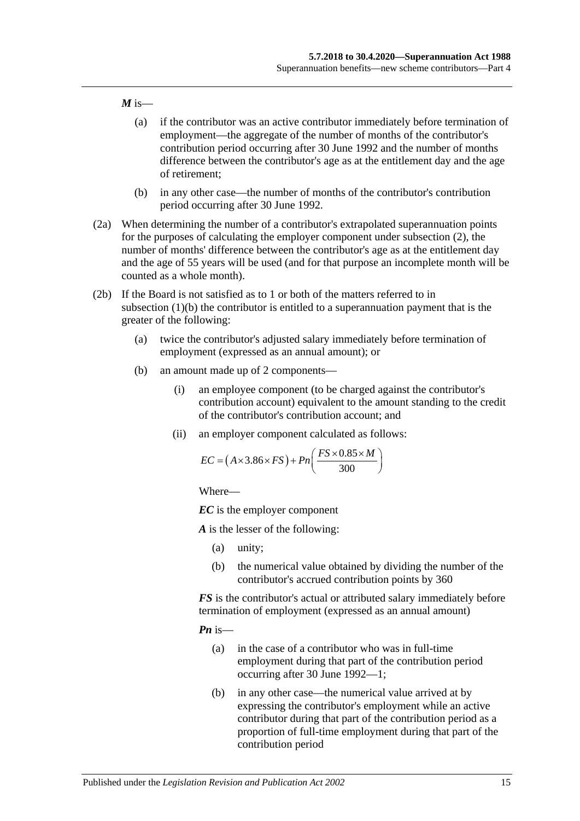#### $M$  is—

- (a) if the contributor was an active contributor immediately before termination of employment—the aggregate of the number of months of the contributor's contribution period occurring after 30 June 1992 and the number of months difference between the contributor's age as at the entitlement day and the age of retirement;
- (b) in any other case—the number of months of the contributor's contribution period occurring after 30 June 1992.
- (2a) When determining the number of a contributor's extrapolated superannuation points for the purposes of calculating the employer component under [subsection](#page-42-2) (2), the number of months' difference between the contributor's age as at the entitlement day and the age of 55 years will be used (and for that purpose an incomplete month will be counted as a whole month).
- <span id="page-44-0"></span>(2b) If the Board is not satisfied as to 1 or both of the matters referred to in [subsection](#page-42-3) (1)(b) the contributor is entitled to a superannuation payment that is the greater of the following:
	- (a) twice the contributor's adjusted salary immediately before termination of employment (expressed as an annual amount); or
	- (b) an amount made up of 2 components—
		- (i) an employee component (to be charged against the contributor's contribution account) equivalent to the amount standing to the credit of the contributor's contribution account; and
		- (ii) an employer component calculated as follows:

$$
EC = (A \times 3.86 \times FS) + Pn\left(\frac{FS \times 0.85 \times M}{300}\right)
$$

Where—

*EC* is the employer component

*A* is the lesser of the following:

- (a) unity;
- (b) the numerical value obtained by dividing the number of the contributor's accrued contribution points by 360

*FS* is the contributor's actual or attributed salary immediately before termination of employment (expressed as an annual amount)

*Pn* is—

- (a) in the case of a contributor who was in full-time employment during that part of the contribution period occurring after 30 June 1992—1;
- (b) in any other case—the numerical value arrived at by expressing the contributor's employment while an active contributor during that part of the contribution period as a proportion of full-time employment during that part of the contribution period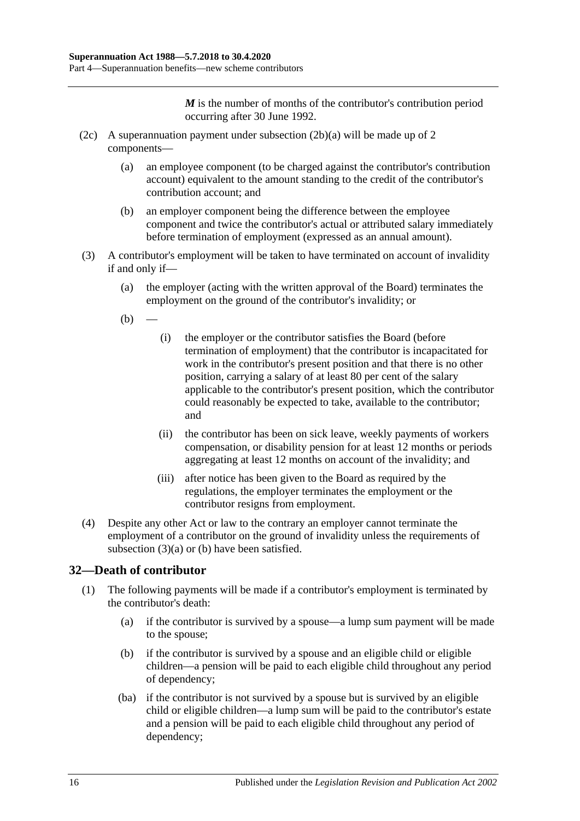*M* is the number of months of the contributor's contribution period occurring after 30 June 1992.

- (2c) A superannuation payment under [subsection](#page-44-0) (2b)(a) will be made up of 2 components—
	- (a) an employee component (to be charged against the contributor's contribution account) equivalent to the amount standing to the credit of the contributor's contribution account; and
	- (b) an employer component being the difference between the employee component and twice the contributor's actual or attributed salary immediately before termination of employment (expressed as an annual amount).
- <span id="page-45-1"></span><span id="page-45-0"></span>(3) A contributor's employment will be taken to have terminated on account of invalidity if and only if—
	- (a) the employer (acting with the written approval of the Board) terminates the employment on the ground of the contributor's invalidity; or
	- $(b)$
- (i) the employer or the contributor satisfies the Board (before termination of employment) that the contributor is incapacitated for work in the contributor's present position and that there is no other position, carrying a salary of at least 80 per cent of the salary applicable to the contributor's present position, which the contributor could reasonably be expected to take, available to the contributor; and
- (ii) the contributor has been on sick leave, weekly payments of workers compensation, or disability pension for at least 12 months or periods aggregating at least 12 months on account of the invalidity; and
- (iii) after notice has been given to the Board as required by the regulations, the employer terminates the employment or the contributor resigns from employment.
- (4) Despite any other Act or law to the contrary an employer cannot terminate the employment of a contributor on the ground of invalidity unless the requirements of [subsection](#page-45-0)  $(3)(a)$  or [\(b\)](#page-45-1) have been satisfied.

## **32—Death of contributor**

- (1) The following payments will be made if a contributor's employment is terminated by the contributor's death:
	- (a) if the contributor is survived by a spouse—a lump sum payment will be made to the spouse;
	- (b) if the contributor is survived by a spouse and an eligible child or eligible children—a pension will be paid to each eligible child throughout any period of dependency;
	- (ba) if the contributor is not survived by a spouse but is survived by an eligible child or eligible children—a lump sum will be paid to the contributor's estate and a pension will be paid to each eligible child throughout any period of dependency;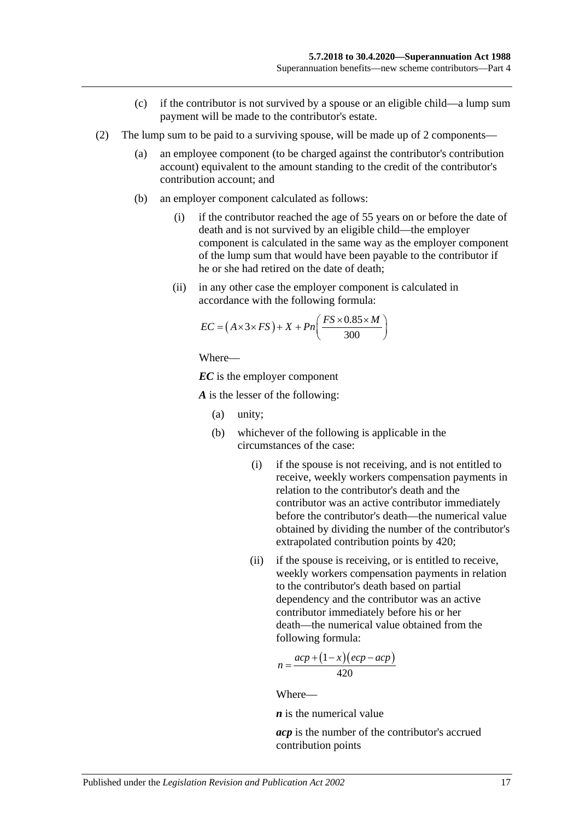- (c) if the contributor is not survived by a spouse or an eligible child—a lump sum payment will be made to the contributor's estate.
- (2) The lump sum to be paid to a surviving spouse, will be made up of 2 components—
	- (a) an employee component (to be charged against the contributor's contribution account) equivalent to the amount standing to the credit of the contributor's contribution account; and
	- (b) an employer component calculated as follows:
		- (i) if the contributor reached the age of 55 years on or before the date of death and is not survived by an eligible child—the employer component is calculated in the same way as the employer component of the lump sum that would have been payable to the contributor if he or she had retired on the date of death;
		- (ii) in any other case the employer component is calculated in accordance with the following formula:

$$
EC = (A \times 3 \times FS) + X + Pn\left(\frac{FS \times 0.85 \times M}{300}\right)
$$

Where—

*EC* is the employer component

*A* is the lesser of the following:

- (a) unity;
- (b) whichever of the following is applicable in the circumstances of the case:
	- (i) if the spouse is not receiving, and is not entitled to receive, weekly workers compensation payments in relation to the contributor's death and the contributor was an active contributor immediately before the contributor's death—the numerical value obtained by dividing the number of the contributor's extrapolated contribution points by 420;
	- (ii) if the spouse is receiving, or is entitled to receive, weekly workers compensation payments in relation to the contributor's death based on partial dependency and the contributor was an active contributor immediately before his or her death—the numerical value obtained from the following formula:

$$
n = \frac{acp + (1 - x)(ecp - acp)}{420}
$$

Where—

*n* is the numerical value

*acp* is the number of the contributor's accrued contribution points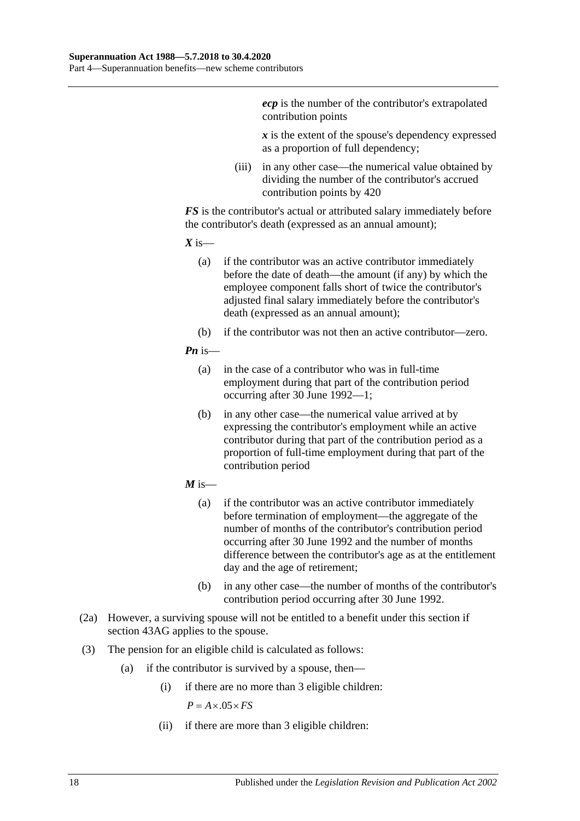*ecp* is the number of the contributor's extrapolated contribution points

*x* is the extent of the spouse's dependency expressed as a proportion of full dependency;

(iii) in any other case—the numerical value obtained by dividing the number of the contributor's accrued contribution points by 420

*FS* is the contributor's actual or attributed salary immediately before the contributor's death (expressed as an annual amount);

 $X$  is—

- (a) if the contributor was an active contributor immediately before the date of death—the amount (if any) by which the employee component falls short of twice the contributor's adjusted final salary immediately before the contributor's death (expressed as an annual amount);
- (b) if the contributor was not then an active contributor—zero.

#### *Pn* is—

- (a) in the case of a contributor who was in full-time employment during that part of the contribution period occurring after 30 June 1992—1;
- (b) in any other case—the numerical value arrived at by expressing the contributor's employment while an active contributor during that part of the contribution period as a proportion of full-time employment during that part of the contribution period
- $M$  is—
	- (a) if the contributor was an active contributor immediately before termination of employment—the aggregate of the number of months of the contributor's contribution period occurring after 30 June 1992 and the number of months difference between the contributor's age as at the entitlement day and the age of retirement;
	- (b) in any other case—the number of months of the contributor's contribution period occurring after 30 June 1992.
- (2a) However, a surviving spouse will not be entitled to a benefit under this section if [section](#page-90-0) 43AG applies to the spouse.
- (3) The pension for an eligible child is calculated as follows:
	- (a) if the contributor is survived by a spouse, then—
		- (i) if there are no more than 3 eligible children:

 $P = A \times .05 \times FS$ 

(ii) if there are more than 3 eligible children: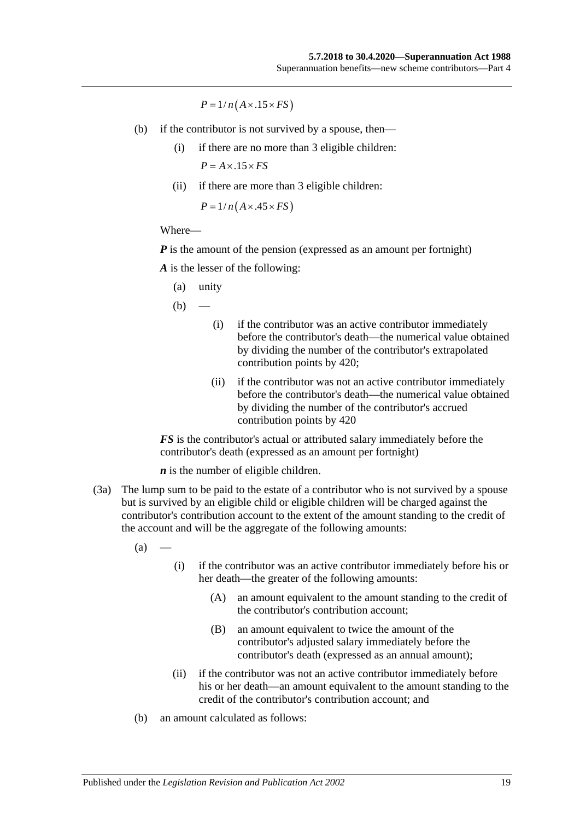$P = 1/n(A \times .15 \times FS)$ 

- (b) if the contributor is not survived by a spouse, then—
	- (i) if there are no more than 3 eligible children:  $P = A \times .15 \times FS$
	- (ii) if there are more than 3 eligible children:

 $P = 1/n(A \times .45 \times FS)$ 

#### Where—

*P* is the amount of the pension (expressed as an amount per fortnight)

*A* is the lesser of the following:

(a) unity

 $(b)$ 

- (i) if the contributor was an active contributor immediately before the contributor's death—the numerical value obtained by dividing the number of the contributor's extrapolated contribution points by 420;
- (ii) if the contributor was not an active contributor immediately before the contributor's death—the numerical value obtained by dividing the number of the contributor's accrued contribution points by 420

*FS* is the contributor's actual or attributed salary immediately before the contributor's death (expressed as an amount per fortnight)

*n* is the number of eligible children.

(3a) The lump sum to be paid to the estate of a contributor who is not survived by a spouse but is survived by an eligible child or eligible children will be charged against the contributor's contribution account to the extent of the amount standing to the credit of the account and will be the aggregate of the following amounts:

 $(a)$ 

- (i) if the contributor was an active contributor immediately before his or her death—the greater of the following amounts:
	- (A) an amount equivalent to the amount standing to the credit of the contributor's contribution account;
	- (B) an amount equivalent to twice the amount of the contributor's adjusted salary immediately before the contributor's death (expressed as an annual amount);
- (ii) if the contributor was not an active contributor immediately before his or her death—an amount equivalent to the amount standing to the credit of the contributor's contribution account; and
- (b) an amount calculated as follows: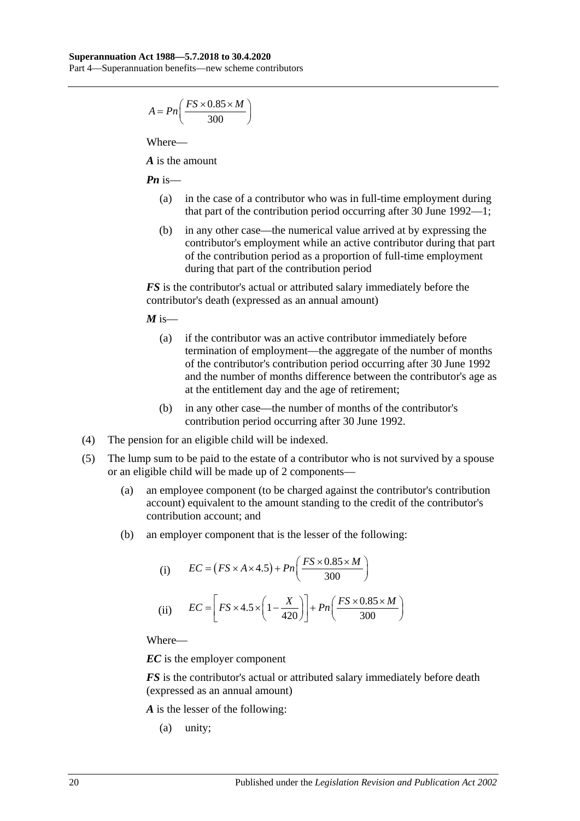## **Superannuation Act 1988—5.7.2018 to 30.4.2020**

Part 4—Superannuation benefits—new scheme contributors

$$
A = P_n\left(\frac{FS \times 0.85 \times M}{300}\right)
$$

Where—

*A* is the amount

*Pn* is—

- (a) in the case of a contributor who was in full-time employment during that part of the contribution period occurring after 30 June 1992—1;
- (b) in any other case—the numerical value arrived at by expressing the contributor's employment while an active contributor during that part of the contribution period as a proportion of full-time employment during that part of the contribution period

*FS* is the contributor's actual or attributed salary immediately before the contributor's death (expressed as an annual amount)

 $M$  is—

- (a) if the contributor was an active contributor immediately before termination of employment—the aggregate of the number of months of the contributor's contribution period occurring after 30 June 1992 and the number of months difference between the contributor's age as at the entitlement day and the age of retirement;
- (b) in any other case—the number of months of the contributor's contribution period occurring after 30 June 1992.
- (4) The pension for an eligible child will be indexed.
- (5) The lump sum to be paid to the estate of a contributor who is not survived by a spouse or an eligible child will be made up of 2 components—
	- (a) an employee component (to be charged against the contributor's contribution account) equivalent to the amount standing to the credit of the contributor's contribution account; and
	- (b) an employer component that is the lesser of the following:

(i) 
$$
EC = (FS \times A \times 4.5) + Pn\left(\frac{FS \times 0.85 \times M}{300}\right)
$$
  
(ii) 
$$
EC = \left[FS \times 4.5 \times \left(1 - \frac{X}{420}\right)\right] + Pn\left(\frac{FS \times 0.85 \times M}{300}\right)
$$

Where—

*EC* is the employer component

*FS* is the contributor's actual or attributed salary immediately before death (expressed as an annual amount)

*A* is the lesser of the following:

(a) unity;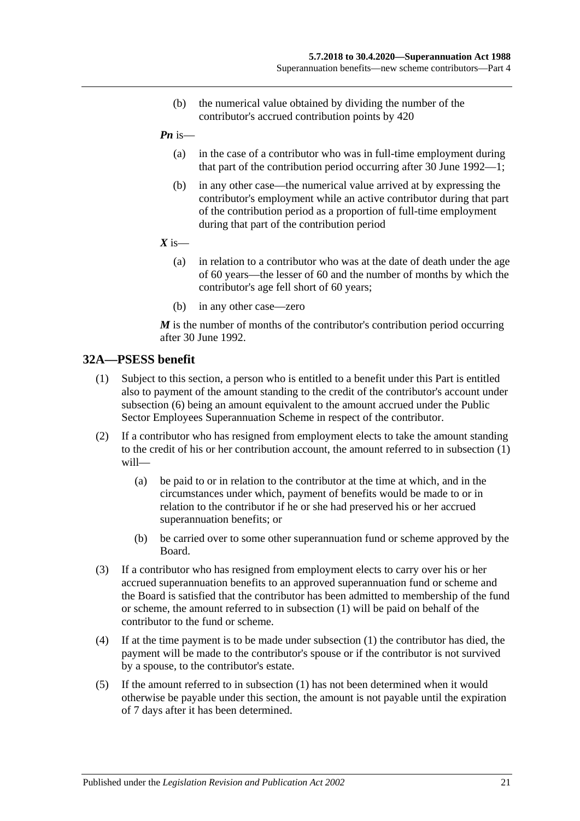- (b) the numerical value obtained by dividing the number of the contributor's accrued contribution points by 420
- *Pn* is—
	- (a) in the case of a contributor who was in full-time employment during that part of the contribution period occurring after 30 June 1992—1;
	- (b) in any other case—the numerical value arrived at by expressing the contributor's employment while an active contributor during that part of the contribution period as a proportion of full-time employment during that part of the contribution period
- $X$  is—
	- (a) in relation to a contributor who was at the date of death under the age of 60 years—the lesser of 60 and the number of months by which the contributor's age fell short of 60 years;
	- (b) in any other case—zero

*M* is the number of months of the contributor's contribution period occurring after 30 June 1992.

#### <span id="page-50-0"></span>**32A—PSESS benefit**

- (1) Subject to this section, a person who is entitled to a benefit under this Part is entitled also to payment of the amount standing to the credit of the contributor's account under [subsection](#page-51-0) (6) being an amount equivalent to the amount accrued under the Public Sector Employees Superannuation Scheme in respect of the contributor.
- (2) If a contributor who has resigned from employment elects to take the amount standing to the credit of his or her contribution account, the amount referred to in [subsection](#page-50-0) (1) will—
	- (a) be paid to or in relation to the contributor at the time at which, and in the circumstances under which, payment of benefits would be made to or in relation to the contributor if he or she had preserved his or her accrued superannuation benefits; or
	- (b) be carried over to some other superannuation fund or scheme approved by the Board.
- (3) If a contributor who has resigned from employment elects to carry over his or her accrued superannuation benefits to an approved superannuation fund or scheme and the Board is satisfied that the contributor has been admitted to membership of the fund or scheme, the amount referred to in [subsection](#page-50-0) (1) will be paid on behalf of the contributor to the fund or scheme.
- (4) If at the time payment is to be made under [subsection](#page-50-0) (1) the contributor has died, the payment will be made to the contributor's spouse or if the contributor is not survived by a spouse, to the contributor's estate.
- (5) If the amount referred to in [subsection](#page-50-0) (1) has not been determined when it would otherwise be payable under this section, the amount is not payable until the expiration of 7 days after it has been determined.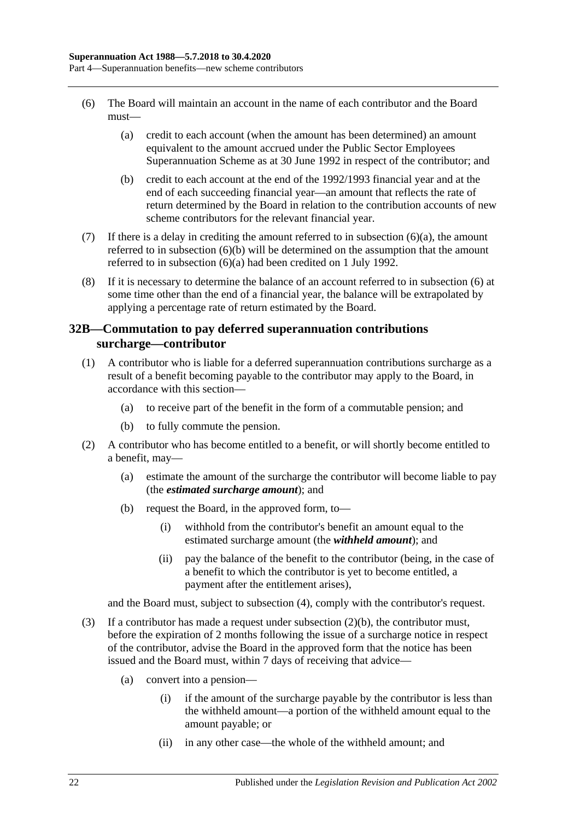- <span id="page-51-1"></span><span id="page-51-0"></span>(6) The Board will maintain an account in the name of each contributor and the Board must—
	- (a) credit to each account (when the amount has been determined) an amount equivalent to the amount accrued under the Public Sector Employees Superannuation Scheme as at 30 June 1992 in respect of the contributor; and
	- (b) credit to each account at the end of the 1992/1993 financial year and at the end of each succeeding financial year—an amount that reflects the rate of return determined by the Board in relation to the contribution accounts of new scheme contributors for the relevant financial year.
- <span id="page-51-2"></span>(7) If there is a delay in crediting the amount referred to in [subsection](#page-51-1)  $(6)(a)$ , the amount referred to in [subsection](#page-51-2) (6)(b) will be determined on the assumption that the amount referred to in [subsection](#page-51-1) (6)(a) had been credited on 1 July 1992.
- (8) If it is necessary to determine the balance of an account referred to in [subsection](#page-51-0) (6) at some time other than the end of a financial year, the balance will be extrapolated by applying a percentage rate of return estimated by the Board.

## <span id="page-51-6"></span>**32B—Commutation to pay deferred superannuation contributions surcharge—contributor**

- <span id="page-51-5"></span>(1) A contributor who is liable for a deferred superannuation contributions surcharge as a result of a benefit becoming payable to the contributor may apply to the Board, in accordance with this section—
	- (a) to receive part of the benefit in the form of a commutable pension; and
	- (b) to fully commute the pension.
- <span id="page-51-3"></span>(2) A contributor who has become entitled to a benefit, or will shortly become entitled to a benefit, may—
	- (a) estimate the amount of the surcharge the contributor will become liable to pay (the *estimated surcharge amount*); and
	- (b) request the Board, in the approved form, to—
		- (i) withhold from the contributor's benefit an amount equal to the estimated surcharge amount (the *withheld amount*); and
		- (ii) pay the balance of the benefit to the contributor (being, in the case of a benefit to which the contributor is yet to become entitled, a payment after the entitlement arises),

and the Board must, subject to [subsection](#page-52-0) (4), comply with the contributor's request.

- <span id="page-51-4"></span>(3) If a contributor has made a request under [subsection](#page-51-3)  $(2)(b)$ , the contributor must, before the expiration of 2 months following the issue of a surcharge notice in respect of the contributor, advise the Board in the approved form that the notice has been issued and the Board must, within 7 days of receiving that advice—
	- (a) convert into a pension—
		- (i) if the amount of the surcharge payable by the contributor is less than the withheld amount—a portion of the withheld amount equal to the amount payable; or
		- (ii) in any other case—the whole of the withheld amount; and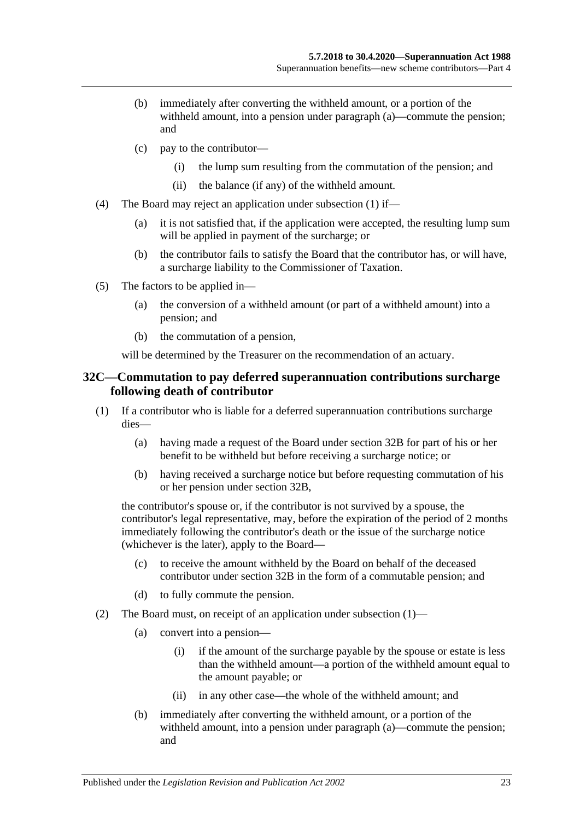- (b) immediately after converting the withheld amount, or a portion of the withheld amount, into a pension under [paragraph](#page-51-4) (a)—commute the pension; and
- (c) pay to the contributor—
	- (i) the lump sum resulting from the commutation of the pension; and
	- (ii) the balance (if any) of the withheld amount.
- <span id="page-52-0"></span>(4) The Board may reject an application under [subsection](#page-51-5) (1) if—
	- (a) it is not satisfied that, if the application were accepted, the resulting lump sum will be applied in payment of the surcharge; or
	- (b) the contributor fails to satisfy the Board that the contributor has, or will have, a surcharge liability to the Commissioner of Taxation.
- (5) The factors to be applied in—
	- (a) the conversion of a withheld amount (or part of a withheld amount) into a pension; and
	- (b) the commutation of a pension,

will be determined by the Treasurer on the recommendation of an actuary.

#### <span id="page-52-3"></span>**32C—Commutation to pay deferred superannuation contributions surcharge following death of contributor**

- <span id="page-52-1"></span>(1) If a contributor who is liable for a deferred superannuation contributions surcharge dies—
	- (a) having made a request of the Board under [section](#page-51-6) 32B for part of his or her benefit to be withheld but before receiving a surcharge notice; or
	- (b) having received a surcharge notice but before requesting commutation of his or her pension under [section](#page-51-6) 32B,

the contributor's spouse or, if the contributor is not survived by a spouse, the contributor's legal representative, may, before the expiration of the period of 2 months immediately following the contributor's death or the issue of the surcharge notice (whichever is the later), apply to the Board—

- (c) to receive the amount withheld by the Board on behalf of the deceased contributor under [section](#page-51-6) 32B in the form of a commutable pension; and
- (d) to fully commute the pension.
- <span id="page-52-2"></span>(2) The Board must, on receipt of an application under [subsection](#page-52-1) (1)—
	- (a) convert into a pension—
		- (i) if the amount of the surcharge payable by the spouse or estate is less than the withheld amount—a portion of the withheld amount equal to the amount payable; or
		- (ii) in any other case—the whole of the withheld amount; and
	- (b) immediately after converting the withheld amount, or a portion of the withheld amount, into a pension under [paragraph](#page-52-2) (a)—commute the pension; and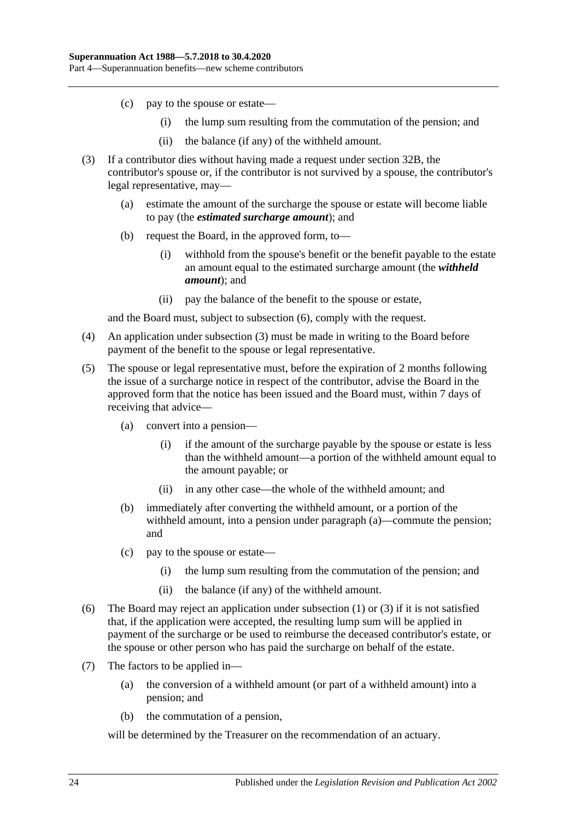- (c) pay to the spouse or estate—
	- (i) the lump sum resulting from the commutation of the pension; and
	- (ii) the balance (if any) of the withheld amount.
- <span id="page-53-1"></span>(3) If a contributor dies without having made a request under [section](#page-51-6) 32B, the contributor's spouse or, if the contributor is not survived by a spouse, the contributor's legal representative, may—
	- (a) estimate the amount of the surcharge the spouse or estate will become liable to pay (the *estimated surcharge amount*); and
	- (b) request the Board, in the approved form, to—
		- (i) withhold from the spouse's benefit or the benefit payable to the estate an amount equal to the estimated surcharge amount (the *withheld amount*); and
		- (ii) pay the balance of the benefit to the spouse or estate,

and the Board must, subject to [subsection](#page-53-0) (6), comply with the request.

- (4) An application under [subsection](#page-53-1) (3) must be made in writing to the Board before payment of the benefit to the spouse or legal representative.
- <span id="page-53-2"></span>(5) The spouse or legal representative must, before the expiration of 2 months following the issue of a surcharge notice in respect of the contributor, advise the Board in the approved form that the notice has been issued and the Board must, within 7 days of receiving that advice—
	- (a) convert into a pension—
		- (i) if the amount of the surcharge payable by the spouse or estate is less than the withheld amount—a portion of the withheld amount equal to the amount payable; or
		- (ii) in any other case—the whole of the withheld amount; and
	- (b) immediately after converting the withheld amount, or a portion of the withheld amount, into a pension under [paragraph](#page-53-2) (a)—commute the pension; and
	- (c) pay to the spouse or estate—
		- (i) the lump sum resulting from the commutation of the pension; and
		- (ii) the balance (if any) of the withheld amount.
- <span id="page-53-0"></span>(6) The Board may reject an application under [subsection](#page-52-1) (1) or [\(3\)](#page-53-1) if it is not satisfied that, if the application were accepted, the resulting lump sum will be applied in payment of the surcharge or be used to reimburse the deceased contributor's estate, or the spouse or other person who has paid the surcharge on behalf of the estate.
- (7) The factors to be applied in—
	- (a) the conversion of a withheld amount (or part of a withheld amount) into a pension; and
	- (b) the commutation of a pension,

will be determined by the Treasurer on the recommendation of an actuary.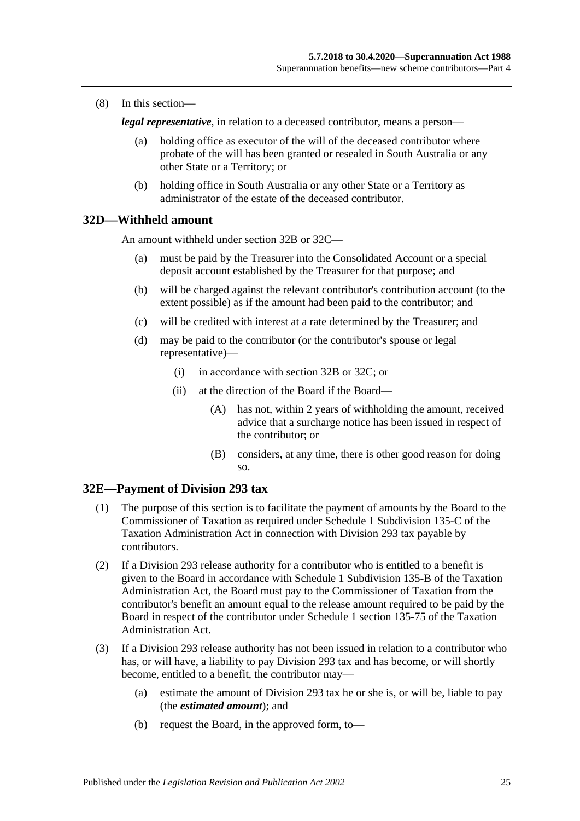(8) In this section—

*legal representative*, in relation to a deceased contributor, means a person—

- (a) holding office as executor of the will of the deceased contributor where probate of the will has been granted or resealed in South Australia or any other State or a Territory; or
- (b) holding office in South Australia or any other State or a Territory as administrator of the estate of the deceased contributor.

#### **32D—Withheld amount**

An amount withheld under [section](#page-51-6) 32B or [32C—](#page-52-3)

- (a) must be paid by the Treasurer into the Consolidated Account or a special deposit account established by the Treasurer for that purpose; and
- (b) will be charged against the relevant contributor's contribution account (to the extent possible) as if the amount had been paid to the contributor; and
- (c) will be credited with interest at a rate determined by the Treasurer; and
- (d) may be paid to the contributor (or the contributor's spouse or legal representative)—
	- (i) in accordance with [section](#page-51-6) 32B or [32C;](#page-52-3) or
	- (ii) at the direction of the Board if the Board—
		- (A) has not, within 2 years of withholding the amount, received advice that a surcharge notice has been issued in respect of the contributor; or
		- (B) considers, at any time, there is other good reason for doing so.

#### **32E—Payment of Division 293 tax**

- (1) The purpose of this section is to facilitate the payment of amounts by the Board to the Commissioner of Taxation as required under Schedule 1 Subdivision 135-C of the Taxation Administration Act in connection with Division 293 tax payable by contributors.
- (2) If a Division 293 release authority for a contributor who is entitled to a benefit is given to the Board in accordance with Schedule 1 Subdivision 135-B of the Taxation Administration Act, the Board must pay to the Commissioner of Taxation from the contributor's benefit an amount equal to the release amount required to be paid by the Board in respect of the contributor under Schedule 1 section 135-75 of the Taxation Administration Act.
- <span id="page-54-0"></span>(3) If a Division 293 release authority has not been issued in relation to a contributor who has, or will have, a liability to pay Division 293 tax and has become, or will shortly become, entitled to a benefit, the contributor may—
	- (a) estimate the amount of Division 293 tax he or she is, or will be, liable to pay (the *estimated amount*); and
	- (b) request the Board, in the approved form, to—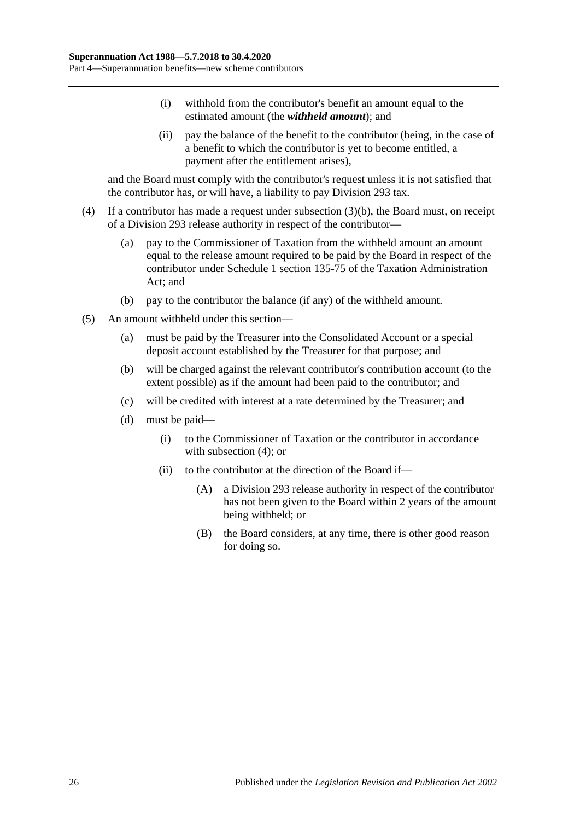- (i) withhold from the contributor's benefit an amount equal to the estimated amount (the *withheld amount*); and
- (ii) pay the balance of the benefit to the contributor (being, in the case of a benefit to which the contributor is yet to become entitled, a payment after the entitlement arises),

and the Board must comply with the contributor's request unless it is not satisfied that the contributor has, or will have, a liability to pay Division 293 tax.

- <span id="page-55-0"></span>(4) If a contributor has made a request under [subsection](#page-54-0) (3)(b), the Board must, on receipt of a Division 293 release authority in respect of the contributor—
	- (a) pay to the Commissioner of Taxation from the withheld amount an amount equal to the release amount required to be paid by the Board in respect of the contributor under Schedule 1 section 135-75 of the Taxation Administration Act; and
	- (b) pay to the contributor the balance (if any) of the withheld amount.
- (5) An amount withheld under this section—
	- (a) must be paid by the Treasurer into the Consolidated Account or a special deposit account established by the Treasurer for that purpose; and
	- (b) will be charged against the relevant contributor's contribution account (to the extent possible) as if the amount had been paid to the contributor; and
	- (c) will be credited with interest at a rate determined by the Treasurer; and
	- (d) must be paid—
		- (i) to the Commissioner of Taxation or the contributor in accordance with [subsection](#page-55-0)  $(4)$ ; or
		- (ii) to the contributor at the direction of the Board if—
			- (A) a Division 293 release authority in respect of the contributor has not been given to the Board within 2 years of the amount being withheld; or
			- (B) the Board considers, at any time, there is other good reason for doing so.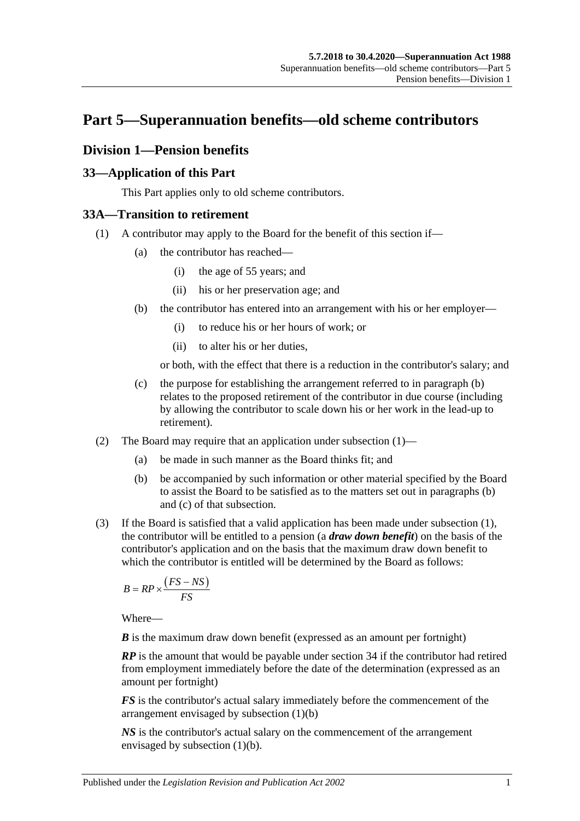# **Part 5—Superannuation benefits—old scheme contributors**

## **Division 1—Pension benefits**

## **33—Application of this Part**

This Part applies only to old scheme contributors.

## <span id="page-56-1"></span>**33A—Transition to retirement**

- <span id="page-56-0"></span>(1) A contributor may apply to the Board for the benefit of this section if—
	- (a) the contributor has reached—
		- (i) the age of 55 years; and
		- (ii) his or her preservation age; and
	- (b) the contributor has entered into an arrangement with his or her employer—
		- (i) to reduce his or her hours of work; or
		- (ii) to alter his or her duties,

or both, with the effect that there is a reduction in the contributor's salary; and

- (c) the purpose for establishing the arrangement referred to in [paragraph](#page-56-0) (b) relates to the proposed retirement of the contributor in due course (including by allowing the contributor to scale down his or her work in the lead-up to retirement).
- (2) The Board may require that an application under [subsection](#page-30-0) (1)—
	- (a) be made in such manner as the Board thinks fit; and
	- (b) be accompanied by such information or other material specified by the Board to assist the Board to be satisfied as to the matters set out in [paragraphs](#page-30-1) (b) and [\(c\)](#page-30-2) of that subsection.
- <span id="page-56-2"></span>(3) If the Board is satisfied that a valid application has been made under [subsection](#page-56-1) (1), the contributor will be entitled to a pension (a *draw down benefit*) on the basis of the contributor's application and on the basis that the maximum draw down benefit to which the contributor is entitled will be determined by the Board as follows:

$$
B = RP \times \frac{\left( FS - NS \right)}{FS}
$$

Where—

*B* is the maximum draw down benefit (expressed as an amount per fortnight)

*RP* is the amount that would be payable under section 34 if the contributor had retired from employment immediately before the date of the determination (expressed as an amount per fortnight)

*FS* is the contributor's actual salary immediately before the commencement of the arrangement envisaged by [subsection](#page-56-0) (1)(b)

*NS* is the contributor's actual salary on the commencement of the arrangement envisaged by [subsection](#page-56-0) (1)(b).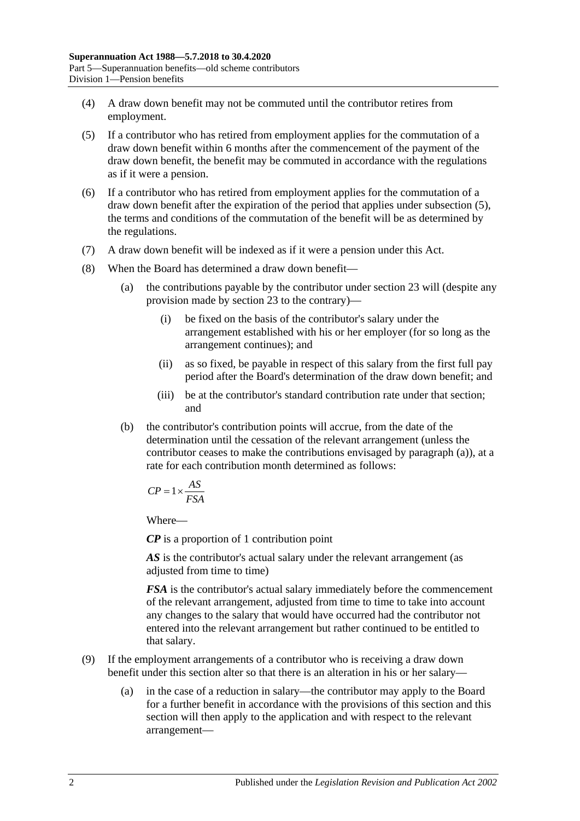- (4) A draw down benefit may not be commuted until the contributor retires from employment.
- <span id="page-57-0"></span>(5) If a contributor who has retired from employment applies for the commutation of a draw down benefit within 6 months after the commencement of the payment of the draw down benefit, the benefit may be commuted in accordance with the regulations as if it were a pension.
- (6) If a contributor who has retired from employment applies for the commutation of a draw down benefit after the expiration of the period that applies under [subsection](#page-57-0) (5), the terms and conditions of the commutation of the benefit will be as determined by the regulations.
- (7) A draw down benefit will be indexed as if it were a pension under this Act.
- <span id="page-57-1"></span>(8) When the Board has determined a draw down benefit—
	- (a) the contributions payable by the contributor under section 23 will (despite any provision made by section 23 to the contrary)—
		- (i) be fixed on the basis of the contributor's salary under the arrangement established with his or her employer (for so long as the arrangement continues); and
		- (ii) as so fixed, be payable in respect of this salary from the first full pay period after the Board's determination of the draw down benefit; and
		- (iii) be at the contributor's standard contribution rate under that section; and
	- (b) the contributor's contribution points will accrue, from the date of the determination until the cessation of the relevant arrangement (unless the contributor ceases to make the contributions envisaged by [paragraph](#page-57-1) (a)), at a rate for each contribution month determined as follows:

$$
CP = 1 \times \frac{AS}{FSA}
$$

Where—

*CP* is a proportion of 1 contribution point

AS is the contributor's actual salary under the relevant arrangement (as adjusted from time to time)

*FSA* is the contributor's actual salary immediately before the commencement of the relevant arrangement, adjusted from time to time to take into account any changes to the salary that would have occurred had the contributor not entered into the relevant arrangement but rather continued to be entitled to that salary.

- (9) If the employment arrangements of a contributor who is receiving a draw down benefit under this section alter so that there is an alteration in his or her salary—
	- (a) in the case of a reduction in salary—the contributor may apply to the Board for a further benefit in accordance with the provisions of this section and this section will then apply to the application and with respect to the relevant arrangement—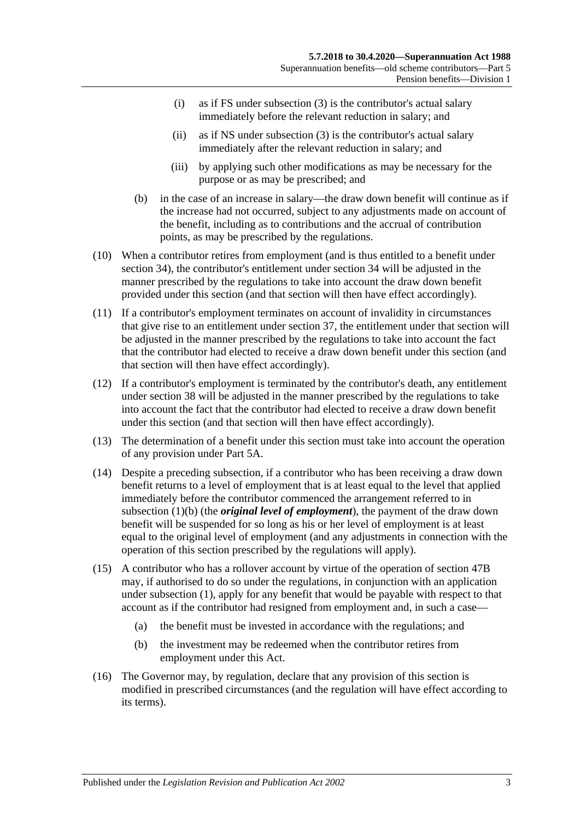- (i) as if FS under [subsection](#page-56-2) (3) is the contributor's actual salary immediately before the relevant reduction in salary; and
- (ii) as if NS under [subsection](#page-56-2) (3) is the contributor's actual salary immediately after the relevant reduction in salary; and
- (iii) by applying such other modifications as may be necessary for the purpose or as may be prescribed; and
- (b) in the case of an increase in salary—the draw down benefit will continue as if the increase had not occurred, subject to any adjustments made on account of the benefit, including as to contributions and the accrual of contribution points, as may be prescribed by the regulations.
- (10) When a contributor retires from employment (and is thus entitled to a benefit under section 34), the contributor's entitlement under section 34 will be adjusted in the manner prescribed by the regulations to take into account the draw down benefit provided under this section (and that section will then have effect accordingly).
- (11) If a contributor's employment terminates on account of invalidity in circumstances that give rise to an entitlement under section 37, the entitlement under that section will be adjusted in the manner prescribed by the regulations to take into account the fact that the contributor had elected to receive a draw down benefit under this section (and that section will then have effect accordingly).
- (12) If a contributor's employment is terminated by the contributor's death, any entitlement under section 38 will be adjusted in the manner prescribed by the regulations to take into account the fact that the contributor had elected to receive a draw down benefit under this section (and that section will then have effect accordingly).
- (13) The determination of a benefit under this section must take into account the operation of any provision under Part 5A.
- (14) Despite a preceding subsection, if a contributor who has been receiving a draw down benefit returns to a level of employment that is at least equal to the level that applied immediately before the contributor commenced the arrangement referred to in [subsection](#page-56-0) (1)(b) (the *original level of employment*), the payment of the draw down benefit will be suspended for so long as his or her level of employment is at least equal to the original level of employment (and any adjustments in connection with the operation of this section prescribed by the regulations will apply).
- (15) A contributor who has a rollover account by virtue of the operation of section 47B may, if authorised to do so under the regulations, in conjunction with an application under [subsection](#page-56-1) (1), apply for any benefit that would be payable with respect to that account as if the contributor had resigned from employment and, in such a case—
	- (a) the benefit must be invested in accordance with the regulations; and
	- (b) the investment may be redeemed when the contributor retires from employment under this Act.
- (16) The Governor may, by regulation, declare that any provision of this section is modified in prescribed circumstances (and the regulation will have effect according to its terms).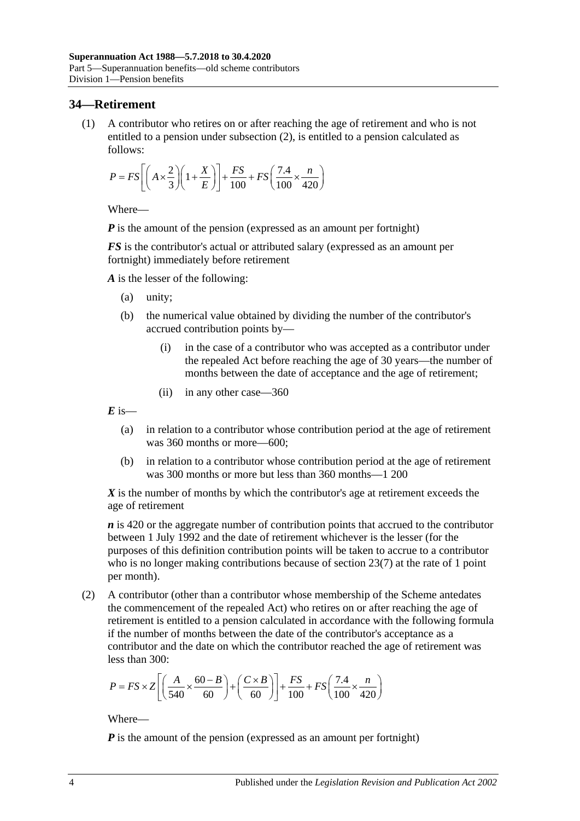## **34—Retirement**

(1) A contributor who retires on or after reaching the age of retirement and who is not entitled to a pension under [subsection](#page-59-0) (2), is entitled to a pension calculated as follows:

$$
P = FS \left[ \left( A \times \frac{2}{3} \right) \left( 1 + \frac{X}{E} \right) \right] + \frac{FS}{100} + FS \left( \frac{7.4}{100} \times \frac{n}{420} \right)
$$

Where—

*P* is the amount of the pension (expressed as an amount per fortnight)

*FS* is the contributor's actual or attributed salary (expressed as an amount per fortnight) immediately before retirement

*A* is the lesser of the following:

- (a) unity;
- (b) the numerical value obtained by dividing the number of the contributor's accrued contribution points by—
	- (i) in the case of a contributor who was accepted as a contributor under the repealed Act before reaching the age of 30 years—the number of months between the date of acceptance and the age of retirement;
	- (ii) in any other case—360

 $E$  is—

- (a) in relation to a contributor whose contribution period at the age of retirement was 360 months or more—600;
- (b) in relation to a contributor whose contribution period at the age of retirement was 300 months or more but less than 360 months—1 200

*X* is the number of months by which the contributor's age at retirement exceeds the age of retirement

*n* is 420 or the aggregate number of contribution points that accrued to the contributor between 1 July 1992 and the date of retirement whichever is the lesser (for the purposes of this definition contribution points will be taken to accrue to a contributor who is no longer making contributions because of [section](#page-28-0) 23(7) at the rate of 1 point per month).

<span id="page-59-0"></span>(2) A contributor (other than a contributor whose membership of the Scheme antedates the commencement of the repealed Act) who retires on or after reaching the age of retirement is entitled to a pension calculated in accordance with the following formula if the number of months between the date of the contributor's acceptance as a contributor and the date on which the contributor reached the age of retirement was less than 300:

$$
P = FS \times Z \left[ \left( \frac{A}{540} \times \frac{60 - B}{60} \right) + \left( \frac{C \times B}{60} \right) \right] + \frac{FS}{100} + FS \left( \frac{7.4}{100} \times \frac{n}{420} \right)
$$

Where—

*P* is the amount of the pension (expressed as an amount per fortnight)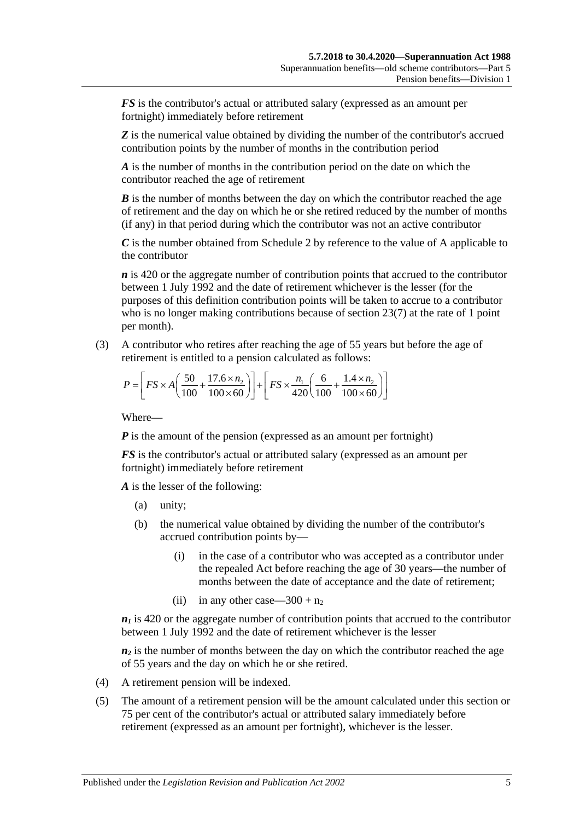*FS* is the contributor's actual or attributed salary (expressed as an amount per fortnight) immediately before retirement

**Z** is the numerical value obtained by dividing the number of the contributor's accrued contribution points by the number of months in the contribution period

*A* is the number of months in the contribution period on the date on which the contributor reached the age of retirement

*B* is the number of months between the day on which the contributor reached the age of retirement and the day on which he or she retired reduced by the number of months (if any) in that period during which the contributor was not an active contributor

*C* is the number obtained from [Schedule 2](#page-128-0) by reference to the value of A applicable to the contributor

*n* is 420 or the aggregate number of contribution points that accrued to the contributor between 1 July 1992 and the date of retirement whichever is the lesser (for the purposes of this definition contribution points will be taken to accrue to a contributor who is no longer making contributions because of [section](#page-28-0) 23(7) at the rate of 1 point per month).

(3) A contributor who retires after reaching the age of 55 years but before the age of retirement is entitled to a pension calculated as follows:

$$
P = \left[ FS \times A \left( \frac{50}{100} + \frac{17.6 \times n_2}{100 \times 60} \right) \right] + \left[ FS \times \frac{n_1}{420} \left( \frac{6}{100} + \frac{1.4 \times n_2}{100 \times 60} \right) \right]
$$

Where—

*P* is the amount of the pension (expressed as an amount per fortnight)

*FS* is the contributor's actual or attributed salary (expressed as an amount per fortnight) immediately before retirement

*A* is the lesser of the following:

- (a) unity;
- (b) the numerical value obtained by dividing the number of the contributor's accrued contribution points by—
	- (i) in the case of a contributor who was accepted as a contributor under the repealed Act before reaching the age of 30 years—the number of months between the date of acceptance and the date of retirement;
	- (ii) in any other case—300 +  $n_2$

 $n_1$  is 420 or the aggregate number of contribution points that accrued to the contributor between 1 July 1992 and the date of retirement whichever is the lesser

 $n_2$  is the number of months between the day on which the contributor reached the age of 55 years and the day on which he or she retired.

- (4) A retirement pension will be indexed.
- (5) The amount of a retirement pension will be the amount calculated under this section or 75 per cent of the contributor's actual or attributed salary immediately before retirement (expressed as an amount per fortnight), whichever is the lesser.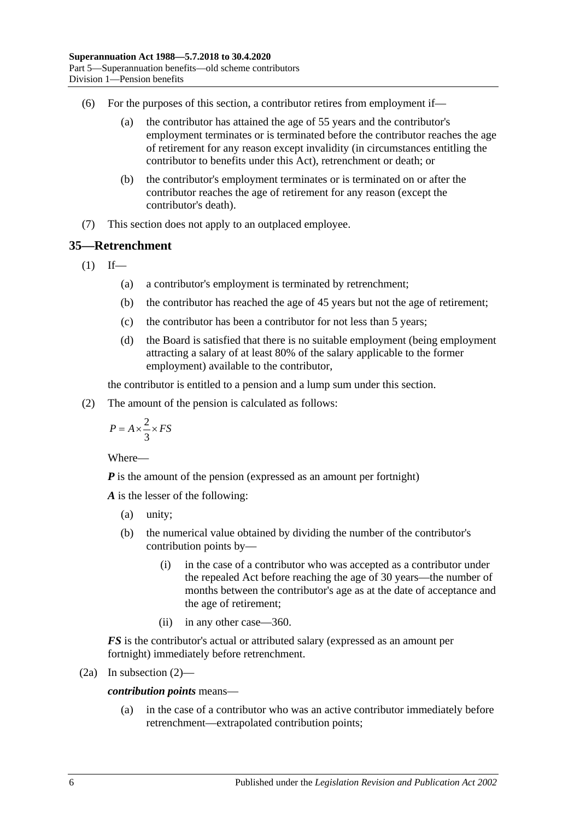- (6) For the purposes of this section, a contributor retires from employment if—
	- (a) the contributor has attained the age of 55 years and the contributor's employment terminates or is terminated before the contributor reaches the age of retirement for any reason except invalidity (in circumstances entitling the contributor to benefits under this Act), retrenchment or death; or
	- (b) the contributor's employment terminates or is terminated on or after the contributor reaches the age of retirement for any reason (except the contributor's death).
- (7) This section does not apply to an outplaced employee.

## <span id="page-61-1"></span>**35—Retrenchment**

 $(1)$  If—

- (a) a contributor's employment is terminated by retrenchment;
- (b) the contributor has reached the age of 45 years but not the age of retirement;
- (c) the contributor has been a contributor for not less than 5 years;
- (d) the Board is satisfied that there is no suitable employment (being employment attracting a salary of at least 80% of the salary applicable to the former employment) available to the contributor,

the contributor is entitled to a pension and a lump sum under this section.

<span id="page-61-0"></span>(2) The amount of the pension is calculated as follows:

$$
P = A \times \frac{2}{3} \times FS
$$

Where—

*P* is the amount of the pension (expressed as an amount per fortnight)

*A* is the lesser of the following:

- (a) unity;
- (b) the numerical value obtained by dividing the number of the contributor's contribution points by—
	- (i) in the case of a contributor who was accepted as a contributor under the repealed Act before reaching the age of 30 years—the number of months between the contributor's age as at the date of acceptance and the age of retirement;
	- (ii) in any other case—360.

*FS* is the contributor's actual or attributed salary (expressed as an amount per fortnight) immediately before retrenchment.

(2a) In subsection 
$$
(2)
$$
—

*contribution points* means—

(a) in the case of a contributor who was an active contributor immediately before retrenchment—extrapolated contribution points;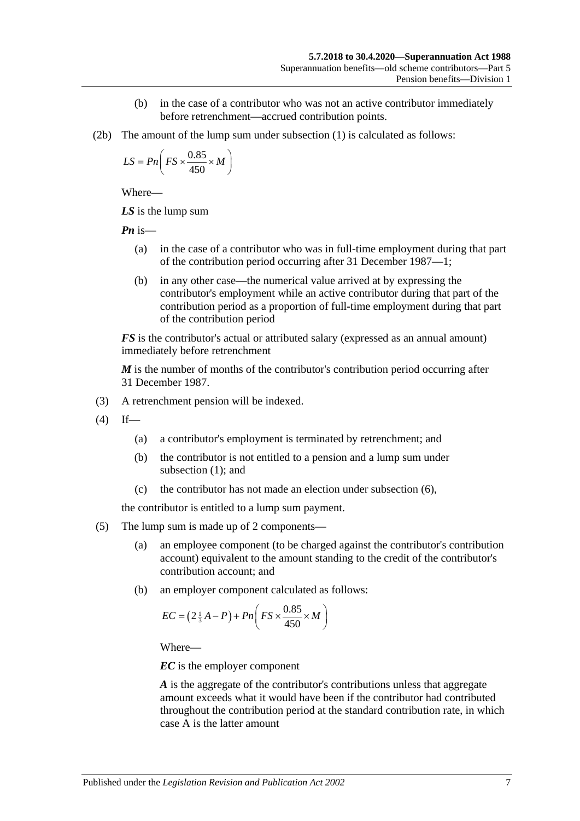- (b) in the case of a contributor who was not an active contributor immediately before retrenchment—accrued contribution points.
- (2b) The amount of the lump sum under [subsection](#page-61-1) (1) is calculated as follows:

$$
LS = Pn\left(FS \times \frac{0.85}{450} \times M\right)
$$

Where—

*LS* is the lump sum

*Pn* is—

- (a) in the case of a contributor who was in full-time employment during that part of the contribution period occurring after 31 December 1987—1;
- (b) in any other case—the numerical value arrived at by expressing the contributor's employment while an active contributor during that part of the contribution period as a proportion of full-time employment during that part of the contribution period

*FS* is the contributor's actual or attributed salary (expressed as an annual amount) immediately before retrenchment

*M* is the number of months of the contributor's contribution period occurring after 31 December 1987.

- (3) A retrenchment pension will be indexed.
- $(4)$  If—
	- (a) a contributor's employment is terminated by retrenchment; and
	- (b) the contributor is not entitled to a pension and a lump sum under [subsection](#page-61-1) (1); and
	- (c) the contributor has not made an election under [subsection](#page-63-0) (6),

the contributor is entitled to a lump sum payment.

- (5) The lump sum is made up of 2 components—
	- (a) an employee component (to be charged against the contributor's contribution account) equivalent to the amount standing to the credit of the contributor's contribution account; and
	- (b) an employer component calculated as follows:

$$
EC = \left(2\frac{1}{3}A - P\right) + Pn\left(FS \times \frac{0.85}{450} \times M\right)
$$

Where—

*EC* is the employer component

*A* is the aggregate of the contributor's contributions unless that aggregate amount exceeds what it would have been if the contributor had contributed throughout the contribution period at the standard contribution rate, in which case A is the latter amount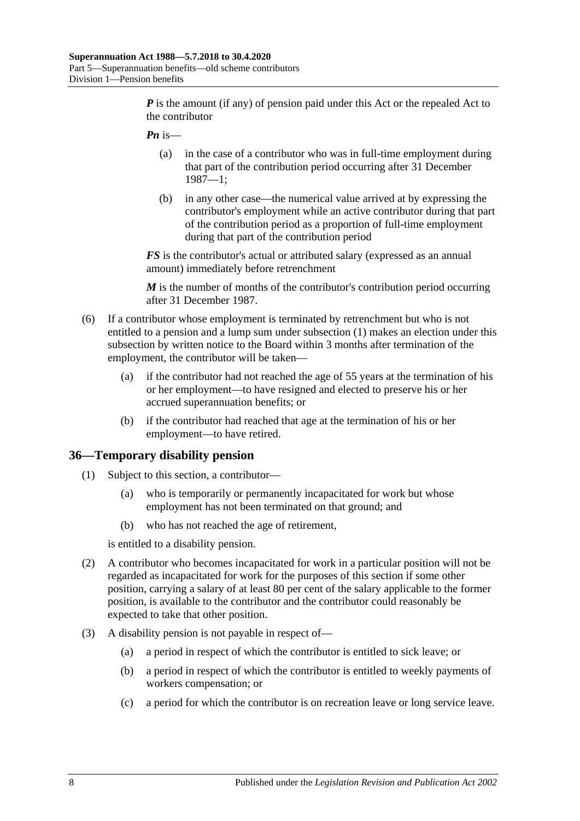*P* is the amount (if any) of pension paid under this Act or the repealed Act to the contributor

- *Pn* is—
	- (a) in the case of a contributor who was in full-time employment during that part of the contribution period occurring after 31 December 1987—1;
	- (b) in any other case—the numerical value arrived at by expressing the contributor's employment while an active contributor during that part of the contribution period as a proportion of full-time employment during that part of the contribution period

*FS* is the contributor's actual or attributed salary (expressed as an annual amount) immediately before retrenchment

*M* is the number of months of the contributor's contribution period occurring after 31 December 1987.

- <span id="page-63-0"></span>(6) If a contributor whose employment is terminated by retrenchment but who is not entitled to a pension and a lump sum under [subsection](#page-61-1) (1) makes an election under this subsection by written notice to the Board within 3 months after termination of the employment, the contributor will be taken—
	- (a) if the contributor had not reached the age of 55 years at the termination of his or her employment—to have resigned and elected to preserve his or her accrued superannuation benefits; or
	- (b) if the contributor had reached that age at the termination of his or her employment—to have retired.

#### **36—Temporary disability pension**

- (1) Subject to this section, a contributor—
	- (a) who is temporarily or permanently incapacitated for work but whose employment has not been terminated on that ground; and
	- (b) who has not reached the age of retirement,

is entitled to a disability pension.

- (2) A contributor who becomes incapacitated for work in a particular position will not be regarded as incapacitated for work for the purposes of this section if some other position, carrying a salary of at least 80 per cent of the salary applicable to the former position, is available to the contributor and the contributor could reasonably be expected to take that other position.
- (3) A disability pension is not payable in respect of—
	- (a) a period in respect of which the contributor is entitled to sick leave; or
	- (b) a period in respect of which the contributor is entitled to weekly payments of workers compensation; or
	- (c) a period for which the contributor is on recreation leave or long service leave.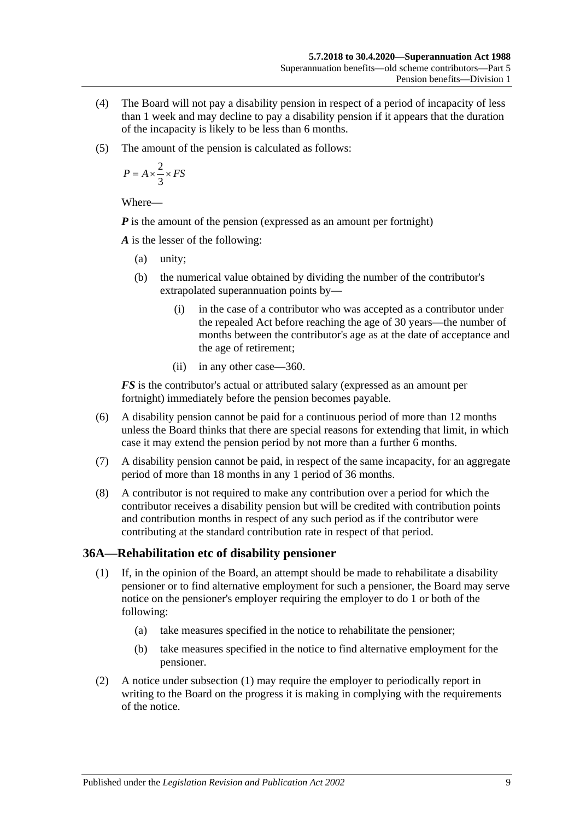- (4) The Board will not pay a disability pension in respect of a period of incapacity of less than 1 week and may decline to pay a disability pension if it appears that the duration of the incapacity is likely to be less than 6 months.
- (5) The amount of the pension is calculated as follows:

$$
P = A \times \frac{2}{3} \times FS
$$

Where—

*P* is the amount of the pension (expressed as an amount per fortnight)

*A* is the lesser of the following:

- (a) unity;
- (b) the numerical value obtained by dividing the number of the contributor's extrapolated superannuation points by—
	- (i) in the case of a contributor who was accepted as a contributor under the repealed Act before reaching the age of 30 years—the number of months between the contributor's age as at the date of acceptance and the age of retirement;
	- (ii) in any other case—360.

*FS* is the contributor's actual or attributed salary (expressed as an amount per fortnight) immediately before the pension becomes payable.

- (6) A disability pension cannot be paid for a continuous period of more than 12 months unless the Board thinks that there are special reasons for extending that limit, in which case it may extend the pension period by not more than a further 6 months.
- (7) A disability pension cannot be paid, in respect of the same incapacity, for an aggregate period of more than 18 months in any 1 period of 36 months.
- (8) A contributor is not required to make any contribution over a period for which the contributor receives a disability pension but will be credited with contribution points and contribution months in respect of any such period as if the contributor were contributing at the standard contribution rate in respect of that period.

#### <span id="page-64-0"></span>**36A—Rehabilitation etc of disability pensioner**

- (1) If, in the opinion of the Board, an attempt should be made to rehabilitate a disability pensioner or to find alternative employment for such a pensioner, the Board may serve notice on the pensioner's employer requiring the employer to do 1 or both of the following:
	- (a) take measures specified in the notice to rehabilitate the pensioner;
	- (b) take measures specified in the notice to find alternative employment for the pensioner.
- (2) A notice under [subsection](#page-64-0) (1) may require the employer to periodically report in writing to the Board on the progress it is making in complying with the requirements of the notice.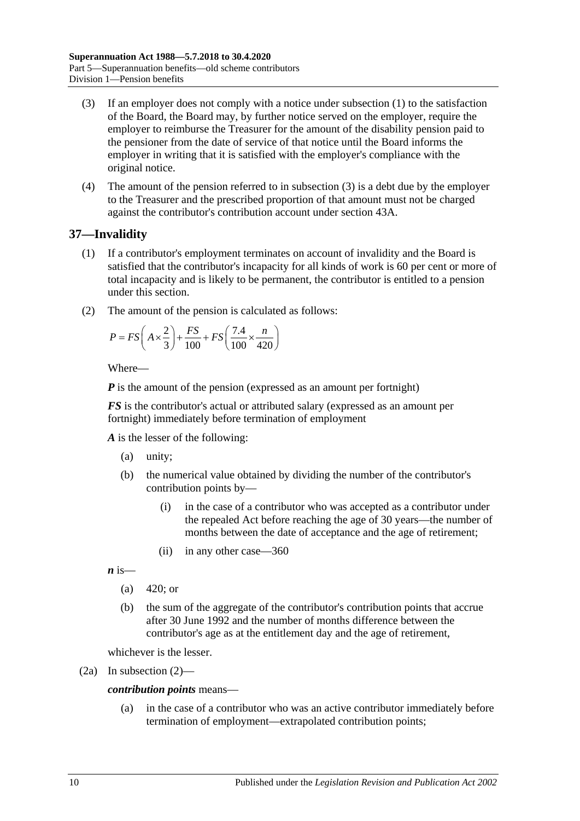- <span id="page-65-0"></span>(3) If an employer does not comply with a notice under [subsection](#page-64-0) (1) to the satisfaction of the Board, the Board may, by further notice served on the employer, require the employer to reimburse the Treasurer for the amount of the disability pension paid to the pensioner from the date of service of that notice until the Board informs the employer in writing that it is satisfied with the employer's compliance with the original notice.
- (4) The amount of the pension referred to in [subsection](#page-65-0) (3) is a debt due by the employer to the Treasurer and the prescribed proportion of that amount must not be charged against the contributor's contribution account under section 43A.

## <span id="page-65-2"></span>**37—Invalidity**

- (1) If a contributor's employment terminates on account of invalidity and the Board is satisfied that the contributor's incapacity for all kinds of work is 60 per cent or more of total incapacity and is likely to be permanent, the contributor is entitled to a pension under this section.
- <span id="page-65-1"></span>(2) The amount of the pension is calculated as follows:

$$
P = FS\left(A \times \frac{2}{3}\right) + \frac{FS}{100} + FS\left(\frac{7.4}{100} \times \frac{n}{420}\right)
$$

Where—

*P* is the amount of the pension (expressed as an amount per fortnight)

*FS* is the contributor's actual or attributed salary (expressed as an amount per fortnight) immediately before termination of employment

*A* is the lesser of the following:

- (a) unity;
- (b) the numerical value obtained by dividing the number of the contributor's contribution points by—
	- (i) in the case of a contributor who was accepted as a contributor under the repealed Act before reaching the age of 30 years—the number of months between the date of acceptance and the age of retirement;
	- (ii) in any other case—360

 $\boldsymbol{n}$  is—

- (a)  $420$ ; or
- (b) the sum of the aggregate of the contributor's contribution points that accrue after 30 June 1992 and the number of months difference between the contributor's age as at the entitlement day and the age of retirement,

whichever is the lesser.

(2a) In [subsection](#page-65-1) (2)—

#### *contribution points* means—

(a) in the case of a contributor who was an active contributor immediately before termination of employment—extrapolated contribution points;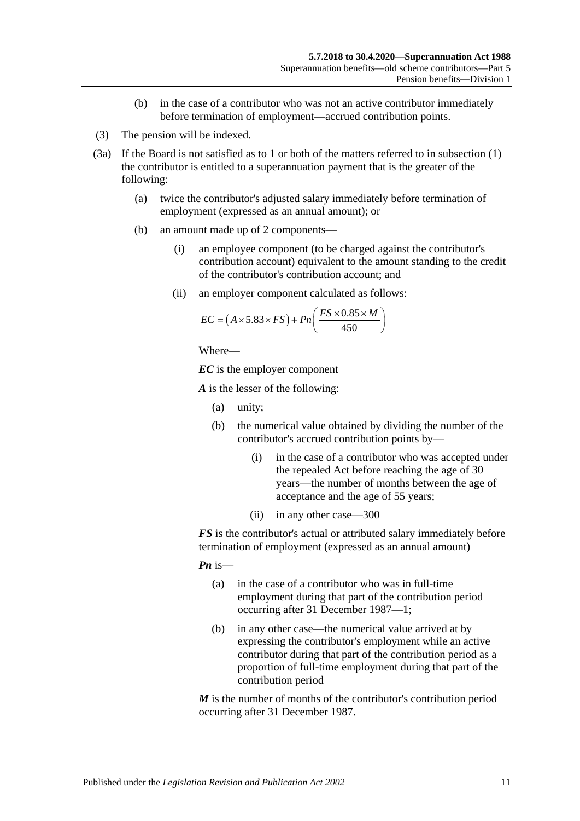- (b) in the case of a contributor who was not an active contributor immediately before termination of employment—accrued contribution points.
- (3) The pension will be indexed.
- <span id="page-66-0"></span>(3a) If the Board is not satisfied as to 1 or both of the matters referred to in [subsection](#page-65-2) (1) the contributor is entitled to a superannuation payment that is the greater of the following:
	- (a) twice the contributor's adjusted salary immediately before termination of employment (expressed as an annual amount); or
	- (b) an amount made up of 2 components—
		- (i) an employee component (to be charged against the contributor's contribution account) equivalent to the amount standing to the credit of the contributor's contribution account; and
		- (ii) an employer component calculated as follows:

$$
EC = (A \times 5.83 \times FS) + Pn\left(\frac{FS \times 0.85 \times M}{450}\right)
$$

Where—

*EC* is the employer component

*A* is the lesser of the following:

- (a) unity;
- (b) the numerical value obtained by dividing the number of the contributor's accrued contribution points by—
	- (i) in the case of a contributor who was accepted under the repealed Act before reaching the age of 30 years—the number of months between the age of acceptance and the age of 55 years;
	- (ii) in any other case—300

*FS* is the contributor's actual or attributed salary immediately before termination of employment (expressed as an annual amount)

*Pn* is—

- (a) in the case of a contributor who was in full-time employment during that part of the contribution period occurring after 31 December 1987—1;
- (b) in any other case—the numerical value arrived at by expressing the contributor's employment while an active contributor during that part of the contribution period as a proportion of full-time employment during that part of the contribution period

*M* is the number of months of the contributor's contribution period occurring after 31 December 1987.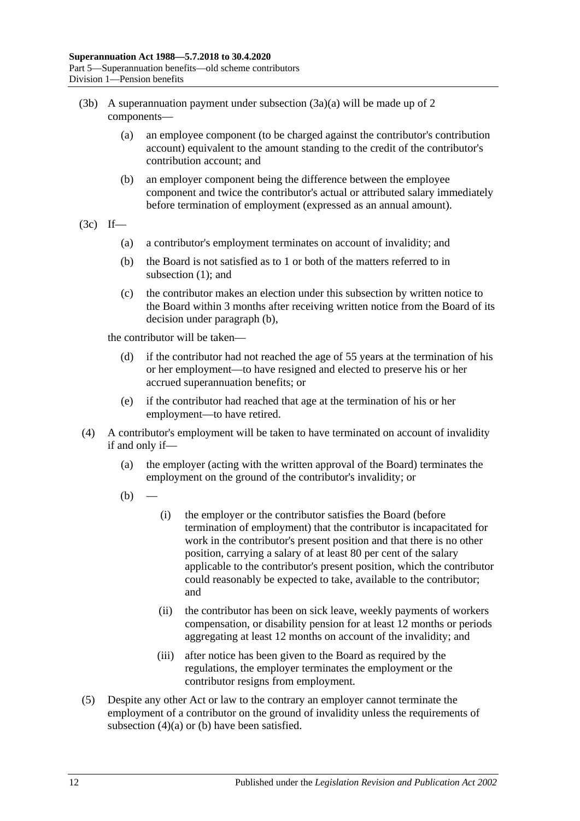- (3b) A superannuation payment under [subsection](#page-66-0)  $(3a)(a)$  will be made up of 2 components—
	- (a) an employee component (to be charged against the contributor's contribution account) equivalent to the amount standing to the credit of the contributor's contribution account; and
	- (b) an employer component being the difference between the employee component and twice the contributor's actual or attributed salary immediately before termination of employment (expressed as an annual amount).
- <span id="page-67-0"></span> $(3c)$  If—
	- (a) a contributor's employment terminates on account of invalidity; and
	- (b) the Board is not satisfied as to 1 or both of the matters referred to in [subsection](#page-65-2) (1); and
	- (c) the contributor makes an election under this subsection by written notice to the Board within 3 months after receiving written notice from the Board of its decision under [paragraph](#page-67-0) (b),

the contributor will be taken—

- (d) if the contributor had not reached the age of 55 years at the termination of his or her employment—to have resigned and elected to preserve his or her accrued superannuation benefits; or
- (e) if the contributor had reached that age at the termination of his or her employment—to have retired.
- <span id="page-67-2"></span><span id="page-67-1"></span>(4) A contributor's employment will be taken to have terminated on account of invalidity if and only if—
	- (a) the employer (acting with the written approval of the Board) terminates the employment on the ground of the contributor's invalidity; or
	- $(b)$
- (i) the employer or the contributor satisfies the Board (before termination of employment) that the contributor is incapacitated for work in the contributor's present position and that there is no other position, carrying a salary of at least 80 per cent of the salary applicable to the contributor's present position, which the contributor could reasonably be expected to take, available to the contributor; and
- (ii) the contributor has been on sick leave, weekly payments of workers compensation, or disability pension for at least 12 months or periods aggregating at least 12 months on account of the invalidity; and
- (iii) after notice has been given to the Board as required by the regulations, the employer terminates the employment or the contributor resigns from employment.
- (5) Despite any other Act or law to the contrary an employer cannot terminate the employment of a contributor on the ground of invalidity unless the requirements of [subsection](#page-67-1) (4)(a) or [\(b\)](#page-67-2) have been satisfied.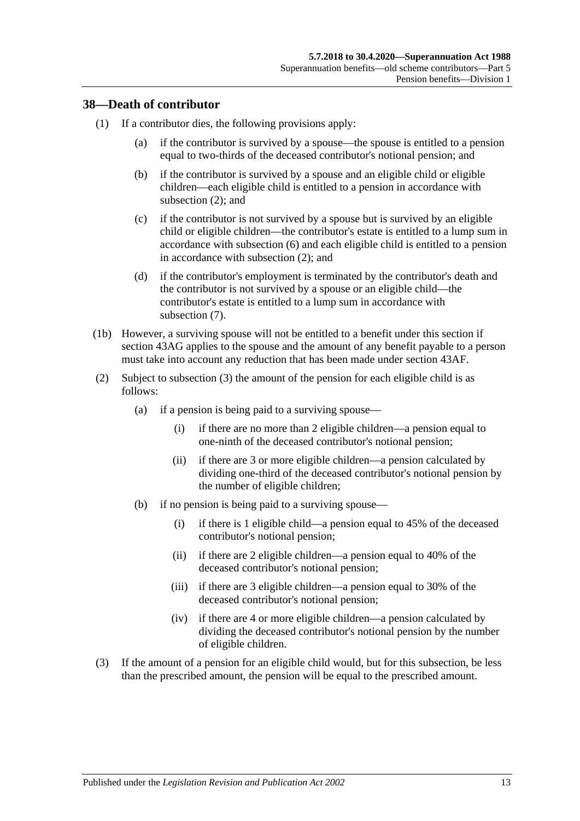#### **38—Death of contributor**

- (1) If a contributor dies, the following provisions apply:
	- (a) if the contributor is survived by a spouse—the spouse is entitled to a pension equal to two-thirds of the deceased contributor's notional pension; and
	- (b) if the contributor is survived by a spouse and an eligible child or eligible children—each eligible child is entitled to a pension in accordance with [subsection](#page-68-0) (2); and
	- (c) if the contributor is not survived by a spouse but is survived by an eligible child or eligible children—the contributor's estate is entitled to a lump sum in accordance with [subsection](#page-70-0) (6) and each eligible child is entitled to a pension in accordance with [subsection](#page-68-0) (2); and
	- (d) if the contributor's employment is terminated by the contributor's death and the contributor is not survived by a spouse or an eligible child—the contributor's estate is entitled to a lump sum in accordance with [subsection](#page-70-1) (7).
- (1b) However, a surviving spouse will not be entitled to a benefit under this section if [section](#page-90-0) 43AG applies to the spouse and the amount of any benefit payable to a person must take into account any reduction that has been made under [section](#page-89-0) 43AF.
- <span id="page-68-0"></span>(2) Subject to [subsection](#page-68-1) (3) the amount of the pension for each eligible child is as follows:
	- (a) if a pension is being paid to a surviving spouse—
		- (i) if there are no more than 2 eligible children—a pension equal to one-ninth of the deceased contributor's notional pension;
		- (ii) if there are 3 or more eligible children—a pension calculated by dividing one-third of the deceased contributor's notional pension by the number of eligible children;
	- (b) if no pension is being paid to a surviving spouse—
		- (i) if there is 1 eligible child—a pension equal to 45% of the deceased contributor's notional pension;
		- (ii) if there are 2 eligible children—a pension equal to 40% of the deceased contributor's notional pension;
		- (iii) if there are 3 eligible children—a pension equal to 30% of the deceased contributor's notional pension;
		- (iv) if there are 4 or more eligible children—a pension calculated by dividing the deceased contributor's notional pension by the number of eligible children.
- <span id="page-68-1"></span>(3) If the amount of a pension for an eligible child would, but for this subsection, be less than the prescribed amount, the pension will be equal to the prescribed amount.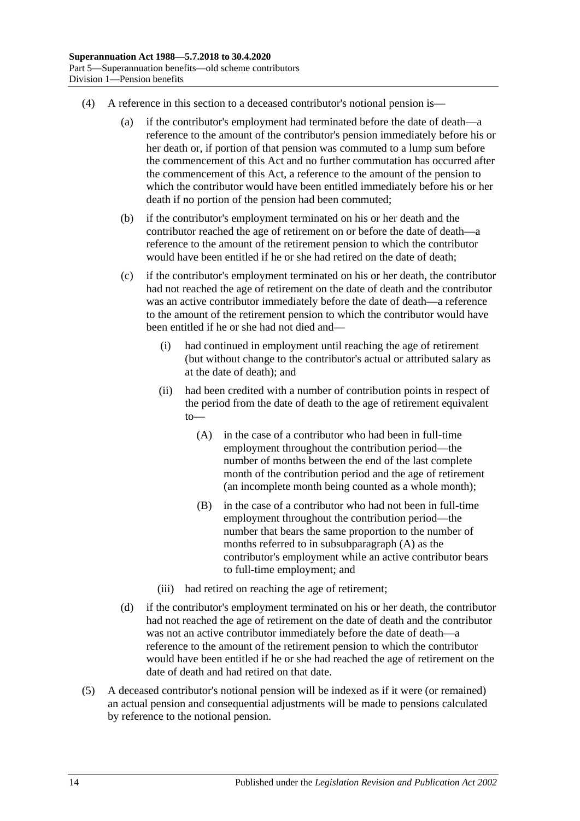- (4) A reference in this section to a deceased contributor's notional pension is—
	- (a) if the contributor's employment had terminated before the date of death—a reference to the amount of the contributor's pension immediately before his or her death or, if portion of that pension was commuted to a lump sum before the commencement of this Act and no further commutation has occurred after the commencement of this Act, a reference to the amount of the pension to which the contributor would have been entitled immediately before his or her death if no portion of the pension had been commuted;
	- (b) if the contributor's employment terminated on his or her death and the contributor reached the age of retirement on or before the date of death—a reference to the amount of the retirement pension to which the contributor would have been entitled if he or she had retired on the date of death;
	- (c) if the contributor's employment terminated on his or her death, the contributor had not reached the age of retirement on the date of death and the contributor was an active contributor immediately before the date of death—a reference to the amount of the retirement pension to which the contributor would have been entitled if he or she had not died and—
		- (i) had continued in employment until reaching the age of retirement (but without change to the contributor's actual or attributed salary as at the date of death); and
		- (ii) had been credited with a number of contribution points in respect of the period from the date of death to the age of retirement equivalent to—
			- (A) in the case of a contributor who had been in full-time employment throughout the contribution period—the number of months between the end of the last complete month of the contribution period and the age of retirement (an incomplete month being counted as a whole month);
			- (B) in the case of a contributor who had not been in full-time employment throughout the contribution period—the number that bears the same proportion to the number of months referred to in [subsubparagraph](#page-69-0) (A) as the contributor's employment while an active contributor bears to full-time employment; and
		- (iii) had retired on reaching the age of retirement;
	- (d) if the contributor's employment terminated on his or her death, the contributor had not reached the age of retirement on the date of death and the contributor was not an active contributor immediately before the date of death—a reference to the amount of the retirement pension to which the contributor would have been entitled if he or she had reached the age of retirement on the date of death and had retired on that date.
- <span id="page-69-0"></span>(5) A deceased contributor's notional pension will be indexed as if it were (or remained) an actual pension and consequential adjustments will be made to pensions calculated by reference to the notional pension.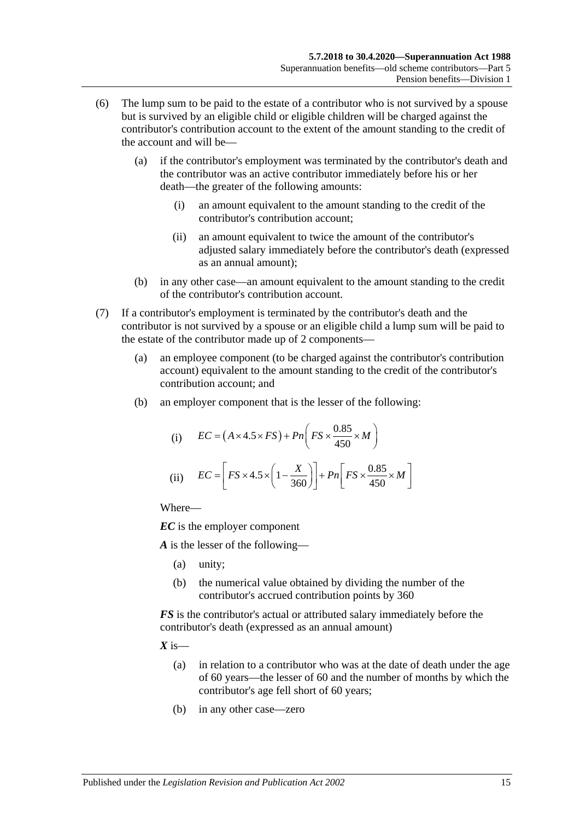- <span id="page-70-0"></span>(6) The lump sum to be paid to the estate of a contributor who is not survived by a spouse but is survived by an eligible child or eligible children will be charged against the contributor's contribution account to the extent of the amount standing to the credit of the account and will be—
	- (a) if the contributor's employment was terminated by the contributor's death and the contributor was an active contributor immediately before his or her death—the greater of the following amounts:
		- (i) an amount equivalent to the amount standing to the credit of the contributor's contribution account;
		- (ii) an amount equivalent to twice the amount of the contributor's adjusted salary immediately before the contributor's death (expressed as an annual amount);
	- (b) in any other case—an amount equivalent to the amount standing to the credit of the contributor's contribution account.
- <span id="page-70-1"></span>(7) If a contributor's employment is terminated by the contributor's death and the contributor is not survived by a spouse or an eligible child a lump sum will be paid to the estate of the contributor made up of 2 components—
	- (a) an employee component (to be charged against the contributor's contribution account) equivalent to the amount standing to the credit of the contributor's contribution account; and
	- (b) an employer component that is the lesser of the following:

(i) 
$$
EC = (A \times 4.5 \times FS) + Pn\left(FS \times \frac{0.85}{450} \times M\right)
$$
  
(ii) 
$$
EC = \left[FS \times 4.5 \times \left(1 - \frac{X}{360}\right)\right] + Pn\left[FS \times \frac{0.85}{450} \times M\right]
$$

Where—

*EC* is the employer component

*A* is the lesser of the following—

- (a) unity;
- (b) the numerical value obtained by dividing the number of the contributor's accrued contribution points by 360

*FS* is the contributor's actual or attributed salary immediately before the contributor's death (expressed as an annual amount)

 $X$  is—

- (a) in relation to a contributor who was at the date of death under the age of 60 years—the lesser of 60 and the number of months by which the contributor's age fell short of 60 years;
- (b) in any other case—zero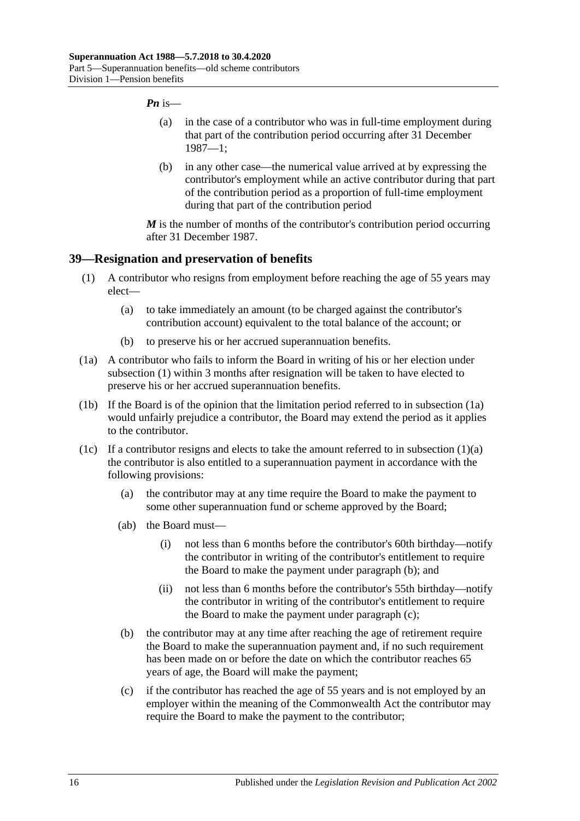#### *Pn* is—

- (a) in the case of a contributor who was in full-time employment during that part of the contribution period occurring after 31 December 1987—1;
- (b) in any other case—the numerical value arrived at by expressing the contributor's employment while an active contributor during that part of the contribution period as a proportion of full-time employment during that part of the contribution period

*M* is the number of months of the contributor's contribution period occurring after 31 December 1987.

#### <span id="page-71-0"></span>**39—Resignation and preservation of benefits**

- <span id="page-71-2"></span>(1) A contributor who resigns from employment before reaching the age of 55 years may elect—
	- (a) to take immediately an amount (to be charged against the contributor's contribution account) equivalent to the total balance of the account; or
	- (b) to preserve his or her accrued superannuation benefits.
- <span id="page-71-1"></span>(1a) A contributor who fails to inform the Board in writing of his or her election under [subsection](#page-71-0) (1) within 3 months after resignation will be taken to have elected to preserve his or her accrued superannuation benefits.
- (1b) If the Board is of the opinion that the limitation period referred to in [subsection](#page-71-1) (1a) would unfairly prejudice a contributor, the Board may extend the period as it applies to the contributor.
- <span id="page-71-4"></span><span id="page-71-3"></span>(1c) If a contributor resigns and elects to take the amount referred to in [subsection](#page-71-2)  $(1)(a)$ the contributor is also entitled to a superannuation payment in accordance with the following provisions:
	- (a) the contributor may at any time require the Board to make the payment to some other superannuation fund or scheme approved by the Board;
	- (ab) the Board must—
		- (i) not less than 6 months before the contributor's 60th birthday—notify the contributor in writing of the contributor's entitlement to require the Board to make the payment under [paragraph](#page-71-3) (b); and
		- (ii) not less than 6 months before the contributor's 55th birthday—notify the contributor in writing of the contributor's entitlement to require the Board to make the payment under [paragraph](#page-71-4) (c);
	- (b) the contributor may at any time after reaching the age of retirement require the Board to make the superannuation payment and, if no such requirement has been made on or before the date on which the contributor reaches 65 years of age, the Board will make the payment;
	- (c) if the contributor has reached the age of 55 years and is not employed by an employer within the meaning of the Commonwealth Act the contributor may require the Board to make the payment to the contributor;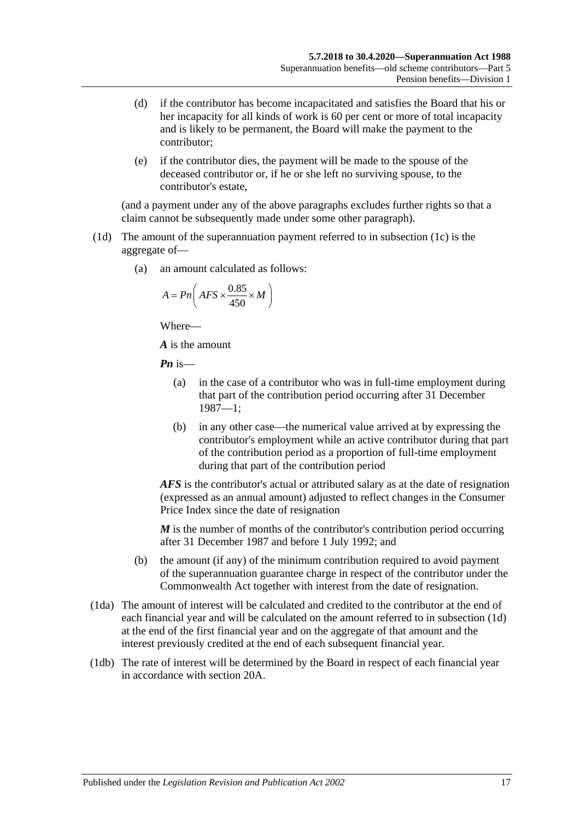- (d) if the contributor has become incapacitated and satisfies the Board that his or her incapacity for all kinds of work is 60 per cent or more of total incapacity and is likely to be permanent, the Board will make the payment to the contributor;
- (e) if the contributor dies, the payment will be made to the spouse of the deceased contributor or, if he or she left no surviving spouse, to the contributor's estate,

(and a payment under any of the above paragraphs excludes further rights so that a claim cannot be subsequently made under some other paragraph).

- <span id="page-72-0"></span>(1d) The amount of the superannuation payment referred to in [subsection](#page-71-0) (1c) is the aggregate of—
	- (a) an amount calculated as follows:

$$
A = P n \left( AFS \times \frac{0.85}{450} \times M \right)
$$

Where—

*A* is the amount

*Pn* is—

- (a) in the case of a contributor who was in full-time employment during that part of the contribution period occurring after 31 December 1987—1;
- (b) in any other case—the numerical value arrived at by expressing the contributor's employment while an active contributor during that part of the contribution period as a proportion of full-time employment during that part of the contribution period

*AFS* is the contributor's actual or attributed salary as at the date of resignation (expressed as an annual amount) adjusted to reflect changes in the Consumer Price Index since the date of resignation

*M* is the number of months of the contributor's contribution period occurring after 31 December 1987 and before 1 July 1992; and

- (b) the amount (if any) of the minimum contribution required to avoid payment of the superannuation guarantee charge in respect of the contributor under the Commonwealth Act together with interest from the date of resignation.
- (1da) The amount of interest will be calculated and credited to the contributor at the end of each financial year and will be calculated on the amount referred to in [subsection](#page-72-0) (1d) at the end of the first financial year and on the aggregate of that amount and the interest previously credited at the end of each subsequent financial year.
- (1db) The rate of interest will be determined by the Board in respect of each financial year in accordance with [section](#page-21-0) 20A.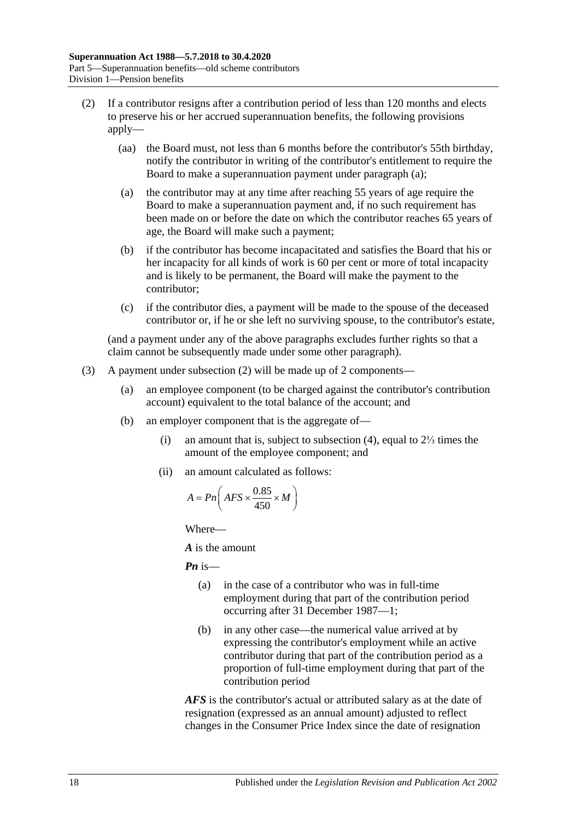- <span id="page-73-1"></span><span id="page-73-0"></span>(2) If a contributor resigns after a contribution period of less than 120 months and elects to preserve his or her accrued superannuation benefits, the following provisions apply—
	- (aa) the Board must, not less than 6 months before the contributor's 55th birthday, notify the contributor in writing of the contributor's entitlement to require the Board to make a superannuation payment under [paragraph](#page-73-0) (a);
	- (a) the contributor may at any time after reaching 55 years of age require the Board to make a superannuation payment and, if no such requirement has been made on or before the date on which the contributor reaches 65 years of age, the Board will make such a payment;
	- (b) if the contributor has become incapacitated and satisfies the Board that his or her incapacity for all kinds of work is 60 per cent or more of total incapacity and is likely to be permanent, the Board will make the payment to the contributor;
	- (c) if the contributor dies, a payment will be made to the spouse of the deceased contributor or, if he or she left no surviving spouse, to the contributor's estate,

(and a payment under any of the above paragraphs excludes further rights so that a claim cannot be subsequently made under some other paragraph).

- <span id="page-73-2"></span>(3) A payment under [subsection](#page-73-1) (2) will be made up of 2 components—
	- (a) an employee component (to be charged against the contributor's contribution account) equivalent to the total balance of the account; and
	- (b) an employer component that is the aggregate of—
		- (i) an amount that is, subject to [subsection](#page-74-0) (4), equal to 2⅓ times the amount of the employee component; and
		- (ii) an amount calculated as follows:

$$
A = P n \left( AFS \times \frac{0.85}{450} \times M \right)
$$

Where—

*A* is the amount

*Pn* is—

- (a) in the case of a contributor who was in full-time employment during that part of the contribution period occurring after 31 December 1987—1;
- (b) in any other case—the numerical value arrived at by expressing the contributor's employment while an active contributor during that part of the contribution period as a proportion of full-time employment during that part of the contribution period

*AFS* is the contributor's actual or attributed salary as at the date of resignation (expressed as an annual amount) adjusted to reflect changes in the Consumer Price Index since the date of resignation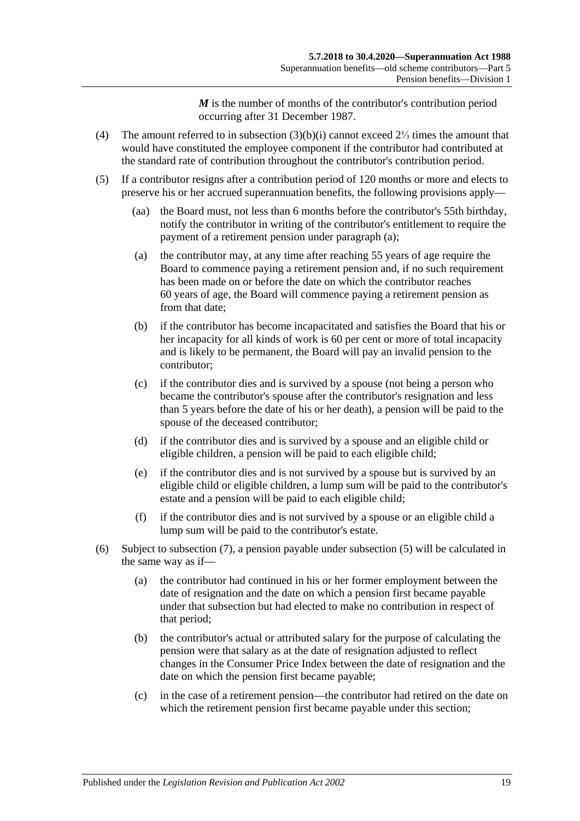*M* is the number of months of the contributor's contribution period occurring after 31 December 1987.

- <span id="page-74-0"></span>(4) The amount referred to in [subsection](#page-73-2) (3)(b)(i) cannot exceed 2⅓ times the amount that would have constituted the employee component if the contributor had contributed at the standard rate of contribution throughout the contributor's contribution period.
- <span id="page-74-3"></span><span id="page-74-2"></span><span id="page-74-1"></span>(5) If a contributor resigns after a contribution period of 120 months or more and elects to preserve his or her accrued superannuation benefits, the following provisions apply—
	- (aa) the Board must, not less than 6 months before the contributor's 55th birthday, notify the contributor in writing of the contributor's entitlement to require the payment of a retirement pension under [paragraph](#page-74-1) (a);
	- (a) the contributor may, at any time after reaching 55 years of age require the Board to commence paying a retirement pension and, if no such requirement has been made on or before the date on which the contributor reaches 60 years of age, the Board will commence paying a retirement pension as from that date:
	- (b) if the contributor has become incapacitated and satisfies the Board that his or her incapacity for all kinds of work is 60 per cent or more of total incapacity and is likely to be permanent, the Board will pay an invalid pension to the contributor;
	- (c) if the contributor dies and is survived by a spouse (not being a person who became the contributor's spouse after the contributor's resignation and less than 5 years before the date of his or her death), a pension will be paid to the spouse of the deceased contributor;
	- (d) if the contributor dies and is survived by a spouse and an eligible child or eligible children, a pension will be paid to each eligible child;
	- (e) if the contributor dies and is not survived by a spouse but is survived by an eligible child or eligible children, a lump sum will be paid to the contributor's estate and a pension will be paid to each eligible child;
	- (f) if the contributor dies and is not survived by a spouse or an eligible child a lump sum will be paid to the contributor's estate.
- <span id="page-74-4"></span>(6) Subject to [subsection](#page-75-0) (7), a pension payable under [subsection](#page-74-2) (5) will be calculated in the same way as if—
	- (a) the contributor had continued in his or her former employment between the date of resignation and the date on which a pension first became payable under that subsection but had elected to make no contribution in respect of that period;
	- (b) the contributor's actual or attributed salary for the purpose of calculating the pension were that salary as at the date of resignation adjusted to reflect changes in the Consumer Price Index between the date of resignation and the date on which the pension first became payable;
	- (c) in the case of a retirement pension—the contributor had retired on the date on which the retirement pension first became payable under this section;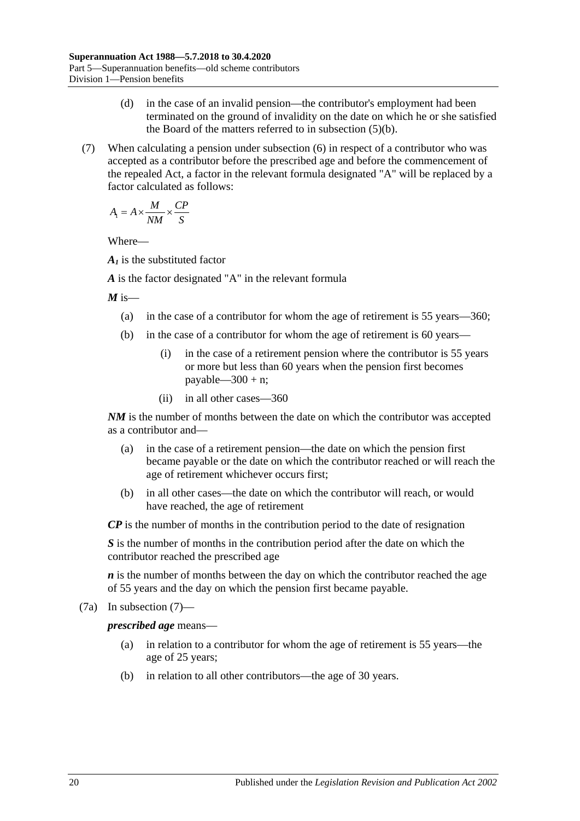- (d) in the case of an invalid pension—the contributor's employment had been terminated on the ground of invalidity on the date on which he or she satisfied the Board of the matters referred to in [subsection](#page-74-3) (5)(b).
- <span id="page-75-0"></span>(7) When calculating a pension under [subsection](#page-74-4) (6) in respect of a contributor who was accepted as a contributor before the prescribed age and before the commencement of the repealed Act, a factor in the relevant formula designated "A" will be replaced by a factor calculated as follows:

$$
A_{\rm I} = A \times \frac{M}{NM} \times \frac{CP}{S}
$$

Where—

*A1* is the substituted factor

*A* is the factor designated "A" in the relevant formula

 $M$  is—

- (a) in the case of a contributor for whom the age of retirement is 55 years—360;
- (b) in the case of a contributor for whom the age of retirement is 60 years—
	- (i) in the case of a retirement pension where the contributor is 55 years or more but less than 60 years when the pension first becomes payable— $300 + n$ ;
	- (ii) in all other cases—360

*NM* is the number of months between the date on which the contributor was accepted as a contributor and—

- (a) in the case of a retirement pension—the date on which the pension first became payable or the date on which the contributor reached or will reach the age of retirement whichever occurs first;
- (b) in all other cases—the date on which the contributor will reach, or would have reached, the age of retirement

*CP* is the number of months in the contribution period to the date of resignation

*S* is the number of months in the contribution period after the date on which the contributor reached the prescribed age

*n* is the number of months between the day on which the contributor reached the age of 55 years and the day on which the pension first became payable.

(7a) In [subsection](#page-75-0) (7)—

*prescribed age* means—

- (a) in relation to a contributor for whom the age of retirement is 55 years—the age of 25 years;
- (b) in relation to all other contributors—the age of 30 years.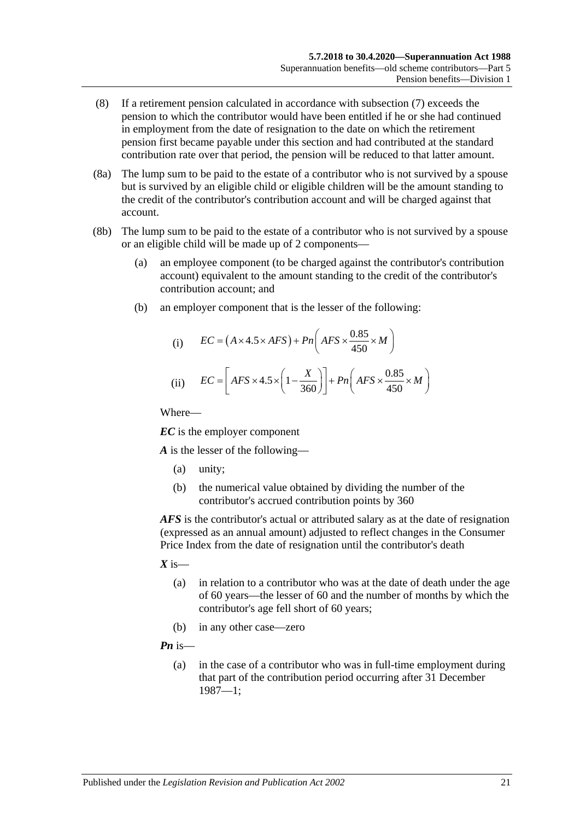- (8) If a retirement pension calculated in accordance with [subsection](#page-75-0) (7) exceeds the pension to which the contributor would have been entitled if he or she had continued in employment from the date of resignation to the date on which the retirement pension first became payable under this section and had contributed at the standard contribution rate over that period, the pension will be reduced to that latter amount.
- (8a) The lump sum to be paid to the estate of a contributor who is not survived by a spouse but is survived by an eligible child or eligible children will be the amount standing to the credit of the contributor's contribution account and will be charged against that account.
- (8b) The lump sum to be paid to the estate of a contributor who is not survived by a spouse or an eligible child will be made up of 2 components—
	- (a) an employee component (to be charged against the contributor's contribution account) equivalent to the amount standing to the credit of the contributor's contribution account; and
	- (b) an employer component that is the lesser of the following:

(i) 
$$
EC = (A \times 4.5 \times AFS) + Pn\left(AFS \times \frac{0.85}{450} \times M\right)
$$
  
(ii) 
$$
EC = \left[AFS \times 4.5 \times \left(1 - \frac{X}{360}\right)\right] + Pn\left(AFS \times \frac{0.85}{450} \times M\right)
$$

Where—

*EC* is the employer component

*A* is the lesser of the following—

- (a) unity;
- (b) the numerical value obtained by dividing the number of the contributor's accrued contribution points by 360

*AFS* is the contributor's actual or attributed salary as at the date of resignation (expressed as an annual amount) adjusted to reflect changes in the Consumer Price Index from the date of resignation until the contributor's death

 $X$  is—

- (a) in relation to a contributor who was at the date of death under the age of 60 years—the lesser of 60 and the number of months by which the contributor's age fell short of 60 years;
- (b) in any other case—zero

*Pn* is—

(a) in the case of a contributor who was in full-time employment during that part of the contribution period occurring after 31 December 1987—1;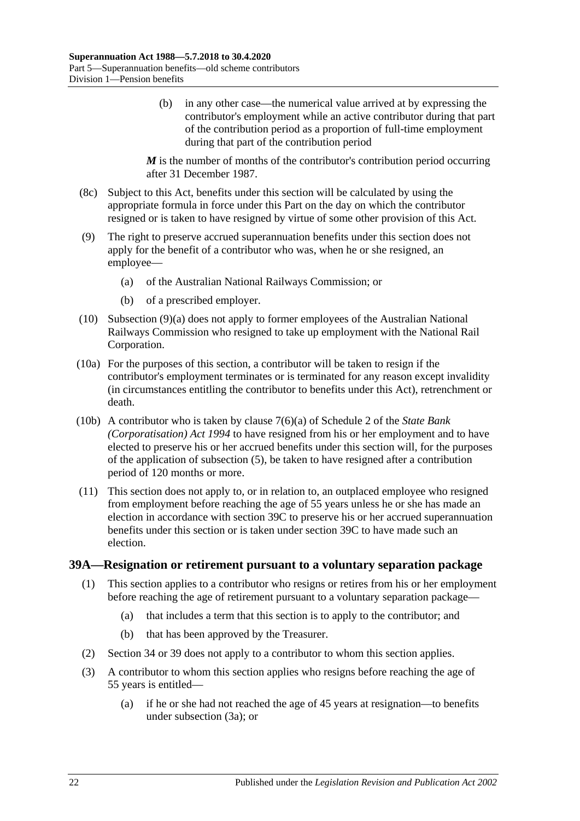(b) in any other case—the numerical value arrived at by expressing the contributor's employment while an active contributor during that part of the contribution period as a proportion of full-time employment during that part of the contribution period

*M* is the number of months of the contributor's contribution period occurring after 31 December 1987.

- (8c) Subject to this Act, benefits under this section will be calculated by using the appropriate formula in force under this Part on the day on which the contributor resigned or is taken to have resigned by virtue of some other provision of this Act.
- <span id="page-77-0"></span>(9) The right to preserve accrued superannuation benefits under this section does not apply for the benefit of a contributor who was, when he or she resigned, an employee—
	- (a) of the Australian National Railways Commission; or
	- (b) of a prescribed employer.
- (10) [Subsection](#page-77-0) (9)(a) does not apply to former employees of the Australian National Railways Commission who resigned to take up employment with the National Rail Corporation.
- (10a) For the purposes of this section, a contributor will be taken to resign if the contributor's employment terminates or is terminated for any reason except invalidity (in circumstances entitling the contributor to benefits under this Act), retrenchment or death.
- (10b) A contributor who is taken by clause 7(6)(a) of Schedule 2 of the *[State Bank](http://www.legislation.sa.gov.au/index.aspx?action=legref&type=act&legtitle=State%20Bank%20(Corporatisation)%20Act%201994)  [\(Corporatisation\) Act](http://www.legislation.sa.gov.au/index.aspx?action=legref&type=act&legtitle=State%20Bank%20(Corporatisation)%20Act%201994) 1994* to have resigned from his or her employment and to have elected to preserve his or her accrued benefits under this section will, for the purposes of the application of [subsection](#page-74-2) (5), be taken to have resigned after a contribution period of 120 months or more.
- (11) This section does not apply to, or in relation to, an outplaced employee who resigned from employment before reaching the age of 55 years unless he or she has made an election in accordance with [section](#page-80-0) 39C to preserve his or her accrued superannuation benefits under this section or is taken under [section](#page-80-0) 39C to have made such an election.

#### <span id="page-77-2"></span><span id="page-77-1"></span>**39A—Resignation or retirement pursuant to a voluntary separation package**

- (1) This section applies to a contributor who resigns or retires from his or her employment before reaching the age of retirement pursuant to a voluntary separation package—
	- (a) that includes a term that this section is to apply to the contributor; and
	- (b) that has been approved by the Treasurer.
- (2) [Section](#page-59-0) 34 or [39](#page-71-1) does not apply to a contributor to whom this section applies.
- (3) A contributor to whom this section applies who resigns before reaching the age of 55 years is entitled—
	- (a) if he or she had not reached the age of 45 years at resignation—to benefits under [subsection](#page-78-0) (3a); or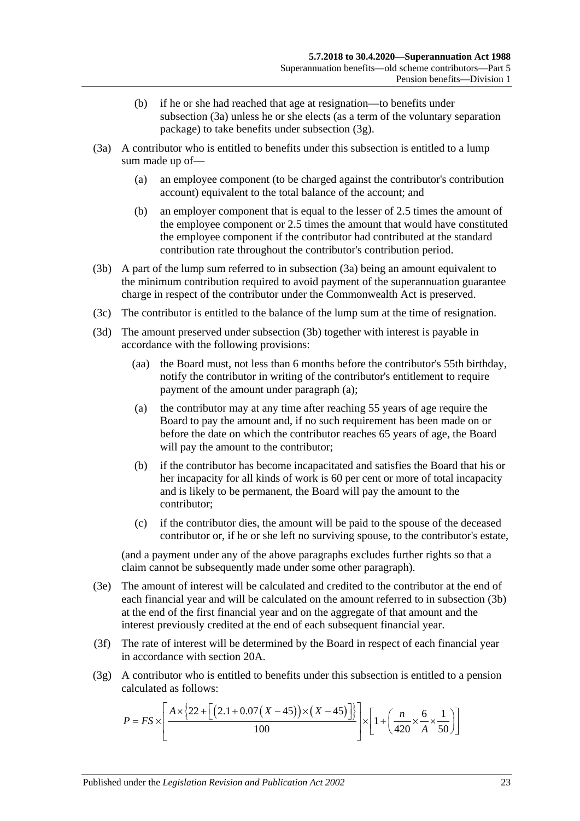- (b) if he or she had reached that age at resignation—to benefits under [subsection](#page-78-0) (3a) unless he or she elects (as a term of the voluntary separation package) to take benefits under [subsection](#page-78-1) (3g).
- <span id="page-78-4"></span><span id="page-78-0"></span>(3a) A contributor who is entitled to benefits under this subsection is entitled to a lump sum made up of—
	- (a) an employee component (to be charged against the contributor's contribution account) equivalent to the total balance of the account; and
	- (b) an employer component that is equal to the lesser of 2.5 times the amount of the employee component or 2.5 times the amount that would have constituted the employee component if the contributor had contributed at the standard contribution rate throughout the contributor's contribution period.
- <span id="page-78-2"></span>(3b) A part of the lump sum referred to in [subsection](#page-78-0) (3a) being an amount equivalent to the minimum contribution required to avoid payment of the superannuation guarantee charge in respect of the contributor under the Commonwealth Act is preserved.
- (3c) The contributor is entitled to the balance of the lump sum at the time of resignation.
- <span id="page-78-3"></span>(3d) The amount preserved under [subsection](#page-78-2) (3b) together with interest is payable in accordance with the following provisions:
	- (aa) the Board must, not less than 6 months before the contributor's 55th birthday, notify the contributor in writing of the contributor's entitlement to require payment of the amount under [paragraph](#page-78-3) (a);
	- (a) the contributor may at any time after reaching 55 years of age require the Board to pay the amount and, if no such requirement has been made on or before the date on which the contributor reaches 65 years of age, the Board will pay the amount to the contributor;
	- (b) if the contributor has become incapacitated and satisfies the Board that his or her incapacity for all kinds of work is 60 per cent or more of total incapacity and is likely to be permanent, the Board will pay the amount to the contributor;
	- (c) if the contributor dies, the amount will be paid to the spouse of the deceased contributor or, if he or she left no surviving spouse, to the contributor's estate,

(and a payment under any of the above paragraphs excludes further rights so that a claim cannot be subsequently made under some other paragraph).

- (3e) The amount of interest will be calculated and credited to the contributor at the end of each financial year and will be calculated on the amount referred to in [subsection](#page-78-2) (3b) at the end of the first financial year and on the aggregate of that amount and the interest previously credited at the end of each subsequent financial year.
- (3f) The rate of interest will be determined by the Board in respect of each financial year in accordance with [section](#page-21-0) 20A.
- <span id="page-78-1"></span>(3g) A contributor who is entitled to benefits under this subsection is entitled to a pension calculated as follows:

$$
P = FS \times \left[ \frac{A \times \left\{ 22 + \left[ \left( 2.1 + 0.07 \left( X - 45 \right) \right) \times \left( X - 45 \right) \right] \right\}}{100} \right] \times \left[ 1 + \left( \frac{n}{420} \times \frac{6}{A} \times \frac{1}{50} \right) \right]
$$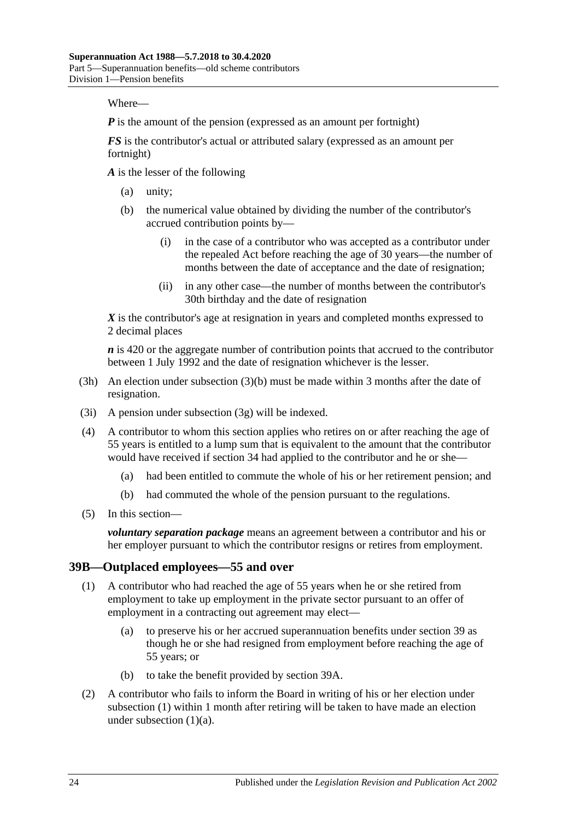Where—

*P* is the amount of the pension (expressed as an amount per fortnight)

*FS* is the contributor's actual or attributed salary (expressed as an amount per fortnight)

*A* is the lesser of the following

- (a) unity;
- (b) the numerical value obtained by dividing the number of the contributor's accrued contribution points by—
	- (i) in the case of a contributor who was accepted as a contributor under the repealed Act before reaching the age of 30 years—the number of months between the date of acceptance and the date of resignation;
	- (ii) in any other case—the number of months between the contributor's 30th birthday and the date of resignation

*X* is the contributor's age at resignation in years and completed months expressed to 2 decimal places

*n* is 420 or the aggregate number of contribution points that accrued to the contributor between 1 July 1992 and the date of resignation whichever is the lesser.

- (3h) An election under [subsection](#page-78-4) (3)(b) must be made within 3 months after the date of resignation.
- (3i) A pension under [subsection](#page-78-1) (3g) will be indexed.
- (4) A contributor to whom this section applies who retires on or after reaching the age of 55 years is entitled to a lump sum that is equivalent to the amount that the contributor would have received if [section](#page-59-0) 34 had applied to the contributor and he or she—
	- (a) had been entitled to commute the whole of his or her retirement pension; and
	- (b) had commuted the whole of the pension pursuant to the regulations.
- (5) In this section—

*voluntary separation package* means an agreement between a contributor and his or her employer pursuant to which the contributor resigns or retires from employment.

#### <span id="page-79-0"></span>**39B—Outplaced employees—55 and over**

- <span id="page-79-1"></span>(1) A contributor who had reached the age of 55 years when he or she retired from employment to take up employment in the private sector pursuant to an offer of employment in a contracting out agreement may elect—
	- (a) to preserve his or her accrued superannuation benefits under [section](#page-71-1) 39 as though he or she had resigned from employment before reaching the age of 55 years; or
	- (b) to take the benefit provided by [section](#page-77-1) 39A.
- <span id="page-79-3"></span><span id="page-79-2"></span>(2) A contributor who fails to inform the Board in writing of his or her election under [subsection](#page-79-0) (1) within 1 month after retiring will be taken to have made an election under [subsection](#page-79-1)  $(1)(a)$ .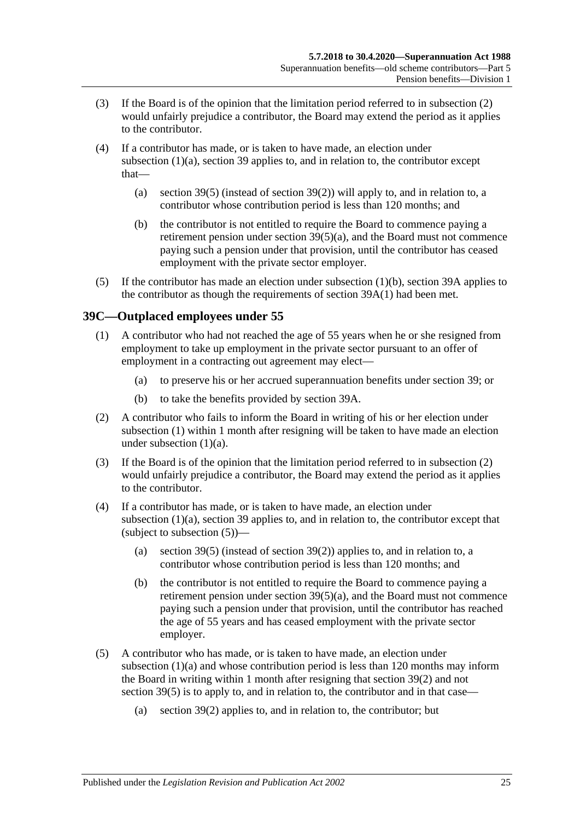- (3) If the Board is of the opinion that the limitation period referred to in [subsection](#page-79-2) (2) would unfairly prejudice a contributor, the Board may extend the period as it applies to the contributor.
- (4) If a contributor has made, or is taken to have made, an election under [subsection](#page-79-1) (1)(a), [section](#page-71-1) 39 applies to, and in relation to, the contributor except that
	- (a) [section](#page-74-2) 39(5) (instead of [section](#page-73-1) 39(2)) will apply to, and in relation to, a contributor whose contribution period is less than 120 months; and
	- (b) the contributor is not entitled to require the Board to commence paying a retirement pension under section [39\(5\)\(a\),](#page-74-1) and the Board must not commence paying such a pension under that provision, until the contributor has ceased employment with the private sector employer.
- (5) If the contributor has made an election under [subsection](#page-79-3) (1)(b), [section](#page-77-1) 39A applies to the contributor as though the requirements of [section](#page-77-2) 39A(1) had been met.

# <span id="page-80-1"></span><span id="page-80-0"></span>**39C—Outplaced employees under 55**

- <span id="page-80-2"></span>(1) A contributor who had not reached the age of 55 years when he or she resigned from employment to take up employment in the private sector pursuant to an offer of employment in a contracting out agreement may elect—
	- (a) to preserve his or her accrued superannuation benefits under [section](#page-71-1) 39; or
	- (b) to take the benefits provided by [section](#page-77-1) 39A.
- <span id="page-80-5"></span><span id="page-80-3"></span>(2) A contributor who fails to inform the Board in writing of his or her election under [subsection](#page-80-1) (1) within 1 month after resigning will be taken to have made an election under [subsection](#page-80-2) (1)(a).
- (3) If the Board is of the opinion that the limitation period referred to in [subsection](#page-80-3) (2) would unfairly prejudice a contributor, the Board may extend the period as it applies to the contributor.
- (4) If a contributor has made, or is taken to have made, an election under [subsection](#page-80-2) (1)(a), [section](#page-71-1) 39 applies to, and in relation to, the contributor except that (subject to [subsection](#page-80-4)  $(5)$ )—
	- (a) [section](#page-74-2) 39(5) (instead of [section](#page-73-1) 39(2)) applies to, and in relation to, a contributor whose contribution period is less than 120 months; and
	- (b) the contributor is not entitled to require the Board to commence paying a retirement pension under section  $39(5)(a)$ , and the Board must not commence paying such a pension under that provision, until the contributor has reached the age of 55 years and has ceased employment with the private sector employer.
- <span id="page-80-4"></span>(5) A contributor who has made, or is taken to have made, an election under [subsection](#page-80-2) (1)(a) and whose contribution period is less than 120 months may inform the Board in writing within 1 month after resigning that [section](#page-73-1) 39(2) and not [section](#page-74-2) 39(5) is to apply to, and in relation to, the contributor and in that case—
	- (a) [section](#page-73-1) 39(2) applies to, and in relation to, the contributor; but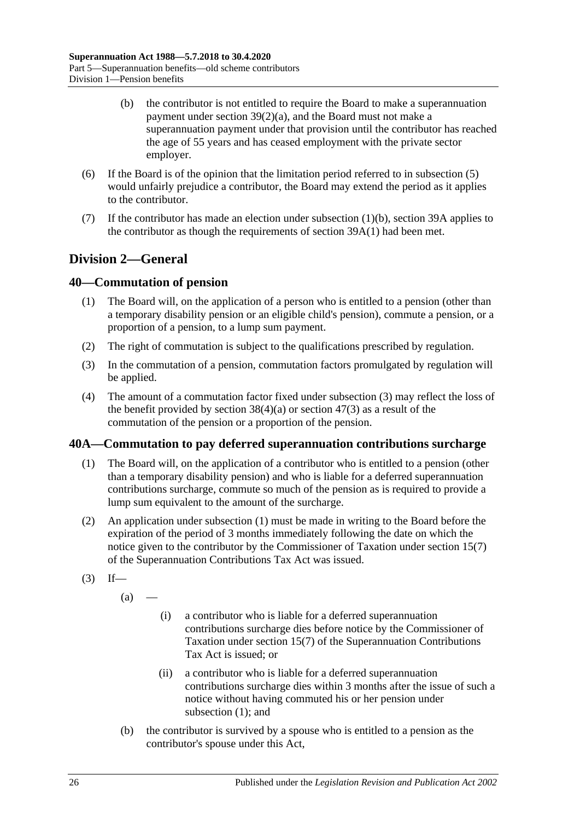- (b) the contributor is not entitled to require the Board to make a superannuation payment under section [39\(2\)\(a\),](#page-73-0) and the Board must not make a superannuation payment under that provision until the contributor has reached the age of 55 years and has ceased employment with the private sector employer.
- (6) If the Board is of the opinion that the limitation period referred to in [subsection](#page-80-4) (5) would unfairly prejudice a contributor, the Board may extend the period as it applies to the contributor.
- (7) If the contributor has made an election under [subsection](#page-80-5)  $(1)(b)$ , [section](#page-77-1) 39A applies to the contributor as though the requirements of [section](#page-77-2) 39A(1) had been met.

# **Division 2—General**

# <span id="page-81-3"></span>**40—Commutation of pension**

- (1) The Board will, on the application of a person who is entitled to a pension (other than a temporary disability pension or an eligible child's pension), commute a pension, or a proportion of a pension, to a lump sum payment.
- (2) The right of commutation is subject to the qualifications prescribed by regulation.
- <span id="page-81-0"></span>(3) In the commutation of a pension, commutation factors promulgated by regulation will be applied.
- (4) The amount of a commutation factor fixed under [subsection](#page-81-0) (3) may reflect the loss of the benefit provided by [section](#page-99-0)  $38(4)(a)$  or section  $47(3)$  as a result of the commutation of the pension or a proportion of the pension.

### <span id="page-81-1"></span>**40A—Commutation to pay deferred superannuation contributions surcharge**

- (1) The Board will, on the application of a contributor who is entitled to a pension (other than a temporary disability pension) and who is liable for a deferred superannuation contributions surcharge, commute so much of the pension as is required to provide a lump sum equivalent to the amount of the surcharge.
- (2) An application under [subsection](#page-81-1) (1) must be made in writing to the Board before the expiration of the period of 3 months immediately following the date on which the notice given to the contributor by the Commissioner of Taxation under section 15(7) of the Superannuation Contributions Tax Act was issued.
- <span id="page-81-2"></span> $(3)$  If—

 $(a)$ 

- (i) a contributor who is liable for a deferred superannuation contributions surcharge dies before notice by the Commissioner of Taxation under section 15(7) of the Superannuation Contributions Tax Act is issued; or
- (ii) a contributor who is liable for a deferred superannuation contributions surcharge dies within 3 months after the issue of such a notice without having commuted his or her pension under [subsection](#page-81-1) (1); and
- (b) the contributor is survived by a spouse who is entitled to a pension as the contributor's spouse under this Act,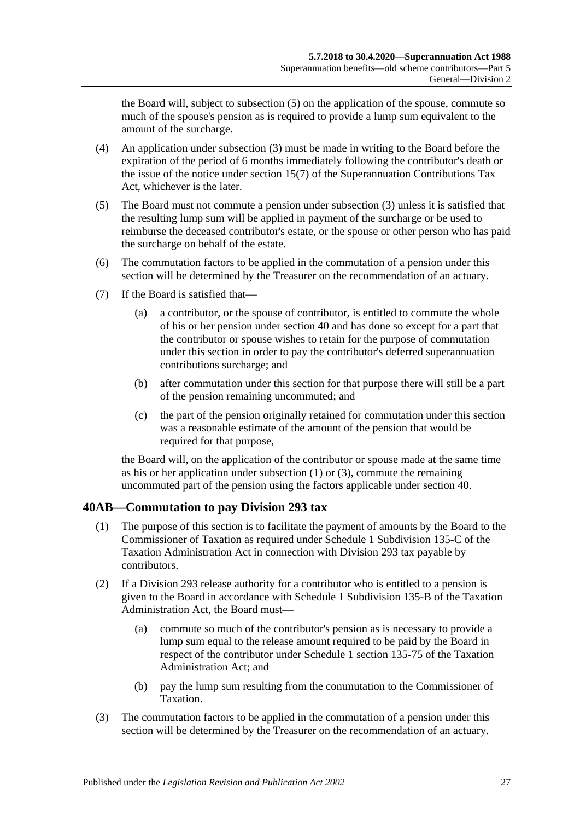the Board will, subject to [subsection](#page-82-0) (5) on the application of the spouse, commute so much of the spouse's pension as is required to provide a lump sum equivalent to the amount of the surcharge.

- (4) An application under [subsection](#page-81-2) (3) must be made in writing to the Board before the expiration of the period of 6 months immediately following the contributor's death or the issue of the notice under section 15(7) of the Superannuation Contributions Tax Act, whichever is the later.
- <span id="page-82-0"></span>(5) The Board must not commute a pension under [subsection](#page-81-2) (3) unless it is satisfied that the resulting lump sum will be applied in payment of the surcharge or be used to reimburse the deceased contributor's estate, or the spouse or other person who has paid the surcharge on behalf of the estate.
- (6) The commutation factors to be applied in the commutation of a pension under this section will be determined by the Treasurer on the recommendation of an actuary.
- (7) If the Board is satisfied that—
	- (a) a contributor, or the spouse of contributor, is entitled to commute the whole of his or her pension under [section](#page-81-3) 40 and has done so except for a part that the contributor or spouse wishes to retain for the purpose of commutation under this section in order to pay the contributor's deferred superannuation contributions surcharge; and
	- (b) after commutation under this section for that purpose there will still be a part of the pension remaining uncommuted; and
	- (c) the part of the pension originally retained for commutation under this section was a reasonable estimate of the amount of the pension that would be required for that purpose,

the Board will, on the application of the contributor or spouse made at the same time as his or her application under [subsection](#page-81-1) (1) or [\(3\),](#page-81-2) commute the remaining uncommuted part of the pension using the factors applicable under [section](#page-81-3) 40.

# **40AB—Commutation to pay Division 293 tax**

- (1) The purpose of this section is to facilitate the payment of amounts by the Board to the Commissioner of Taxation as required under Schedule 1 Subdivision 135-C of the Taxation Administration Act in connection with Division 293 tax payable by contributors.
- (2) If a Division 293 release authority for a contributor who is entitled to a pension is given to the Board in accordance with Schedule 1 Subdivision 135-B of the Taxation Administration Act, the Board must—
	- (a) commute so much of the contributor's pension as is necessary to provide a lump sum equal to the release amount required to be paid by the Board in respect of the contributor under Schedule 1 section 135-75 of the Taxation Administration Act; and
	- (b) pay the lump sum resulting from the commutation to the Commissioner of Taxation.
- (3) The commutation factors to be applied in the commutation of a pension under this section will be determined by the Treasurer on the recommendation of an actuary.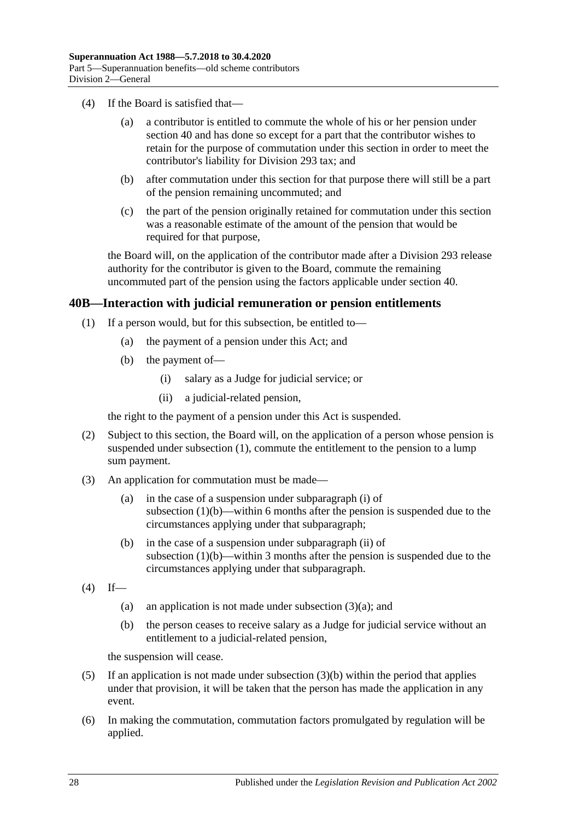- (4) If the Board is satisfied that—
	- (a) a contributor is entitled to commute the whole of his or her pension under [section](#page-81-3) 40 and has done so except for a part that the contributor wishes to retain for the purpose of commutation under this section in order to meet the contributor's liability for Division 293 tax; and
	- (b) after commutation under this section for that purpose there will still be a part of the pension remaining uncommuted; and
	- (c) the part of the pension originally retained for commutation under this section was a reasonable estimate of the amount of the pension that would be required for that purpose,

the Board will, on the application of the contributor made after a Division 293 release authority for the contributor is given to the Board, commute the remaining uncommuted part of the pension using the factors applicable under [section](#page-81-3) 40.

### <span id="page-83-0"></span>**40B—Interaction with judicial remuneration or pension entitlements**

- <span id="page-83-2"></span><span id="page-83-1"></span>(1) If a person would, but for this subsection, be entitled to—
	- (a) the payment of a pension under this Act; and
	- (b) the payment of—
		- (i) salary as a Judge for judicial service; or
		- (ii) a judicial-related pension,

the right to the payment of a pension under this Act is suspended.

- <span id="page-83-3"></span>(2) Subject to this section, the Board will, on the application of a person whose pension is suspended under [subsection](#page-83-0) (1), commute the entitlement to the pension to a lump sum payment.
- <span id="page-83-4"></span>(3) An application for commutation must be made—
	- (a) in the case of a suspension under [subparagraph](#page-83-1) (i) of [subsection](#page-83-2)  $(1)(b)$ —within 6 months after the pension is suspended due to the circumstances applying under that subparagraph;
	- (b) in the case of a suspension under [subparagraph](#page-83-3) (ii) of [subsection](#page-83-2)  $(1)(b)$ —within 3 months after the pension is suspended due to the circumstances applying under that subparagraph.
- <span id="page-83-5"></span> $(4)$  If
	- (a) an application is not made under [subsection](#page-83-4)  $(3)(a)$ ; and
	- (b) the person ceases to receive salary as a Judge for judicial service without an entitlement to a judicial-related pension,

the suspension will cease.

- (5) If an application is not made under [subsection](#page-83-5) (3)(b) within the period that applies under that provision, it will be taken that the person has made the application in any event.
- (6) In making the commutation, commutation factors promulgated by regulation will be applied.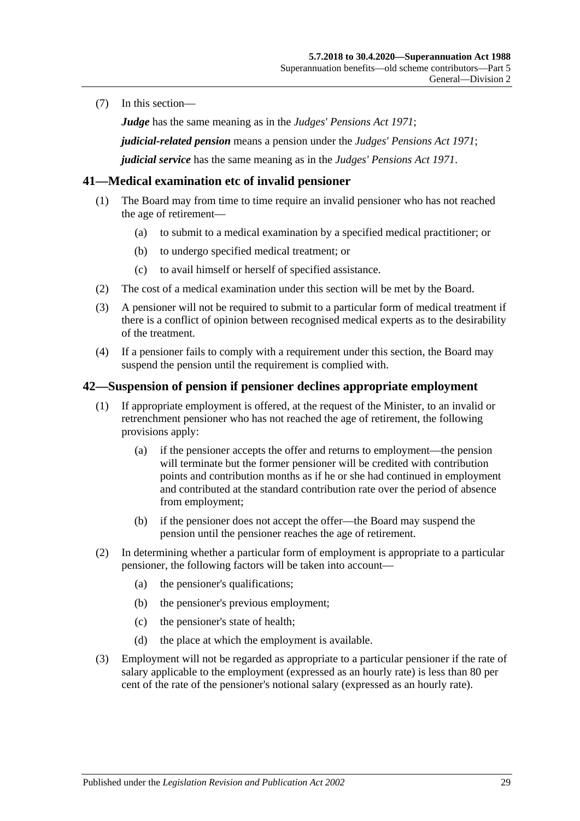(7) In this section—

*Judge* has the same meaning as in the *[Judges' Pensions Act](http://www.legislation.sa.gov.au/index.aspx?action=legref&type=act&legtitle=Judges%20Pensions%20Act%201971) 1971*;

*judicial-related pension* means a pension under the *[Judges' Pensions Act](http://www.legislation.sa.gov.au/index.aspx?action=legref&type=act&legtitle=Judges%20Pensions%20Act%201971) 1971*;

*judicial service* has the same meaning as in the *[Judges' Pensions Act](http://www.legislation.sa.gov.au/index.aspx?action=legref&type=act&legtitle=Judges%20Pensions%20Act%201971) 1971*.

### **41—Medical examination etc of invalid pensioner**

- (1) The Board may from time to time require an invalid pensioner who has not reached the age of retirement—
	- (a) to submit to a medical examination by a specified medical practitioner; or
	- (b) to undergo specified medical treatment; or
	- (c) to avail himself or herself of specified assistance.
- (2) The cost of a medical examination under this section will be met by the Board.
- (3) A pensioner will not be required to submit to a particular form of medical treatment if there is a conflict of opinion between recognised medical experts as to the desirability of the treatment.
- (4) If a pensioner fails to comply with a requirement under this section, the Board may suspend the pension until the requirement is complied with.

#### <span id="page-84-0"></span>**42—Suspension of pension if pensioner declines appropriate employment**

- (1) If appropriate employment is offered, at the request of the Minister, to an invalid or retrenchment pensioner who has not reached the age of retirement, the following provisions apply:
	- (a) if the pensioner accepts the offer and returns to employment—the pension will terminate but the former pensioner will be credited with contribution points and contribution months as if he or she had continued in employment and contributed at the standard contribution rate over the period of absence from employment;
	- (b) if the pensioner does not accept the offer—the Board may suspend the pension until the pensioner reaches the age of retirement.
- (2) In determining whether a particular form of employment is appropriate to a particular pensioner, the following factors will be taken into account—
	- (a) the pensioner's qualifications;
	- (b) the pensioner's previous employment;
	- (c) the pensioner's state of health;
	- (d) the place at which the employment is available.
- (3) Employment will not be regarded as appropriate to a particular pensioner if the rate of salary applicable to the employment (expressed as an hourly rate) is less than 80 per cent of the rate of the pensioner's notional salary (expressed as an hourly rate).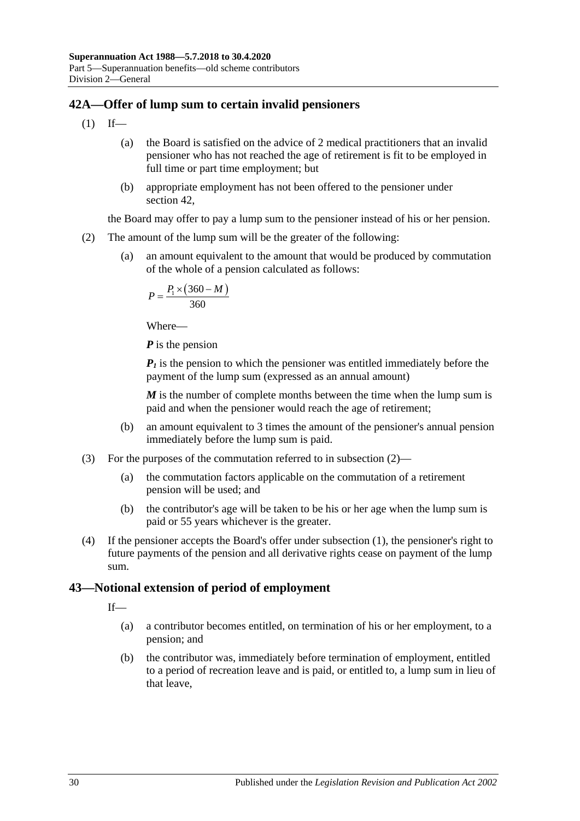# <span id="page-85-1"></span>**42A—Offer of lump sum to certain invalid pensioners**

- $(1)$  If—
	- (a) the Board is satisfied on the advice of 2 medical practitioners that an invalid pensioner who has not reached the age of retirement is fit to be employed in full time or part time employment; but
	- (b) appropriate employment has not been offered to the pensioner under [section](#page-84-0) 42,

the Board may offer to pay a lump sum to the pensioner instead of his or her pension.

- <span id="page-85-0"></span>(2) The amount of the lump sum will be the greater of the following:
	- (a) an amount equivalent to the amount that would be produced by commutation of the whole of a pension calculated as follows:

$$
P = \frac{P_1 \times (360 - M)}{360}
$$

Where—

*P* is the pension

 *is the pension to which the pensioner was entitled immediately before the* payment of the lump sum (expressed as an annual amount)

*M* is the number of complete months between the time when the lump sum is paid and when the pensioner would reach the age of retirement;

- (b) an amount equivalent to 3 times the amount of the pensioner's annual pension immediately before the lump sum is paid.
- (3) For the purposes of the commutation referred to in [subsection](#page-85-0) (2)—
	- (a) the commutation factors applicable on the commutation of a retirement pension will be used; and
	- (b) the contributor's age will be taken to be his or her age when the lump sum is paid or 55 years whichever is the greater.
- (4) If the pensioner accepts the Board's offer under [subsection](#page-85-1) (1), the pensioner's right to future payments of the pension and all derivative rights cease on payment of the lump sum.

# **43—Notional extension of period of employment**

If—

- (a) a contributor becomes entitled, on termination of his or her employment, to a pension; and
- (b) the contributor was, immediately before termination of employment, entitled to a period of recreation leave and is paid, or entitled to, a lump sum in lieu of that leave,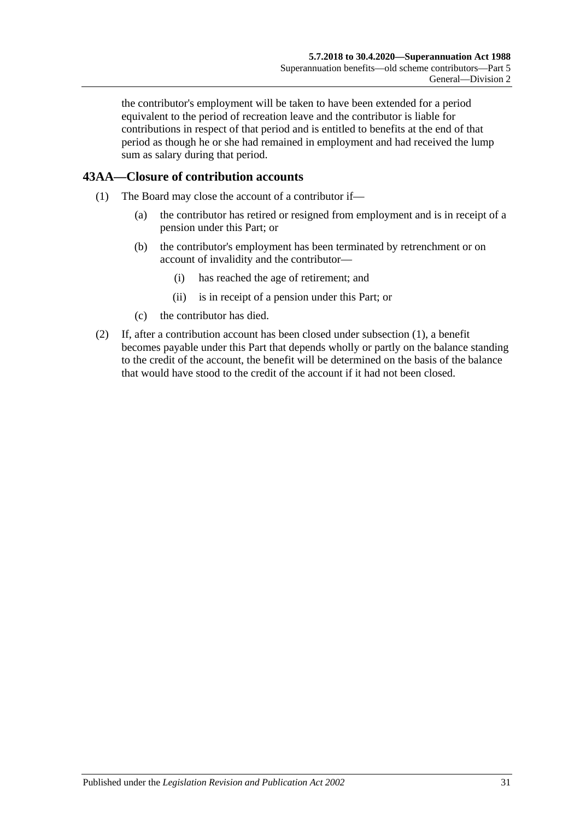the contributor's employment will be taken to have been extended for a period equivalent to the period of recreation leave and the contributor is liable for contributions in respect of that period and is entitled to benefits at the end of that period as though he or she had remained in employment and had received the lump sum as salary during that period.

# <span id="page-86-0"></span>**43AA—Closure of contribution accounts**

- (1) The Board may close the account of a contributor if—
	- (a) the contributor has retired or resigned from employment and is in receipt of a pension under this Part; or
	- (b) the contributor's employment has been terminated by retrenchment or on account of invalidity and the contributor—
		- (i) has reached the age of retirement; and
		- (ii) is in receipt of a pension under this Part; or
	- (c) the contributor has died.
- (2) If, after a contribution account has been closed under [subsection](#page-86-0) (1), a benefit becomes payable under this Part that depends wholly or partly on the balance standing to the credit of the account, the benefit will be determined on the basis of the balance that would have stood to the credit of the account if it had not been closed.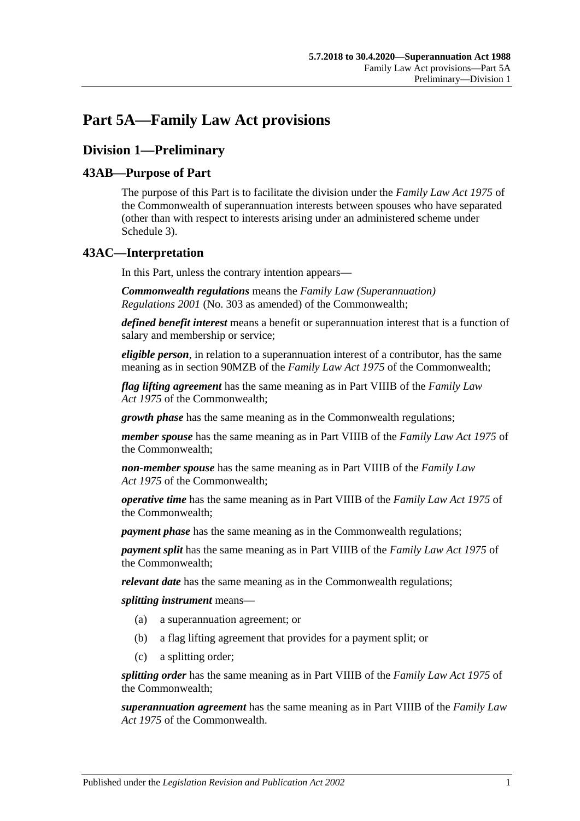# **Part 5A—Family Law Act provisions**

# **Division 1—Preliminary**

# **43AB—Purpose of Part**

The purpose of this Part is to facilitate the division under the *Family Law Act 1975* of the Commonwealth of superannuation interests between spouses who have separated (other than with respect to interests arising under an administered scheme under [Schedule 3\)](#page-132-0).

# **43AC—Interpretation**

In this Part, unless the contrary intention appears—

*Commonwealth regulations* means the *Family Law (Superannuation) Regulations 2001* (No. 303 as amended) of the Commonwealth;

*defined benefit interest* means a benefit or superannuation interest that is a function of salary and membership or service;

*eligible person*, in relation to a superannuation interest of a contributor, has the same meaning as in section 90MZB of the *Family Law Act 1975* of the Commonwealth;

*flag lifting agreement* has the same meaning as in Part VIIIB of the *Family Law Act 1975* of the Commonwealth;

*growth phase* has the same meaning as in the Commonwealth regulations;

*member spouse* has the same meaning as in Part VIIIB of the *Family Law Act 1975* of the Commonwealth;

*non-member spouse* has the same meaning as in Part VIIIB of the *Family Law Act 1975* of the Commonwealth;

*operative time* has the same meaning as in Part VIIIB of the *Family Law Act 1975* of the Commonwealth;

*payment phase* has the same meaning as in the Commonwealth regulations;

*payment split* has the same meaning as in Part VIIIB of the *Family Law Act 1975* of the Commonwealth;

*relevant date* has the same meaning as in the Commonwealth regulations;

*splitting instrument* means—

- (a) a superannuation agreement; or
- (b) a flag lifting agreement that provides for a payment split; or
- (c) a splitting order;

*splitting order* has the same meaning as in Part VIIIB of the *Family Law Act 1975* of the Commonwealth;

*superannuation agreement* has the same meaning as in Part VIIIB of the *Family Law Act 1975* of the Commonwealth.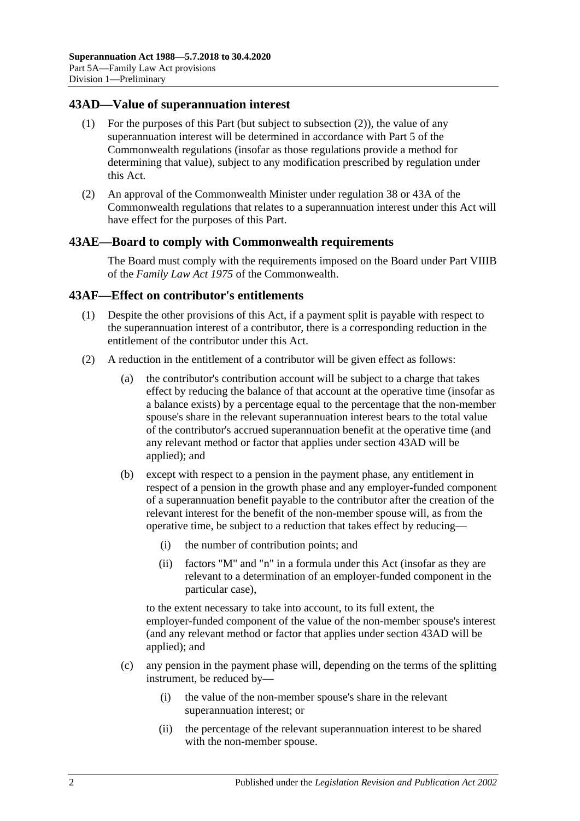### <span id="page-89-1"></span>**43AD—Value of superannuation interest**

- (1) For the purposes of this Part (but subject to [subsection](#page-89-0) (2)), the value of any superannuation interest will be determined in accordance with Part 5 of the Commonwealth regulations (insofar as those regulations provide a method for determining that value), subject to any modification prescribed by regulation under this Act.
- <span id="page-89-0"></span>(2) An approval of the Commonwealth Minister under regulation 38 or 43A of the Commonwealth regulations that relates to a superannuation interest under this Act will have effect for the purposes of this Part.

#### **43AE—Board to comply with Commonwealth requirements**

The Board must comply with the requirements imposed on the Board under Part VIIIB of the *Family Law Act 1975* of the Commonwealth.

#### **43AF—Effect on contributor's entitlements**

- (1) Despite the other provisions of this Act, if a payment split is payable with respect to the superannuation interest of a contributor, there is a corresponding reduction in the entitlement of the contributor under this Act.
- <span id="page-89-2"></span>(2) A reduction in the entitlement of a contributor will be given effect as follows:
	- (a) the contributor's contribution account will be subject to a charge that takes effect by reducing the balance of that account at the operative time (insofar as a balance exists) by a percentage equal to the percentage that the non-member spouse's share in the relevant superannuation interest bears to the total value of the contributor's accrued superannuation benefit at the operative time (and any relevant method or factor that applies under [section](#page-89-1) 43AD will be applied); and
	- (b) except with respect to a pension in the payment phase, any entitlement in respect of a pension in the growth phase and any employer-funded component of a superannuation benefit payable to the contributor after the creation of the relevant interest for the benefit of the non-member spouse will, as from the operative time, be subject to a reduction that takes effect by reducing—
		- (i) the number of contribution points; and
		- (ii) factors "M" and "n" in a formula under this Act (insofar as they are relevant to a determination of an employer-funded component in the particular case),

to the extent necessary to take into account, to its full extent, the employer-funded component of the value of the non-member spouse's interest (and any relevant method or factor that applies under [section](#page-89-1) 43AD will be applied); and

- (c) any pension in the payment phase will, depending on the terms of the splitting instrument, be reduced by—
	- (i) the value of the non-member spouse's share in the relevant superannuation interest; or
	- (ii) the percentage of the relevant superannuation interest to be shared with the non-member spouse.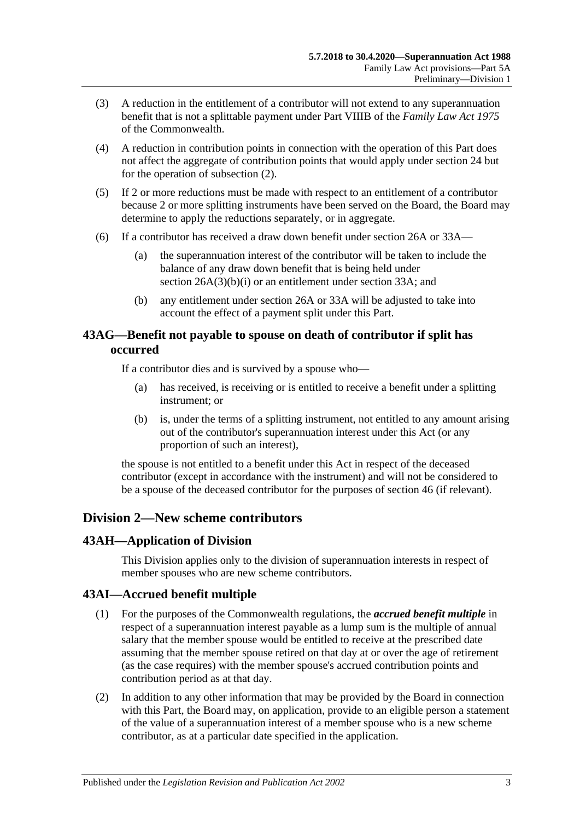- (3) A reduction in the entitlement of a contributor will not extend to any superannuation benefit that is not a splittable payment under Part VIIIB of the *Family Law Act 1975* of the Commonwealth.
- (4) A reduction in contribution points in connection with the operation of this Part does not affect the aggregate of contribution points that would apply under [section](#page-28-0) 24 but for the operation of [subsection](#page-89-2) (2).
- (5) If 2 or more reductions must be made with respect to an entitlement of a contributor because 2 or more splitting instruments have been served on the Board, the Board may determine to apply the reductions separately, or in aggregate.
- (6) If a contributor has received a draw down benefit under [section](#page-30-0) 26A or [33A—](#page-56-0)
	- (a) the superannuation interest of the contributor will be taken to include the balance of any draw down benefit that is being held under section [26A\(3\)\(b\)\(i\)](#page-31-0) or an entitlement under [section](#page-56-0) 33A; and
	- (b) any entitlement under [section](#page-30-0) 26A or [33A](#page-56-0) will be adjusted to take into account the effect of a payment split under this Part.

# **43AG—Benefit not payable to spouse on death of contributor if split has occurred**

If a contributor dies and is survived by a spouse who—

- (a) has received, is receiving or is entitled to receive a benefit under a splitting instrument; or
- (b) is, under the terms of a splitting instrument, not entitled to any amount arising out of the contributor's superannuation interest under this Act (or any proportion of such an interest),

the spouse is not entitled to a benefit under this Act in respect of the deceased contributor (except in accordance with the instrument) and will not be considered to be a spouse of the deceased contributor for the purposes of [section](#page-98-0) 46 (if relevant).

# **Division 2—New scheme contributors**

### **43AH—Application of Division**

This Division applies only to the division of superannuation interests in respect of member spouses who are new scheme contributors.

### **43AI—Accrued benefit multiple**

- (1) For the purposes of the Commonwealth regulations, the *accrued benefit multiple* in respect of a superannuation interest payable as a lump sum is the multiple of annual salary that the member spouse would be entitled to receive at the prescribed date assuming that the member spouse retired on that day at or over the age of retirement (as the case requires) with the member spouse's accrued contribution points and contribution period as at that day.
- (2) In addition to any other information that may be provided by the Board in connection with this Part, the Board may, on application, provide to an eligible person a statement of the value of a superannuation interest of a member spouse who is a new scheme contributor, as at a particular date specified in the application.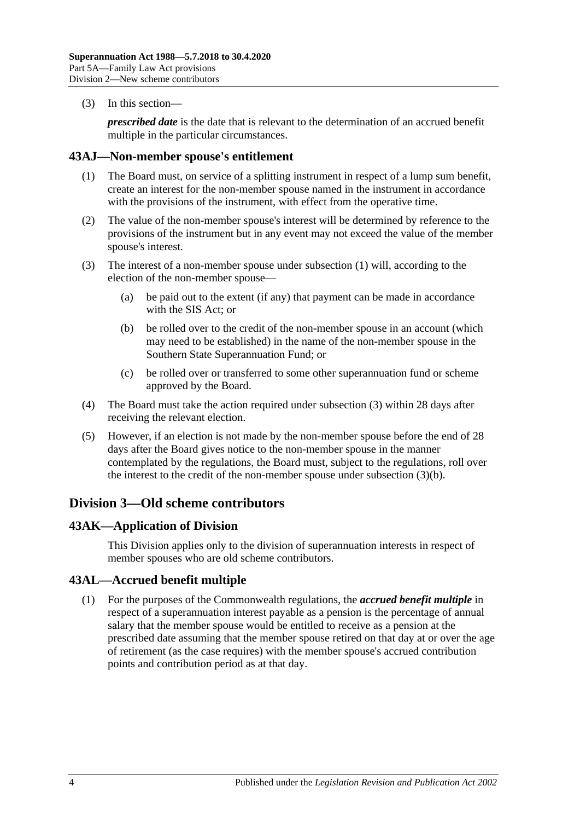(3) In this section—

*prescribed date* is the date that is relevant to the determination of an accrued benefit multiple in the particular circumstances.

#### <span id="page-91-0"></span>**43AJ—Non-member spouse's entitlement**

- (1) The Board must, on service of a splitting instrument in respect of a lump sum benefit, create an interest for the non-member spouse named in the instrument in accordance with the provisions of the instrument, with effect from the operative time.
- (2) The value of the non-member spouse's interest will be determined by reference to the provisions of the instrument but in any event may not exceed the value of the member spouse's interest.
- <span id="page-91-2"></span><span id="page-91-1"></span>(3) The interest of a non-member spouse under [subsection](#page-91-0) (1) will, according to the election of the non-member spouse—
	- (a) be paid out to the extent (if any) that payment can be made in accordance with the SIS Act; or
	- (b) be rolled over to the credit of the non-member spouse in an account (which may need to be established) in the name of the non-member spouse in the Southern State Superannuation Fund; or
	- (c) be rolled over or transferred to some other superannuation fund or scheme approved by the Board.
- (4) The Board must take the action required under [subsection](#page-91-1) (3) within 28 days after receiving the relevant election.
- (5) However, if an election is not made by the non-member spouse before the end of 28 days after the Board gives notice to the non-member spouse in the manner contemplated by the regulations, the Board must, subject to the regulations, roll over the interest to the credit of the non-member spouse under [subsection](#page-91-2) (3)(b).

# **Division 3—Old scheme contributors**

### **43AK—Application of Division**

This Division applies only to the division of superannuation interests in respect of member spouses who are old scheme contributors.

### **43AL—Accrued benefit multiple**

(1) For the purposes of the Commonwealth regulations, the *accrued benefit multiple* in respect of a superannuation interest payable as a pension is the percentage of annual salary that the member spouse would be entitled to receive as a pension at the prescribed date assuming that the member spouse retired on that day at or over the age of retirement (as the case requires) with the member spouse's accrued contribution points and contribution period as at that day.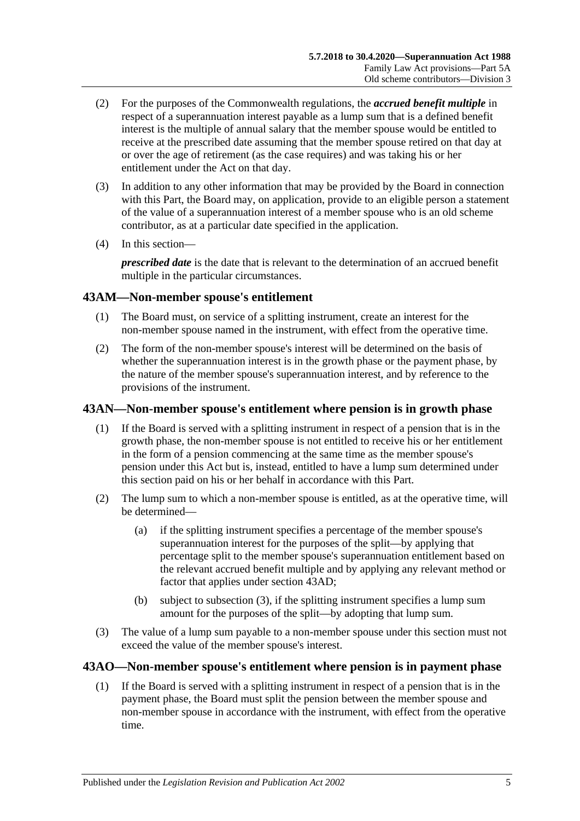- (2) For the purposes of the Commonwealth regulations, the *accrued benefit multiple* in respect of a superannuation interest payable as a lump sum that is a defined benefit interest is the multiple of annual salary that the member spouse would be entitled to receive at the prescribed date assuming that the member spouse retired on that day at or over the age of retirement (as the case requires) and was taking his or her entitlement under the Act on that day.
- (3) In addition to any other information that may be provided by the Board in connection with this Part, the Board may, on application, provide to an eligible person a statement of the value of a superannuation interest of a member spouse who is an old scheme contributor, as at a particular date specified in the application.
- (4) In this section—

*prescribed date* is the date that is relevant to the determination of an accrued benefit multiple in the particular circumstances.

# **43AM—Non-member spouse's entitlement**

- (1) The Board must, on service of a splitting instrument, create an interest for the non-member spouse named in the instrument, with effect from the operative time.
- (2) The form of the non-member spouse's interest will be determined on the basis of whether the superannuation interest is in the growth phase or the payment phase, by the nature of the member spouse's superannuation interest, and by reference to the provisions of the instrument.

### **43AN—Non-member spouse's entitlement where pension is in growth phase**

- (1) If the Board is served with a splitting instrument in respect of a pension that is in the growth phase, the non-member spouse is not entitled to receive his or her entitlement in the form of a pension commencing at the same time as the member spouse's pension under this Act but is, instead, entitled to have a lump sum determined under this section paid on his or her behalf in accordance with this Part.
- (2) The lump sum to which a non-member spouse is entitled, as at the operative time, will be determined—
	- (a) if the splitting instrument specifies a percentage of the member spouse's superannuation interest for the purposes of the split—by applying that percentage split to the member spouse's superannuation entitlement based on the relevant accrued benefit multiple and by applying any relevant method or factor that applies under [section](#page-89-1) 43AD;
	- (b) subject to [subsection](#page-92-0) (3), if the splitting instrument specifies a lump sum amount for the purposes of the split—by adopting that lump sum.
- <span id="page-92-0"></span>(3) The value of a lump sum payable to a non-member spouse under this section must not exceed the value of the member spouse's interest.

### <span id="page-92-1"></span>**43AO—Non-member spouse's entitlement where pension is in payment phase**

(1) If the Board is served with a splitting instrument in respect of a pension that is in the payment phase, the Board must split the pension between the member spouse and non-member spouse in accordance with the instrument, with effect from the operative time.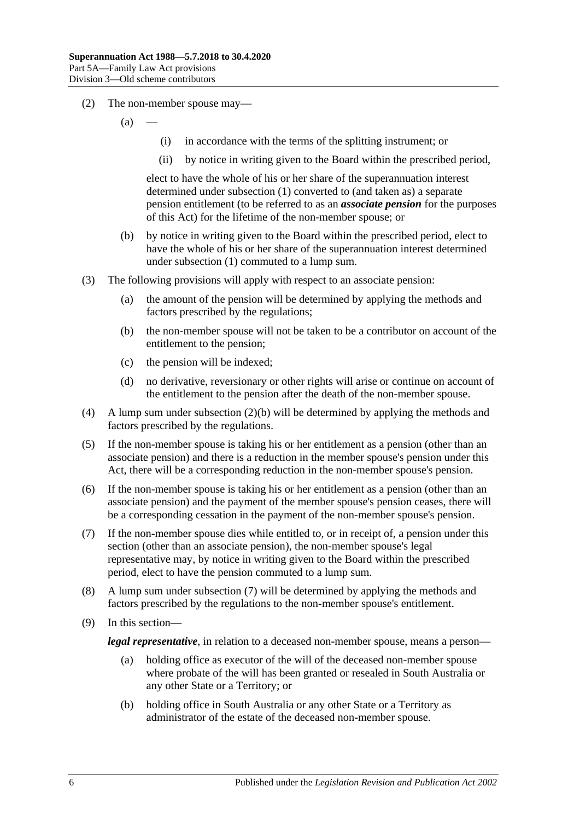- (2) The non-member spouse may—
	- $(a)$
- (i) in accordance with the terms of the splitting instrument; or
- (ii) by notice in writing given to the Board within the prescribed period,

elect to have the whole of his or her share of the superannuation interest determined under [subsection](#page-92-1) (1) converted to (and taken as) a separate pension entitlement (to be referred to as an *associate pension* for the purposes of this Act) for the lifetime of the non-member spouse; or

- <span id="page-93-0"></span>(b) by notice in writing given to the Board within the prescribed period, elect to have the whole of his or her share of the superannuation interest determined under [subsection](#page-92-1) (1) commuted to a lump sum.
- (3) The following provisions will apply with respect to an associate pension:
	- (a) the amount of the pension will be determined by applying the methods and factors prescribed by the regulations;
	- (b) the non-member spouse will not be taken to be a contributor on account of the entitlement to the pension;
	- (c) the pension will be indexed;
	- (d) no derivative, reversionary or other rights will arise or continue on account of the entitlement to the pension after the death of the non-member spouse.
- (4) A lump sum under [subsection](#page-93-0) (2)(b) will be determined by applying the methods and factors prescribed by the regulations.
- (5) If the non-member spouse is taking his or her entitlement as a pension (other than an associate pension) and there is a reduction in the member spouse's pension under this Act, there will be a corresponding reduction in the non-member spouse's pension.
- (6) If the non-member spouse is taking his or her entitlement as a pension (other than an associate pension) and the payment of the member spouse's pension ceases, there will be a corresponding cessation in the payment of the non-member spouse's pension.
- <span id="page-93-1"></span>(7) If the non-member spouse dies while entitled to, or in receipt of, a pension under this section (other than an associate pension), the non-member spouse's legal representative may, by notice in writing given to the Board within the prescribed period, elect to have the pension commuted to a lump sum.
- (8) A lump sum under [subsection](#page-93-1) (7) will be determined by applying the methods and factors prescribed by the regulations to the non-member spouse's entitlement.
- (9) In this section—

*legal representative*, in relation to a deceased non-member spouse, means a person—

- (a) holding office as executor of the will of the deceased non-member spouse where probate of the will has been granted or resealed in South Australia or any other State or a Territory; or
- (b) holding office in South Australia or any other State or a Territory as administrator of the estate of the deceased non-member spouse.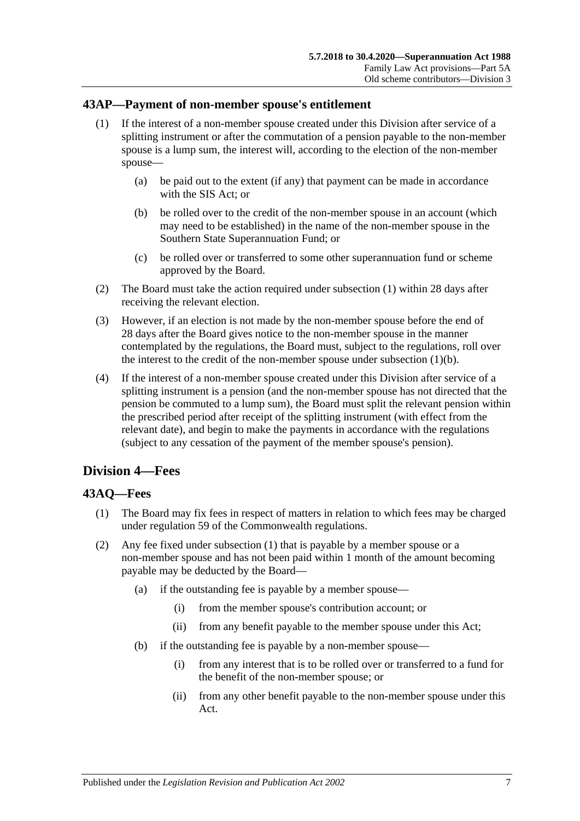### <span id="page-94-0"></span>**43AP—Payment of non-member spouse's entitlement**

- (1) If the interest of a non-member spouse created under this Division after service of a splitting instrument or after the commutation of a pension payable to the non-member spouse is a lump sum, the interest will, according to the election of the non-member spouse—
	- (a) be paid out to the extent (if any) that payment can be made in accordance with the SIS Act; or
	- (b) be rolled over to the credit of the non-member spouse in an account (which may need to be established) in the name of the non-member spouse in the Southern State Superannuation Fund; or
	- (c) be rolled over or transferred to some other superannuation fund or scheme approved by the Board.
- <span id="page-94-1"></span>(2) The Board must take the action required under [subsection](#page-94-0) (1) within 28 days after receiving the relevant election.
- (3) However, if an election is not made by the non-member spouse before the end of 28 days after the Board gives notice to the non-member spouse in the manner contemplated by the regulations, the Board must, subject to the regulations, roll over the interest to the credit of the non-member spouse under [subsection](#page-94-1)  $(1)(b)$ .
- (4) If the interest of a non-member spouse created under this Division after service of a splitting instrument is a pension (and the non-member spouse has not directed that the pension be commuted to a lump sum), the Board must split the relevant pension within the prescribed period after receipt of the splitting instrument (with effect from the relevant date), and begin to make the payments in accordance with the regulations (subject to any cessation of the payment of the member spouse's pension).

# **Division 4—Fees**

### <span id="page-94-2"></span>**43AQ—Fees**

- (1) The Board may fix fees in respect of matters in relation to which fees may be charged under regulation 59 of the Commonwealth regulations.
- (2) Any fee fixed under [subsection](#page-94-2) (1) that is payable by a member spouse or a non-member spouse and has not been paid within 1 month of the amount becoming payable may be deducted by the Board—
	- (a) if the outstanding fee is payable by a member spouse—
		- (i) from the member spouse's contribution account; or
		- (ii) from any benefit payable to the member spouse under this Act;
	- (b) if the outstanding fee is payable by a non-member spouse—
		- (i) from any interest that is to be rolled over or transferred to a fund for the benefit of the non-member spouse; or
		- (ii) from any other benefit payable to the non-member spouse under this Act.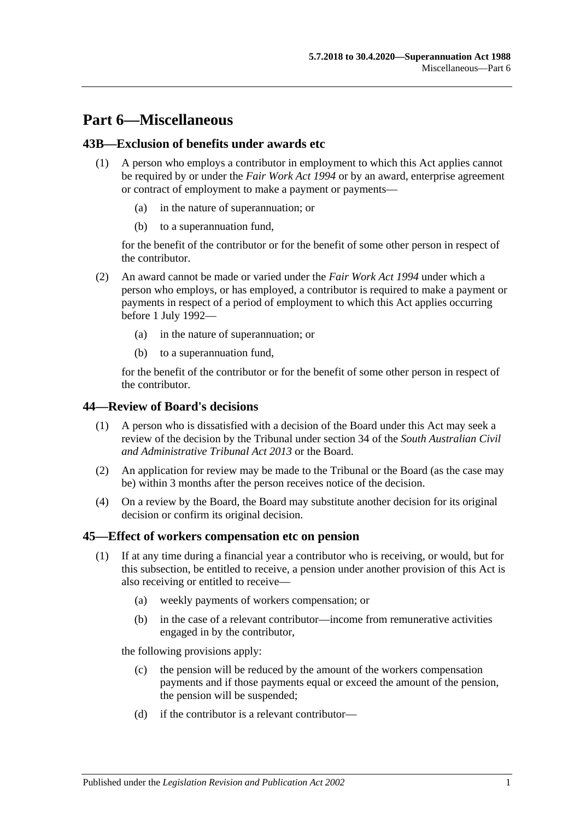# **Part 6—Miscellaneous**

### **43B—Exclusion of benefits under awards etc**

- (1) A person who employs a contributor in employment to which this Act applies cannot be required by or under the *[Fair Work Act](http://www.legislation.sa.gov.au/index.aspx?action=legref&type=act&legtitle=Fair%20Work%20Act%201994) 1994* or by an award, enterprise agreement or contract of employment to make a payment or payments—
	- (a) in the nature of superannuation; or
	- (b) to a superannuation fund,

for the benefit of the contributor or for the benefit of some other person in respect of the contributor.

- (2) An award cannot be made or varied under the *[Fair Work Act](http://www.legislation.sa.gov.au/index.aspx?action=legref&type=act&legtitle=Fair%20Work%20Act%201994) 1994* under which a person who employs, or has employed, a contributor is required to make a payment or payments in respect of a period of employment to which this Act applies occurring before 1 July 1992—
	- (a) in the nature of superannuation; or
	- (b) to a superannuation fund,

for the benefit of the contributor or for the benefit of some other person in respect of the contributor.

### **44—Review of Board's decisions**

- (1) A person who is dissatisfied with a decision of the Board under this Act may seek a review of the decision by the Tribunal under section 34 of the *[South Australian Civil](http://www.legislation.sa.gov.au/index.aspx?action=legref&type=act&legtitle=South%20Australian%20Civil%20and%20Administrative%20Tribunal%20Act%202013)  [and Administrative Tribunal Act](http://www.legislation.sa.gov.au/index.aspx?action=legref&type=act&legtitle=South%20Australian%20Civil%20and%20Administrative%20Tribunal%20Act%202013) 2013* or the Board.
- (2) An application for review may be made to the Tribunal or the Board (as the case may be) within 3 months after the person receives notice of the decision.
- (4) On a review by the Board, the Board may substitute another decision for its original decision or confirm its original decision.

### <span id="page-96-2"></span><span id="page-96-0"></span>**45—Effect of workers compensation etc on pension**

- <span id="page-96-1"></span>(1) If at any time during a financial year a contributor who is receiving, or would, but for this subsection, be entitled to receive, a pension under another provision of this Act is also receiving or entitled to receive—
	- (a) weekly payments of workers compensation; or
	- (b) in the case of a relevant contributor—income from remunerative activities engaged in by the contributor,

the following provisions apply:

- (c) the pension will be reduced by the amount of the workers compensation payments and if those payments equal or exceed the amount of the pension, the pension will be suspended;
- (d) if the contributor is a relevant contributor—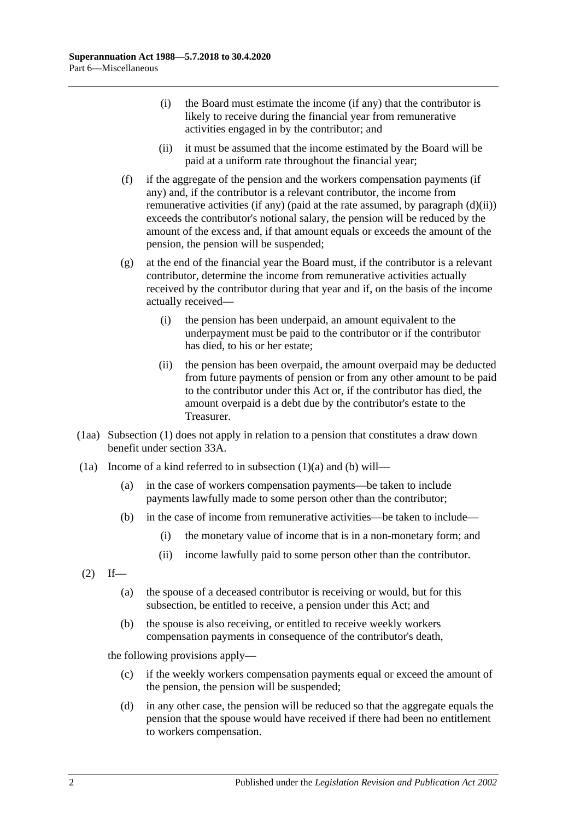- (i) the Board must estimate the income (if any) that the contributor is likely to receive during the financial year from remunerative activities engaged in by the contributor; and
- (ii) it must be assumed that the income estimated by the Board will be paid at a uniform rate throughout the financial year;
- <span id="page-97-2"></span><span id="page-97-0"></span>(f) if the aggregate of the pension and the workers compensation payments (if any) and, if the contributor is a relevant contributor, the income from remunerative activities (if any) (paid at the rate assumed, by [paragraph](#page-97-0)  $(d)(ii)$ ) exceeds the contributor's notional salary, the pension will be reduced by the amount of the excess and, if that amount equals or exceeds the amount of the pension, the pension will be suspended;
- (g) at the end of the financial year the Board must, if the contributor is a relevant contributor, determine the income from remunerative activities actually received by the contributor during that year and if, on the basis of the income actually received—
	- (i) the pension has been underpaid, an amount equivalent to the underpayment must be paid to the contributor or if the contributor has died, to his or her estate;
	- (ii) the pension has been overpaid, the amount overpaid may be deducted from future payments of pension or from any other amount to be paid to the contributor under this Act or, if the contributor has died, the amount overpaid is a debt due by the contributor's estate to the Treasurer.
- (1aa) [Subsection](#page-96-0) (1) does not apply in relation to a pension that constitutes a draw down benefit under [section](#page-56-0) 33A.
- <span id="page-97-1"></span>(1a) Income of a kind referred to in [subsection](#page-96-1)  $(1)(a)$  and  $(b)$  will—
	- (a) in the case of workers compensation payments—be taken to include payments lawfully made to some person other than the contributor;
	- (b) in the case of income from remunerative activities—be taken to include—
		- (i) the monetary value of income that is in a non-monetary form; and
		- (ii) income lawfully paid to some person other than the contributor.
- $(2)$  If—
	- (a) the spouse of a deceased contributor is receiving or would, but for this subsection, be entitled to receive, a pension under this Act; and
	- (b) the spouse is also receiving, or entitled to receive weekly workers compensation payments in consequence of the contributor's death,

the following provisions apply—

- (c) if the weekly workers compensation payments equal or exceed the amount of the pension, the pension will be suspended;
- (d) in any other case, the pension will be reduced so that the aggregate equals the pension that the spouse would have received if there had been no entitlement to workers compensation.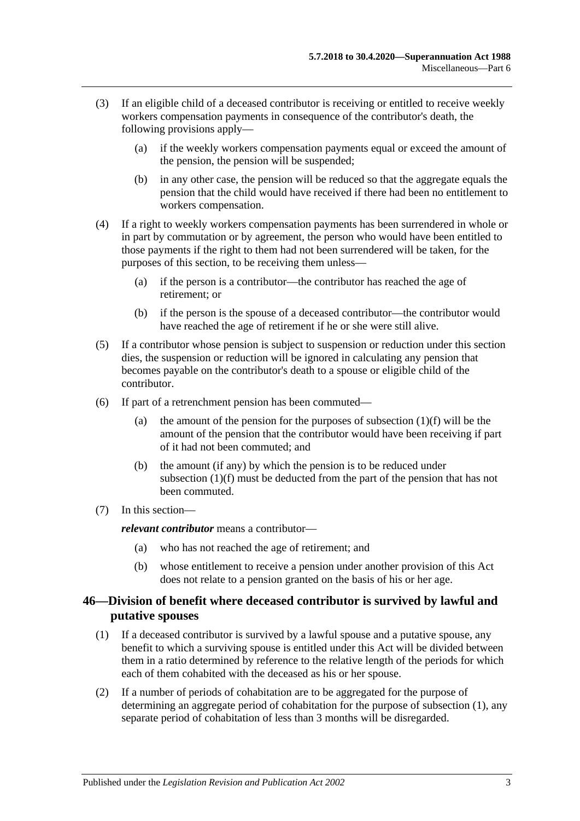- (3) If an eligible child of a deceased contributor is receiving or entitled to receive weekly workers compensation payments in consequence of the contributor's death, the following provisions apply—
	- (a) if the weekly workers compensation payments equal or exceed the amount of the pension, the pension will be suspended;
	- (b) in any other case, the pension will be reduced so that the aggregate equals the pension that the child would have received if there had been no entitlement to workers compensation.
- (4) If a right to weekly workers compensation payments has been surrendered in whole or in part by commutation or by agreement, the person who would have been entitled to those payments if the right to them had not been surrendered will be taken, for the purposes of this section, to be receiving them unless—
	- (a) if the person is a contributor—the contributor has reached the age of retirement; or
	- (b) if the person is the spouse of a deceased contributor—the contributor would have reached the age of retirement if he or she were still alive.
- (5) If a contributor whose pension is subject to suspension or reduction under this section dies, the suspension or reduction will be ignored in calculating any pension that becomes payable on the contributor's death to a spouse or eligible child of the contributor.
- (6) If part of a retrenchment pension has been commuted
	- (a) the amount of the pension for the purposes of [subsection](#page-97-2)  $(1)(f)$  will be the amount of the pension that the contributor would have been receiving if part of it had not been commuted; and
	- (b) the amount (if any) by which the pension is to be reduced under [subsection](#page-97-2) (1)(f) must be deducted from the part of the pension that has not been commuted.
- (7) In this section—

*relevant contributor* means a contributor—

- (a) who has not reached the age of retirement; and
- (b) whose entitlement to receive a pension under another provision of this Act does not relate to a pension granted on the basis of his or her age.

### <span id="page-98-0"></span>**46—Division of benefit where deceased contributor is survived by lawful and putative spouses**

- <span id="page-98-1"></span>(1) If a deceased contributor is survived by a lawful spouse and a putative spouse, any benefit to which a surviving spouse is entitled under this Act will be divided between them in a ratio determined by reference to the relative length of the periods for which each of them cohabited with the deceased as his or her spouse.
- (2) If a number of periods of cohabitation are to be aggregated for the purpose of determining an aggregate period of cohabitation for the purpose of [subsection](#page-98-1) (1), any separate period of cohabitation of less than 3 months will be disregarded.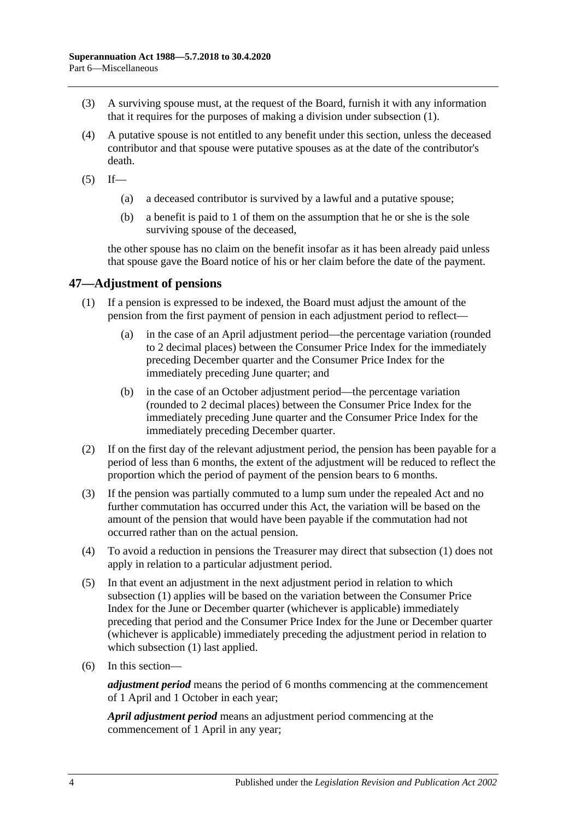- (3) A surviving spouse must, at the request of the Board, furnish it with any information that it requires for the purposes of making a division under [subsection](#page-98-1) (1).
- (4) A putative spouse is not entitled to any benefit under this section, unless the deceased contributor and that spouse were putative spouses as at the date of the contributor's death.
- $(5)$  If—
	- (a) a deceased contributor is survived by a lawful and a putative spouse;
	- (b) a benefit is paid to 1 of them on the assumption that he or she is the sole surviving spouse of the deceased,

the other spouse has no claim on the benefit insofar as it has been already paid unless that spouse gave the Board notice of his or her claim before the date of the payment.

### <span id="page-99-1"></span>**47—Adjustment of pensions**

- (1) If a pension is expressed to be indexed, the Board must adjust the amount of the pension from the first payment of pension in each adjustment period to reflect—
	- (a) in the case of an April adjustment period—the percentage variation (rounded to 2 decimal places) between the Consumer Price Index for the immediately preceding December quarter and the Consumer Price Index for the immediately preceding June quarter; and
	- (b) in the case of an October adjustment period—the percentage variation (rounded to 2 decimal places) between the Consumer Price Index for the immediately preceding June quarter and the Consumer Price Index for the immediately preceding December quarter.
- (2) If on the first day of the relevant adjustment period, the pension has been payable for a period of less than 6 months, the extent of the adjustment will be reduced to reflect the proportion which the period of payment of the pension bears to 6 months.
- <span id="page-99-0"></span>(3) If the pension was partially commuted to a lump sum under the repealed Act and no further commutation has occurred under this Act, the variation will be based on the amount of the pension that would have been payable if the commutation had not occurred rather than on the actual pension.
- (4) To avoid a reduction in pensions the Treasurer may direct that [subsection](#page-99-1) (1) does not apply in relation to a particular adjustment period.
- (5) In that event an adjustment in the next adjustment period in relation to which [subsection](#page-99-1) (1) applies will be based on the variation between the Consumer Price Index for the June or December quarter (whichever is applicable) immediately preceding that period and the Consumer Price Index for the June or December quarter (whichever is applicable) immediately preceding the adjustment period in relation to which [subsection](#page-99-1) (1) last applied.
- (6) In this section—

*adjustment period* means the period of 6 months commencing at the commencement of 1 April and 1 October in each year;

*April adjustment period* means an adjustment period commencing at the commencement of 1 April in any year;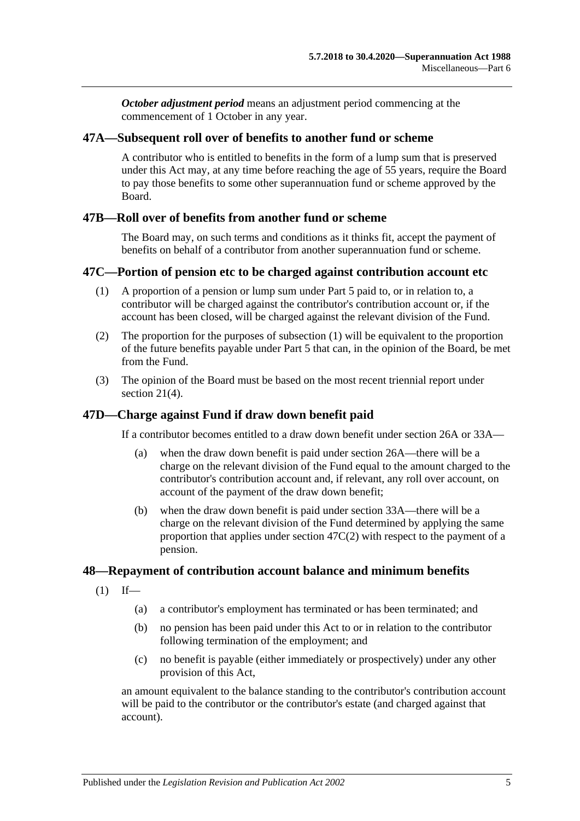*October adjustment period* means an adjustment period commencing at the commencement of 1 October in any year.

### **47A—Subsequent roll over of benefits to another fund or scheme**

A contributor who is entitled to benefits in the form of a lump sum that is preserved under this Act may, at any time before reaching the age of 55 years, require the Board to pay those benefits to some other superannuation fund or scheme approved by the Board.

### **47B—Roll over of benefits from another fund or scheme**

The Board may, on such terms and conditions as it thinks fit, accept the payment of benefits on behalf of a contributor from another superannuation fund or scheme.

### <span id="page-100-0"></span>**47C—Portion of pension etc to be charged against contribution account etc**

- (1) A proportion of a pension or lump sum under [Part 5](#page-56-1) paid to, or in relation to, a contributor will be charged against the contributor's contribution account or, if the account has been closed, will be charged against the relevant division of the Fund.
- <span id="page-100-1"></span>(2) The proportion for the purposes of [subsection](#page-100-0) (1) will be equivalent to the proportion of the future benefits payable under [Part 5](#page-56-1) that can, in the opinion of the Board, be met from the Fund.
- (3) The opinion of the Board must be based on the most recent triennial report under [section](#page-23-0) 21(4).

### **47D—Charge against Fund if draw down benefit paid**

If a contributor becomes entitled to a draw down benefit under [section](#page-30-0) 26A or [33A—](#page-56-0)

- (a) when the draw down benefit is paid under [section](#page-30-0) 26A—there will be a charge on the relevant division of the Fund equal to the amount charged to the contributor's contribution account and, if relevant, any roll over account, on account of the payment of the draw down benefit;
- (b) when the draw down benefit is paid under [section](#page-56-0) 33A—there will be a charge on the relevant division of the Fund determined by applying the same proportion that applies under [section](#page-100-1) 47C(2) with respect to the payment of a pension.

#### **48—Repayment of contribution account balance and minimum benefits**

- $(1)$  If—
	- (a) a contributor's employment has terminated or has been terminated; and
	- (b) no pension has been paid under this Act to or in relation to the contributor following termination of the employment; and
	- (c) no benefit is payable (either immediately or prospectively) under any other provision of this Act,

an amount equivalent to the balance standing to the contributor's contribution account will be paid to the contributor or the contributor's estate (and charged against that account).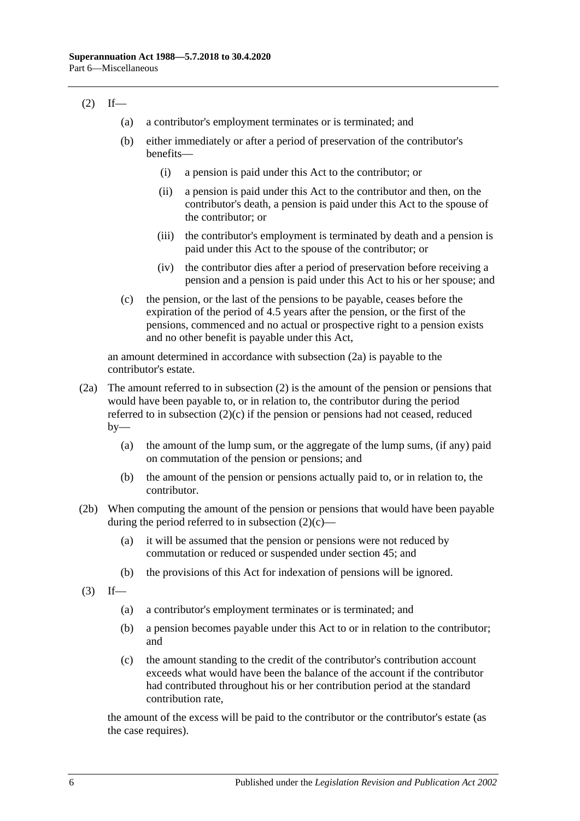### <span id="page-101-1"></span> $(2)$  If—

- (a) a contributor's employment terminates or is terminated; and
- (b) either immediately or after a period of preservation of the contributor's benefits—
	- (i) a pension is paid under this Act to the contributor; or
	- (ii) a pension is paid under this Act to the contributor and then, on the contributor's death, a pension is paid under this Act to the spouse of the contributor; or
	- (iii) the contributor's employment is terminated by death and a pension is paid under this Act to the spouse of the contributor; or
	- (iv) the contributor dies after a period of preservation before receiving a pension and a pension is paid under this Act to his or her spouse; and
- <span id="page-101-2"></span>(c) the pension, or the last of the pensions to be payable, ceases before the expiration of the period of 4.5 years after the pension, or the first of the pensions, commenced and no actual or prospective right to a pension exists and no other benefit is payable under this Act,

an amount determined in accordance with [subsection](#page-101-0) (2a) is payable to the contributor's estate.

- <span id="page-101-0"></span>(2a) The amount referred to in [subsection](#page-101-1) (2) is the amount of the pension or pensions that would have been payable to, or in relation to, the contributor during the period referred to in [subsection](#page-101-2)  $(2)(c)$  if the pension or pensions had not ceased, reduced  $by-$ 
	- (a) the amount of the lump sum, or the aggregate of the lump sums, (if any) paid on commutation of the pension or pensions; and
	- (b) the amount of the pension or pensions actually paid to, or in relation to, the contributor.
- (2b) When computing the amount of the pension or pensions that would have been payable during the period referred to in [subsection](#page-101-2)  $(2)(c)$ —
	- (a) it will be assumed that the pension or pensions were not reduced by commutation or reduced or suspended under [section](#page-96-2) 45; and
	- (b) the provisions of this Act for indexation of pensions will be ignored.
- $(3)$  If—
	- (a) a contributor's employment terminates or is terminated; and
	- (b) a pension becomes payable under this Act to or in relation to the contributor; and
	- (c) the amount standing to the credit of the contributor's contribution account exceeds what would have been the balance of the account if the contributor had contributed throughout his or her contribution period at the standard contribution rate,

the amount of the excess will be paid to the contributor or the contributor's estate (as the case requires).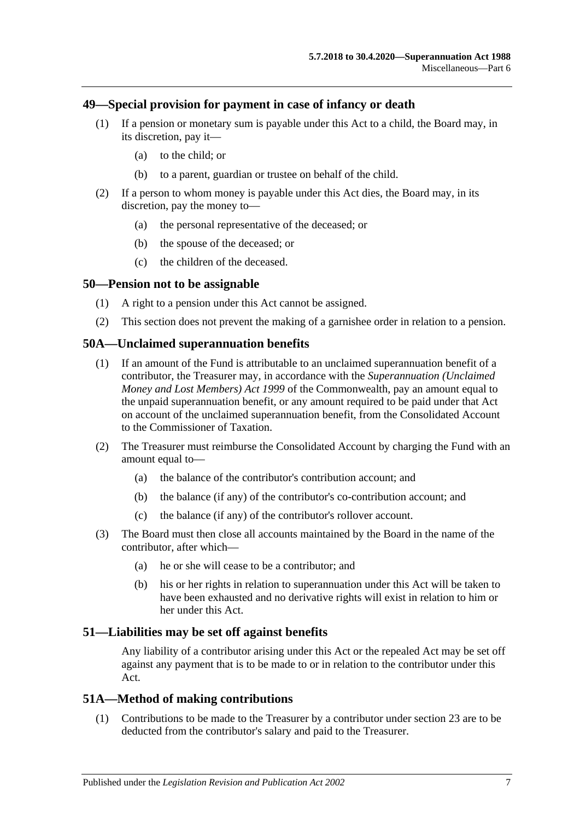### **49—Special provision for payment in case of infancy or death**

- (1) If a pension or monetary sum is payable under this Act to a child, the Board may, in its discretion, pay it—
	- (a) to the child; or
	- (b) to a parent, guardian or trustee on behalf of the child.
- (2) If a person to whom money is payable under this Act dies, the Board may, in its discretion, pay the money to—
	- (a) the personal representative of the deceased; or
	- (b) the spouse of the deceased; or
	- (c) the children of the deceased.

#### **50—Pension not to be assignable**

- (1) A right to a pension under this Act cannot be assigned.
- (2) This section does not prevent the making of a garnishee order in relation to a pension.

#### **50A—Unclaimed superannuation benefits**

- (1) If an amount of the Fund is attributable to an unclaimed superannuation benefit of a contributor, the Treasurer may, in accordance with the *Superannuation (Unclaimed Money and Lost Members) Act 1999* of the Commonwealth, pay an amount equal to the unpaid superannuation benefit, or any amount required to be paid under that Act on account of the unclaimed superannuation benefit, from the Consolidated Account to the Commissioner of Taxation.
- (2) The Treasurer must reimburse the Consolidated Account by charging the Fund with an amount equal to—
	- (a) the balance of the contributor's contribution account; and
	- (b) the balance (if any) of the contributor's co-contribution account; and
	- (c) the balance (if any) of the contributor's rollover account.
- (3) The Board must then close all accounts maintained by the Board in the name of the contributor, after which—
	- (a) he or she will cease to be a contributor; and
	- (b) his or her rights in relation to superannuation under this Act will be taken to have been exhausted and no derivative rights will exist in relation to him or her under this Act.

#### **51—Liabilities may be set off against benefits**

Any liability of a contributor arising under this Act or the repealed Act may be set off against any payment that is to be made to or in relation to the contributor under this Act.

#### **51A—Method of making contributions**

(1) Contributions to be made to the Treasurer by a contributor under [section](#page-26-0) 23 are to be deducted from the contributor's salary and paid to the Treasurer.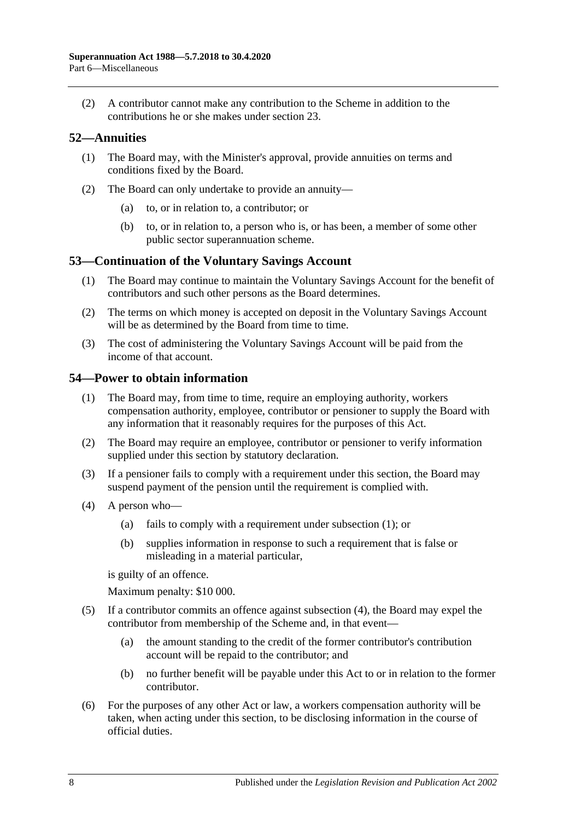(2) A contributor cannot make any contribution to the Scheme in addition to the contributions he or she makes under [section](#page-26-0) 23.

### **52—Annuities**

- (1) The Board may, with the Minister's approval, provide annuities on terms and conditions fixed by the Board.
- (2) The Board can only undertake to provide an annuity—
	- (a) to, or in relation to, a contributor; or
	- (b) to, or in relation to, a person who is, or has been, a member of some other public sector superannuation scheme.

### **53—Continuation of the Voluntary Savings Account**

- (1) The Board may continue to maintain the Voluntary Savings Account for the benefit of contributors and such other persons as the Board determines.
- (2) The terms on which money is accepted on deposit in the Voluntary Savings Account will be as determined by the Board from time to time.
- (3) The cost of administering the Voluntary Savings Account will be paid from the income of that account.

### <span id="page-103-0"></span>**54—Power to obtain information**

- (1) The Board may, from time to time, require an employing authority, workers compensation authority, employee, contributor or pensioner to supply the Board with any information that it reasonably requires for the purposes of this Act.
- (2) The Board may require an employee, contributor or pensioner to verify information supplied under this section by statutory declaration.
- (3) If a pensioner fails to comply with a requirement under this section, the Board may suspend payment of the pension until the requirement is complied with.
- <span id="page-103-1"></span>(4) A person who—
	- (a) fails to comply with a requirement under [subsection](#page-103-0) (1); or
	- (b) supplies information in response to such a requirement that is false or misleading in a material particular,

is guilty of an offence.

Maximum penalty: \$10 000.

- (5) If a contributor commits an offence against [subsection](#page-103-1) (4), the Board may expel the contributor from membership of the Scheme and, in that event—
	- (a) the amount standing to the credit of the former contributor's contribution account will be repaid to the contributor; and
	- (b) no further benefit will be payable under this Act to or in relation to the former contributor.
- (6) For the purposes of any other Act or law, a workers compensation authority will be taken, when acting under this section, to be disclosing information in the course of official duties.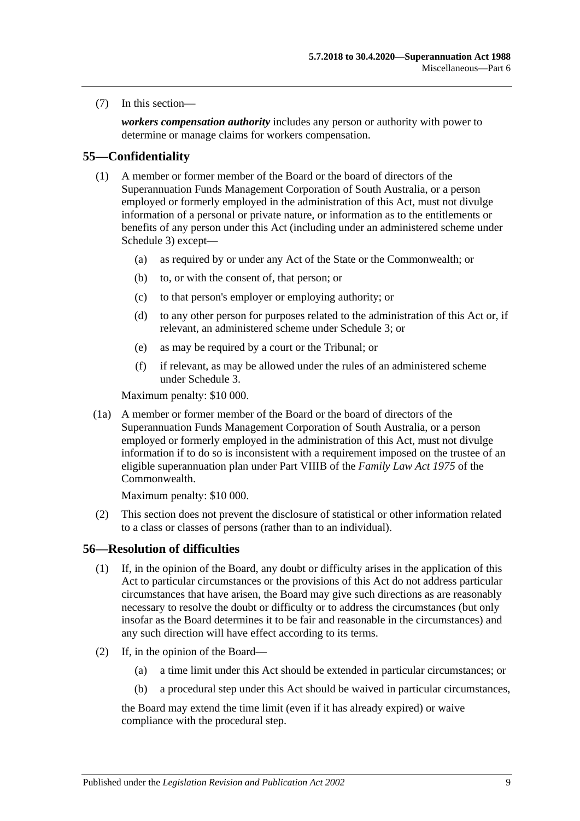(7) In this section—

*workers compensation authority* includes any person or authority with power to determine or manage claims for workers compensation.

### **55—Confidentiality**

- (1) A member or former member of the Board or the board of directors of the Superannuation Funds Management Corporation of South Australia, or a person employed or formerly employed in the administration of this Act, must not divulge information of a personal or private nature, or information as to the entitlements or benefits of any person under this Act (including under an administered scheme under [Schedule 3\)](#page-132-0) except—
	- (a) as required by or under any Act of the State or the Commonwealth; or
	- (b) to, or with the consent of, that person; or
	- (c) to that person's employer or employing authority; or
	- (d) to any other person for purposes related to the administration of this Act or, if relevant, an administered scheme under [Schedule 3;](#page-132-0) or
	- (e) as may be required by a court or the Tribunal; or
	- (f) if relevant, as may be allowed under the rules of an administered scheme under [Schedule 3.](#page-132-0)

Maximum penalty: \$10 000.

(1a) A member or former member of the Board or the board of directors of the Superannuation Funds Management Corporation of South Australia, or a person employed or formerly employed in the administration of this Act, must not divulge information if to do so is inconsistent with a requirement imposed on the trustee of an eligible superannuation plan under Part VIIIB of the *Family Law Act 1975* of the Commonwealth.

Maximum penalty: \$10 000.

(2) This section does not prevent the disclosure of statistical or other information related to a class or classes of persons (rather than to an individual).

### **56—Resolution of difficulties**

- (1) If, in the opinion of the Board, any doubt or difficulty arises in the application of this Act to particular circumstances or the provisions of this Act do not address particular circumstances that have arisen, the Board may give such directions as are reasonably necessary to resolve the doubt or difficulty or to address the circumstances (but only insofar as the Board determines it to be fair and reasonable in the circumstances) and any such direction will have effect according to its terms.
- <span id="page-104-2"></span><span id="page-104-1"></span><span id="page-104-0"></span>(2) If, in the opinion of the Board—
	- (a) a time limit under this Act should be extended in particular circumstances; or
	- (b) a procedural step under this Act should be waived in particular circumstances,

the Board may extend the time limit (even if it has already expired) or waive compliance with the procedural step.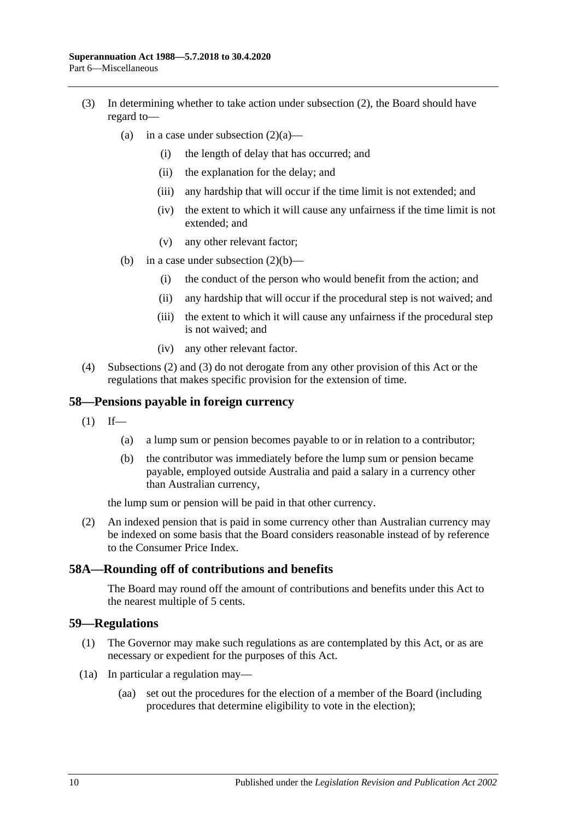- <span id="page-105-0"></span>(3) In determining whether to take action under [subsection](#page-104-0) (2), the Board should have regard to
	- (a) in a case under [subsection](#page-104-1)  $(2)(a)$ 
		- (i) the length of delay that has occurred; and
		- (ii) the explanation for the delay; and
		- (iii) any hardship that will occur if the time limit is not extended; and
		- (iv) the extent to which it will cause any unfairness if the time limit is not extended; and
		- (v) any other relevant factor;
	- (b) in a case under [subsection](#page-104-2)  $(2)(b)$ 
		- (i) the conduct of the person who would benefit from the action; and
		- (ii) any hardship that will occur if the procedural step is not waived; and
		- (iii) the extent to which it will cause any unfairness if the procedural step is not waived; and
		- (iv) any other relevant factor.
- (4) [Subsections](#page-104-0) (2) and [\(3\)](#page-105-0) do not derogate from any other provision of this Act or the regulations that makes specific provision for the extension of time.

#### **58—Pensions payable in foreign currency**

- $(1)$  If—
	- (a) a lump sum or pension becomes payable to or in relation to a contributor;
	- (b) the contributor was immediately before the lump sum or pension became payable, employed outside Australia and paid a salary in a currency other than Australian currency,

the lump sum or pension will be paid in that other currency.

(2) An indexed pension that is paid in some currency other than Australian currency may be indexed on some basis that the Board considers reasonable instead of by reference to the Consumer Price Index.

#### **58A—Rounding off of contributions and benefits**

The Board may round off the amount of contributions and benefits under this Act to the nearest multiple of 5 cents.

#### **59—Regulations**

- (1) The Governor may make such regulations as are contemplated by this Act, or as are necessary or expedient for the purposes of this Act.
- (1a) In particular a regulation may—
	- (aa) set out the procedures for the election of a member of the Board (including procedures that determine eligibility to vote in the election);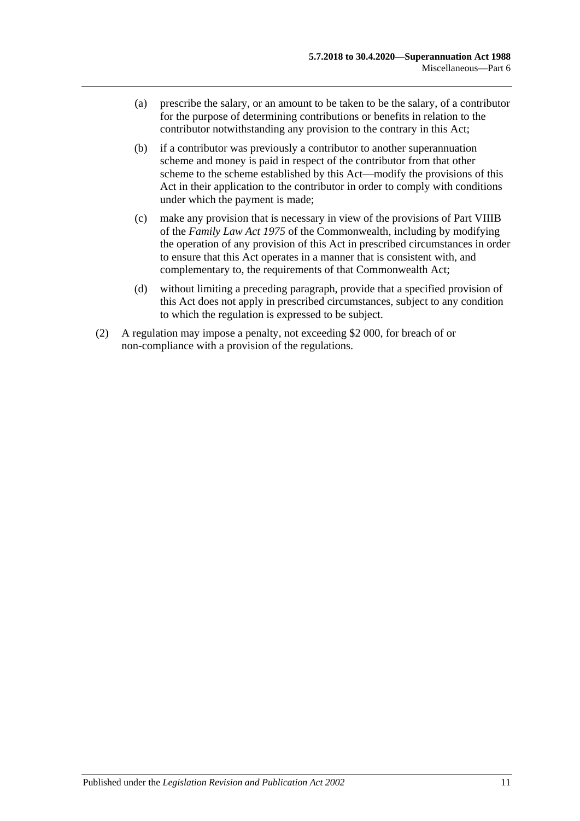- (a) prescribe the salary, or an amount to be taken to be the salary, of a contributor for the purpose of determining contributions or benefits in relation to the contributor notwithstanding any provision to the contrary in this Act;
- (b) if a contributor was previously a contributor to another superannuation scheme and money is paid in respect of the contributor from that other scheme to the scheme established by this Act—modify the provisions of this Act in their application to the contributor in order to comply with conditions under which the payment is made;
- (c) make any provision that is necessary in view of the provisions of Part VIIIB of the *Family Law Act 1975* of the Commonwealth, including by modifying the operation of any provision of this Act in prescribed circumstances in order to ensure that this Act operates in a manner that is consistent with, and complementary to, the requirements of that Commonwealth Act;
- (d) without limiting a preceding paragraph, provide that a specified provision of this Act does not apply in prescribed circumstances, subject to any condition to which the regulation is expressed to be subject.
- (2) A regulation may impose a penalty, not exceeding \$2 000, for breach of or non-compliance with a provision of the regulations.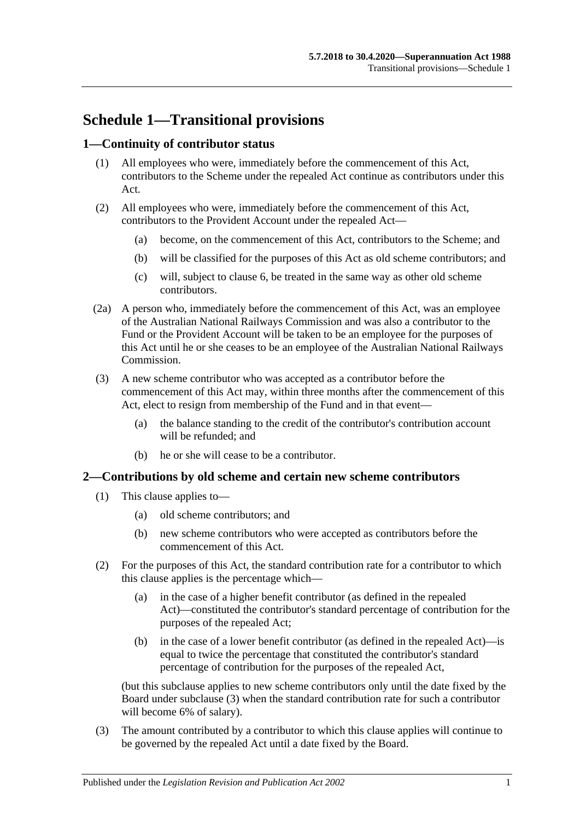# **Schedule 1—Transitional provisions**

### **1—Continuity of contributor status**

- (1) All employees who were, immediately before the commencement of this Act, contributors to the Scheme under the repealed Act continue as contributors under this Act.
- (2) All employees who were, immediately before the commencement of this Act, contributors to the Provident Account under the repealed Act—
	- (a) become, on the commencement of this Act, contributors to the Scheme; and
	- (b) will be classified for the purposes of this Act as old scheme contributors; and
	- (c) will, subject to [clause](#page-111-0) 6, be treated in the same way as other old scheme contributors.
- (2a) A person who, immediately before the commencement of this Act, was an employee of the Australian National Railways Commission and was also a contributor to the Fund or the Provident Account will be taken to be an employee for the purposes of this Act until he or she ceases to be an employee of the Australian National Railways Commission.
- (3) A new scheme contributor who was accepted as a contributor before the commencement of this Act may, within three months after the commencement of this Act, elect to resign from membership of the Fund and in that event—
	- (a) the balance standing to the credit of the contributor's contribution account will be refunded; and
	- (b) he or she will cease to be a contributor.

### **2—Contributions by old scheme and certain new scheme contributors**

- (1) This clause applies to—
	- (a) old scheme contributors; and
	- (b) new scheme contributors who were accepted as contributors before the commencement of this Act.
- (2) For the purposes of this Act, the standard contribution rate for a contributor to which this clause applies is the percentage which—
	- (a) in the case of a higher benefit contributor (as defined in the repealed Act)—constituted the contributor's standard percentage of contribution for the purposes of the repealed Act;
	- (b) in the case of a lower benefit contributor (as defined in the repealed Act)—is equal to twice the percentage that constituted the contributor's standard percentage of contribution for the purposes of the repealed Act,

(but this subclause applies to new scheme contributors only until the date fixed by the Board under [subclause](#page-108-0) (3) when the standard contribution rate for such a contributor will become 6% of salary).

<span id="page-108-0"></span>(3) The amount contributed by a contributor to which this clause applies will continue to be governed by the repealed Act until a date fixed by the Board.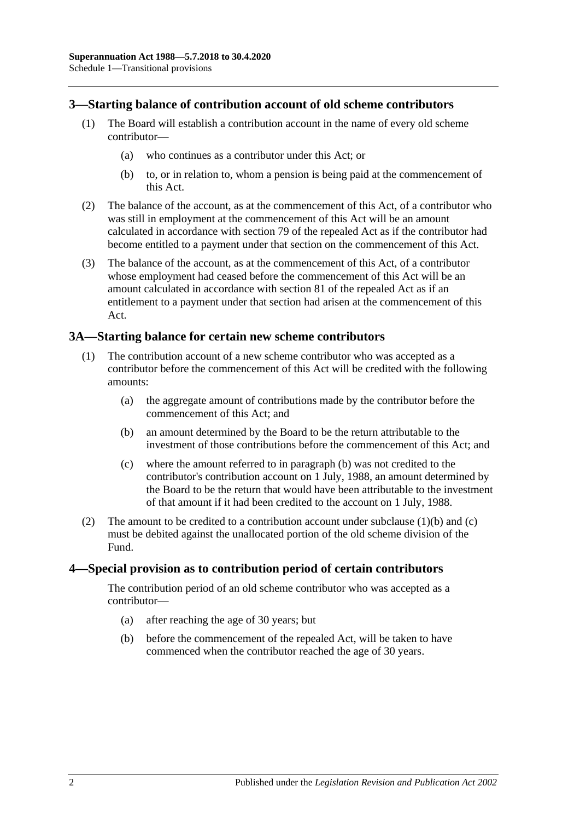### **3—Starting balance of contribution account of old scheme contributors**

- (1) The Board will establish a contribution account in the name of every old scheme contributor—
	- (a) who continues as a contributor under this Act; or
	- (b) to, or in relation to, whom a pension is being paid at the commencement of this Act.
- (2) The balance of the account, as at the commencement of this Act, of a contributor who was still in employment at the commencement of this Act will be an amount calculated in accordance with section 79 of the repealed Act as if the contributor had become entitled to a payment under that section on the commencement of this Act.
- (3) The balance of the account, as at the commencement of this Act, of a contributor whose employment had ceased before the commencement of this Act will be an amount calculated in accordance with section 81 of the repealed Act as if an entitlement to a payment under that section had arisen at the commencement of this Act.

### **3A—Starting balance for certain new scheme contributors**

- <span id="page-109-0"></span>(1) The contribution account of a new scheme contributor who was accepted as a contributor before the commencement of this Act will be credited with the following amounts:
	- (a) the aggregate amount of contributions made by the contributor before the commencement of this Act; and
	- (b) an amount determined by the Board to be the return attributable to the investment of those contributions before the commencement of this Act; and
	- (c) where the amount referred to in [paragraph](#page-109-0) (b) was not credited to the contributor's contribution account on 1 July, 1988, an amount determined by the Board to be the return that would have been attributable to the investment of that amount if it had been credited to the account on 1 July, 1988.
- <span id="page-109-1"></span>(2) The amount to be credited to a contribution account under [subclause](#page-109-0)  $(1)(b)$  and  $(c)$ must be debited against the unallocated portion of the old scheme division of the Fund.

### **4—Special provision as to contribution period of certain contributors**

The contribution period of an old scheme contributor who was accepted as a contributor—

- (a) after reaching the age of 30 years; but
- (b) before the commencement of the repealed Act, will be taken to have commenced when the contributor reached the age of 30 years.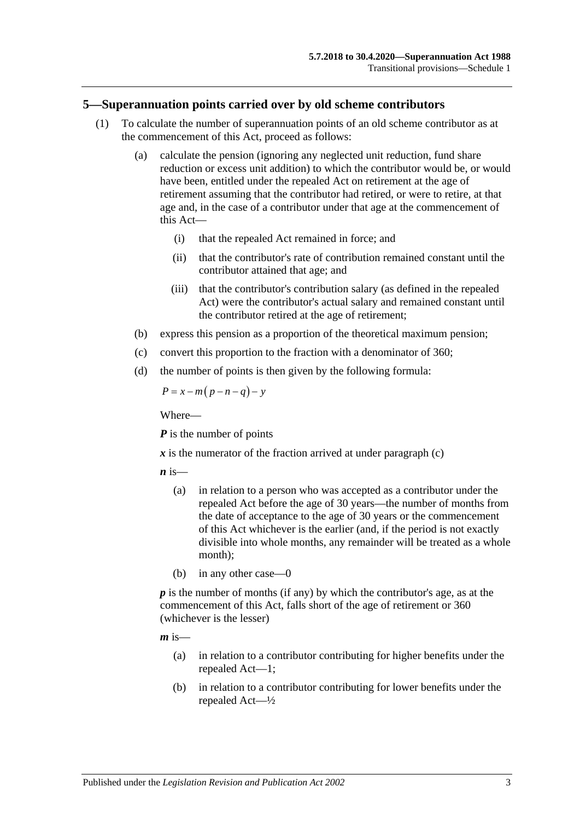### **5—Superannuation points carried over by old scheme contributors**

- (1) To calculate the number of superannuation points of an old scheme contributor as at the commencement of this Act, proceed as follows:
	- (a) calculate the pension (ignoring any neglected unit reduction, fund share reduction or excess unit addition) to which the contributor would be, or would have been, entitled under the repealed Act on retirement at the age of retirement assuming that the contributor had retired, or were to retire, at that age and, in the case of a contributor under that age at the commencement of this Act—
		- (i) that the repealed Act remained in force; and
		- (ii) that the contributor's rate of contribution remained constant until the contributor attained that age; and
		- (iii) that the contributor's contribution salary (as defined in the repealed Act) were the contributor's actual salary and remained constant until the contributor retired at the age of retirement;
	- (b) express this pension as a proportion of the theoretical maximum pension;
	- (c) convert this proportion to the fraction with a denominator of 360;
	- (d) the number of points is then given by the following formula:

<span id="page-110-0"></span>
$$
P = x - m(p - n - q) - y
$$

Where—

*P* is the number of points

 $x$  is the numerator of the fraction arrived at under [paragraph](#page-110-0)  $(c)$ 

 $\boldsymbol{n}$  is—

- (a) in relation to a person who was accepted as a contributor under the repealed Act before the age of 30 years—the number of months from the date of acceptance to the age of 30 years or the commencement of this Act whichever is the earlier (and, if the period is not exactly divisible into whole months, any remainder will be treated as a whole month);
- (b) in any other case—0

*p* is the number of months (if any) by which the contributor's age, as at the commencement of this Act, falls short of the age of retirement or 360 (whichever is the lesser)

 $m$  is—

- (a) in relation to a contributor contributing for higher benefits under the repealed Act—1;
- (b) in relation to a contributor contributing for lower benefits under the repealed Act—½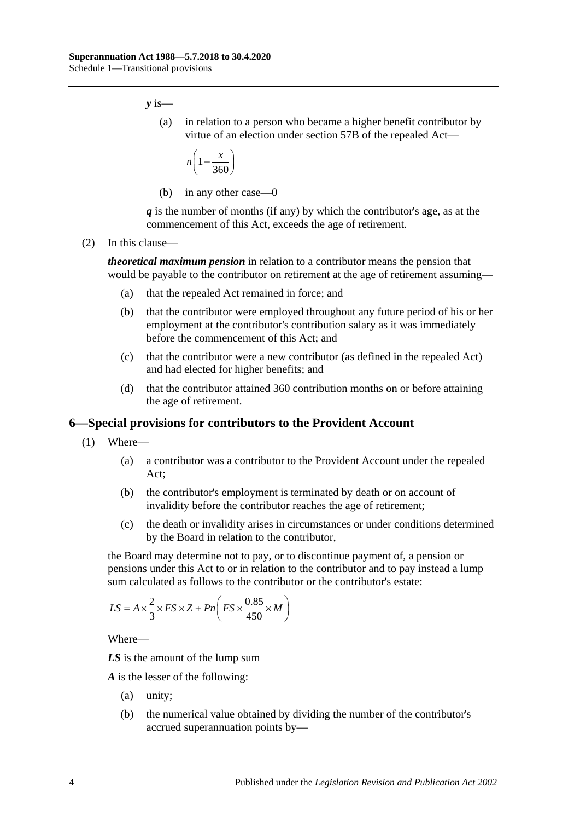*y* is—

(a) in relation to a person who became a higher benefit contributor by virtue of an election under section 57B of the repealed Act—

$$
n\left(1-\frac{x}{360}\right)
$$

(b) in any other case—0

*q* is the number of months (if any) by which the contributor's age, as at the commencement of this Act, exceeds the age of retirement.

(2) In this clause—

*theoretical maximum pension* in relation to a contributor means the pension that would be payable to the contributor on retirement at the age of retirement assuming—

- (a) that the repealed Act remained in force; and
- (b) that the contributor were employed throughout any future period of his or her employment at the contributor's contribution salary as it was immediately before the commencement of this Act; and
- (c) that the contributor were a new contributor (as defined in the repealed Act) and had elected for higher benefits; and
- (d) that the contributor attained 360 contribution months on or before attaining the age of retirement.

### <span id="page-111-0"></span>**6—Special provisions for contributors to the Provident Account**

- (1) Where—
	- (a) a contributor was a contributor to the Provident Account under the repealed Act;
	- (b) the contributor's employment is terminated by death or on account of invalidity before the contributor reaches the age of retirement;
	- (c) the death or invalidity arises in circumstances or under conditions determined by the Board in relation to the contributor,

<span id="page-111-1"></span>the Board may determine not to pay, or to discontinue payment of, a pension or pensions under this Act to or in relation to the contributor and to pay instead a lump sum calculated as follows to the contributor or the contributor's estate:

$$
LS = A \times \frac{2}{3} \times FS \times Z + Pn \left( FS \times \frac{0.85}{450} \times M \right)
$$

Where—

*LS* is the amount of the lump sum

*A* is the lesser of the following:

- (a) unity;
- (b) the numerical value obtained by dividing the number of the contributor's accrued superannuation points by—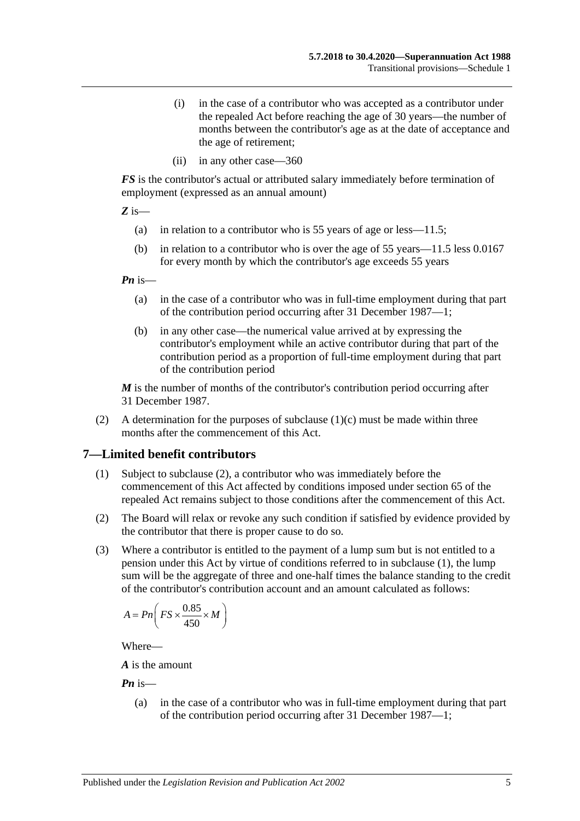- (i) in the case of a contributor who was accepted as a contributor under the repealed Act before reaching the age of 30 years—the number of months between the contributor's age as at the date of acceptance and the age of retirement;
- (ii) in any other case—360

*FS* is the contributor's actual or attributed salary immediately before termination of employment (expressed as an annual amount)

*Z* is—

- (a) in relation to a contributor who is 55 years of age or less—11.5;
- (b) in relation to a contributor who is over the age of 55 years—11.5 less 0.0167 for every month by which the contributor's age exceeds 55 years

*Pn* is—

- (a) in the case of a contributor who was in full-time employment during that part of the contribution period occurring after 31 December 1987—1;
- (b) in any other case—the numerical value arrived at by expressing the contributor's employment while an active contributor during that part of the contribution period as a proportion of full-time employment during that part of the contribution period

*M* is the number of months of the contributor's contribution period occurring after 31 December 1987.

(2) A determination for the purposes of [subclause](#page-111-1)  $(1)(c)$  must be made within three months after the commencement of this Act.

### <span id="page-112-1"></span>**7—Limited benefit contributors**

- (1) Subject to [subclause](#page-112-0) (2), a contributor who was immediately before the commencement of this Act affected by conditions imposed under section 65 of the repealed Act remains subject to those conditions after the commencement of this Act.
- <span id="page-112-0"></span>(2) The Board will relax or revoke any such condition if satisfied by evidence provided by the contributor that there is proper cause to do so.
- (3) Where a contributor is entitled to the payment of a lump sum but is not entitled to a pension under this Act by virtue of conditions referred to in [subclause](#page-112-1) (1), the lump sum will be the aggregate of three and one-half times the balance standing to the credit of the contributor's contribution account and an amount calculated as follows:

$$
A = P n \bigg( FS \times \frac{0.85}{450} \times M \bigg)
$$

Where—

*A* is the amount

*Pn* is—

(a) in the case of a contributor who was in full-time employment during that part of the contribution period occurring after 31 December 1987—1;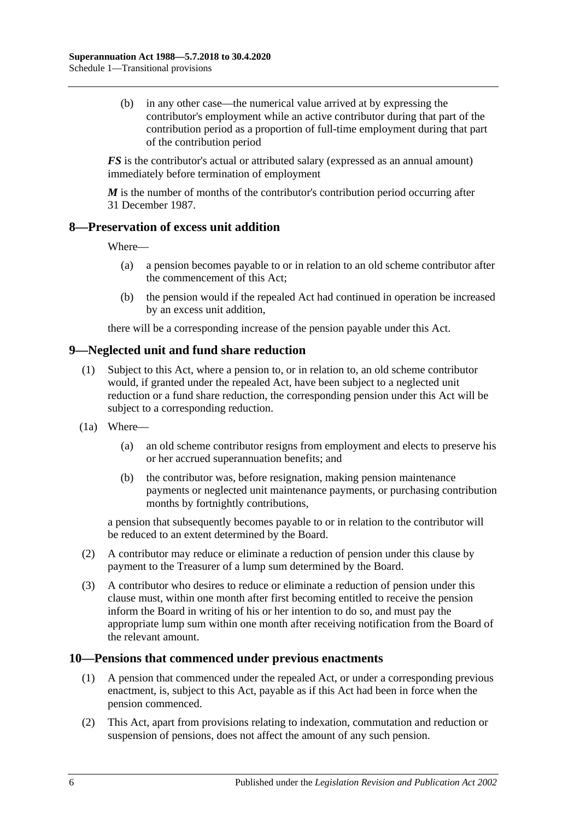(b) in any other case—the numerical value arrived at by expressing the contributor's employment while an active contributor during that part of the contribution period as a proportion of full-time employment during that part of the contribution period

*FS* is the contributor's actual or attributed salary (expressed as an annual amount) immediately before termination of employment

*M* is the number of months of the contributor's contribution period occurring after 31 December 1987.

### **8—Preservation of excess unit addition**

Where—

- (a) a pension becomes payable to or in relation to an old scheme contributor after the commencement of this Act;
- (b) the pension would if the repealed Act had continued in operation be increased by an excess unit addition,

there will be a corresponding increase of the pension payable under this Act.

### **9—Neglected unit and fund share reduction**

- (1) Subject to this Act, where a pension to, or in relation to, an old scheme contributor would, if granted under the repealed Act, have been subject to a neglected unit reduction or a fund share reduction, the corresponding pension under this Act will be subject to a corresponding reduction.
- (1a) Where—
	- (a) an old scheme contributor resigns from employment and elects to preserve his or her accrued superannuation benefits; and
	- (b) the contributor was, before resignation, making pension maintenance payments or neglected unit maintenance payments, or purchasing contribution months by fortnightly contributions,

a pension that subsequently becomes payable to or in relation to the contributor will be reduced to an extent determined by the Board.

- (2) A contributor may reduce or eliminate a reduction of pension under this clause by payment to the Treasurer of a lump sum determined by the Board.
- (3) A contributor who desires to reduce or eliminate a reduction of pension under this clause must, within one month after first becoming entitled to receive the pension inform the Board in writing of his or her intention to do so, and must pay the appropriate lump sum within one month after receiving notification from the Board of the relevant amount.

### **10—Pensions that commenced under previous enactments**

- (1) A pension that commenced under the repealed Act, or under a corresponding previous enactment, is, subject to this Act, payable as if this Act had been in force when the pension commenced.
- (2) This Act, apart from provisions relating to indexation, commutation and reduction or suspension of pensions, does not affect the amount of any such pension.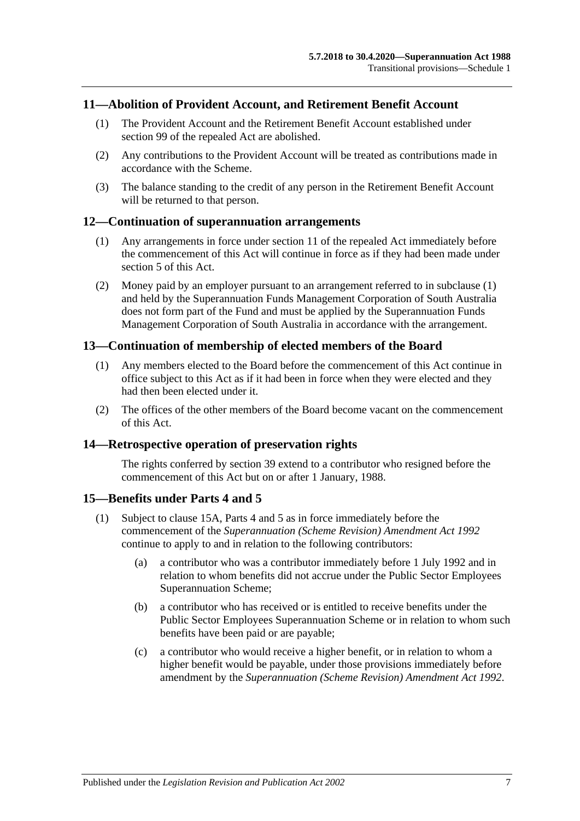### **11—Abolition of Provident Account, and Retirement Benefit Account**

- (1) The Provident Account and the Retirement Benefit Account established under section 99 of the repealed Act are abolished.
- (2) Any contributions to the Provident Account will be treated as contributions made in accordance with the Scheme.
- (3) The balance standing to the credit of any person in the Retirement Benefit Account will be returned to that person.

### <span id="page-114-0"></span>**12—Continuation of superannuation arrangements**

- (1) Any arrangements in force under section 11 of the repealed Act immediately before the commencement of this Act will continue in force as if they had been made under [section](#page-16-0) 5 of this Act.
- (2) Money paid by an employer pursuant to an arrangement referred to in [subclause](#page-114-0) (1) and held by the Superannuation Funds Management Corporation of South Australia does not form part of the Fund and must be applied by the Superannuation Funds Management Corporation of South Australia in accordance with the arrangement.

### **13—Continuation of membership of elected members of the Board**

- (1) Any members elected to the Board before the commencement of this Act continue in office subject to this Act as if it had been in force when they were elected and they had then been elected under it.
- (2) The offices of the other members of the Board become vacant on the commencement of this Act.

### **14—Retrospective operation of preservation rights**

The rights conferred by [section](#page-71-0) 39 extend to a contributor who resigned before the commencement of this Act but on or after 1 January, 1988.

### <span id="page-114-2"></span>**15—Benefits under [Parts 4](#page-30-0) and [5](#page-56-0)**

- <span id="page-114-1"></span>(1) Subject to [clause](#page-115-0) 15A, [Parts 4](#page-30-0) and [5](#page-56-0) as in force immediately before the commencement of the *[Superannuation \(Scheme Revision\) Amendment Act](http://www.legislation.sa.gov.au/index.aspx?action=legref&type=act&legtitle=Superannuation%20(Scheme%20Revision)%20Amendment%20Act%201992) 1992* continue to apply to and in relation to the following contributors:
	- (a) a contributor who was a contributor immediately before 1 July 1992 and in relation to whom benefits did not accrue under the Public Sector Employees Superannuation Scheme;
	- (b) a contributor who has received or is entitled to receive benefits under the Public Sector Employees Superannuation Scheme or in relation to whom such benefits have been paid or are payable;
	- (c) a contributor who would receive a higher benefit, or in relation to whom a higher benefit would be payable, under those provisions immediately before amendment by the *[Superannuation \(Scheme Revision\) Amendment Act](http://www.legislation.sa.gov.au/index.aspx?action=legref&type=act&legtitle=Superannuation%20(Scheme%20Revision)%20Amendment%20Act%201992) 1992*.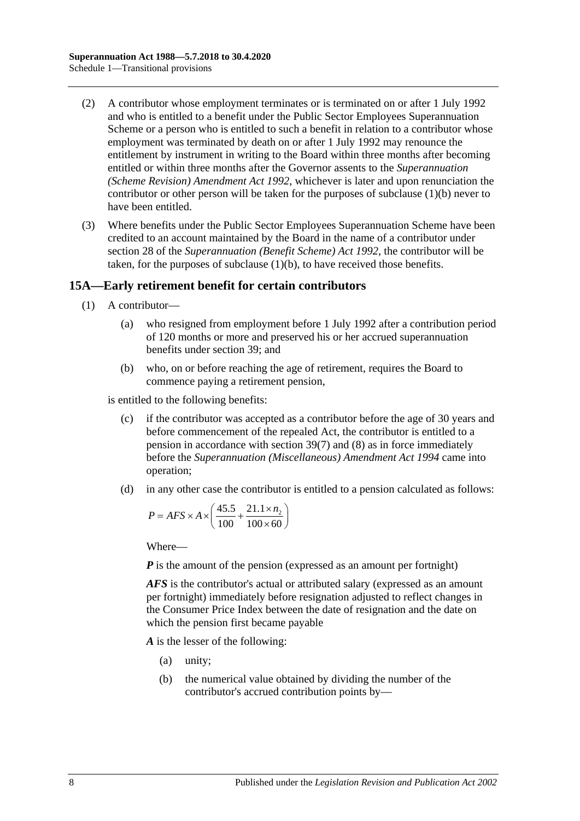- (2) A contributor whose employment terminates or is terminated on or after 1 July 1992 and who is entitled to a benefit under the Public Sector Employees Superannuation Scheme or a person who is entitled to such a benefit in relation to a contributor whose employment was terminated by death on or after 1 July 1992 may renounce the entitlement by instrument in writing to the Board within three months after becoming entitled or within three months after the Governor assents to the *[Superannuation](http://www.legislation.sa.gov.au/index.aspx?action=legref&type=act&legtitle=Superannuation%20(Scheme%20Revision)%20Amendment%20Act%201992)  [\(Scheme Revision\) Amendment Act](http://www.legislation.sa.gov.au/index.aspx?action=legref&type=act&legtitle=Superannuation%20(Scheme%20Revision)%20Amendment%20Act%201992) 1992*, whichever is later and upon renunciation the contributor or other person will be taken for the purposes of [subclause](#page-114-1) (1)(b) never to have been entitled.
- (3) Where benefits under the Public Sector Employees Superannuation Scheme have been credited to an account maintained by the Board in the name of a contributor under section 28 of the *[Superannuation \(Benefit Scheme\) Act](http://www.legislation.sa.gov.au/index.aspx?action=legref&type=act&legtitle=Superannuation%20(Benefit%20Scheme)%20Act%201992) 1992*, the contributor will be taken, for the purposes of [subclause](#page-114-1) (1)(b), to have received those benefits.

### <span id="page-115-0"></span>**15A—Early retirement benefit for certain contributors**

- (1) A contributor—
	- (a) who resigned from employment before 1 July 1992 after a contribution period of 120 months or more and preserved his or her accrued superannuation benefits under [section](#page-71-0) 39; and
	- (b) who, on or before reaching the age of retirement, requires the Board to commence paying a retirement pension,

<span id="page-115-1"></span>is entitled to the following benefits:

- (c) if the contributor was accepted as a contributor before the age of 30 years and before commencement of the repealed Act, the contributor is entitled to a pension in accordance with [section](#page-75-0) 39(7) and [\(8\)](#page-76-0) as in force immediately before the *[Superannuation \(Miscellaneous\) Amendment Act](http://www.legislation.sa.gov.au/index.aspx?action=legref&type=act&legtitle=Superannuation%20(Miscellaneous)%20Amendment%20Act%201994) 1994* came into operation;
- <span id="page-115-2"></span>(d) in any other case the contributor is entitled to a pension calculated as follows:

$$
P = AFS \times A \times \left(\frac{45.5}{100} + \frac{21.1 \times n_2}{100 \times 60}\right)
$$

Where—

*P* is the amount of the pension (expressed as an amount per fortnight)

*AFS* is the contributor's actual or attributed salary (expressed as an amount per fortnight) immediately before resignation adjusted to reflect changes in the Consumer Price Index between the date of resignation and the date on which the pension first became payable

*A* is the lesser of the following:

- (a) unity;
- (b) the numerical value obtained by dividing the number of the contributor's accrued contribution points by—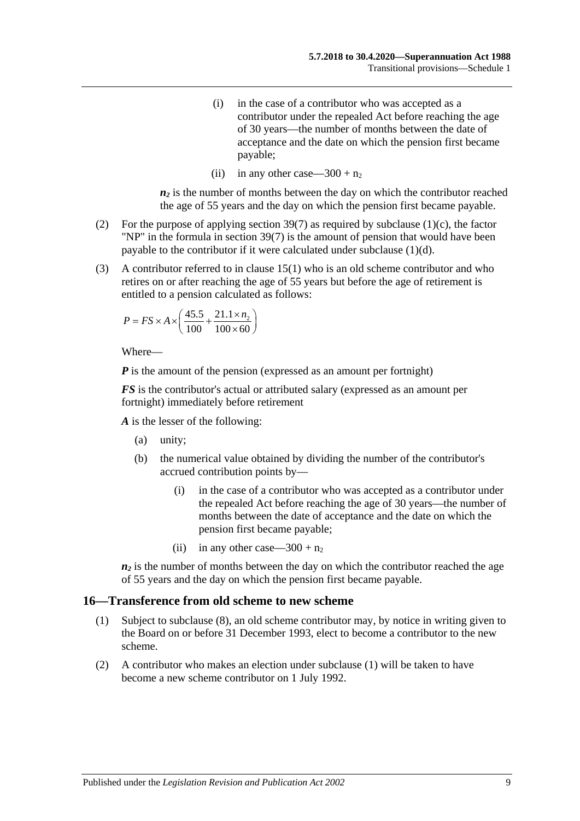- (i) in the case of a contributor who was accepted as a contributor under the repealed Act before reaching the age of 30 years—the number of months between the date of acceptance and the date on which the pension first became payable;
- (ii) in any other case—300 +  $n_2$

 $n_2$  is the number of months between the day on which the contributor reached the age of 55 years and the day on which the pension first became payable.

- (2) For the purpose of applying [section](#page-75-0) 39(7) as required by [subclause](#page-115-1) (1)(c), the factor "NP" in the formula in [section](#page-75-0) 39(7) is the amount of pension that would have been payable to the contributor if it were calculated under [subclause](#page-115-2) (1)(d).
- (3) A contributor referred to in [clause](#page-114-2) 15(1) who is an old scheme contributor and who retires on or after reaching the age of 55 years but before the age of retirement is entitled to a pension calculated as follows:

$$
P = FS \times A \times \left(\frac{45.5}{100} + \frac{21.1 \times n_2}{100 \times 60}\right)
$$

Where—

*P* is the amount of the pension (expressed as an amount per fortnight)

*FS* is the contributor's actual or attributed salary (expressed as an amount per fortnight) immediately before retirement

*A* is the lesser of the following:

- (a) unity;
- (b) the numerical value obtained by dividing the number of the contributor's accrued contribution points by—
	- (i) in the case of a contributor who was accepted as a contributor under the repealed Act before reaching the age of 30 years—the number of months between the date of acceptance and the date on which the pension first became payable;
	- (ii) in any other case—300 +  $n_2$

 $n_2$  is the number of months between the day on which the contributor reached the age of 55 years and the day on which the pension first became payable.

#### <span id="page-116-0"></span>**16—Transference from old scheme to new scheme**

- (1) Subject to [subclause](#page-117-0) (8), an old scheme contributor may, by notice in writing given to the Board on or before 31 December 1993, elect to become a contributor to the new scheme.
- (2) A contributor who makes an election under [subclause](#page-116-0) (1) will be taken to have become a new scheme contributor on 1 July 1992.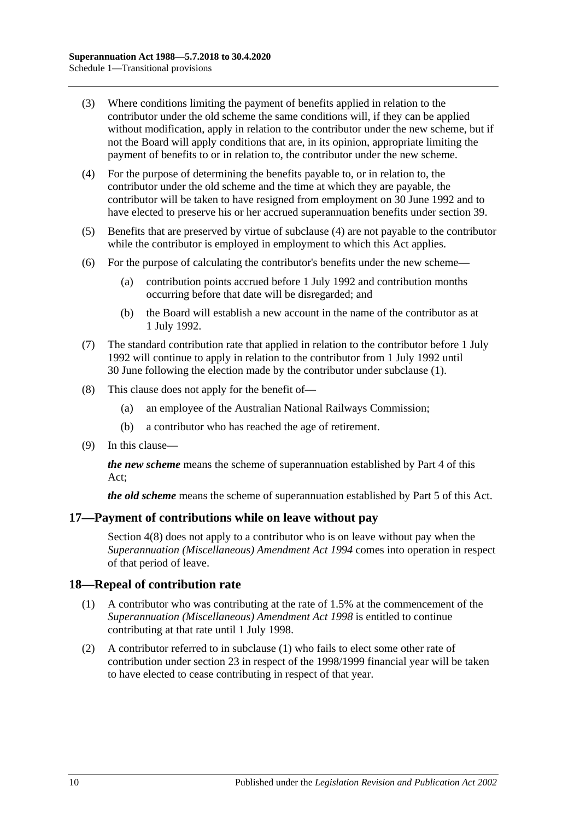- (3) Where conditions limiting the payment of benefits applied in relation to the contributor under the old scheme the same conditions will, if they can be applied without modification, apply in relation to the contributor under the new scheme, but if not the Board will apply conditions that are, in its opinion, appropriate limiting the payment of benefits to or in relation to, the contributor under the new scheme.
- <span id="page-117-1"></span>(4) For the purpose of determining the benefits payable to, or in relation to, the contributor under the old scheme and the time at which they are payable, the contributor will be taken to have resigned from employment on 30 June 1992 and to have elected to preserve his or her accrued superannuation benefits under [section](#page-71-0) 39.
- (5) Benefits that are preserved by virtue of [subclause](#page-117-1) (4) are not payable to the contributor while the contributor is employed in employment to which this Act applies.
- (6) For the purpose of calculating the contributor's benefits under the new scheme—
	- (a) contribution points accrued before 1 July 1992 and contribution months occurring before that date will be disregarded; and
	- (b) the Board will establish a new account in the name of the contributor as at 1 July 1992.
- (7) The standard contribution rate that applied in relation to the contributor before 1 July 1992 will continue to apply in relation to the contributor from 1 July 1992 until 30 June following the election made by the contributor under [subclause](#page-116-0) (1).
- <span id="page-117-0"></span>(8) This clause does not apply for the benefit of—
	- (a) an employee of the Australian National Railways Commission;
	- (b) a contributor who has reached the age of retirement.
- (9) In this clause—

*the new scheme* means the scheme of superannuation established by [Part 4](#page-30-0) of this Act;

*the old scheme* means the scheme of superannuation established by [Part 5](#page-56-0) of this Act.

### **17—Payment of contributions while on leave without pay**

[Section](#page-14-0) 4(8) does not apply to a contributor who is on leave without pay when the *[Superannuation \(Miscellaneous\) Amendment Act](http://www.legislation.sa.gov.au/index.aspx?action=legref&type=act&legtitle=Superannuation%20(Miscellaneous)%20Amendment%20Act%201994) 1994* comes into operation in respect of that period of leave.

### <span id="page-117-2"></span>**18—Repeal of contribution rate**

- (1) A contributor who was contributing at the rate of 1.5% at the commencement of the *[Superannuation \(Miscellaneous\) Amendment Act](http://www.legislation.sa.gov.au/index.aspx?action=legref&type=act&legtitle=Superannuation%20(Miscellaneous)%20Amendment%20Act%201998) 1998* is entitled to continue contributing at that rate until 1 July 1998.
- (2) A contributor referred to in [subclause](#page-117-2) (1) who fails to elect some other rate of contribution under [section](#page-26-0) 23 in respect of the 1998/1999 financial year will be taken to have elected to cease contributing in respect of that year.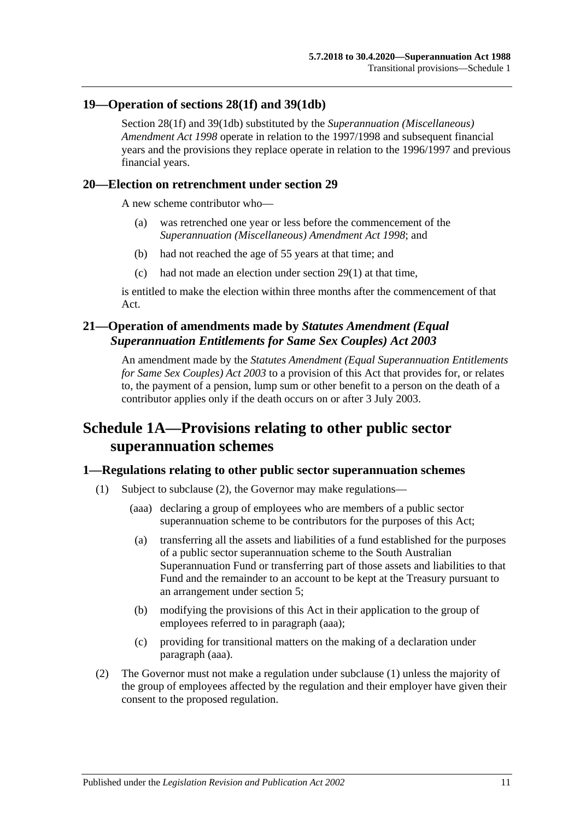### **19—Operation of [sections](#page-35-0) 28(1f) and [39\(1db\)](#page-72-0)**

[Section](#page-35-0) 28(1f) and [39\(1db\)](#page-72-0) substituted by the *[Superannuation \(Miscellaneous\)](http://www.legislation.sa.gov.au/index.aspx?action=legref&type=act&legtitle=Superannuation%20(Miscellaneous)%20Amendment%20Act%201998)  [Amendment Act](http://www.legislation.sa.gov.au/index.aspx?action=legref&type=act&legtitle=Superannuation%20(Miscellaneous)%20Amendment%20Act%201998) 1998* operate in relation to the 1997/1998 and subsequent financial years and the provisions they replace operate in relation to the 1996/1997 and previous financial years.

### **20—Election on retrenchment under [section](#page-40-0) 29**

A new scheme contributor who—

- (a) was retrenched one year or less before the commencement of the *[Superannuation \(Miscellaneous\) Amendment Act](http://www.legislation.sa.gov.au/index.aspx?action=legref&type=act&legtitle=Superannuation%20(Miscellaneous)%20Amendment%20Act%201998) 1998*; and
- (b) had not reached the age of 55 years at that time; and
- (c) had not made an election under [section](#page-40-1) 29(1) at that time,

is entitled to make the election within three months after the commencement of that Act.

### **21—Operation of amendments made by** *Statutes Amendment (Equal Superannuation Entitlements for Same Sex Couples) Act 2003*

An amendment made by the *[Statutes Amendment \(Equal Superannuation Entitlements](http://www.legislation.sa.gov.au/index.aspx?action=legref&type=act&legtitle=Statutes%20Amendment%20(Equal%20Superannuation%20Entitlements%20for%20Same%20Sex%20Couples)%20Act%202003)  [for Same Sex Couples\) Act](http://www.legislation.sa.gov.au/index.aspx?action=legref&type=act&legtitle=Statutes%20Amendment%20(Equal%20Superannuation%20Entitlements%20for%20Same%20Sex%20Couples)%20Act%202003) 2003* to a provision of this Act that provides for, or relates to, the payment of a pension, lump sum or other benefit to a person on the death of a contributor applies only if the death occurs on or after 3 July 2003.

# **Schedule 1A—Provisions relating to other public sector superannuation schemes**

### <span id="page-118-2"></span>**1—Regulations relating to other public sector superannuation schemes**

- <span id="page-118-1"></span>(1) Subject to [subclause](#page-118-0) (2), the Governor may make regulations—
	- (aaa) declaring a group of employees who are members of a public sector superannuation scheme to be contributors for the purposes of this Act;
	- (a) transferring all the assets and liabilities of a fund established for the purposes of a public sector superannuation scheme to the South Australian Superannuation Fund or transferring part of those assets and liabilities to that Fund and the remainder to an account to be kept at the Treasury pursuant to an arrangement under [section](#page-16-0) 5;
	- (b) modifying the provisions of this Act in their application to the group of employees referred to in [paragraph](#page-118-1) (aaa);
	- (c) providing for transitional matters on the making of a declaration under [paragraph](#page-118-1) (aaa).
- <span id="page-118-0"></span>(2) The Governor must not make a regulation under [subclause](#page-118-2) (1) unless the majority of the group of employees affected by the regulation and their employer have given their consent to the proposed regulation.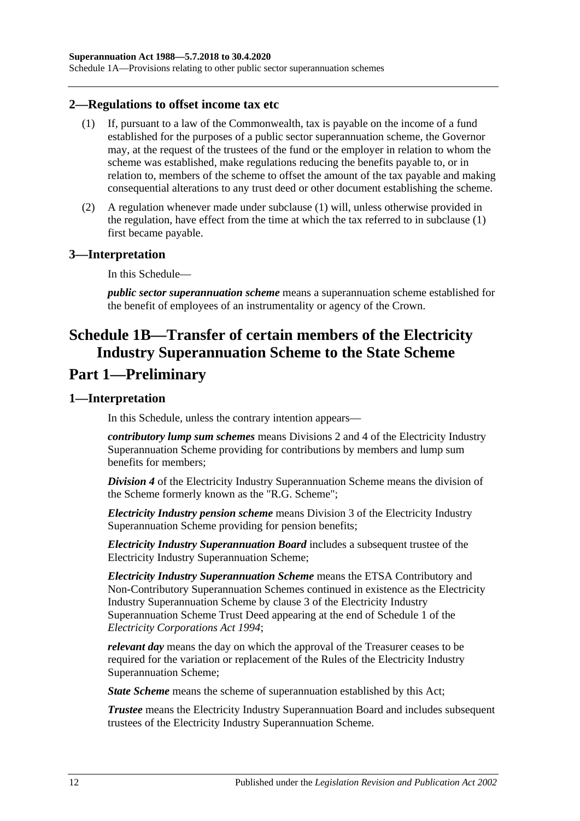Schedule 1A—Provisions relating to other public sector superannuation schemes

#### <span id="page-119-0"></span>**2—Regulations to offset income tax etc**

- (1) If, pursuant to a law of the Commonwealth, tax is payable on the income of a fund established for the purposes of a public sector superannuation scheme, the Governor may, at the request of the trustees of the fund or the employer in relation to whom the scheme was established, make regulations reducing the benefits payable to, or in relation to, members of the scheme to offset the amount of the tax payable and making consequential alterations to any trust deed or other document establishing the scheme.
- (2) A regulation whenever made under [subclause](#page-119-0) (1) will, unless otherwise provided in the regulation, have effect from the time at which the tax referred to in [subclause](#page-119-0) (1) first became payable.

### **3—Interpretation**

In this Schedule—

*public sector superannuation scheme* means a superannuation scheme established for the benefit of employees of an instrumentality or agency of the Crown.

# **Schedule 1B—Transfer of certain members of the Electricity Industry Superannuation Scheme to the State Scheme Part 1—Preliminary**

### **1—Interpretation**

In this Schedule, unless the contrary intention appears—

*contributory lump sum schemes* means Divisions 2 and 4 of the Electricity Industry Superannuation Scheme providing for contributions by members and lump sum benefits for members;

*Division 4* of the Electricity Industry Superannuation Scheme means the division of the Scheme formerly known as the "R.G. Scheme";

*Electricity Industry pension scheme* means Division 3 of the Electricity Industry Superannuation Scheme providing for pension benefits;

*Electricity Industry Superannuation Board* includes a subsequent trustee of the Electricity Industry Superannuation Scheme;

*Electricity Industry Superannuation Scheme* means the ETSA Contributory and Non-Contributory Superannuation Schemes continued in existence as the Electricity Industry Superannuation Scheme by clause 3 of the Electricity Industry Superannuation Scheme Trust Deed appearing at the end of Schedule 1 of the *[Electricity Corporations Act](http://www.legislation.sa.gov.au/index.aspx?action=legref&type=act&legtitle=Electricity%20Corporations%20Act%201994) 1994*;

*relevant day* means the day on which the approval of the Treasurer ceases to be required for the variation or replacement of the Rules of the Electricity Industry Superannuation Scheme;

*State Scheme* means the scheme of superannuation established by this Act;

*Trustee* means the Electricity Industry Superannuation Board and includes subsequent trustees of the Electricity Industry Superannuation Scheme.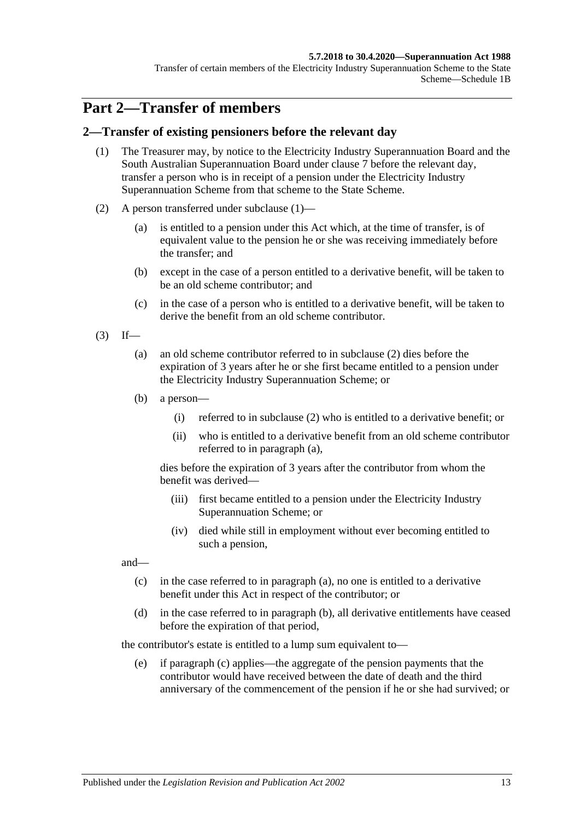#### **5.7.2018 to 30.4.2020—Superannuation Act 1988**

Transfer of certain members of the Electricity Industry Superannuation Scheme to the State Scheme—Schedule 1B

## **Part 2—Transfer of members**

### <span id="page-120-0"></span>**2—Transfer of existing pensioners before the relevant day**

- (1) The Treasurer may, by notice to the Electricity Industry Superannuation Board and the South Australian Superannuation Board under [clause](#page-127-0) 7 before the relevant day, transfer a person who is in receipt of a pension under the Electricity Industry Superannuation Scheme from that scheme to the State Scheme.
- <span id="page-120-1"></span>(2) A person transferred under [subclause](#page-120-0) (1)—
	- (a) is entitled to a pension under this Act which, at the time of transfer, is of equivalent value to the pension he or she was receiving immediately before the transfer; and
	- (b) except in the case of a person entitled to a derivative benefit, will be taken to be an old scheme contributor; and
	- (c) in the case of a person who is entitled to a derivative benefit, will be taken to derive the benefit from an old scheme contributor.
- <span id="page-120-3"></span><span id="page-120-2"></span> $(3)$  If—
	- (a) an old scheme contributor referred to in [subclause](#page-120-1) (2) dies before the expiration of 3 years after he or she first became entitled to a pension under the Electricity Industry Superannuation Scheme; or
	- (b) a person—
		- (i) referred to in [subclause](#page-120-1) (2) who is entitled to a derivative benefit; or
		- (ii) who is entitled to a derivative benefit from an old scheme contributor referred to in [paragraph](#page-120-2) (a),

dies before the expiration of 3 years after the contributor from whom the benefit was derived—

- (iii) first became entitled to a pension under the Electricity Industry Superannuation Scheme; or
- (iv) died while still in employment without ever becoming entitled to such a pension,

<span id="page-120-4"></span>and—

- (c) in the case referred to in [paragraph](#page-120-2) (a), no one is entitled to a derivative benefit under this Act in respect of the contributor; or
- <span id="page-120-5"></span>(d) in the case referred to in [paragraph](#page-120-3) (b), all derivative entitlements have ceased before the expiration of that period,

the contributor's estate is entitled to a lump sum equivalent to—

(e) if [paragraph](#page-120-4) (c) applies—the aggregate of the pension payments that the contributor would have received between the date of death and the third anniversary of the commencement of the pension if he or she had survived; or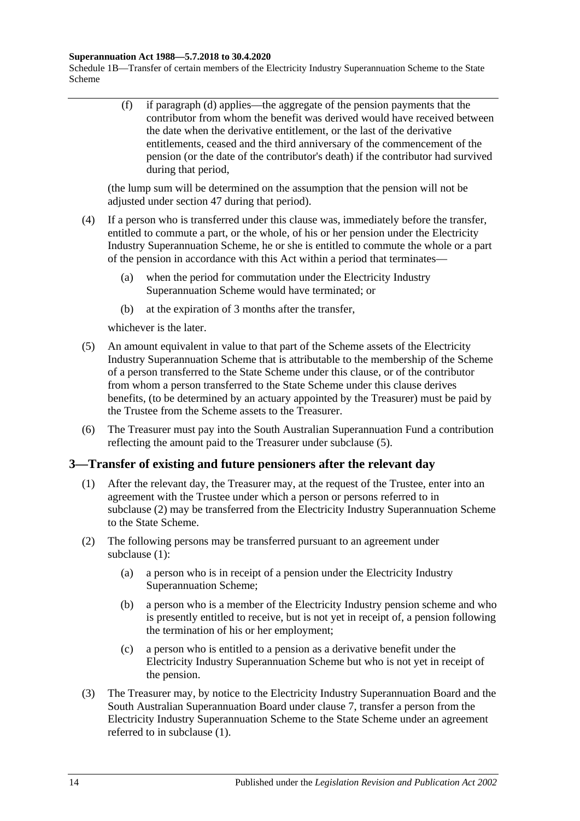#### **Superannuation Act 1988—5.7.2018 to 30.4.2020**

Schedule 1B—Transfer of certain members of the Electricity Industry Superannuation Scheme to the State Scheme

> (f) if [paragraph](#page-120-5) (d) applies—the aggregate of the pension payments that the contributor from whom the benefit was derived would have received between the date when the derivative entitlement, or the last of the derivative entitlements, ceased and the third anniversary of the commencement of the pension (or the date of the contributor's death) if the contributor had survived during that period,

(the lump sum will be determined on the assumption that the pension will not be adjusted under [section](#page-99-0) 47 during that period).

- (4) If a person who is transferred under this clause was, immediately before the transfer, entitled to commute a part, or the whole, of his or her pension under the Electricity Industry Superannuation Scheme, he or she is entitled to commute the whole or a part of the pension in accordance with this Act within a period that terminates—
	- (a) when the period for commutation under the Electricity Industry Superannuation Scheme would have terminated; or
	- (b) at the expiration of 3 months after the transfer,

whichever is the later.

- <span id="page-121-0"></span>(5) An amount equivalent in value to that part of the Scheme assets of the Electricity Industry Superannuation Scheme that is attributable to the membership of the Scheme of a person transferred to the State Scheme under this clause, or of the contributor from whom a person transferred to the State Scheme under this clause derives benefits, (to be determined by an actuary appointed by the Treasurer) must be paid by the Trustee from the Scheme assets to the Treasurer.
- (6) The Treasurer must pay into the South Australian Superannuation Fund a contribution reflecting the amount paid to the Treasurer under [subclause](#page-121-0) (5).

### <span id="page-121-2"></span>**3—Transfer of existing and future pensioners after the relevant day**

- (1) After the relevant day, the Treasurer may, at the request of the Trustee, enter into an agreement with the Trustee under which a person or persons referred to in [subclause](#page-121-1) (2) may be transferred from the Electricity Industry Superannuation Scheme to the State Scheme.
- <span id="page-121-4"></span><span id="page-121-1"></span>(2) The following persons may be transferred pursuant to an agreement under [subclause](#page-121-2) (1):
	- (a) a person who is in receipt of a pension under the Electricity Industry Superannuation Scheme;
	- (b) a person who is a member of the Electricity Industry pension scheme and who is presently entitled to receive, but is not yet in receipt of, a pension following the termination of his or her employment;
	- (c) a person who is entitled to a pension as a derivative benefit under the Electricity Industry Superannuation Scheme but who is not yet in receipt of the pension.
- <span id="page-121-5"></span><span id="page-121-3"></span>(3) The Treasurer may, by notice to the Electricity Industry Superannuation Board and the South Australian Superannuation Board under [clause](#page-127-0) 7, transfer a person from the Electricity Industry Superannuation Scheme to the State Scheme under an agreement referred to in [subclause](#page-121-2) (1).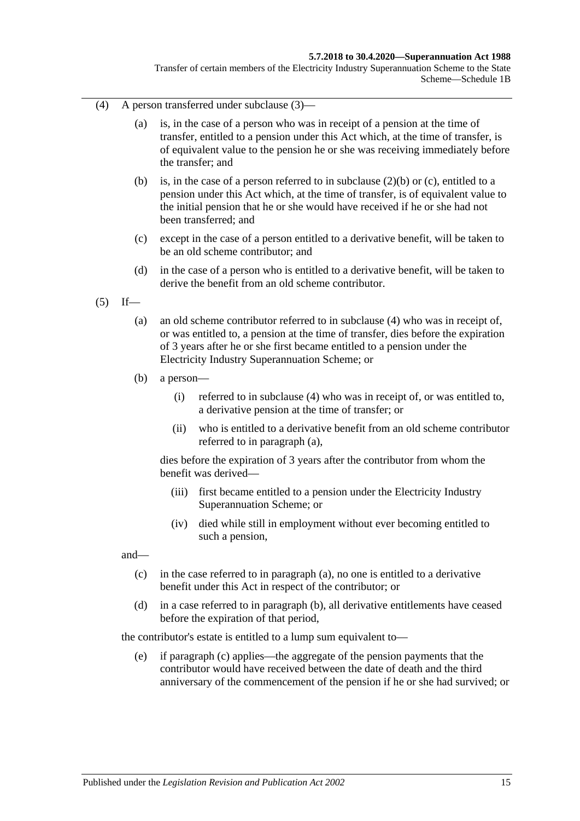#### **5.7.2018 to 30.4.2020—Superannuation Act 1988**

Transfer of certain members of the Electricity Industry Superannuation Scheme to the State Scheme—Schedule 1B

- <span id="page-122-0"></span>(4) A person transferred under [subclause](#page-121-3) (3)—
	- (a) is, in the case of a person who was in receipt of a pension at the time of transfer, entitled to a pension under this Act which, at the time of transfer, is of equivalent value to the pension he or she was receiving immediately before the transfer; and
	- (b) is, in the case of a person referred to in [subclause](#page-121-4) (2)(b) or [\(c\),](#page-121-5) entitled to a pension under this Act which, at the time of transfer, is of equivalent value to the initial pension that he or she would have received if he or she had not been transferred; and
	- (c) except in the case of a person entitled to a derivative benefit, will be taken to be an old scheme contributor; and
	- (d) in the case of a person who is entitled to a derivative benefit, will be taken to derive the benefit from an old scheme contributor.
- <span id="page-122-2"></span><span id="page-122-1"></span> $(5)$  If—
	- (a) an old scheme contributor referred to in [subclause](#page-122-0) (4) who was in receipt of, or was entitled to, a pension at the time of transfer, dies before the expiration of 3 years after he or she first became entitled to a pension under the Electricity Industry Superannuation Scheme; or
	- (b) a person—
		- (i) referred to in [subclause](#page-122-0) (4) who was in receipt of, or was entitled to, a derivative pension at the time of transfer; or
		- (ii) who is entitled to a derivative benefit from an old scheme contributor referred to in [paragraph](#page-122-1) (a),

dies before the expiration of 3 years after the contributor from whom the benefit was derived—

- (iii) first became entitled to a pension under the Electricity Industry Superannuation Scheme; or
- (iv) died while still in employment without ever becoming entitled to such a pension,

<span id="page-122-3"></span>and—

- (c) in the case referred to in [paragraph](#page-122-1) (a), no one is entitled to a derivative benefit under this Act in respect of the contributor; or
- <span id="page-122-4"></span>(d) in a case referred to in [paragraph](#page-122-2) (b), all derivative entitlements have ceased before the expiration of that period,

the contributor's estate is entitled to a lump sum equivalent to—

(e) if [paragraph](#page-122-3) (c) applies—the aggregate of the pension payments that the contributor would have received between the date of death and the third anniversary of the commencement of the pension if he or she had survived; or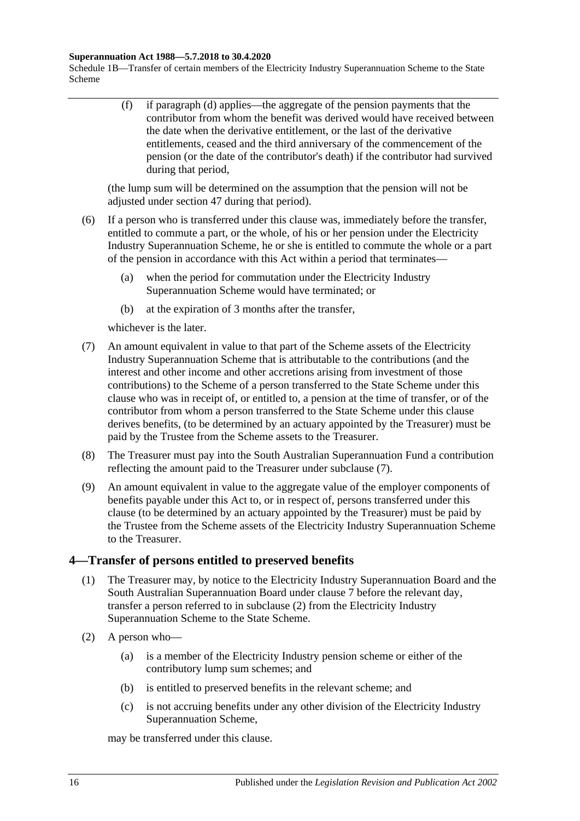#### **Superannuation Act 1988—5.7.2018 to 30.4.2020**

Schedule 1B—Transfer of certain members of the Electricity Industry Superannuation Scheme to the State Scheme

> (f) if [paragraph](#page-122-4) (d) applies—the aggregate of the pension payments that the contributor from whom the benefit was derived would have received between the date when the derivative entitlement, or the last of the derivative entitlements, ceased and the third anniversary of the commencement of the pension (or the date of the contributor's death) if the contributor had survived during that period,

(the lump sum will be determined on the assumption that the pension will not be adjusted under [section](#page-99-0) 47 during that period).

- (6) If a person who is transferred under this clause was, immediately before the transfer, entitled to commute a part, or the whole, of his or her pension under the Electricity Industry Superannuation Scheme, he or she is entitled to commute the whole or a part of the pension in accordance with this Act within a period that terminates—
	- (a) when the period for commutation under the Electricity Industry Superannuation Scheme would have terminated; or
	- (b) at the expiration of 3 months after the transfer,

whichever is the later.

- <span id="page-123-0"></span>(7) An amount equivalent in value to that part of the Scheme assets of the Electricity Industry Superannuation Scheme that is attributable to the contributions (and the interest and other income and other accretions arising from investment of those contributions) to the Scheme of a person transferred to the State Scheme under this clause who was in receipt of, or entitled to, a pension at the time of transfer, or of the contributor from whom a person transferred to the State Scheme under this clause derives benefits, (to be determined by an actuary appointed by the Treasurer) must be paid by the Trustee from the Scheme assets to the Treasurer.
- (8) The Treasurer must pay into the South Australian Superannuation Fund a contribution reflecting the amount paid to the Treasurer under [subclause](#page-123-0) (7).
- (9) An amount equivalent in value to the aggregate value of the employer components of benefits payable under this Act to, or in respect of, persons transferred under this clause (to be determined by an actuary appointed by the Treasurer) must be paid by the Trustee from the Scheme assets of the Electricity Industry Superannuation Scheme to the Treasurer.

### <span id="page-123-2"></span>**4—Transfer of persons entitled to preserved benefits**

- (1) The Treasurer may, by notice to the Electricity Industry Superannuation Board and the South Australian Superannuation Board under [clause](#page-127-0) 7 before the relevant day, transfer a person referred to in [subclause](#page-123-1) (2) from the Electricity Industry Superannuation Scheme to the State Scheme.
- <span id="page-123-1"></span>(2) A person who—
	- (a) is a member of the Electricity Industry pension scheme or either of the contributory lump sum schemes; and
	- (b) is entitled to preserved benefits in the relevant scheme; and
	- (c) is not accruing benefits under any other division of the Electricity Industry Superannuation Scheme,

may be transferred under this clause.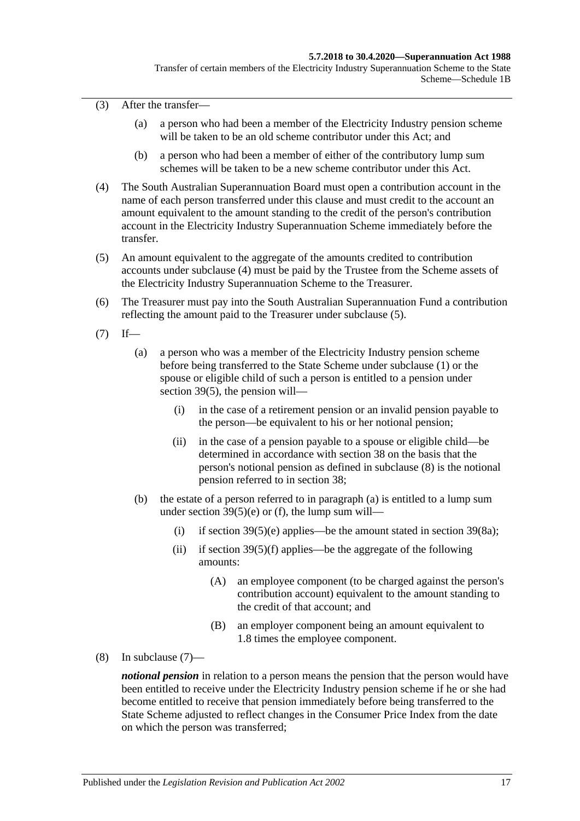(3) After the transfer—

- (a) a person who had been a member of the Electricity Industry pension scheme will be taken to be an old scheme contributor under this Act; and
- (b) a person who had been a member of either of the contributory lump sum schemes will be taken to be a new scheme contributor under this Act.
- <span id="page-124-0"></span>(4) The South Australian Superannuation Board must open a contribution account in the name of each person transferred under this clause and must credit to the account an amount equivalent to the amount standing to the credit of the person's contribution account in the Electricity Industry Superannuation Scheme immediately before the transfer.
- <span id="page-124-1"></span>(5) An amount equivalent to the aggregate of the amounts credited to contribution accounts under [subclause](#page-124-0) (4) must be paid by the Trustee from the Scheme assets of the Electricity Industry Superannuation Scheme to the Treasurer.
- (6) The Treasurer must pay into the South Australian Superannuation Fund a contribution reflecting the amount paid to the Treasurer under [subclause](#page-124-1) (5).
- <span id="page-124-4"></span><span id="page-124-3"></span> $(7)$  If—
	- (a) a person who was a member of the Electricity Industry pension scheme before being transferred to the State Scheme under [subclause](#page-123-2) (1) or the spouse or eligible child of such a person is entitled to a pension under [section](#page-74-0) 39(5), the pension will—
		- (i) in the case of a retirement pension or an invalid pension payable to the person—be equivalent to his or her notional pension;
		- (ii) in the case of a pension payable to a spouse or eligible child—be determined in accordance with [section](#page-68-0) 38 on the basis that the person's notional pension as defined in [subclause](#page-124-2) (8) is the notional pension referred to in [section](#page-68-0) 38;
	- (b) the estate of a person referred to in [paragraph](#page-124-3) (a) is entitled to a lump sum under section  $39(5)(e)$  or [\(f\),](#page-74-2) the lump sum will
		- (i) if [section](#page-76-1)  $39(5)(e)$  applies—be the amount stated in section  $39(8a)$ ;
		- (ii) if section  $39(5)(f)$  applies—be the aggregate of the following amounts:
			- (A) an employee component (to be charged against the person's contribution account) equivalent to the amount standing to the credit of that account; and
			- (B) an employer component being an amount equivalent to 1.8 times the employee component.
- <span id="page-124-2"></span>(8) In [subclause](#page-124-4) (7)—

*notional pension* in relation to a person means the pension that the person would have been entitled to receive under the Electricity Industry pension scheme if he or she had become entitled to receive that pension immediately before being transferred to the State Scheme adjusted to reflect changes in the Consumer Price Index from the date on which the person was transferred;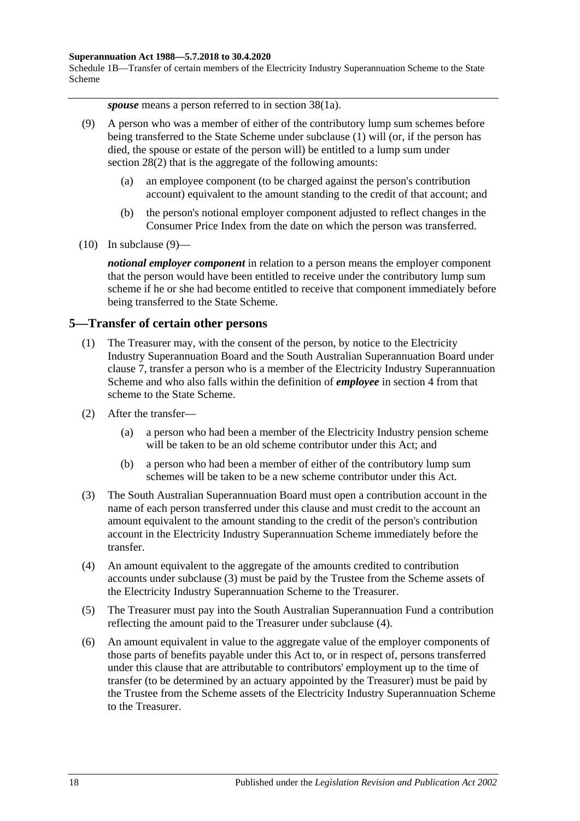#### **Superannuation Act 1988—5.7.2018 to 30.4.2020**

Schedule 1B—Transfer of certain members of the Electricity Industry Superannuation Scheme to the State Scheme

*spouse* means a person referred to in section 38(1a).

- <span id="page-125-0"></span>(9) A person who was a member of either of the contributory lump sum schemes before being transferred to the State Scheme under [subclause](#page-123-2) (1) will (or, if the person has died, the spouse or estate of the person will) be entitled to a lump sum under [section](#page-35-1) 28(2) that is the aggregate of the following amounts:
	- (a) an employee component (to be charged against the person's contribution account) equivalent to the amount standing to the credit of that account; and
	- (b) the person's notional employer component adjusted to reflect changes in the Consumer Price Index from the date on which the person was transferred.
- $(10)$  In [subclause](#page-125-0)  $(9)$ —

*notional employer component* in relation to a person means the employer component that the person would have been entitled to receive under the contributory lump sum scheme if he or she had become entitled to receive that component immediately before being transferred to the State Scheme.

### <span id="page-125-4"></span>**5—Transfer of certain other persons**

- (1) The Treasurer may, with the consent of the person, by notice to the Electricity Industry Superannuation Board and the South Australian Superannuation Board under [clause](#page-127-0) 7, transfer a person who is a member of the Electricity Industry Superannuation Scheme and who also falls within the definition of *employee* in [section](#page-6-0) 4 from that scheme to the State Scheme.
- (2) After the transfer—
	- (a) a person who had been a member of the Electricity Industry pension scheme will be taken to be an old scheme contributor under this Act; and
	- (b) a person who had been a member of either of the contributory lump sum schemes will be taken to be a new scheme contributor under this Act.
- <span id="page-125-1"></span>(3) The South Australian Superannuation Board must open a contribution account in the name of each person transferred under this clause and must credit to the account an amount equivalent to the amount standing to the credit of the person's contribution account in the Electricity Industry Superannuation Scheme immediately before the transfer.
- <span id="page-125-2"></span>(4) An amount equivalent to the aggregate of the amounts credited to contribution accounts under [subclause](#page-125-1) (3) must be paid by the Trustee from the Scheme assets of the Electricity Industry Superannuation Scheme to the Treasurer.
- (5) The Treasurer must pay into the South Australian Superannuation Fund a contribution reflecting the amount paid to the Treasurer under [subclause](#page-125-2) (4).
- <span id="page-125-3"></span>(6) An amount equivalent in value to the aggregate value of the employer components of those parts of benefits payable under this Act to, or in respect of, persons transferred under this clause that are attributable to contributors' employment up to the time of transfer (to be determined by an actuary appointed by the Treasurer) must be paid by the Trustee from the Scheme assets of the Electricity Industry Superannuation Scheme to the Treasurer.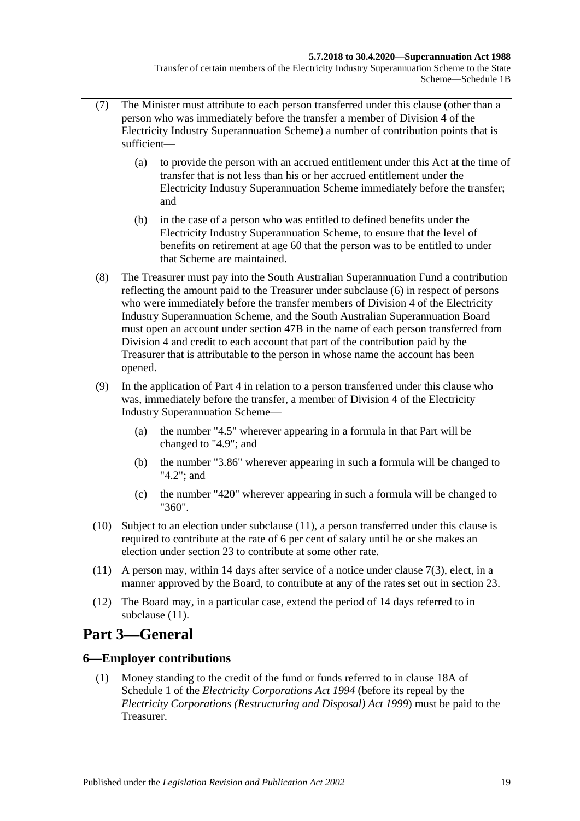- (7) The Minister must attribute to each person transferred under this clause (other than a person who was immediately before the transfer a member of Division 4 of the Electricity Industry Superannuation Scheme) a number of contribution points that is sufficient—
	- (a) to provide the person with an accrued entitlement under this Act at the time of transfer that is not less than his or her accrued entitlement under the Electricity Industry Superannuation Scheme immediately before the transfer; and
	- (b) in the case of a person who was entitled to defined benefits under the Electricity Industry Superannuation Scheme, to ensure that the level of benefits on retirement at age 60 that the person was to be entitled to under that Scheme are maintained.
- (8) The Treasurer must pay into the South Australian Superannuation Fund a contribution reflecting the amount paid to the Treasurer under [subclause](#page-125-3) (6) in respect of persons who were immediately before the transfer members of Division 4 of the Electricity Industry Superannuation Scheme, and the South Australian Superannuation Board must open an account under [section](#page-100-0) 47B in the name of each person transferred from Division 4 and credit to each account that part of the contribution paid by the Treasurer that is attributable to the person in whose name the account has been opened.
- (9) In the application of [Part 4](#page-30-0) in relation to a person transferred under this clause who was, immediately before the transfer, a member of Division 4 of the Electricity Industry Superannuation Scheme—
	- (a) the number "4.5" wherever appearing in a formula in that Part will be changed to "4.9"; and
	- (b) the number "3.86" wherever appearing in such a formula will be changed to "4.2"; and
	- (c) the number "420" wherever appearing in such a formula will be changed to "360".
- (10) Subject to an election under [subclause](#page-126-0) (11), a person transferred under this clause is required to contribute at the rate of 6 per cent of salary until he or she makes an election under [section](#page-26-0) 23 to contribute at some other rate.
- <span id="page-126-0"></span>(11) A person may, within 14 days after service of a notice under [clause](#page-127-1) 7(3), elect, in a manner approved by the Board, to contribute at any of the rates set out in [section](#page-26-0) 23.
- (12) The Board may, in a particular case, extend the period of 14 days referred to in [subclause](#page-126-0) (11).

# **Part 3—General**

### **6—Employer contributions**

(1) Money standing to the credit of the fund or funds referred to in clause 18A of Schedule 1 of the *[Electricity Corporations Act](http://www.legislation.sa.gov.au/index.aspx?action=legref&type=act&legtitle=Electricity%20Corporations%20Act%201994) 1994* (before its repeal by the *[Electricity Corporations \(Restructuring and Disposal\) Act](http://www.legislation.sa.gov.au/index.aspx?action=legref&type=act&legtitle=Electricity%20Corporations%20(Restructuring%20and%20Disposal)%20Act%201999) 1999*) must be paid to the Treasurer.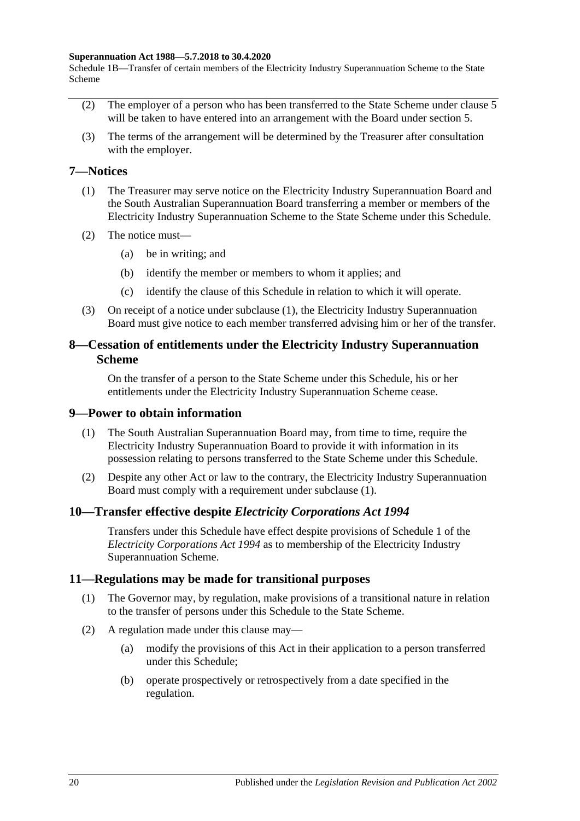#### **Superannuation Act 1988—5.7.2018 to 30.4.2020**

Schedule 1B—Transfer of certain members of the Electricity Industry Superannuation Scheme to the State Scheme

- (2) The employer of a person who has been transferred to the State Scheme under [clause](#page-125-4) 5 will be taken to have entered into an arrangement with the Board under [section](#page-16-0) 5.
- (3) The terms of the arrangement will be determined by the Treasurer after consultation with the employer.

### <span id="page-127-2"></span><span id="page-127-0"></span>**7—Notices**

- (1) The Treasurer may serve notice on the Electricity Industry Superannuation Board and the South Australian Superannuation Board transferring a member or members of the Electricity Industry Superannuation Scheme to the State Scheme under this Schedule.
- (2) The notice must—
	- (a) be in writing; and
	- (b) identify the member or members to whom it applies; and
	- (c) identify the clause of this Schedule in relation to which it will operate.
- <span id="page-127-1"></span>(3) On receipt of a notice under [subclause](#page-127-2) (1), the Electricity Industry Superannuation Board must give notice to each member transferred advising him or her of the transfer.

### **8—Cessation of entitlements under the Electricity Industry Superannuation Scheme**

On the transfer of a person to the State Scheme under this Schedule, his or her entitlements under the Electricity Industry Superannuation Scheme cease.

### <span id="page-127-3"></span>**9—Power to obtain information**

- (1) The South Australian Superannuation Board may, from time to time, require the Electricity Industry Superannuation Board to provide it with information in its possession relating to persons transferred to the State Scheme under this Schedule.
- (2) Despite any other Act or law to the contrary, the Electricity Industry Superannuation Board must comply with a requirement under [subclause](#page-127-3) (1).

### **10—Transfer effective despite** *Electricity Corporations Act 1994*

Transfers under this Schedule have effect despite provisions of Schedule 1 of the *[Electricity Corporations Act](http://www.legislation.sa.gov.au/index.aspx?action=legref&type=act&legtitle=Electricity%20Corporations%20Act%201994) 1994* as to membership of the Electricity Industry Superannuation Scheme.

### **11—Regulations may be made for transitional purposes**

- (1) The Governor may, by regulation, make provisions of a transitional nature in relation to the transfer of persons under this Schedule to the State Scheme.
- (2) A regulation made under this clause may—
	- (a) modify the provisions of this Act in their application to a person transferred under this Schedule;
	- (b) operate prospectively or retrospectively from a date specified in the regulation.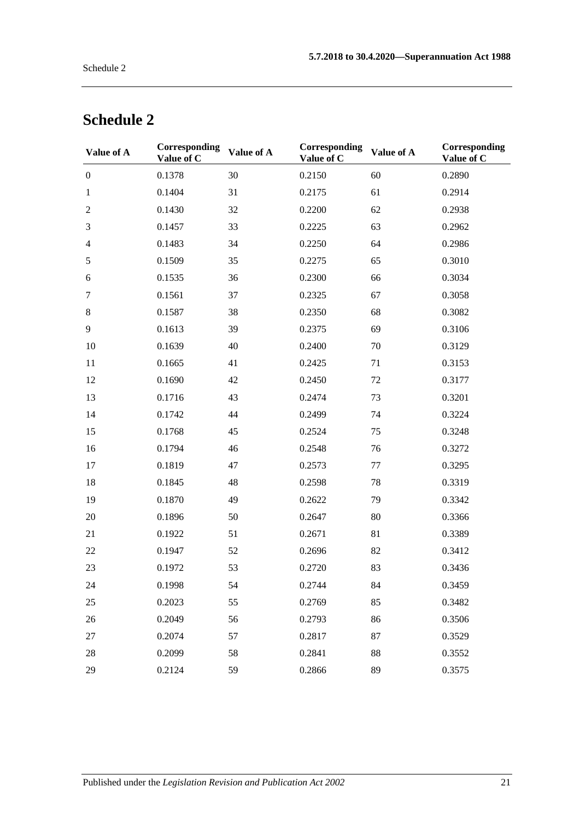| Value of A       | <b>Corresponding</b><br>Value of C | Value of A | Corresponding<br>Value of C | Value of A | Corresponding<br>Value of C |
|------------------|------------------------------------|------------|-----------------------------|------------|-----------------------------|
| $\boldsymbol{0}$ | 0.1378                             | 30         | 0.2150                      | 60         | 0.2890                      |
| $\mathbf{1}$     | 0.1404                             | 31         | 0.2175                      | 61         | 0.2914                      |
| $\overline{c}$   | 0.1430                             | 32         | 0.2200                      | 62         | 0.2938                      |
| 3                | 0.1457                             | 33         | 0.2225                      | 63         | 0.2962                      |
| $\overline{4}$   | 0.1483                             | 34         | 0.2250                      | 64         | 0.2986                      |
| 5                | 0.1509                             | 35         | 0.2275                      | 65         | 0.3010                      |
| 6                | 0.1535                             | 36         | 0.2300                      | 66         | 0.3034                      |
| $\tau$           | 0.1561                             | 37         | 0.2325                      | 67         | 0.3058                      |
| $8\,$            | 0.1587                             | 38         | 0.2350                      | 68         | 0.3082                      |
| 9                | 0.1613                             | 39         | 0.2375                      | 69         | 0.3106                      |
| 10               | 0.1639                             | 40         | 0.2400                      | 70         | 0.3129                      |
| 11               | 0.1665                             | 41         | 0.2425                      | 71         | 0.3153                      |
| 12               | 0.1690                             | 42         | 0.2450                      | 72         | 0.3177                      |
| 13               | 0.1716                             | 43         | 0.2474                      | 73         | 0.3201                      |
| 14               | 0.1742                             | 44         | 0.2499                      | 74         | 0.3224                      |
| 15               | 0.1768                             | 45         | 0.2524                      | 75         | 0.3248                      |
| 16               | 0.1794                             | 46         | 0.2548                      | 76         | 0.3272                      |
| 17               | 0.1819                             | 47         | 0.2573                      | 77         | 0.3295                      |
| 18               | 0.1845                             | 48         | 0.2598                      | 78         | 0.3319                      |
| 19               | 0.1870                             | 49         | 0.2622                      | 79         | 0.3342                      |
| 20               | 0.1896                             | 50         | 0.2647                      | 80         | 0.3366                      |
| 21               | 0.1922                             | 51         | 0.2671                      | 81         | 0.3389                      |
| $22\,$           | 0.1947                             | 52         | 0.2696                      | 82         | 0.3412                      |
| 23               | 0.1972                             | 53         | 0.2720                      | 83         | 0.3436                      |
| 24               | 0.1998                             | 54         | 0.2744                      | 84         | 0.3459                      |
| 25               | 0.2023                             | 55         | 0.2769                      | 85         | 0.3482                      |
| 26               | 0.2049                             | 56         | 0.2793                      | 86         | 0.3506                      |
| 27               | 0.2074                             | 57         | 0.2817                      | 87         | 0.3529                      |
| 28               | 0.2099                             | 58         | 0.2841                      | 88         | 0.3552                      |
| 29               | 0.2124                             | 59         | 0.2866                      | 89         | 0.3575                      |

# **Schedule 2**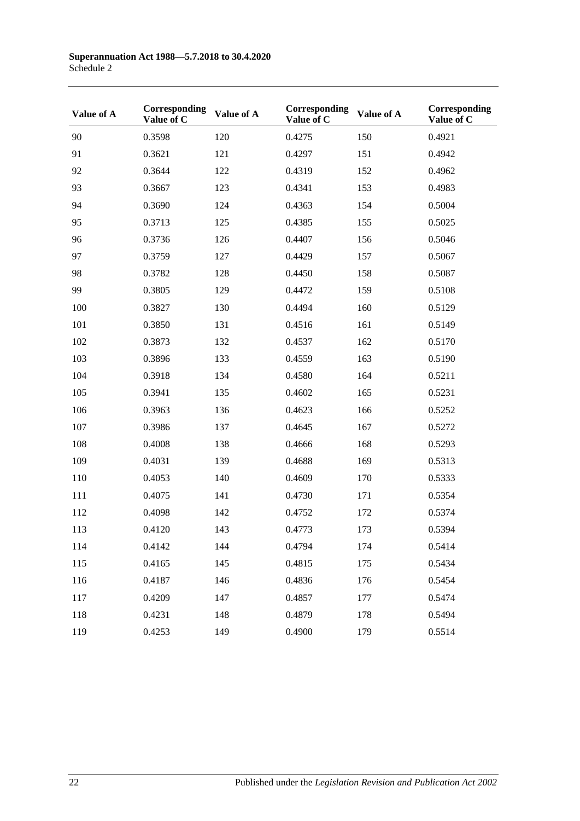| Value of A | Corresponding<br>Value of C | Value of A | Corresponding<br>Value of C | Value of A | Corresponding<br>Value of C |
|------------|-----------------------------|------------|-----------------------------|------------|-----------------------------|
| 90         | 0.3598                      | 120        | 0.4275                      | 150        | 0.4921                      |
| 91         | 0.3621                      | 121        | 0.4297                      | 151        | 0.4942                      |
| 92         | 0.3644                      | 122        | 0.4319                      | 152        | 0.4962                      |
| 93         | 0.3667                      | 123        | 0.4341                      | 153        | 0.4983                      |
| 94         | 0.3690                      | 124        | 0.4363                      | 154        | 0.5004                      |
| 95         | 0.3713                      | 125        | 0.4385                      | 155        | 0.5025                      |
| 96         | 0.3736                      | 126        | 0.4407                      | 156        | 0.5046                      |
| 97         | 0.3759                      | 127        | 0.4429                      | 157        | 0.5067                      |
| 98         | 0.3782                      | 128        | 0.4450                      | 158        | 0.5087                      |
| 99         | 0.3805                      | 129        | 0.4472                      | 159        | 0.5108                      |
| 100        | 0.3827                      | 130        | 0.4494                      | 160        | 0.5129                      |
| 101        | 0.3850                      | 131        | 0.4516                      | 161        | 0.5149                      |
| 102        | 0.3873                      | 132        | 0.4537                      | 162        | 0.5170                      |
| 103        | 0.3896                      | 133        | 0.4559                      | 163        | 0.5190                      |
| 104        | 0.3918                      | 134        | 0.4580                      | 164        | 0.5211                      |
| 105        | 0.3941                      | 135        | 0.4602                      | 165        | 0.5231                      |
| 106        | 0.3963                      | 136        | 0.4623                      | 166        | 0.5252                      |
| 107        | 0.3986                      | 137        | 0.4645                      | 167        | 0.5272                      |
| 108        | 0.4008                      | 138        | 0.4666                      | 168        | 0.5293                      |
| 109        | 0.4031                      | 139        | 0.4688                      | 169        | 0.5313                      |
| 110        | 0.4053                      | 140        | 0.4609                      | 170        | 0.5333                      |
| 111        | 0.4075                      | 141        | 0.4730                      | 171        | 0.5354                      |
| 112        | 0.4098                      | 142        | 0.4752                      | 172        | 0.5374                      |
| 113        | 0.4120                      | 143        | 0.4773                      | 173        | 0.5394                      |
| 114        | 0.4142                      | 144        | 0.4794                      | 174        | 0.5414                      |
| 115        | 0.4165                      | 145        | 0.4815                      | 175        | 0.5434                      |
| 116        | 0.4187                      | 146        | 0.4836                      | 176        | 0.5454                      |
| 117        | 0.4209                      | 147        | 0.4857                      | 177        | 0.5474                      |
| 118        | 0.4231                      | 148        | 0.4879                      | 178        | 0.5494                      |
| 119        | 0.4253                      | 149        | 0.4900                      | 179        | 0.5514                      |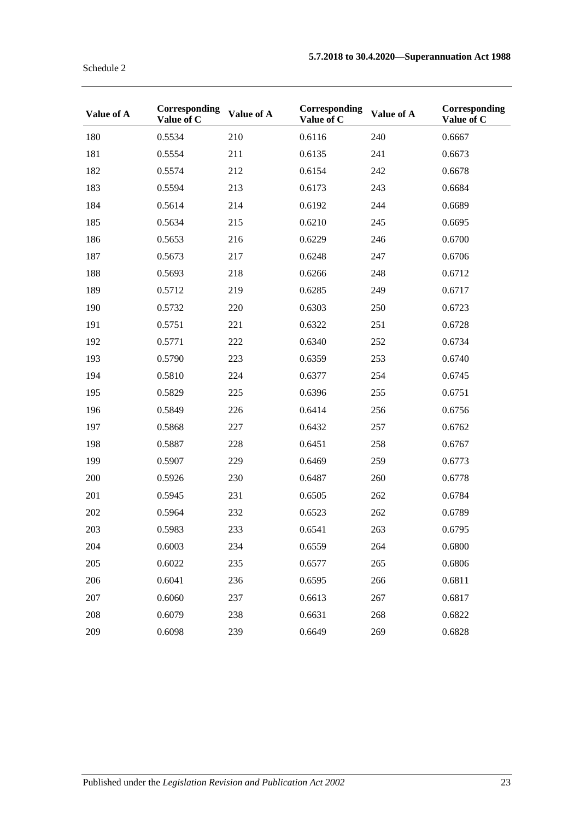| Value of A | Corresponding<br>Value of C | Value of A | Corresponding<br>Value of C | Value of A | Corresponding<br>Value of C |
|------------|-----------------------------|------------|-----------------------------|------------|-----------------------------|
| 180        | 0.5534                      | 210        | 0.6116                      | 240        | 0.6667                      |
| 181        | 0.5554                      | 211        | 0.6135                      | 241        | 0.6673                      |
| 182        | 0.5574                      | 212        | 0.6154                      | 242        | 0.6678                      |
| 183        | 0.5594                      | 213        | 0.6173                      | 243        | 0.6684                      |
| 184        | 0.5614                      | 214        | 0.6192                      | 244        | 0.6689                      |
| 185        | 0.5634                      | 215        | 0.6210                      | 245        | 0.6695                      |
| 186        | 0.5653                      | 216        | 0.6229                      | 246        | 0.6700                      |
| 187        | 0.5673                      | 217        | 0.6248                      | 247        | 0.6706                      |
| 188        | 0.5693                      | 218        | 0.6266                      | 248        | 0.6712                      |
| 189        | 0.5712                      | 219        | 0.6285                      | 249        | 0.6717                      |
| 190        | 0.5732                      | 220        | 0.6303                      | 250        | 0.6723                      |
| 191        | 0.5751                      | 221        | 0.6322                      | 251        | 0.6728                      |
| 192        | 0.5771                      | 222        | 0.6340                      | 252        | 0.6734                      |
| 193        | 0.5790                      | 223        | 0.6359                      | 253        | 0.6740                      |
| 194        | 0.5810                      | 224        | 0.6377                      | 254        | 0.6745                      |
| 195        | 0.5829                      | 225        | 0.6396                      | 255        | 0.6751                      |
| 196        | 0.5849                      | 226        | 0.6414                      | 256        | 0.6756                      |
| 197        | 0.5868                      | 227        | 0.6432                      | 257        | 0.6762                      |
| 198        | 0.5887                      | 228        | 0.6451                      | 258        | 0.6767                      |
| 199        | 0.5907                      | 229        | 0.6469                      | 259        | 0.6773                      |
| 200        | 0.5926                      | 230        | 0.6487                      | 260        | 0.6778                      |
| 201        | 0.5945                      | 231        | 0.6505                      | 262        | 0.6784                      |
| 202        | 0.5964                      | 232        | 0.6523                      | 262        | 0.6789                      |
| 203        | 0.5983                      | 233        | 0.6541                      | 263        | 0.6795                      |
| 204        | 0.6003                      | 234        | 0.6559                      | 264        | 0.6800                      |
| 205        | 0.6022                      | 235        | 0.6577                      | 265        | 0.6806                      |
| 206        | 0.6041                      | 236        | 0.6595                      | 266        | 0.6811                      |
| 207        | 0.6060                      | 237        | 0.6613                      | 267        | 0.6817                      |
| 208        | 0.6079                      | 238        | 0.6631                      | 268        | 0.6822                      |
| 209        | 0.6098                      | 239        | 0.6649                      | 269        | 0.6828                      |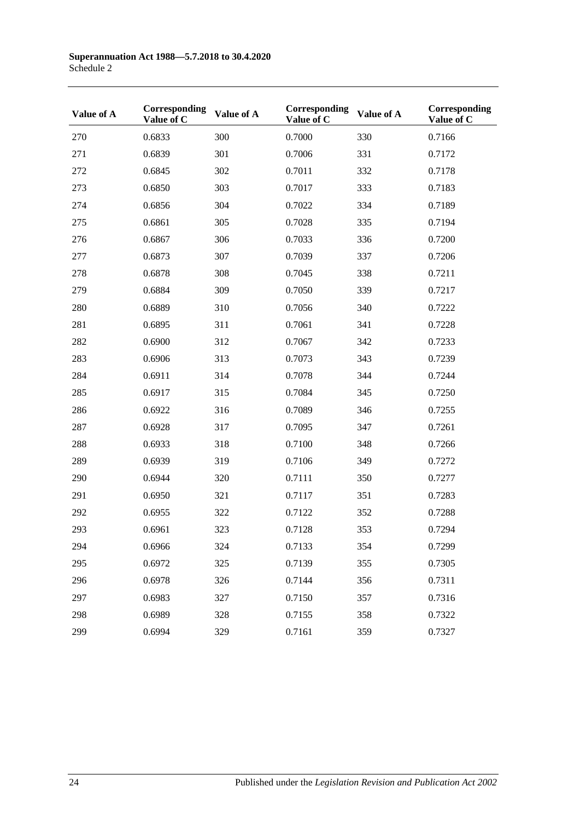| Value of A | Corresponding<br>Value of C | Value of A | Corresponding<br>Value of C | Value of A | Corresponding<br>Value of C |
|------------|-----------------------------|------------|-----------------------------|------------|-----------------------------|
| 270        | 0.6833                      | 300        | 0.7000                      | 330        | 0.7166                      |
| 271        | 0.6839                      | 301        | 0.7006                      | 331        | 0.7172                      |
| 272        | 0.6845                      | 302        | 0.7011                      | 332        | 0.7178                      |
| 273        | 0.6850                      | 303        | 0.7017                      | 333        | 0.7183                      |
| 274        | 0.6856                      | 304        | 0.7022                      | 334        | 0.7189                      |
| 275        | 0.6861                      | 305        | 0.7028                      | 335        | 0.7194                      |
| 276        | 0.6867                      | 306        | 0.7033                      | 336        | 0.7200                      |
| 277        | 0.6873                      | 307        | 0.7039                      | 337        | 0.7206                      |
| 278        | 0.6878                      | 308        | 0.7045                      | 338        | 0.7211                      |
| 279        | 0.6884                      | 309        | 0.7050                      | 339        | 0.7217                      |
| 280        | 0.6889                      | 310        | 0.7056                      | 340        | 0.7222                      |
| 281        | 0.6895                      | 311        | 0.7061                      | 341        | 0.7228                      |
| 282        | 0.6900                      | 312        | 0.7067                      | 342        | 0.7233                      |
| 283        | 0.6906                      | 313        | 0.7073                      | 343        | 0.7239                      |
| 284        | 0.6911                      | 314        | 0.7078                      | 344        | 0.7244                      |
| 285        | 0.6917                      | 315        | 0.7084                      | 345        | 0.7250                      |
| 286        | 0.6922                      | 316        | 0.7089                      | 346        | 0.7255                      |
| 287        | 0.6928                      | 317        | 0.7095                      | 347        | 0.7261                      |
| 288        | 0.6933                      | 318        | 0.7100                      | 348        | 0.7266                      |
| 289        | 0.6939                      | 319        | 0.7106                      | 349        | 0.7272                      |
| 290        | 0.6944                      | 320        | 0.7111                      | 350        | 0.7277                      |
| 291        | 0.6950                      | 321        | 0.7117                      | 351        | 0.7283                      |
| 292        | 0.6955                      | 322        | 0.7122                      | 352        | 0.7288                      |
| 293        | 0.6961                      | 323        | 0.7128                      | 353        | 0.7294                      |
| 294        | 0.6966                      | 324        | 0.7133                      | 354        | 0.7299                      |
| 295        | 0.6972                      | 325        | 0.7139                      | 355        | 0.7305                      |
| 296        | 0.6978                      | 326        | 0.7144                      | 356        | 0.7311                      |
| 297        | 0.6983                      | 327        | 0.7150                      | 357        | 0.7316                      |
| 298        | 0.6989                      | 328        | 0.7155                      | 358        | 0.7322                      |
| 299        | 0.6994                      | 329        | 0.7161                      | 359        | 0.7327                      |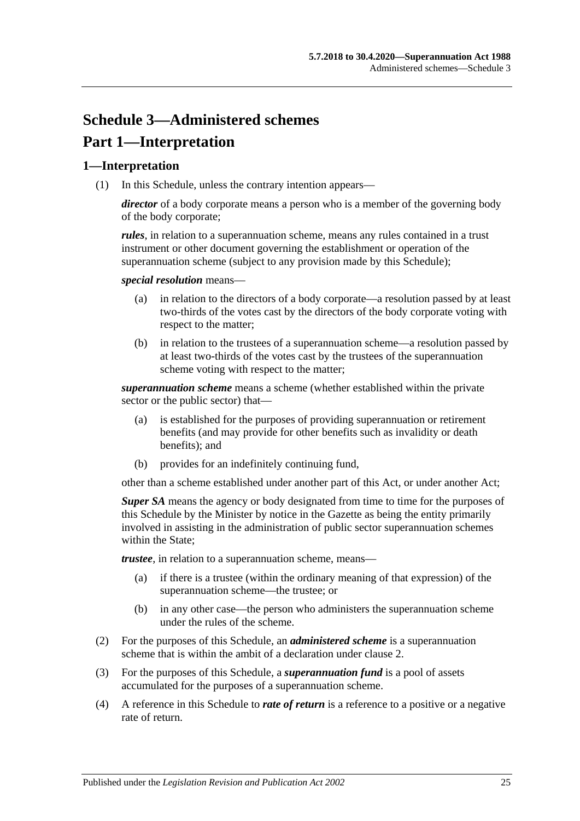# **Schedule 3—Administered schemes Part 1—Interpretation**

### **1—Interpretation**

(1) In this Schedule, unless the contrary intention appears—

*director* of a body corporate means a person who is a member of the governing body of the body corporate;

*rules*, in relation to a superannuation scheme, means any rules contained in a trust instrument or other document governing the establishment or operation of the superannuation scheme (subject to any provision made by this Schedule);

*special resolution* means—

- (a) in relation to the directors of a body corporate—a resolution passed by at least two-thirds of the votes cast by the directors of the body corporate voting with respect to the matter;
- (b) in relation to the trustees of a superannuation scheme—a resolution passed by at least two-thirds of the votes cast by the trustees of the superannuation scheme voting with respect to the matter;

*superannuation scheme* means a scheme (whether established within the private sector or the public sector) that—

- (a) is established for the purposes of providing superannuation or retirement benefits (and may provide for other benefits such as invalidity or death benefits); and
- (b) provides for an indefinitely continuing fund,

other than a scheme established under another part of this Act, or under another Act;

*Super SA* means the agency or body designated from time to time for the purposes of this Schedule by the Minister by notice in the Gazette as being the entity primarily involved in assisting in the administration of public sector superannuation schemes within the State:

*trustee*, in relation to a superannuation scheme, means—

- (a) if there is a trustee (within the ordinary meaning of that expression) of the superannuation scheme—the trustee; or
- (b) in any other case—the person who administers the superannuation scheme under the rules of the scheme.
- (2) For the purposes of this Schedule, an *administered scheme* is a superannuation scheme that is within the ambit of a declaration under [clause](#page-133-0) 2.
- (3) For the purposes of this Schedule, a *superannuation fund* is a pool of assets accumulated for the purposes of a superannuation scheme.
- (4) A reference in this Schedule to *rate of return* is a reference to a positive or a negative rate of return.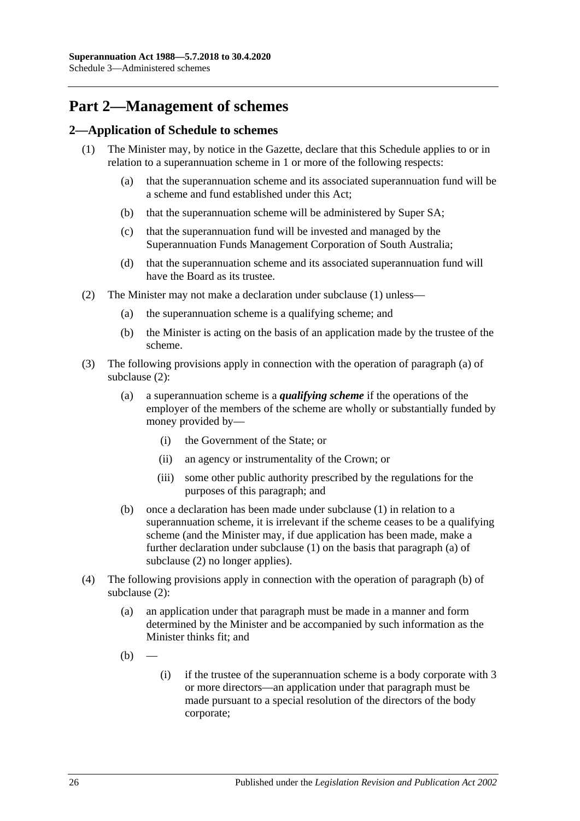# **Part 2—Management of schemes**

### <span id="page-133-1"></span><span id="page-133-0"></span>**2—Application of Schedule to schemes**

- <span id="page-133-6"></span><span id="page-133-5"></span>(1) The Minister may, by notice in the Gazette, declare that this Schedule applies to or in relation to a superannuation scheme in 1 or more of the following respects:
	- (a) that the superannuation scheme and its associated superannuation fund will be a scheme and fund established under this Act;
	- (b) that the superannuation scheme will be administered by Super SA;
	- (c) that the superannuation fund will be invested and managed by the Superannuation Funds Management Corporation of South Australia;
	- (d) that the superannuation scheme and its associated superannuation fund will have the Board as its trustee.
- <span id="page-133-8"></span><span id="page-133-7"></span><span id="page-133-4"></span><span id="page-133-3"></span><span id="page-133-2"></span>(2) The Minister may not make a declaration under [subclause](#page-133-1) (1) unless—
	- (a) the superannuation scheme is a qualifying scheme; and
	- (b) the Minister is acting on the basis of an application made by the trustee of the scheme.
- (3) The following provisions apply in connection with the operation of [paragraph](#page-133-2) (a) of [subclause](#page-133-3) (2):
	- (a) a superannuation scheme is a *qualifying scheme* if the operations of the employer of the members of the scheme are wholly or substantially funded by money provided by—
		- (i) the Government of the State; or
		- (ii) an agency or instrumentality of the Crown; or
		- (iii) some other public authority prescribed by the regulations for the purposes of this paragraph; and
	- (b) once a declaration has been made under [subclause](#page-133-1) (1) in relation to a superannuation scheme, it is irrelevant if the scheme ceases to be a qualifying scheme (and the Minister may, if due application has been made, make a further declaration under [subclause](#page-133-1) (1) on the basis that [paragraph](#page-133-2) (a) of [subclause](#page-133-3) (2) no longer applies).
- (4) The following provisions apply in connection with the operation of [paragraph](#page-133-4) (b) of [subclause](#page-133-3) (2):
	- (a) an application under that paragraph must be made in a manner and form determined by the Minister and be accompanied by such information as the Minister thinks fit; and
	- $(b)$
- (i) if the trustee of the superannuation scheme is a body corporate with 3 or more directors—an application under that paragraph must be made pursuant to a special resolution of the directors of the body corporate;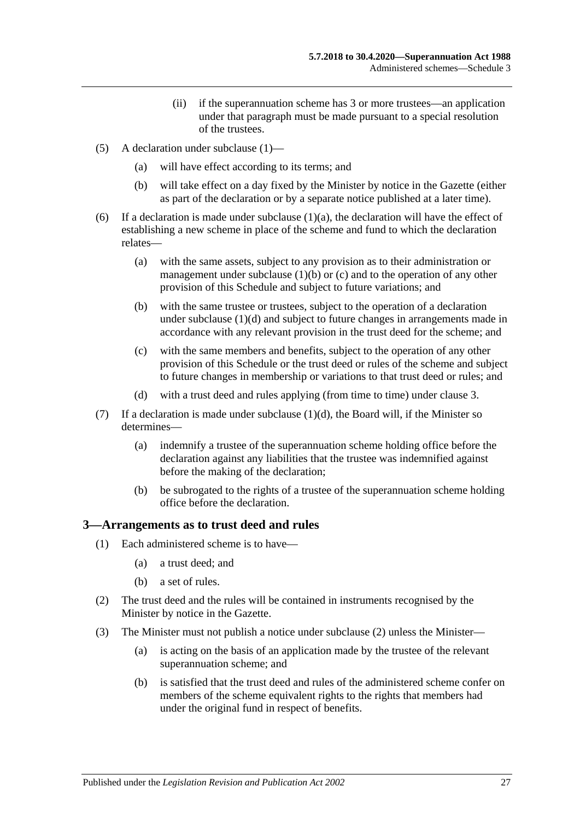- (ii) if the superannuation scheme has 3 or more trustees—an application under that paragraph must be made pursuant to a special resolution of the trustees.
- (5) A declaration under [subclause](#page-133-1) (1)—
	- (a) will have effect according to its terms; and
	- (b) will take effect on a day fixed by the Minister by notice in the Gazette (either as part of the declaration or by a separate notice published at a later time).
- (6) If a declaration is made under [subclause](#page-133-5)  $(1)(a)$ , the declaration will have the effect of establishing a new scheme in place of the scheme and fund to which the declaration relates—
	- (a) with the same assets, subject to any provision as to their administration or management under [subclause](#page-133-6)  $(1)(b)$  or  $(c)$  and to the operation of any other provision of this Schedule and subject to future variations; and
	- (b) with the same trustee or trustees, subject to the operation of a declaration under [subclause](#page-133-8) (1)(d) and subject to future changes in arrangements made in accordance with any relevant provision in the trust deed for the scheme; and
	- (c) with the same members and benefits, subject to the operation of any other provision of this Schedule or the trust deed or rules of the scheme and subject to future changes in membership or variations to that trust deed or rules; and
	- (d) with a trust deed and rules applying (from time to time) under [clause](#page-134-0) 3.
- (7) If a declaration is made under [subclause](#page-133-8)  $(1)(d)$ , the Board will, if the Minister so determines—
	- (a) indemnify a trustee of the superannuation scheme holding office before the declaration against any liabilities that the trustee was indemnified against before the making of the declaration;
	- (b) be subrogated to the rights of a trustee of the superannuation scheme holding office before the declaration.

### <span id="page-134-0"></span>**3—Arrangements as to trust deed and rules**

- (1) Each administered scheme is to have—
	- (a) a trust deed; and
	- (b) a set of rules.
- <span id="page-134-1"></span>(2) The trust deed and the rules will be contained in instruments recognised by the Minister by notice in the Gazette.
- <span id="page-134-2"></span>(3) The Minister must not publish a notice under [subclause](#page-134-1) (2) unless the Minister—
	- (a) is acting on the basis of an application made by the trustee of the relevant superannuation scheme; and
	- (b) is satisfied that the trust deed and rules of the administered scheme confer on members of the scheme equivalent rights to the rights that members had under the original fund in respect of benefits.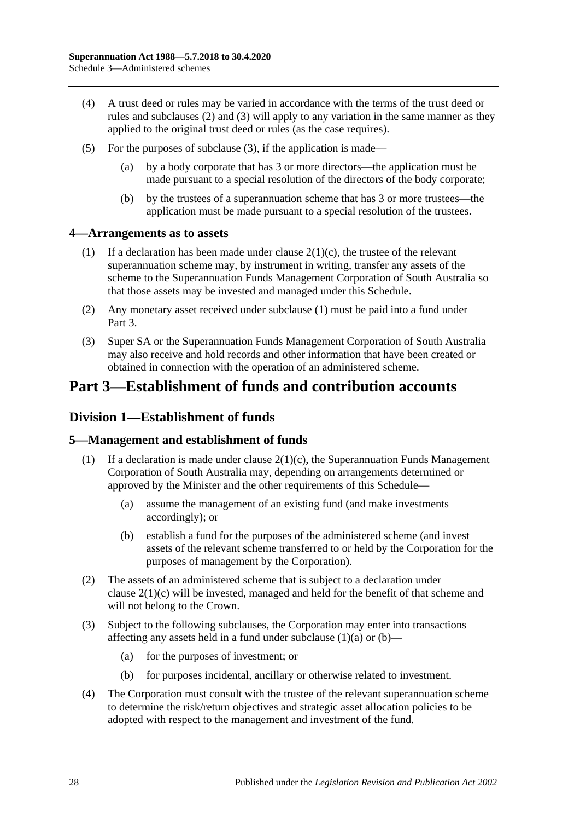- (4) A trust deed or rules may be varied in accordance with the terms of the trust deed or rules and [subclauses](#page-134-1) (2) and [\(3\)](#page-134-2) will apply to any variation in the same manner as they applied to the original trust deed or rules (as the case requires).
- (5) For the purposes of [subclause](#page-134-2) (3), if the application is made—
	- (a) by a body corporate that has 3 or more directors—the application must be made pursuant to a special resolution of the directors of the body corporate;
	- (b) by the trustees of a superannuation scheme that has 3 or more trustees—the application must be made pursuant to a special resolution of the trustees.

### <span id="page-135-0"></span>**4—Arrangements as to assets**

- (1) If a declaration has been made under clause  $2(1)(c)$ , the trustee of the relevant superannuation scheme may, by instrument in writing, transfer any assets of the scheme to the Superannuation Funds Management Corporation of South Australia so that those assets may be invested and managed under this Schedule.
- (2) Any monetary asset received under [subclause](#page-135-0) (1) must be paid into a fund under Part 3.
- (3) Super SA or the Superannuation Funds Management Corporation of South Australia may also receive and hold records and other information that have been created or obtained in connection with the operation of an administered scheme.

# **Part 3—Establishment of funds and contribution accounts**

## **Division 1—Establishment of funds**

### **5—Management and establishment of funds**

- <span id="page-135-1"></span>(1) If a declaration is made under clause  $2(1)(c)$ , the Superannuation Funds Management Corporation of South Australia may, depending on arrangements determined or approved by the Minister and the other requirements of this Schedule—
	- (a) assume the management of an existing fund (and make investments accordingly); or
	- (b) establish a fund for the purposes of the administered scheme (and invest assets of the relevant scheme transferred to or held by the Corporation for the purposes of management by the Corporation).
- <span id="page-135-2"></span>(2) The assets of an administered scheme that is subject to a declaration under clause [2\(1\)\(c\)](#page-133-7) will be invested, managed and held for the benefit of that scheme and will not belong to the Crown.
- (3) Subject to the following subclauses, the Corporation may enter into transactions affecting any assets held in a fund under [subclause](#page-135-1)  $(1)(a)$  or  $(b)$ —
	- (a) for the purposes of investment; or
	- (b) for purposes incidental, ancillary or otherwise related to investment.
- (4) The Corporation must consult with the trustee of the relevant superannuation scheme to determine the risk/return objectives and strategic asset allocation policies to be adopted with respect to the management and investment of the fund.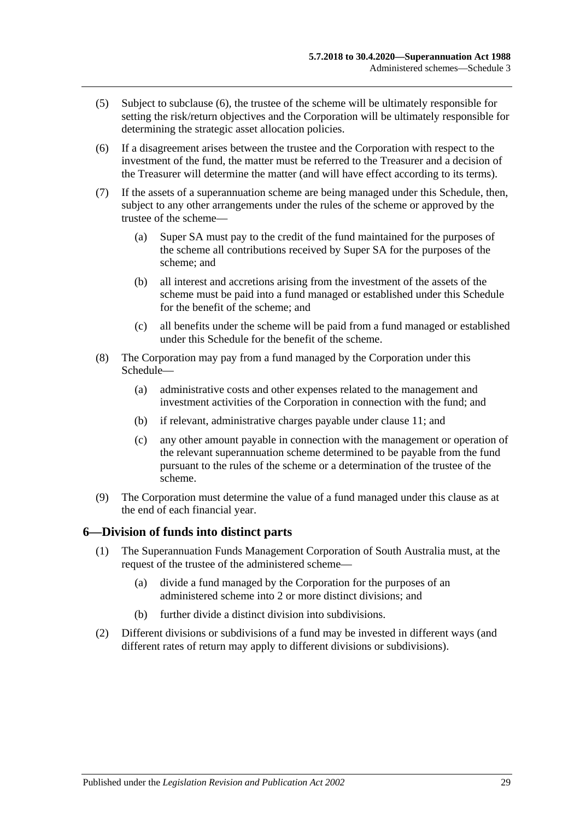- (5) Subject to [subclause](#page-136-0) (6), the trustee of the scheme will be ultimately responsible for setting the risk/return objectives and the Corporation will be ultimately responsible for determining the strategic asset allocation policies.
- <span id="page-136-0"></span>(6) If a disagreement arises between the trustee and the Corporation with respect to the investment of the fund, the matter must be referred to the Treasurer and a decision of the Treasurer will determine the matter (and will have effect according to its terms).
- (7) If the assets of a superannuation scheme are being managed under this Schedule, then, subject to any other arrangements under the rules of the scheme or approved by the trustee of the scheme—
	- (a) Super SA must pay to the credit of the fund maintained for the purposes of the scheme all contributions received by Super SA for the purposes of the scheme; and
	- (b) all interest and accretions arising from the investment of the assets of the scheme must be paid into a fund managed or established under this Schedule for the benefit of the scheme; and
	- (c) all benefits under the scheme will be paid from a fund managed or established under this Schedule for the benefit of the scheme.
- (8) The Corporation may pay from a fund managed by the Corporation under this Schedule—
	- (a) administrative costs and other expenses related to the management and investment activities of the Corporation in connection with the fund; and
	- (b) if relevant, administrative charges payable under [clause](#page-138-0) 11; and
	- (c) any other amount payable in connection with the management or operation of the relevant superannuation scheme determined to be payable from the fund pursuant to the rules of the scheme or a determination of the trustee of the scheme.
- (9) The Corporation must determine the value of a fund managed under this clause as at the end of each financial year.

### **6—Division of funds into distinct parts**

- (1) The Superannuation Funds Management Corporation of South Australia must, at the request of the trustee of the administered scheme—
	- (a) divide a fund managed by the Corporation for the purposes of an administered scheme into 2 or more distinct divisions; and
	- (b) further divide a distinct division into subdivisions.
- (2) Different divisions or subdivisions of a fund may be invested in different ways (and different rates of return may apply to different divisions or subdivisions).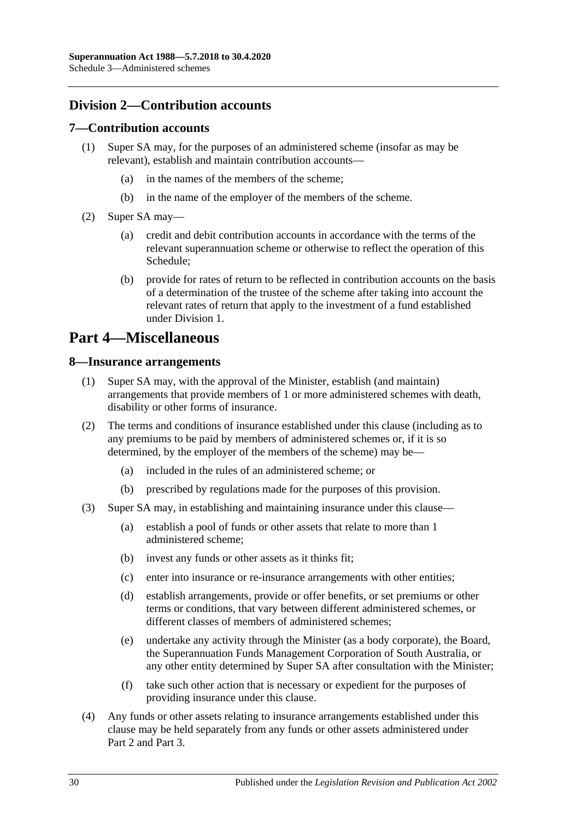## **Division 2—Contribution accounts**

### **7—Contribution accounts**

- (1) Super SA may, for the purposes of an administered scheme (insofar as may be relevant), establish and maintain contribution accounts—
	- (a) in the names of the members of the scheme;
	- (b) in the name of the employer of the members of the scheme.
- (2) Super SA may—
	- (a) credit and debit contribution accounts in accordance with the terms of the relevant superannuation scheme or otherwise to reflect the operation of this Schedule;
	- (b) provide for rates of return to be reflected in contribution accounts on the basis of a determination of the trustee of the scheme after taking into account the relevant rates of return that apply to the investment of a fund established under Division 1.

# **Part 4—Miscellaneous**

### **8—Insurance arrangements**

- (1) Super SA may, with the approval of the Minister, establish (and maintain) arrangements that provide members of 1 or more administered schemes with death, disability or other forms of insurance.
- (2) The terms and conditions of insurance established under this clause (including as to any premiums to be paid by members of administered schemes or, if it is so determined, by the employer of the members of the scheme) may be—
	- (a) included in the rules of an administered scheme; or
	- (b) prescribed by regulations made for the purposes of this provision.
- (3) Super SA may, in establishing and maintaining insurance under this clause—
	- (a) establish a pool of funds or other assets that relate to more than 1 administered scheme;
	- (b) invest any funds or other assets as it thinks fit;
	- (c) enter into insurance or re-insurance arrangements with other entities;
	- (d) establish arrangements, provide or offer benefits, or set premiums or other terms or conditions, that vary between different administered schemes, or different classes of members of administered schemes;
	- (e) undertake any activity through the Minister (as a body corporate), the Board, the Superannuation Funds Management Corporation of South Australia, or any other entity determined by Super SA after consultation with the Minister;
	- (f) take such other action that is necessary or expedient for the purposes of providing insurance under this clause.
- (4) Any funds or other assets relating to insurance arrangements established under this clause may be held separately from any funds or other assets administered under Part 2 and Part 3.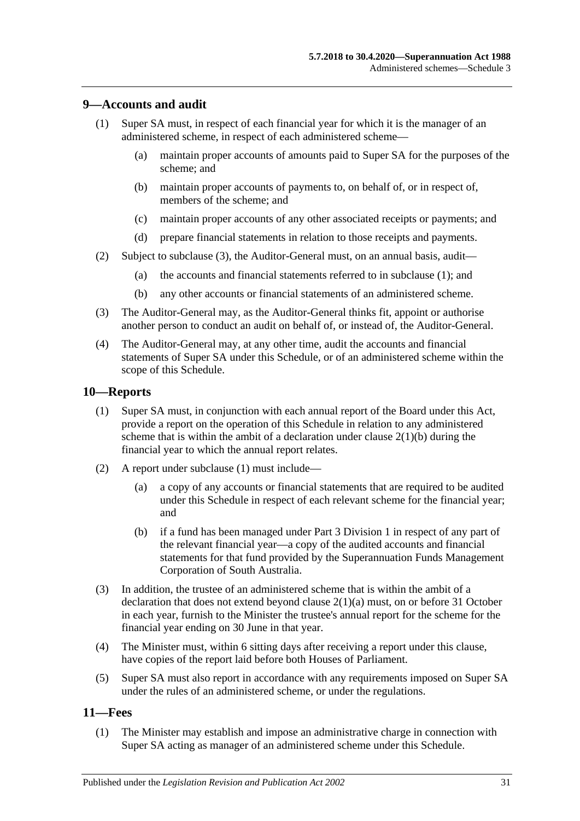### <span id="page-138-2"></span>**9—Accounts and audit**

- (1) Super SA must, in respect of each financial year for which it is the manager of an administered scheme, in respect of each administered scheme—
	- (a) maintain proper accounts of amounts paid to Super SA for the purposes of the scheme; and
	- (b) maintain proper accounts of payments to, on behalf of, or in respect of, members of the scheme; and
	- (c) maintain proper accounts of any other associated receipts or payments; and
	- (d) prepare financial statements in relation to those receipts and payments.
- (2) Subject to [subclause](#page-138-1) (3), the Auditor-General must, on an annual basis, audit—
	- (a) the accounts and financial statements referred to in [subclause](#page-138-2) (1); and
	- (b) any other accounts or financial statements of an administered scheme.
- <span id="page-138-1"></span>(3) The Auditor-General may, as the Auditor-General thinks fit, appoint or authorise another person to conduct an audit on behalf of, or instead of, the Auditor-General.
- (4) The Auditor-General may, at any other time, audit the accounts and financial statements of Super SA under this Schedule, or of an administered scheme within the scope of this Schedule.

### <span id="page-138-3"></span>**10—Reports**

- (1) Super SA must, in conjunction with each annual report of the Board under this Act, provide a report on the operation of this Schedule in relation to any administered scheme that is within the ambit of a declaration under clause  $2(1)(b)$  during the financial year to which the annual report relates.
- (2) A report under [subclause](#page-138-3) (1) must include—
	- (a) a copy of any accounts or financial statements that are required to be audited under this Schedule in respect of each relevant scheme for the financial year; and
	- (b) if a fund has been managed under Part 3 Division 1 in respect of any part of the relevant financial year—a copy of the audited accounts and financial statements for that fund provided by the Superannuation Funds Management Corporation of South Australia.
- (3) In addition, the trustee of an administered scheme that is within the ambit of a declaration that does not extend beyond clause [2\(1\)\(a\)](#page-133-5) must, on or before 31 October in each year, furnish to the Minister the trustee's annual report for the scheme for the financial year ending on 30 June in that year.
- (4) The Minister must, within 6 sitting days after receiving a report under this clause, have copies of the report laid before both Houses of Parliament.
- (5) Super SA must also report in accordance with any requirements imposed on Super SA under the rules of an administered scheme, or under the regulations.

### <span id="page-138-4"></span><span id="page-138-0"></span>**11—Fees**

(1) The Minister may establish and impose an administrative charge in connection with Super SA acting as manager of an administered scheme under this Schedule.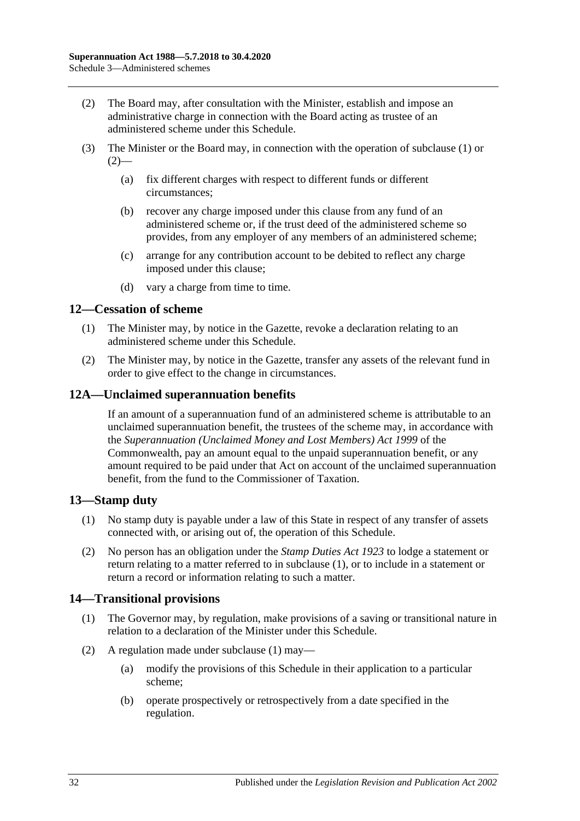- <span id="page-139-0"></span>(2) The Board may, after consultation with the Minister, establish and impose an administrative charge in connection with the Board acting as trustee of an administered scheme under this Schedule.
- (3) The Minister or the Board may, in connection with the operation of [subclause](#page-138-4) (1) or  $(2)$ —
	- (a) fix different charges with respect to different funds or different circumstances;
	- (b) recover any charge imposed under this clause from any fund of an administered scheme or, if the trust deed of the administered scheme so provides, from any employer of any members of an administered scheme;
	- (c) arrange for any contribution account to be debited to reflect any charge imposed under this clause;
	- (d) vary a charge from time to time.

### **12—Cessation of scheme**

- (1) The Minister may, by notice in the Gazette, revoke a declaration relating to an administered scheme under this Schedule.
- (2) The Minister may, by notice in the Gazette, transfer any assets of the relevant fund in order to give effect to the change in circumstances.

### **12A—Unclaimed superannuation benefits**

If an amount of a superannuation fund of an administered scheme is attributable to an unclaimed superannuation benefit, the trustees of the scheme may, in accordance with the *Superannuation (Unclaimed Money and Lost Members) Act 1999* of the Commonwealth, pay an amount equal to the unpaid superannuation benefit, or any amount required to be paid under that Act on account of the unclaimed superannuation benefit, from the fund to the Commissioner of Taxation.

### <span id="page-139-1"></span>**13—Stamp duty**

- (1) No stamp duty is payable under a law of this State in respect of any transfer of assets connected with, or arising out of, the operation of this Schedule.
- (2) No person has an obligation under the *[Stamp Duties Act](http://www.legislation.sa.gov.au/index.aspx?action=legref&type=act&legtitle=Stamp%20Duties%20Act%201923) 1923* to lodge a statement or return relating to a matter referred to in [subclause](#page-139-1) (1), or to include in a statement or return a record or information relating to such a matter.

### <span id="page-139-2"></span>**14—Transitional provisions**

- (1) The Governor may, by regulation, make provisions of a saving or transitional nature in relation to a declaration of the Minister under this Schedule.
- (2) A regulation made under [subclause](#page-139-2) (1) may—
	- (a) modify the provisions of this Schedule in their application to a particular scheme;
	- (b) operate prospectively or retrospectively from a date specified in the regulation.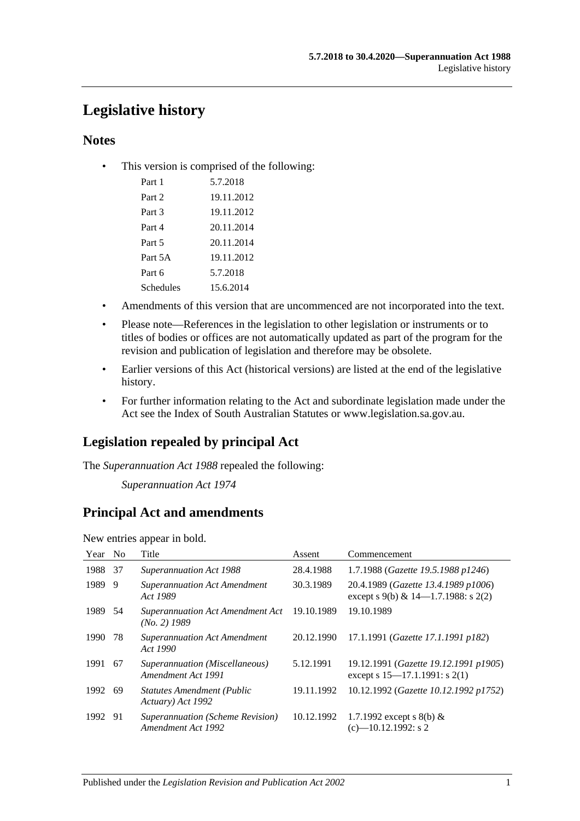# **Legislative history**

### **Notes**

• This version is comprised of the following:

| Part 1    | 5.7.2018   |
|-----------|------------|
| Part 2    | 19.11.2012 |
| Part 3    | 19.11.2012 |
| Part 4    | 20.11.2014 |
| Part 5    | 20.11.2014 |
| Part 5A   | 19.11.2012 |
| Part 6    | 5.7.2018   |
| Schedules | 15.6.2014  |

- Amendments of this version that are uncommenced are not incorporated into the text.
- Please note—References in the legislation to other legislation or instruments or to titles of bodies or offices are not automatically updated as part of the program for the revision and publication of legislation and therefore may be obsolete.
- Earlier versions of this Act (historical versions) are listed at the end of the legislative history.
- For further information relating to the Act and subordinate legislation made under the Act see the Index of South Australian Statutes or www.legislation.sa.gov.au.

## **Legislation repealed by principal Act**

The *Superannuation Act 1988* repealed the following:

*Superannuation Act 1974*

### **Principal Act and amendments**

New entries appear in bold.

| Year | N <sub>0</sub> | Title                                                  | Assent     | Commencement                                                                |
|------|----------------|--------------------------------------------------------|------------|-----------------------------------------------------------------------------|
| 1988 | 37             | Superannuation Act 1988                                | 28.4.1988  | 1.7.1988 (Gazette 19.5.1988 p1246)                                          |
| 1989 | 9              | <b>Superannuation Act Amendment</b><br>Act 1989        | 30.3.1989  | 20.4.1989 (Gazette 13.4.1989 p1006)<br>except s 9(b) & 14–1.7.1988: s 2(2)  |
| 1989 | 54             | Superannuation Act Amendment Act<br>$(No. 2)$ 1989     | 19.10.1989 | 19.10.1989                                                                  |
| 1990 | 78             | <b>Superannuation Act Amendment</b><br>Act 1990        | 20.12.1990 | 17.1.1991 (Gazette 17.1.1991 p182)                                          |
| 1991 | 67             | Superannuation (Miscellaneous)<br>Amendment Act 1991   | 5.12.1991  | 19.12.1991 (Gazette 19.12.1991 p1905)<br>except s $15-17.1.1991$ : s $2(1)$ |
| 1992 | -69            | <b>Statutes Amendment (Public</b><br>Actuary) Act 1992 | 19.11.1992 | 10.12.1992 (Gazette 10.12.1992 p1752)                                       |
| 1992 | -91            | Superannuation (Scheme Revision)<br>Amendment Act 1992 | 10.12.1992 | 1.7.1992 except s 8(b) $&$<br>$(c)$ —10.12.1992: s 2                        |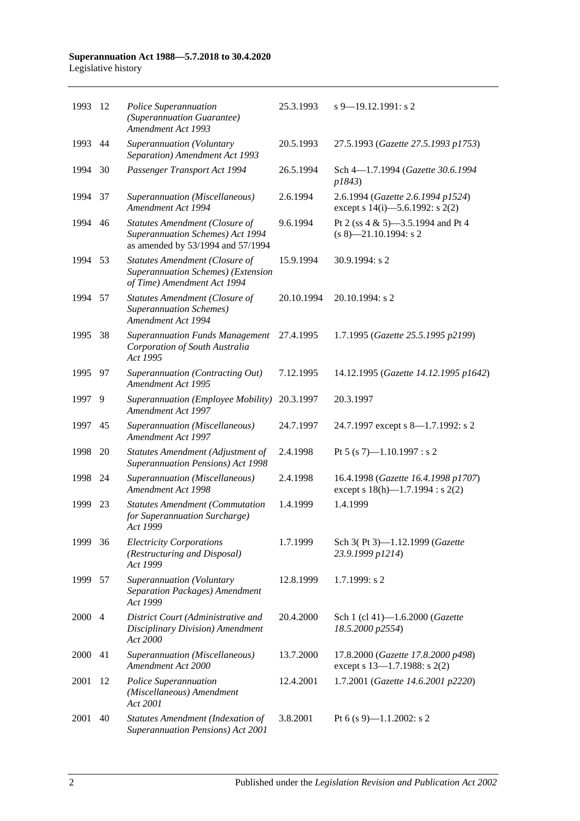#### **Superannuation Act 1988—5.7.2018 to 30.4.2020** Legislative history

| 1993 | -12            | Police Superannuation<br>(Superannuation Guarantee)<br><b>Amendment Act 1993</b>                           | 25.3.1993  | $s$ 9–19.12.1991: s 2                                                        |
|------|----------------|------------------------------------------------------------------------------------------------------------|------------|------------------------------------------------------------------------------|
| 1993 | 44             | Superannuation (Voluntary<br>Separation) Amendment Act 1993                                                | 20.5.1993  | 27.5.1993 (Gazette 27.5.1993 p1753)                                          |
| 1994 | 30             | Passenger Transport Act 1994                                                                               | 26.5.1994  | Sch 4-1.7.1994 (Gazette 30.6.1994<br>p1843)                                  |
| 1994 | 37             | Superannuation (Miscellaneous)<br>Amendment Act 1994                                                       | 2.6.1994   | 2.6.1994 (Gazette 2.6.1994 p1524)<br>except s $14(i)$ —5.6.1992: s $2(2)$    |
| 1994 | 46             | Statutes Amendment (Closure of<br>Superannuation Schemes) Act 1994<br>as amended by 53/1994 and 57/1994    | 9.6.1994   | Pt 2 (ss 4 & 5)-3.5.1994 and Pt 4<br>$(s 8)$ -21.10.1994: s 2                |
| 1994 | 53             | <b>Statutes Amendment (Closure of</b><br>Superannuation Schemes) (Extension<br>of Time) Amendment Act 1994 | 15.9.1994  | 30.9.1994: s 2                                                               |
| 1994 | 57             | Statutes Amendment (Closure of<br><b>Superannuation Schemes</b> )<br><b>Amendment Act 1994</b>             | 20.10.1994 | 20.10.1994: s 2                                                              |
| 1995 | 38             | <b>Superannuation Funds Management</b><br>Corporation of South Australia<br>Act 1995                       | 27.4.1995  | 1.7.1995 (Gazette 25.5.1995 p2199)                                           |
| 1995 | 97             | Superannuation (Contracting Out)<br>Amendment Act 1995                                                     | 7.12.1995  | 14.12.1995 (Gazette 14.12.1995 p1642)                                        |
| 1997 | 9              | Superannuation (Employee Mobility)<br>Amendment Act 1997                                                   | 20.3.1997  | 20.3.1997                                                                    |
| 1997 | 45             | Superannuation (Miscellaneous)<br>Amendment Act 1997                                                       | 24.7.1997  | 24.7.1997 except s 8—1.7.1992: s 2                                           |
| 1998 | 20             | Statutes Amendment (Adjustment of<br>Superannuation Pensions) Act 1998                                     | 2.4.1998   | Pt 5 (s 7)-1.10.1997 : s 2                                                   |
| 1998 | 24             | Superannuation (Miscellaneous)<br>Amendment Act 1998                                                       | 2.4.1998   | 16.4.1998 (Gazette 16.4.1998 p1707)<br>except s $18(h)$ —1.7.1994 : s $2(2)$ |
| 1999 | 23             | <b>Statutes Amendment (Commutation</b><br>for Superannuation Surcharge)<br>Act 1999                        | 1.4.1999   | 1.4.1999                                                                     |
| 1999 | 36             | <b>Electricity Corporations</b><br>(Restructuring and Disposal)<br>Act 1999                                | 1.7.1999   | Sch 3(Pt 3)-1.12.1999 (Gazette<br>23.9.1999 p1214)                           |
| 1999 | 57             | Superannuation (Voluntary<br>Separation Packages) Amendment<br>Act 1999                                    | 12.8.1999  | 1.7.1999: s2                                                                 |
| 2000 | $\overline{4}$ | District Court (Administrative and<br>Disciplinary Division) Amendment<br>Act 2000                         | 20.4.2000  | Sch 1 (cl 41)-1.6.2000 (Gazette<br>18.5.2000 p2554)                          |
| 2000 | 41             | Superannuation (Miscellaneous)<br>Amendment Act 2000                                                       | 13.7.2000  | 17.8.2000 (Gazette 17.8.2000 p498)<br>except s $13-1.7.1988$ : s $2(2)$      |
| 2001 | 12             | Police Superannuation<br>(Miscellaneous) Amendment<br>Act 2001                                             | 12.4.2001  | 1.7.2001 (Gazette 14.6.2001 p2220)                                           |
| 2001 | 40             | Statutes Amendment (Indexation of<br>Superannuation Pensions) Act 2001                                     | 3.8.2001   | Pt 6 (s 9)—1.1.2002: s 2                                                     |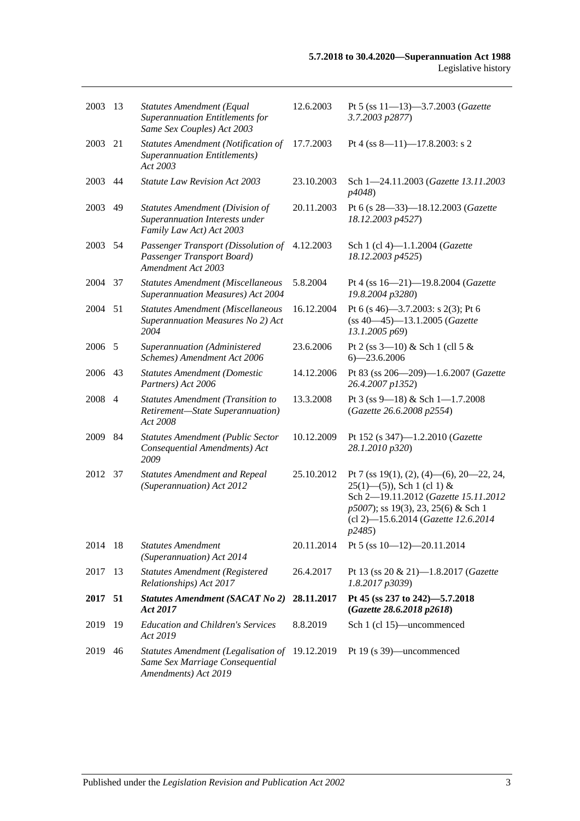| 2003    | 13  | <b>Statutes Amendment (Equal</b><br>Superannuation Entitlements for<br>Same Sex Couples) Act 2003    | 12.6.2003  | Pt 5 (ss 11-13)-3.7.2003 (Gazette<br>3.7.2003 p2877)                                                                                                                                                      |
|---------|-----|------------------------------------------------------------------------------------------------------|------------|-----------------------------------------------------------------------------------------------------------------------------------------------------------------------------------------------------------|
| 2003    | 21  | Statutes Amendment (Notification of<br><b>Superannuation Entitlements</b> )<br>Act 2003              | 17.7.2003  | Pt 4 (ss 8-11)-17.8.2003: s 2                                                                                                                                                                             |
| 2003    | 44  | <b>Statute Law Revision Act 2003</b>                                                                 | 23.10.2003 | Sch 1-24.11.2003 (Gazette 13.11.2003<br>p4048)                                                                                                                                                            |
| 2003    | 49  | <b>Statutes Amendment (Division of</b><br>Superannuation Interests under<br>Family Law Act) Act 2003 | 20.11.2003 | Pt 6 (s 28-33)-18.12.2003 (Gazette<br>18.12.2003 p4527)                                                                                                                                                   |
| 2003 54 |     | Passenger Transport (Dissolution of<br>Passenger Transport Board)<br>Amendment Act 2003              | 4.12.2003  | Sch 1 (cl 4)-1.1.2004 (Gazette<br>18.12.2003 p4525)                                                                                                                                                       |
| 2004    | 37  | Statutes Amendment (Miscellaneous<br><b>Superannuation Measures) Act 2004</b>                        | 5.8.2004   | Pt 4 (ss 16-21)-19.8.2004 (Gazette<br>19.8.2004 p3280)                                                                                                                                                    |
| 2004    | 51  | <b>Statutes Amendment (Miscellaneous</b><br>Superannuation Measures No 2) Act<br>2004                | 16.12.2004 | Pt 6 (s 46)–3.7.2003: s 2(3); Pt 6<br>$(ss 40-45) - 13.1.2005$ (Gazette<br>13.1.2005 p69)                                                                                                                 |
| 2006    | 5   | Superannuation (Administered<br>Schemes) Amendment Act 2006                                          | 23.6.2006  | Pt 2 (ss $3-10$ ) & Sch 1 (cll 5 &<br>$6 - 23.6.2006$                                                                                                                                                     |
| 2006    | 43  | <b>Statutes Amendment (Domestic</b><br>Partners) Act 2006                                            | 14.12.2006 | Pt 83 (ss 206-209)-1.6.2007 (Gazette<br>26.4.2007 p1352)                                                                                                                                                  |
| 2008    | 4   | <b>Statutes Amendment (Transition to</b><br>Retirement-State Superannuation)<br>Act 2008             | 13.3.2008  | Pt 3 (ss 9-18) & Sch 1-1.7.2008<br>(Gazette 26.6.2008 p2554)                                                                                                                                              |
| 2009    | 84  | <b>Statutes Amendment (Public Sector</b><br>Consequential Amendments) Act<br>2009                    | 10.12.2009 | Pt 152 (s 347)-1.2.2010 (Gazette<br>28.1.2010 p320)                                                                                                                                                       |
| 2012    | 37  | <b>Statutes Amendment and Repeal</b><br>(Superannuation) Act 2012                                    | 25.10.2012 | Pt 7 (ss 19(1), (2), (4)—(6), 20—22, 24,<br>$25(1)$ —(5)), Sch 1 (cl 1) &<br>Sch 2-19.11.2012 (Gazette 15.11.2012<br>p5007); ss 19(3), 23, 25(6) & Sch 1<br>(cl 2)-15.6.2014 (Gazette 12.6.2014<br>p2485) |
| 2014    | -18 | <b>Statutes Amendment</b><br>(Superannuation) Act 2014                                               | 20.11.2014 | Pt 5 (ss $10-12$ )-20.11.2014                                                                                                                                                                             |
| 2017    | 13  | <b>Statutes Amendment (Registered</b><br>Relationships) Act 2017                                     | 26.4.2017  | Pt 13 (ss 20 & 21)-1.8.2017 (Gazette<br>1.8.2017 p3039)                                                                                                                                                   |
| 2017    | 51  | <b>Statutes Amendment (SACAT No 2)</b><br>Act 2017                                                   | 28.11.2017 | Pt 45 (ss 237 to 242)-5.7.2018<br>(Gazette 28.6.2018 p2618)                                                                                                                                               |
| 2019    | 19  | <b>Education and Children's Services</b><br>Act 2019                                                 | 8.8.2019   | Sch 1 (cl 15)—uncommenced                                                                                                                                                                                 |
| 2019    | 46  | Statutes Amendment (Legalisation of<br>Same Sex Marriage Consequential<br>Amendments) Act 2019       | 19.12.2019 | Pt 19 (s 39)—uncommenced                                                                                                                                                                                  |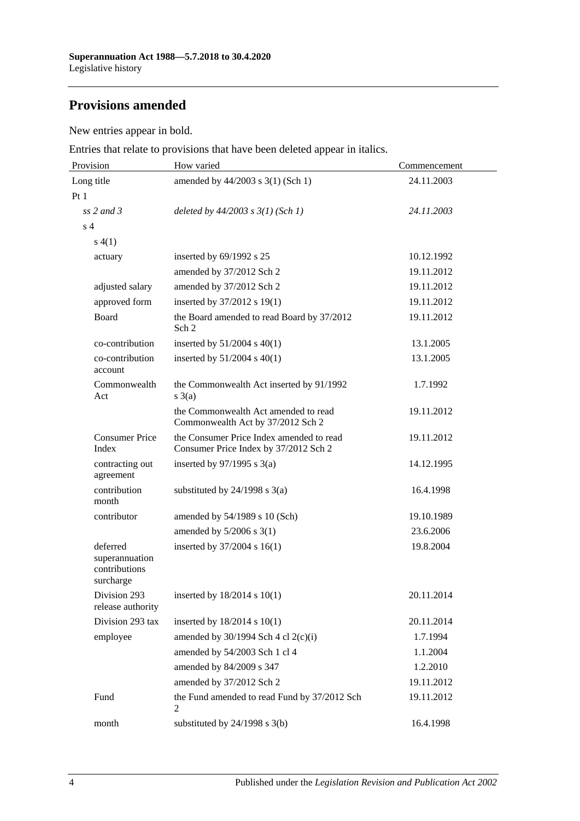## **Provisions amended**

New entries appear in bold.

Entries that relate to provisions that have been deleted appear in italics.

| Provision                                                | How varied                                                                        | Commencement |  |  |
|----------------------------------------------------------|-----------------------------------------------------------------------------------|--------------|--|--|
| Long title                                               | amended by 44/2003 s 3(1) (Sch 1)                                                 | 24.11.2003   |  |  |
| Pt1                                                      |                                                                                   |              |  |  |
| $ss$ 2 and 3                                             | deleted by $44/2003$ s $3(1)$ (Sch 1)                                             | 24.11.2003   |  |  |
| s <sub>4</sub>                                           |                                                                                   |              |  |  |
| s(4(1))                                                  |                                                                                   |              |  |  |
| actuary                                                  | inserted by 69/1992 s 25                                                          | 10.12.1992   |  |  |
|                                                          | amended by 37/2012 Sch 2                                                          | 19.11.2012   |  |  |
| adjusted salary                                          | amended by 37/2012 Sch 2                                                          | 19.11.2012   |  |  |
| approved form                                            | inserted by 37/2012 s 19(1)                                                       | 19.11.2012   |  |  |
| Board                                                    | the Board amended to read Board by 37/2012<br>Sch <sub>2</sub>                    | 19.11.2012   |  |  |
| co-contribution                                          | inserted by $51/2004$ s $40(1)$                                                   | 13.1.2005    |  |  |
| co-contribution<br>account                               | inserted by $51/2004$ s $40(1)$                                                   | 13.1.2005    |  |  |
| Commonwealth<br>Act                                      | the Commonwealth Act inserted by 91/1992<br>$s \; 3(a)$                           | 1.7.1992     |  |  |
|                                                          | the Commonwealth Act amended to read<br>Commonwealth Act by 37/2012 Sch 2         | 19.11.2012   |  |  |
| <b>Consumer Price</b><br>Index                           | the Consumer Price Index amended to read<br>Consumer Price Index by 37/2012 Sch 2 | 19.11.2012   |  |  |
| contracting out<br>agreement                             | inserted by $97/1995$ s 3(a)                                                      | 14.12.1995   |  |  |
| contribution<br>month                                    | substituted by $24/1998$ s $3(a)$                                                 | 16.4.1998    |  |  |
| contributor                                              | amended by 54/1989 s 10 (Sch)                                                     | 19.10.1989   |  |  |
|                                                          | amended by $5/2006$ s 3(1)                                                        | 23.6.2006    |  |  |
| deferred<br>superannuation<br>contributions<br>surcharge | inserted by 37/2004 s 16(1)                                                       | 19.8.2004    |  |  |
| Division 293<br>release authority                        | inserted by $18/2014$ s $10(1)$                                                   | 20.11.2014   |  |  |
| Division 293 tax                                         | inserted by $18/2014$ s $10(1)$                                                   | 20.11.2014   |  |  |
| employee                                                 | amended by $30/1994$ Sch 4 cl $2(c)(i)$                                           | 1.7.1994     |  |  |
|                                                          | amended by 54/2003 Sch 1 cl 4                                                     | 1.1.2004     |  |  |
|                                                          | amended by 84/2009 s 347                                                          | 1.2.2010     |  |  |
|                                                          | amended by 37/2012 Sch 2                                                          | 19.11.2012   |  |  |
| Fund                                                     | the Fund amended to read Fund by 37/2012 Sch<br>2                                 | 19.11.2012   |  |  |
| month                                                    | substituted by 24/1998 s 3(b)                                                     | 16.4.1998    |  |  |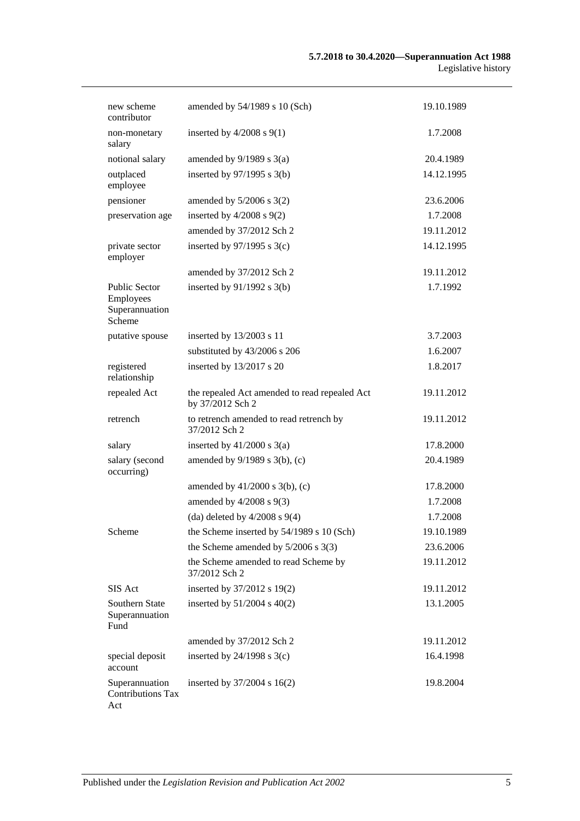| new scheme<br>contributor                              | amended by 54/1989 s 10 (Sch)                                     | 19.10.1989 |
|--------------------------------------------------------|-------------------------------------------------------------------|------------|
| non-monetary<br>salary                                 | inserted by $4/2008$ s $9(1)$                                     | 1.7.2008   |
| notional salary                                        | amended by $9/1989$ s $3(a)$                                      | 20.4.1989  |
| outplaced<br>employee                                  | inserted by 97/1995 s 3(b)                                        | 14.12.1995 |
| pensioner                                              | amended by $5/2006$ s $3(2)$                                      | 23.6.2006  |
| preservation age                                       | inserted by $4/2008$ s $9(2)$                                     | 1.7.2008   |
|                                                        | amended by 37/2012 Sch 2                                          | 19.11.2012 |
| private sector<br>employer                             | inserted by $97/1995$ s 3(c)                                      | 14.12.1995 |
|                                                        | amended by 37/2012 Sch 2                                          | 19.11.2012 |
| Public Sector<br>Employees<br>Superannuation<br>Scheme | inserted by $91/1992$ s 3(b)                                      | 1.7.1992   |
| putative spouse                                        | inserted by 13/2003 s 11                                          | 3.7.2003   |
|                                                        | substituted by 43/2006 s 206                                      | 1.6.2007   |
| registered<br>relationship                             | inserted by 13/2017 s 20                                          | 1.8.2017   |
| repealed Act                                           | the repealed Act amended to read repealed Act<br>by 37/2012 Sch 2 | 19.11.2012 |
| retrench                                               | to retrench amended to read retrench by<br>37/2012 Sch 2          | 19.11.2012 |
| salary                                                 | inserted by $41/2000$ s $3(a)$                                    | 17.8.2000  |
| salary (second<br>occurring)                           | amended by 9/1989 s 3(b), (c)                                     | 20.4.1989  |
|                                                        | amended by $41/2000$ s $3(b)$ , (c)                               | 17.8.2000  |
|                                                        | amended by $4/2008$ s $9(3)$                                      | 1.7.2008   |
|                                                        | (da) deleted by $4/2008$ s $9(4)$                                 | 1.7.2008   |
| Scheme                                                 | the Scheme inserted by 54/1989 s 10 (Sch)                         | 19.10.1989 |
|                                                        | the Scheme amended by $5/2006$ s 3(3)                             | 23.6.2006  |
|                                                        | the Scheme amended to read Scheme by<br>37/2012 Sch 2             | 19.11.2012 |
| SIS Act                                                | inserted by 37/2012 s 19(2)                                       | 19.11.2012 |
| Southern State<br>Superannuation<br>Fund               | inserted by $51/2004$ s $40(2)$                                   | 13.1.2005  |
|                                                        | amended by 37/2012 Sch 2                                          | 19.11.2012 |
| special deposit<br>account                             | inserted by $24/1998$ s $3(c)$                                    | 16.4.1998  |
| Superannuation<br><b>Contributions Tax</b><br>Act      | inserted by $37/2004$ s $16(2)$                                   | 19.8.2004  |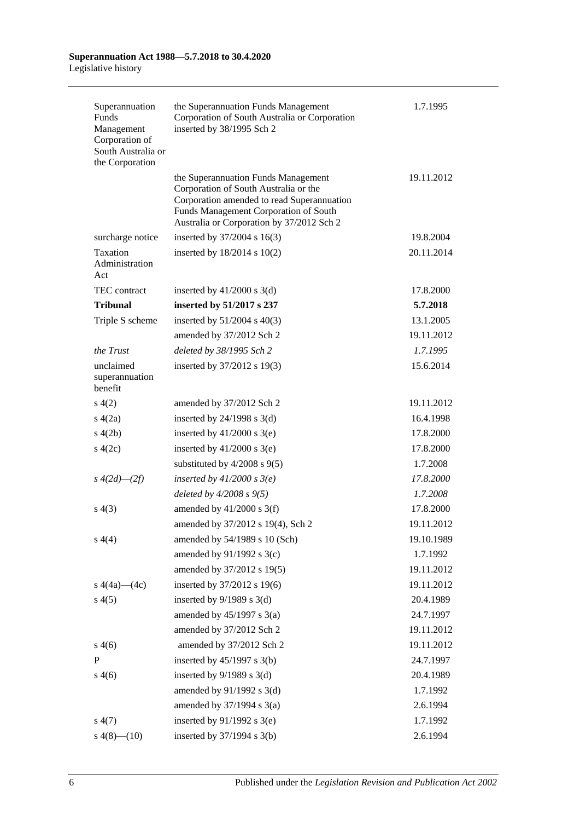| Superannuation<br>Funds<br>Management<br>Corporation of<br>South Australia or<br>the Corporation | the Superannuation Funds Management<br>Corporation of South Australia or Corporation<br>inserted by 38/1995 Sch 2                                                                                                | 1.7.1995   |
|--------------------------------------------------------------------------------------------------|------------------------------------------------------------------------------------------------------------------------------------------------------------------------------------------------------------------|------------|
|                                                                                                  | the Superannuation Funds Management<br>Corporation of South Australia or the<br>Corporation amended to read Superannuation<br>Funds Management Corporation of South<br>Australia or Corporation by 37/2012 Sch 2 | 19.11.2012 |
| surcharge notice                                                                                 | inserted by 37/2004 s 16(3)                                                                                                                                                                                      | 19.8.2004  |
| Taxation<br>Administration<br>Act                                                                | inserted by $18/2014$ s $10(2)$                                                                                                                                                                                  | 20.11.2014 |
| <b>TEC</b> contract                                                                              | inserted by $41/2000$ s $3(d)$                                                                                                                                                                                   | 17.8.2000  |
| <b>Tribunal</b>                                                                                  | inserted by 51/2017 s 237                                                                                                                                                                                        | 5.7.2018   |
| Triple S scheme                                                                                  | inserted by $51/2004$ s $40(3)$                                                                                                                                                                                  | 13.1.2005  |
|                                                                                                  | amended by 37/2012 Sch 2                                                                                                                                                                                         | 19.11.2012 |
| the Trust                                                                                        | deleted by 38/1995 Sch 2                                                                                                                                                                                         | 1.7.1995   |
| unclaimed<br>superannuation<br>benefit                                                           | inserted by 37/2012 s 19(3)                                                                                                                                                                                      | 15.6.2014  |
| s(4(2)                                                                                           | amended by 37/2012 Sch 2                                                                                                                                                                                         | 19.11.2012 |
| s(4(2a))                                                                                         | inserted by $24/1998$ s $3(d)$                                                                                                                                                                                   | 16.4.1998  |
| s(4(2b)                                                                                          | inserted by $41/2000$ s $3(e)$                                                                                                                                                                                   | 17.8.2000  |
| $\frac{4(2c)}{2}$                                                                                | inserted by $41/2000$ s $3(e)$                                                                                                                                                                                   | 17.8.2000  |
|                                                                                                  | substituted by $4/2008$ s $9(5)$                                                                                                                                                                                 | 1.7.2008   |
| $s\;4(2d)$ — $(2f)$                                                                              | inserted by $41/2000$ s $3(e)$                                                                                                                                                                                   | 17.8.2000  |
|                                                                                                  | deleted by $4/2008 s 9(5)$                                                                                                                                                                                       | 1.7.2008   |
| s(4(3)                                                                                           | amended by $41/2000$ s 3(f)                                                                                                                                                                                      | 17.8.2000  |
|                                                                                                  | amended by 37/2012 s 19(4), Sch 2                                                                                                                                                                                | 19.11.2012 |
| s(4(4)                                                                                           | amended by 54/1989 s 10 (Sch)                                                                                                                                                                                    | 19.10.1989 |
|                                                                                                  | amended by 91/1992 s 3(c)                                                                                                                                                                                        | 1.7.1992   |
|                                                                                                  | amended by 37/2012 s 19(5)                                                                                                                                                                                       | 19.11.2012 |
| s $4(4a)$ — $(4c)$                                                                               | inserted by 37/2012 s 19(6)                                                                                                                                                                                      | 19.11.2012 |
| s(4(5)                                                                                           | inserted by $9/1989$ s 3(d)                                                                                                                                                                                      | 20.4.1989  |
|                                                                                                  | amended by $45/1997$ s $3(a)$                                                                                                                                                                                    | 24.7.1997  |
|                                                                                                  | amended by 37/2012 Sch 2                                                                                                                                                                                         | 19.11.2012 |
| s(4(6)                                                                                           | amended by 37/2012 Sch 2                                                                                                                                                                                         | 19.11.2012 |
| $\mathbf{P}$                                                                                     | inserted by $45/1997$ s 3(b)                                                                                                                                                                                     | 24.7.1997  |
| s(4(6)                                                                                           | inserted by $9/1989$ s 3(d)                                                                                                                                                                                      | 20.4.1989  |
|                                                                                                  | amended by $91/1992$ s 3(d)                                                                                                                                                                                      | 1.7.1992   |
|                                                                                                  | amended by $37/1994$ s $3(a)$                                                                                                                                                                                    | 2.6.1994   |
| s(4(7))                                                                                          | inserted by $91/1992$ s 3(e)                                                                                                                                                                                     | 1.7.1992   |
| $s\ 4(8)$ - (10)                                                                                 | inserted by $37/1994$ s 3(b)                                                                                                                                                                                     | 2.6.1994   |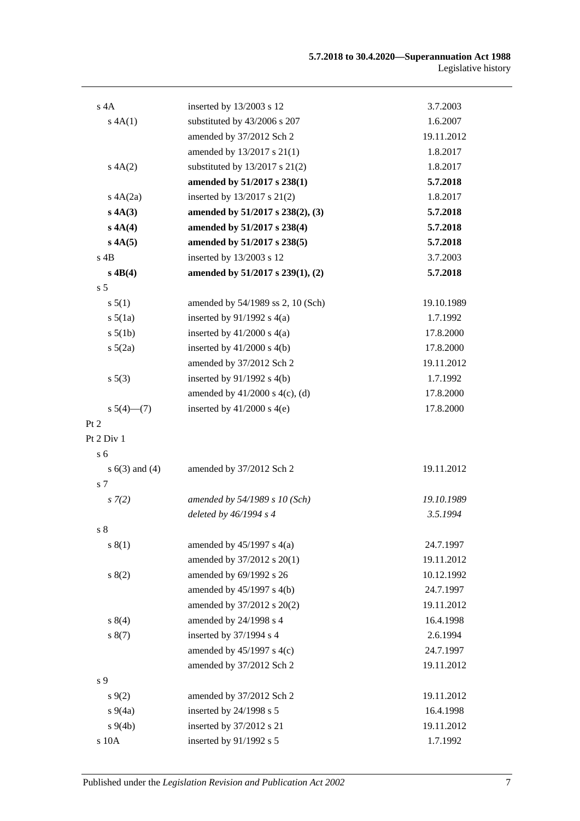| $s$ 4A             | inserted by 13/2003 s 12            | 3.7.2003   |
|--------------------|-------------------------------------|------------|
| s 4A(1)            | substituted by 43/2006 s 207        | 1.6.2007   |
|                    | amended by 37/2012 Sch 2            | 19.11.2012 |
|                    | amended by 13/2017 s 21(1)          | 1.8.2017   |
| A(A(2)             | substituted by 13/2017 s 21(2)      | 1.8.2017   |
|                    | amended by 51/2017 s 238(1)         | 5.7.2018   |
| s $4A(2a)$         | inserted by 13/2017 s 21(2)         | 1.8.2017   |
| s 4A(3)            | amended by 51/2017 s 238(2), (3)    | 5.7.2018   |
| s 4A(4)            | amended by 51/2017 s 238(4)         | 5.7.2018   |
| s 4A(5)            | amended by 51/2017 s 238(5)         | 5.7.2018   |
| $s$ 4B             | inserted by 13/2003 s 12            | 3.7.2003   |
| $s$ 4B(4)          | amended by 51/2017 s 239(1), (2)    | 5.7.2018   |
| s <sub>5</sub>     |                                     |            |
| s 5(1)             | amended by 54/1989 ss 2, 10 (Sch)   | 19.10.1989 |
| $s\ 5(1a)$         | inserted by $91/1992$ s $4(a)$      | 1.7.1992   |
| $s\ 5(1b)$         | inserted by $41/2000$ s $4(a)$      | 17.8.2000  |
| $s\ 5(2a)$         | inserted by $41/2000$ s $4(b)$      | 17.8.2000  |
|                    | amended by 37/2012 Sch 2            | 19.11.2012 |
| s 5(3)             | inserted by $91/1992$ s $4(b)$      | 1.7.1992   |
|                    | amended by $41/2000$ s $4(c)$ , (d) | 17.8.2000  |
| $s\ 5(4)$ (7)      | inserted by $41/2000$ s $4(e)$      | 17.8.2000  |
| Pt 2               |                                     |            |
| Pt 2 Div 1         |                                     |            |
| s <sub>6</sub>     |                                     |            |
| s $6(3)$ and $(4)$ | amended by 37/2012 Sch 2            | 19.11.2012 |
| s 7                |                                     |            |
| $s \, 7(2)$        | amended by 54/1989 s 10 (Sch)       | 19.10.1989 |
|                    | deleted by 46/1994 s 4              | 3.5.1994   |
| s <sub>8</sub>     |                                     |            |
| s(1)               | amended by $45/1997$ s $4(a)$       | 24.7.1997  |
|                    | amended by 37/2012 s 20(1)          | 19.11.2012 |
| s(2)               | amended by 69/1992 s 26             | 10.12.1992 |
|                    | amended by 45/1997 s 4(b)           | 24.7.1997  |
|                    | amended by 37/2012 s 20(2)          | 19.11.2012 |
| s 8(4)             | amended by 24/1998 s 4              | 16.4.1998  |
| s(7)               | inserted by 37/1994 s 4             | 2.6.1994   |
|                    | amended by $45/1997$ s $4(c)$       | 24.7.1997  |
|                    | amended by 37/2012 Sch 2            | 19.11.2012 |
| s 9                |                                     |            |
| s(9(2)             | amended by 37/2012 Sch 2            | 19.11.2012 |
| $s\,9(4a)$         | inserted by 24/1998 s 5             | 16.4.1998  |
| $s\ 9(4b)$         | inserted by 37/2012 s 21            | 19.11.2012 |
| s 10A              | inserted by 91/1992 s 5             | 1.7.1992   |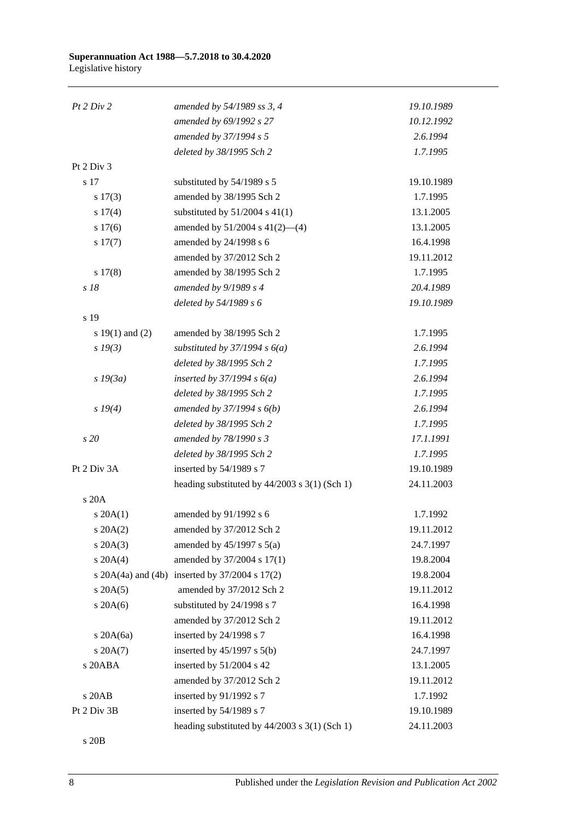| Pt 2 Div 2          | amended by 54/1989 ss 3, 4                     | 19.10.1989 |
|---------------------|------------------------------------------------|------------|
|                     | amended by 69/1992 s 27                        | 10.12.1992 |
|                     | amended by 37/1994 s 5                         | 2.6.1994   |
|                     | deleted by 38/1995 Sch 2                       | 1.7.1995   |
| Pt 2 Div 3          |                                                |            |
| s 17                | substituted by 54/1989 s 5                     | 19.10.1989 |
| $s\ 17(3)$          | amended by 38/1995 Sch 2                       | 1.7.1995   |
| s 17(4)             | substituted by $51/2004$ s 41(1)               | 13.1.2005  |
| s 17(6)             | amended by $51/2004$ s $41(2)$ —(4)            | 13.1.2005  |
| $s\ 17(7)$          | amended by 24/1998 s 6                         | 16.4.1998  |
|                     | amended by 37/2012 Sch 2                       | 19.11.2012 |
| $s\ 17(8)$          | amended by 38/1995 Sch 2                       | 1.7.1995   |
| $s$ 18              | amended by $9/1989 s 4$                        | 20.4.1989  |
|                     | deleted by 54/1989 s 6                         | 19.10.1989 |
| s 19                |                                                |            |
| s $19(1)$ and $(2)$ | amended by 38/1995 Sch 2                       | 1.7.1995   |
| $s\,19(3)$          | substituted by $37/1994 s 6(a)$                | 2.6.1994   |
|                     | deleted by 38/1995 Sch 2                       | 1.7.1995   |
| $s$ 19 $(3a)$       | inserted by $37/1994 s 6(a)$                   | 2.6.1994   |
|                     | deleted by 38/1995 Sch 2                       | 1.7.1995   |
| s 19(4)             | amended by $37/1994 s 6(b)$                    | 2.6.1994   |
|                     | deleted by 38/1995 Sch 2                       | 1.7.1995   |
| s 20                | amended by 78/1990 s 3                         | 17.1.1991  |
|                     | deleted by 38/1995 Sch 2                       | 1.7.1995   |
| Pt 2 Div 3A         | inserted by 54/1989 s 7                        | 19.10.1989 |
|                     | heading substituted by 44/2003 s 3(1) (Sch 1)  | 24.11.2003 |
| s 20A               |                                                |            |
| $s \, 20A(1)$       | amended by 91/1992 s 6                         | 1.7.1992   |
| $s \, 20A(2)$       | amended by 37/2012 Sch 2                       | 19.11.2012 |
| $s \, 20A(3)$       | amended by $45/1997$ s $5(a)$                  | 24.7.1997  |
| $s \ 20A(4)$        | amended by 37/2004 s 17(1)                     | 19.8.2004  |
|                     | s 20A(4a) and (4b) inserted by 37/2004 s 17(2) | 19.8.2004  |
| $s \, 20A(5)$       | amended by 37/2012 Sch 2                       | 19.11.2012 |
| $s$ 20A(6)          | substituted by 24/1998 s 7                     | 16.4.1998  |
|                     | amended by 37/2012 Sch 2                       | 19.11.2012 |
| $s$ 20A $(6a)$      | inserted by 24/1998 s 7                        | 16.4.1998  |
| $s \, 20A(7)$       | inserted by $45/1997$ s $5(b)$                 | 24.7.1997  |
| s 20ABA             | inserted by 51/2004 s 42                       | 13.1.2005  |
|                     | amended by 37/2012 Sch 2                       | 19.11.2012 |
| s 20AB              | inserted by 91/1992 s 7                        | 1.7.1992   |
| Pt 2 Div 3B         | inserted by 54/1989 s 7                        | 19.10.1989 |
|                     | heading substituted by 44/2003 s 3(1) (Sch 1)  | 24.11.2003 |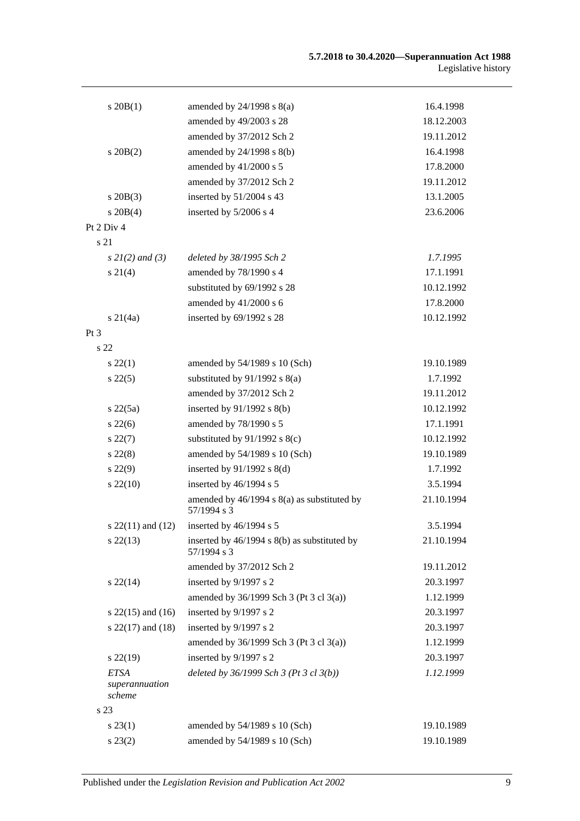| $s$ 20 $B(1)$            | amended by $24/1998$ s $8(a)$                                  | 16.4.1998  |
|--------------------------|----------------------------------------------------------------|------------|
|                          | amended by 49/2003 s 28                                        | 18.12.2003 |
|                          | amended by 37/2012 Sch 2                                       | 19.11.2012 |
| $s$ 20 $B(2)$            | amended by $24/1998$ s $8(b)$                                  | 16.4.1998  |
|                          | amended by $41/2000$ s 5                                       | 17.8.2000  |
|                          | amended by 37/2012 Sch 2                                       | 19.11.2012 |
| $s$ 20B $(3)$            | inserted by 51/2004 s 43                                       | 13.1.2005  |
| $s \ 20B(4)$             | inserted by 5/2006 s 4                                         | 23.6.2006  |
| Pt 2 Div 4               |                                                                |            |
| s 21                     |                                                                |            |
| $s \, 2I(2)$ and (3)     | deleted by 38/1995 Sch 2                                       | 1.7.1995   |
| $s \, 21(4)$             | amended by 78/1990 s 4                                         | 17.1.1991  |
|                          | substituted by 69/1992 s 28                                    | 10.12.1992 |
|                          | amended by 41/2000 s 6                                         | 17.8.2000  |
| $s \, 21(4a)$            | inserted by 69/1992 s 28                                       | 10.12.1992 |
| Pt <sub>3</sub>          |                                                                |            |
| s <sub>22</sub>          |                                                                |            |
| $s\,22(1)$               | amended by 54/1989 s 10 (Sch)                                  | 19.10.1989 |
| $s\,22(5)$               | substituted by $91/1992$ s $8(a)$                              | 1.7.1992   |
|                          | amended by 37/2012 Sch 2                                       | 19.11.2012 |
| $s\ 22(5a)$              | inserted by $91/1992$ s $8(b)$                                 | 10.12.1992 |
| $s\,22(6)$               | amended by 78/1990 s 5                                         | 17.1.1991  |
| $s\,22(7)$               | substituted by $91/1992$ s $8(c)$                              | 10.12.1992 |
| $s\,22(8)$               | amended by 54/1989 s 10 (Sch)                                  | 19.10.1989 |
| $s\,22(9)$               | inserted by $91/1992$ s $8(d)$                                 | 1.7.1992   |
| $s\,22(10)$              | inserted by 46/1994 s 5                                        | 3.5.1994   |
|                          | amended by $46/1994$ s $8(a)$ as substituted by<br>57/1994 s 3 | 21.10.1994 |
| s $22(11)$ and $(12)$    | inserted by 46/1994 s 5                                        | 3.5.1994   |
| $s\,22(13)$              | inserted by 46/1994 s 8(b) as substituted by<br>57/1994 s 3    | 21.10.1994 |
|                          | amended by 37/2012 Sch 2                                       | 19.11.2012 |
| $s\,22(14)$              | inserted by 9/1997 s 2                                         | 20.3.1997  |
|                          | amended by 36/1999 Sch 3 (Pt 3 cl 3(a))                        | 1.12.1999  |
| s $22(15)$ and $(16)$    | inserted by 9/1997 s 2                                         | 20.3.1997  |
| s $22(17)$ and $(18)$    | inserted by 9/1997 s 2                                         | 20.3.1997  |
|                          | amended by 36/1999 Sch 3 (Pt 3 cl 3(a))                        | 1.12.1999  |
| $s$ 22(19)               | inserted by 9/1997 s 2                                         | 20.3.1997  |
| <b>ETSA</b>              | deleted by 36/1999 Sch 3 (Pt 3 cl 3(b))                        | 1.12.1999  |
| superannuation<br>scheme |                                                                |            |
| s 23                     |                                                                |            |
| $s\,23(1)$               | amended by 54/1989 s 10 (Sch)                                  | 19.10.1989 |
| $s\,23(2)$               | amended by 54/1989 s 10 (Sch)                                  | 19.10.1989 |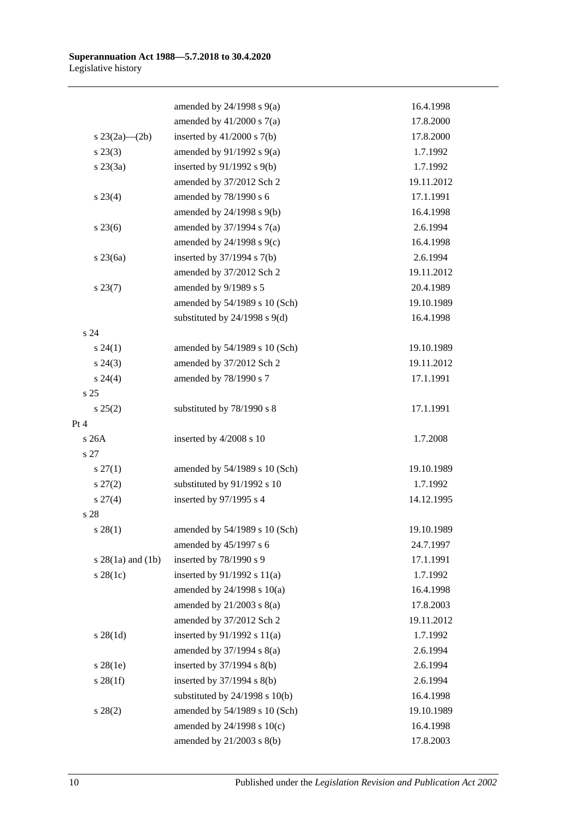|                     | amended by $24/1998$ s $9(a)$      | 16.4.1998  |
|---------------------|------------------------------------|------------|
|                     | amended by $41/2000$ s $7(a)$      | 17.8.2000  |
| s $23(2a)$ (2b)     | inserted by $41/2000$ s $7(b)$     | 17.8.2000  |
| $s\,23(3)$          | amended by $91/1992$ s $9(a)$      | 1.7.1992   |
| $s\,23(3a)$         | inserted by $91/1992$ s $9(b)$     | 1.7.1992   |
|                     | amended by 37/2012 Sch 2           | 19.11.2012 |
| $s\,23(4)$          | amended by 78/1990 s 6             | 17.1.1991  |
|                     | amended by 24/1998 s 9(b)          | 16.4.1998  |
| $s\,23(6)$          | amended by $37/1994$ s $7(a)$      | 2.6.1994   |
|                     | amended by 24/1998 s 9(c)          | 16.4.1998  |
| $s$ 23 $(6a)$       | inserted by $37/1994$ s $7(b)$     | 2.6.1994   |
|                     | amended by 37/2012 Sch 2           | 19.11.2012 |
| $s\,23(7)$          | amended by 9/1989 s 5              | 20.4.1989  |
|                     | amended by 54/1989 s 10 (Sch)      | 19.10.1989 |
|                     | substituted by $24/1998$ s $9(d)$  | 16.4.1998  |
| s 24                |                                    |            |
| $s\,24(1)$          | amended by 54/1989 s 10 (Sch)      | 19.10.1989 |
| $s\,24(3)$          | amended by 37/2012 Sch 2           | 19.11.2012 |
| $s\,24(4)$          | amended by 78/1990 s 7             | 17.1.1991  |
| s <sub>25</sub>     |                                    |            |
| s 25(2)             | substituted by 78/1990 s 8         | 17.1.1991  |
| Pt 4                |                                    |            |
| s26A                | inserted by 4/2008 s 10            | 1.7.2008   |
| s 27                |                                    |            |
| $s \, 27(1)$        | amended by 54/1989 s 10 (Sch)      | 19.10.1989 |
| $s\,27(2)$          | substituted by 91/1992 s 10        | 1.7.1992   |
| $s \, 27(4)$        | inserted by 97/1995 s 4            | 14.12.1995 |
| s 28                |                                    |            |
| $s\,28(1)$          | amended by 54/1989 s 10 (Sch)      | 19.10.1989 |
|                     | amended by 45/1997 s 6             | 24.7.1997  |
| $s$ 28(1a) and (1b) | inserted by 78/1990 s 9            | 17.1.1991  |
| $s$ 28(1c)          | inserted by $91/1992$ s $11(a)$    | 1.7.1992   |
|                     | amended by 24/1998 s 10(a)         | 16.4.1998  |
|                     | amended by $21/2003$ s $8(a)$      | 17.8.2003  |
|                     | amended by 37/2012 Sch 2           | 19.11.2012 |
| $s \, 28(1d)$       | inserted by $91/1992$ s $11(a)$    | 1.7.1992   |
|                     | amended by $37/1994$ s $8(a)$      | 2.6.1994   |
| $s\,28(1e)$         | inserted by $37/1994$ s $8(b)$     | 2.6.1994   |
| $s \, 28(1f)$       | inserted by $37/1994$ s $8(b)$     | 2.6.1994   |
|                     | substituted by $24/1998$ s $10(b)$ | 16.4.1998  |
| $s\,28(2)$          | amended by 54/1989 s 10 (Sch)      | 19.10.1989 |
|                     | amended by 24/1998 s 10(c)         | 16.4.1998  |
|                     | amended by 21/2003 s 8(b)          | 17.8.2003  |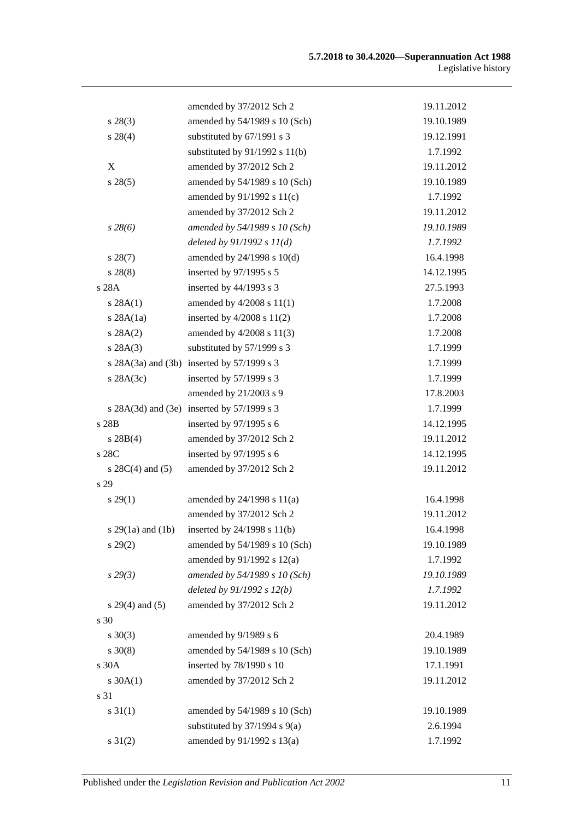|                       | amended by 37/2012 Sch 2                   | 19.11.2012 |
|-----------------------|--------------------------------------------|------------|
| $s\,28(3)$            | amended by 54/1989 s 10 (Sch)              | 19.10.1989 |
| $s\,28(4)$            | substituted by 67/1991 s 3                 | 19.12.1991 |
|                       | substituted by $91/1992$ s $11(b)$         | 1.7.1992   |
| $\boldsymbol{X}$      | amended by 37/2012 Sch 2                   | 19.11.2012 |
| s 28(5)               | amended by 54/1989 s 10 (Sch)              | 19.10.1989 |
|                       | amended by 91/1992 s 11(c)                 | 1.7.1992   |
|                       | amended by 37/2012 Sch 2                   | 19.11.2012 |
| $s\,28(6)$            | amended by 54/1989 s 10 (Sch)              | 19.10.1989 |
|                       | deleted by $91/1992 s 11(d)$               | 1.7.1992   |
| $s\,28(7)$            | amended by $24/1998$ s $10(d)$             | 16.4.1998  |
| $s\,28(8)$            | inserted by 97/1995 s 5                    | 14.12.1995 |
| s 28A                 | inserted by 44/1993 s 3                    | 27.5.1993  |
| s 28A(1)              | amended by $4/2008$ s $11(1)$              | 1.7.2008   |
| $s$ 28A $(1a)$        | inserted by $4/2008$ s $11(2)$             | 1.7.2008   |
| s 28A(2)              | amended by 4/2008 s 11(3)                  | 1.7.2008   |
| s 28A(3)              | substituted by 57/1999 s 3                 | 1.7.1999   |
|                       | s 28A(3a) and (3b) inserted by 57/1999 s 3 | 1.7.1999   |
| s $28A(3c)$           | inserted by 57/1999 s 3                    | 1.7.1999   |
|                       | amended by 21/2003 s 9                     | 17.8.2003  |
|                       | s 28A(3d) and (3e) inserted by 57/1999 s 3 | 1.7.1999   |
| s 28B                 | inserted by 97/1995 s 6                    | 14.12.1995 |
| $s \, 28B(4)$         | amended by 37/2012 Sch 2                   | 19.11.2012 |
| s 28C                 | inserted by 97/1995 s 6                    | 14.12.1995 |
| s $28C(4)$ and $(5)$  | amended by 37/2012 Sch 2                   | 19.11.2012 |
| s 29                  |                                            |            |
| $s\,29(1)$            | amended by $24/1998$ s $11(a)$             | 16.4.1998  |
|                       | amended by 37/2012 Sch 2                   | 19.11.2012 |
| s $29(1a)$ and $(1b)$ | inserted by 24/1998 s 11(b)                | 16.4.1998  |
| s 29(2)               | amended by 54/1989 s 10 (Sch)              | 19.10.1989 |
|                       | amended by $91/1992$ s $12(a)$             | 1.7.1992   |
| $s\,29(3)$            | amended by 54/1989 s 10 (Sch)              | 19.10.1989 |
|                       | deleted by $91/1992 s 12(b)$               | 1.7.1992   |
| $s 29(4)$ and (5)     | amended by 37/2012 Sch 2                   | 19.11.2012 |
| s 30                  |                                            |            |
| $s \ 30(3)$           | amended by 9/1989 s 6                      | 20.4.1989  |
| $s \ 30(8)$           | amended by 54/1989 s 10 (Sch)              | 19.10.1989 |
| s30A                  | inserted by 78/1990 s 10                   | 17.1.1991  |
| $s \, 30A(1)$         | amended by 37/2012 Sch 2                   | 19.11.2012 |
| s 31                  |                                            |            |
| $s \, 31(1)$          | amended by 54/1989 s 10 (Sch)              | 19.10.1989 |
|                       | substituted by $37/1994$ s $9(a)$          | 2.6.1994   |
| $s \, 31(2)$          | amended by 91/1992 s 13(a)                 | 1.7.1992   |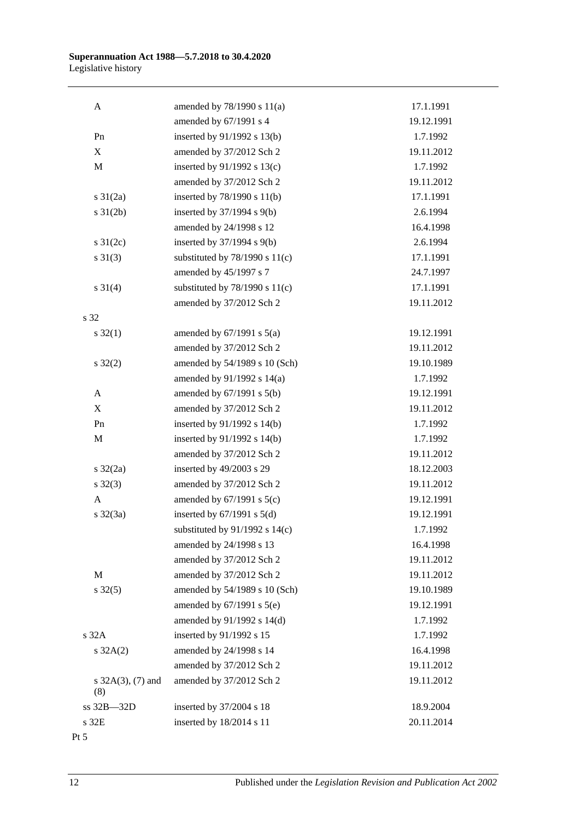| A                           | amended by 78/1990 s 11(a)         | 17.1.1991  |
|-----------------------------|------------------------------------|------------|
|                             | amended by 67/1991 s 4             | 19.12.1991 |
| Pn                          | inserted by 91/1992 s 13(b)        | 1.7.1992   |
| $\mathbf X$                 | amended by 37/2012 Sch 2           | 19.11.2012 |
| $\mathbf M$                 | inserted by 91/1992 s 13(c)        | 1.7.1992   |
|                             | amended by 37/2012 Sch 2           | 19.11.2012 |
| $s \frac{31}{2a}$           | inserted by $78/1990$ s $11(b)$    | 17.1.1991  |
| $s \frac{31}{2b}$           | inserted by 37/1994 s 9(b)         | 2.6.1994   |
|                             | amended by 24/1998 s 12            | 16.4.1998  |
| $s \frac{31}{2c}$           | inserted by 37/1994 s 9(b)         | 2.6.1994   |
| $s \ 31(3)$                 | substituted by $78/1990$ s $11(c)$ | 17.1.1991  |
|                             | amended by 45/1997 s 7             | 24.7.1997  |
| $s \ 31(4)$                 | substituted by $78/1990$ s $11(c)$ | 17.1.1991  |
|                             | amended by 37/2012 Sch 2           | 19.11.2012 |
| s 32                        |                                    |            |
| $s \, 32(1)$                | amended by $67/1991$ s $5(a)$      | 19.12.1991 |
|                             | amended by 37/2012 Sch 2           | 19.11.2012 |
| $s \, 32(2)$                | amended by 54/1989 s 10 (Sch)      | 19.10.1989 |
|                             | amended by 91/1992 s 14(a)         | 1.7.1992   |
| A                           | amended by $67/1991$ s $5(b)$      | 19.12.1991 |
| $\mathbf X$                 | amended by 37/2012 Sch 2           | 19.11.2012 |
| Pn                          | inserted by $91/1992$ s $14(b)$    | 1.7.1992   |
| $\mathbf M$                 | inserted by $91/1992$ s $14(b)$    | 1.7.1992   |
|                             | amended by 37/2012 Sch 2           | 19.11.2012 |
| $s \frac{32}{2a}$           | inserted by 49/2003 s 29           | 18.12.2003 |
| $s \, 32(3)$                | amended by 37/2012 Sch 2           | 19.11.2012 |
| A                           | amended by $67/1991$ s $5(c)$      | 19.12.1991 |
| $s \frac{32}{3a}$           | inserted by $67/1991$ s $5(d)$     | 19.12.1991 |
|                             | substituted by $91/1992$ s $14(c)$ | 1.7.1992   |
|                             | amended by 24/1998 s 13            | 16.4.1998  |
|                             | amended by 37/2012 Sch 2           | 19.11.2012 |
| M                           | amended by 37/2012 Sch 2           | 19.11.2012 |
| $s \, 32(5)$                | amended by 54/1989 s 10 (Sch)      | 19.10.1989 |
|                             | amended by $67/1991$ s $5(e)$      | 19.12.1991 |
|                             | amended by 91/1992 s 14(d)         | 1.7.1992   |
| s 32A                       | inserted by 91/1992 s 15           | 1.7.1992   |
| $s \, 32A(2)$               | amended by 24/1998 s 14            | 16.4.1998  |
|                             | amended by 37/2012 Sch 2           | 19.11.2012 |
| s $32A(3)$ , (7) and<br>(8) | amended by 37/2012 Sch 2           | 19.11.2012 |
| ss 32B-32D                  | inserted by 37/2004 s 18           | 18.9.2004  |
| s 32E                       | inserted by 18/2014 s 11           | 20.11.2014 |
| $Pt\,5$                     |                                    |            |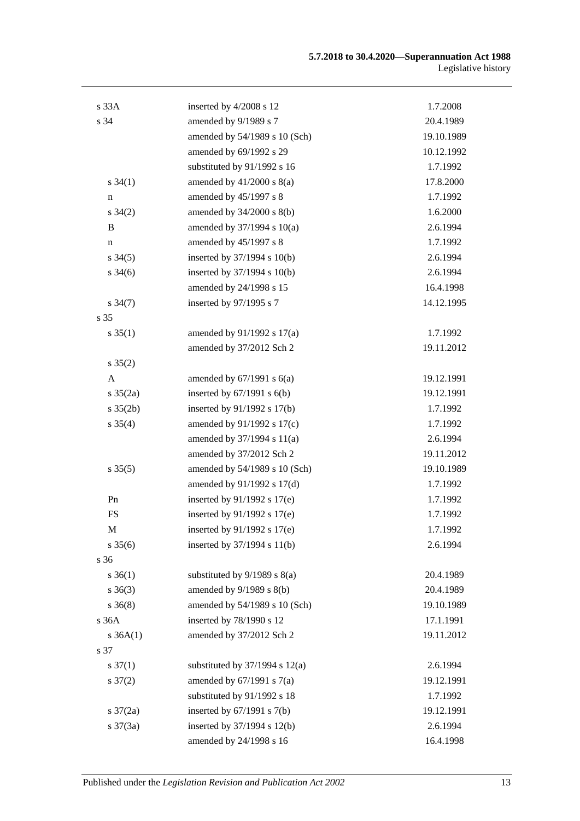| s 33A                | inserted by 4/2008 s 12            | 1.7.2008   |
|----------------------|------------------------------------|------------|
| s 34                 | amended by 9/1989 s 7              | 20.4.1989  |
|                      | amended by 54/1989 s 10 (Sch)      | 19.10.1989 |
|                      | amended by 69/1992 s 29            | 10.12.1992 |
|                      | substituted by 91/1992 s 16        | 1.7.1992   |
| $s \, 34(1)$         | amended by $41/2000$ s $8(a)$      | 17.8.2000  |
| n                    | amended by 45/1997 s 8             | 1.7.1992   |
| $s \, 34(2)$         | amended by $34/2000$ s $8(b)$      | 1.6.2000   |
| B                    | amended by 37/1994 s 10(a)         | 2.6.1994   |
| n                    | amended by 45/1997 s 8             | 1.7.1992   |
| $s \, 34(5)$         | inserted by $37/1994$ s $10(b)$    | 2.6.1994   |
| $s \frac{34(6)}{2}$  | inserted by 37/1994 s 10(b)        | 2.6.1994   |
|                      | amended by 24/1998 s 15            | 16.4.1998  |
| $s \frac{34(7)}{2}$  | inserted by 97/1995 s 7            | 14.12.1995 |
| s 35                 |                                    |            |
| $s \, 35(1)$         | amended by 91/1992 s 17(a)         | 1.7.1992   |
|                      | amended by 37/2012 Sch 2           | 19.11.2012 |
| $s \, 35(2)$         |                                    |            |
| A                    | amended by $67/1991$ s $6(a)$      | 19.12.1991 |
| $s \frac{35(2a)}{2}$ | inserted by $67/1991$ s $6(b)$     | 19.12.1991 |
| $s \, 35(2b)$        | inserted by $91/1992$ s $17(b)$    | 1.7.1992   |
| $s \, 35(4)$         | amended by 91/1992 s 17(c)         | 1.7.1992   |
|                      | amended by $37/1994$ s $11(a)$     | 2.6.1994   |
|                      | amended by 37/2012 Sch 2           | 19.11.2012 |
| $s \, 35(5)$         | amended by 54/1989 s 10 (Sch)      | 19.10.1989 |
|                      | amended by 91/1992 s 17(d)         | 1.7.1992   |
| Pn                   | inserted by $91/1992$ s $17(e)$    | 1.7.1992   |
| <b>FS</b>            | inserted by $91/1992$ s $17(e)$    | 1.7.1992   |
| M                    | inserted by 91/1992 s 17(e)        | 1.7.1992   |
| $s \, 35(6)$         | inserted by $37/1994$ s $11(b)$    | 2.6.1994   |
| s 36                 |                                    |            |
| $s \; 36(1)$         | substituted by $9/1989$ s $8(a)$   | 20.4.1989  |
| $s \; 36(3)$         | amended by $9/1989$ s $8(b)$       | 20.4.1989  |
| $s \; 36(8)$         | amended by 54/1989 s 10 (Sch)      | 19.10.1989 |
| s 36A                | inserted by 78/1990 s 12           | 17.1.1991  |
| $s \, 36A(1)$        | amended by 37/2012 Sch 2           | 19.11.2012 |
| s 37                 |                                    |            |
| $s \frac{37(1)}{2}$  | substituted by $37/1994$ s $12(a)$ | 2.6.1994   |
| $s \frac{37(2)}{2}$  | amended by $67/1991$ s $7(a)$      | 19.12.1991 |
|                      | substituted by 91/1992 s 18        | 1.7.1992   |
| $s \frac{37}{2a}$    | inserted by $67/1991$ s $7(b)$     | 19.12.1991 |
| $s \frac{37(3a)}{2}$ | inserted by 37/1994 s 12(b)        | 2.6.1994   |
|                      | amended by 24/1998 s 16            | 16.4.1998  |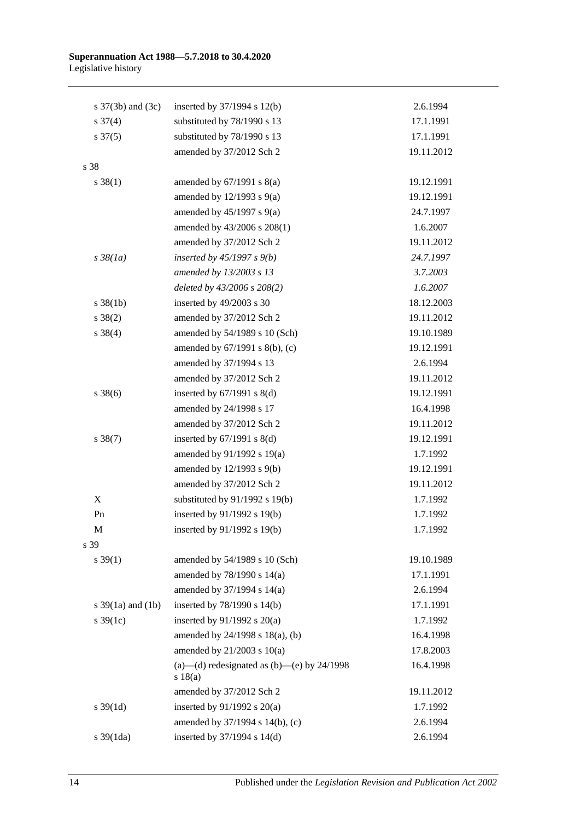| s $37(3b)$ and $(3c)$ | inserted by $37/1994$ s $12(b)$                         | 2.6.1994   |
|-----------------------|---------------------------------------------------------|------------|
| $s \frac{37(4)}{4}$   | substituted by 78/1990 s 13                             | 17.1.1991  |
| $s \frac{37(5)}{2}$   | substituted by 78/1990 s 13                             | 17.1.1991  |
|                       | amended by 37/2012 Sch 2                                | 19.11.2012 |
| s 38                  |                                                         |            |
| $s \, 38(1)$          | amended by $67/1991$ s $8(a)$                           | 19.12.1991 |
|                       | amended by $12/1993$ s $9(a)$                           | 19.12.1991 |
|                       | amended by $45/1997$ s $9(a)$                           | 24.7.1997  |
|                       | amended by 43/2006 s 208(1)                             | 1.6.2007   |
|                       | amended by 37/2012 Sch 2                                | 19.11.2012 |
| $s\,38(1a)$           | inserted by $45/1997 s 9(b)$                            | 24.7.1997  |
|                       | amended by 13/2003 s 13                                 | 3.7.2003   |
|                       | deleted by 43/2006 s 208(2)                             | 1.6.2007   |
| $s \, 38(1b)$         | inserted by 49/2003 s 30                                | 18.12.2003 |
| $s \ 38(2)$           | amended by 37/2012 Sch 2                                | 19.11.2012 |
| $s \ 38(4)$           | amended by 54/1989 s 10 (Sch)                           | 19.10.1989 |
|                       | amended by 67/1991 s 8(b), (c)                          | 19.12.1991 |
|                       | amended by 37/1994 s 13                                 | 2.6.1994   |
|                       | amended by 37/2012 Sch 2                                | 19.11.2012 |
| $s \, 38(6)$          | inserted by $67/1991$ s $8(d)$                          | 19.12.1991 |
|                       | amended by 24/1998 s 17                                 | 16.4.1998  |
|                       | amended by 37/2012 Sch 2                                | 19.11.2012 |
| $s \, 38(7)$          | inserted by $67/1991$ s $8(d)$                          | 19.12.1991 |
|                       | amended by 91/1992 s 19(a)                              | 1.7.1992   |
|                       | amended by 12/1993 s 9(b)                               | 19.12.1991 |
|                       | amended by 37/2012 Sch 2                                | 19.11.2012 |
| X                     | substituted by $91/1992$ s $19(b)$                      | 1.7.1992   |
| Pn                    | inserted by 91/1992 s 19(b)                             | 1.7.1992   |
| М                     | inserted by 91/1992 s 19(b)                             | 1.7.1992   |
| s 39                  |                                                         |            |
| $s \, 39(1)$          | amended by 54/1989 s 10 (Sch)                           | 19.10.1989 |
|                       | amended by 78/1990 s 14(a)                              | 17.1.1991  |
|                       | amended by 37/1994 s 14(a)                              | 2.6.1994   |
| s $39(1a)$ and $(1b)$ | inserted by 78/1990 s 14(b)                             | 17.1.1991  |
| s $39(1c)$            | inserted by $91/1992$ s $20(a)$                         | 1.7.1992   |
|                       | amended by 24/1998 s 18(a), (b)                         | 16.4.1998  |
|                       | amended by $21/2003$ s $10(a)$                          | 17.8.2003  |
|                       | (a)—(d) redesignated as (b)—(e) by $24/1998$<br>s 18(a) | 16.4.1998  |
|                       | amended by 37/2012 Sch 2                                | 19.11.2012 |
| $s \, 39(1d)$         | inserted by $91/1992$ s $20(a)$                         | 1.7.1992   |
|                       | amended by 37/1994 s 14(b), (c)                         | 2.6.1994   |
| s 39(1da)             | inserted by 37/1994 s 14(d)                             | 2.6.1994   |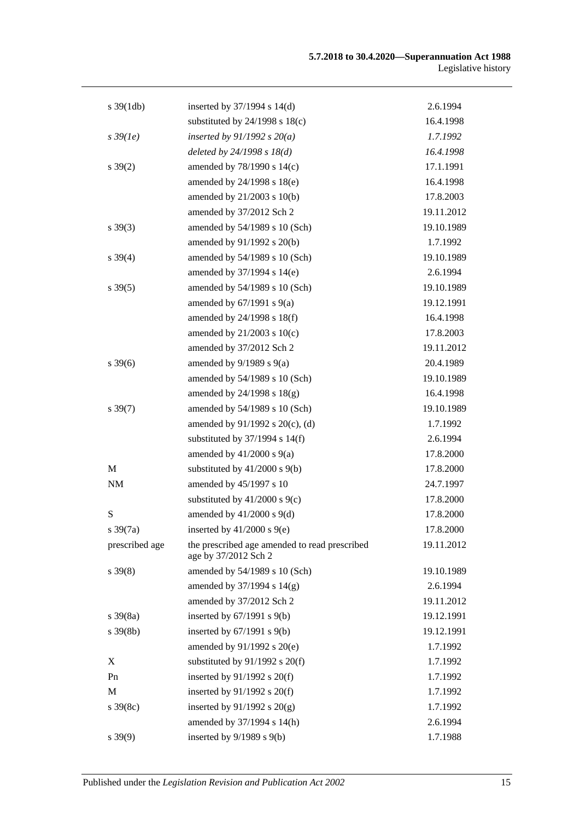| $s \frac{39(1db)}{2}$ | inserted by $37/1994$ s $14(d)$                                       | 2.6.1994   |
|-----------------------|-----------------------------------------------------------------------|------------|
|                       | substituted by $24/1998$ s $18(c)$                                    | 16.4.1998  |
| $s\,39(1e)$           | inserted by $91/1992 s 20(a)$                                         | 1.7.1992   |
|                       | deleted by $24/1998 s 18(d)$                                          | 16.4.1998  |
| $s \, 39(2)$          | amended by 78/1990 s 14(c)                                            | 17.1.1991  |
|                       | amended by 24/1998 s 18(e)                                            | 16.4.1998  |
|                       | amended by 21/2003 s 10(b)                                            | 17.8.2003  |
|                       | amended by 37/2012 Sch 2                                              | 19.11.2012 |
| $s \, 39(3)$          | amended by 54/1989 s 10 (Sch)                                         | 19.10.1989 |
|                       | amended by 91/1992 s 20(b)                                            | 1.7.1992   |
| $s \, 39(4)$          | amended by 54/1989 s 10 (Sch)                                         | 19.10.1989 |
|                       | amended by 37/1994 s 14(e)                                            | 2.6.1994   |
| $s \, 39(5)$          | amended by 54/1989 s 10 (Sch)                                         | 19.10.1989 |
|                       | amended by $67/1991$ s $9(a)$                                         | 19.12.1991 |
|                       | amended by 24/1998 s 18(f)                                            | 16.4.1998  |
|                       | amended by $21/2003$ s $10(c)$                                        | 17.8.2003  |
|                       | amended by 37/2012 Sch 2                                              | 19.11.2012 |
| $s \, 39(6)$          | amended by $9/1989$ s $9(a)$                                          | 20.4.1989  |
|                       | amended by 54/1989 s 10 (Sch)                                         | 19.10.1989 |
|                       | amended by $24/1998$ s $18(g)$                                        | 16.4.1998  |
| $s \, 39(7)$          | amended by 54/1989 s 10 (Sch)                                         | 19.10.1989 |
|                       | amended by 91/1992 s 20(c), (d)                                       | 1.7.1992   |
|                       | substituted by $37/1994$ s $14(f)$                                    | 2.6.1994   |
|                       | amended by $41/2000$ s $9(a)$                                         | 17.8.2000  |
| M                     | substituted by $41/2000$ s $9(b)$                                     | 17.8.2000  |
| NM                    | amended by 45/1997 s 10                                               | 24.7.1997  |
|                       | substituted by $41/2000$ s $9(c)$                                     | 17.8.2000  |
| ${\bf S}$             | amended by $41/2000$ s $9(d)$                                         | 17.8.2000  |
| $s \frac{39(7a)}{2}$  | inserted by $41/2000$ s $9(e)$                                        | 17.8.2000  |
| prescribed age        | the prescribed age amended to read prescribed<br>age by 37/2012 Sch 2 | 19.11.2012 |
| $s \, 39(8)$          | amended by 54/1989 s 10 (Sch)                                         | 19.10.1989 |
|                       | amended by 37/1994 s 14(g)                                            | 2.6.1994   |
|                       | amended by 37/2012 Sch 2                                              | 19.11.2012 |
| $s \, 39(8a)$         | inserted by $67/1991$ s $9(b)$                                        | 19.12.1991 |
| $s \, 39(8b)$         | inserted by $67/1991$ s $9(b)$                                        | 19.12.1991 |
|                       | amended by 91/1992 s 20(e)                                            | 1.7.1992   |
| X                     | substituted by $91/1992$ s $20(f)$                                    | 1.7.1992   |
| Pn                    | inserted by $91/1992$ s $20(f)$                                       | 1.7.1992   |
| $\mathbf M$           | inserted by $91/1992$ s $20(f)$                                       | 1.7.1992   |
| s 39(8c)              | inserted by $91/1992$ s $20(g)$                                       | 1.7.1992   |
|                       | amended by 37/1994 s 14(h)                                            | 2.6.1994   |
| $s\,39(9)$            | inserted by $9/1989$ s $9(b)$                                         | 1.7.1988   |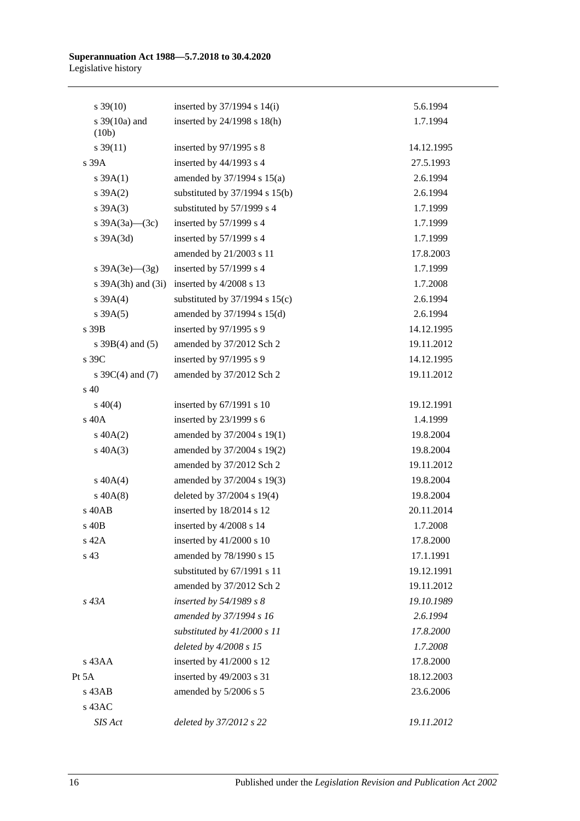| $s \, 39(10)$          | inserted by $37/1994$ s $14(i)$    | 5.6.1994   |
|------------------------|------------------------------------|------------|
| s 39(10a) and          | inserted by 24/1998 s 18(h)        | 1.7.1994   |
| (10b)                  |                                    |            |
| $s \, 39(11)$          | inserted by $97/1995$ s 8          | 14.12.1995 |
| s 39A                  | inserted by $44/1993$ s 4          | 27.5.1993  |
| $s \, 39A(1)$          | amended by $37/1994$ s $15(a)$     | 2.6.1994   |
| $s \, 39A(2)$          | substituted by $37/1994$ s $15(b)$ | 2.6.1994   |
| $s \, 39A(3)$          | substituted by 57/1999 s 4         | 1.7.1999   |
| s $39A(3a)$ (3c)       | inserted by 57/1999 s 4            | 1.7.1999   |
| s 39A(3d)              | inserted by $57/1999$ s 4          | 1.7.1999   |
|                        | amended by 21/2003 s 11            | 17.8.2003  |
| s $39A(3e)$ (3g)       | inserted by 57/1999 s 4            | 1.7.1999   |
| s $39A(3h)$ and $(3i)$ | inserted by 4/2008 s 13            | 1.7.2008   |
| $s \, 39A(4)$          | substituted by $37/1994$ s $15(c)$ | 2.6.1994   |
| $s \, 39A(5)$          | amended by 37/1994 s 15(d)         | 2.6.1994   |
| s 39B                  | inserted by 97/1995 s 9            | 14.12.1995 |
| s $39B(4)$ and $(5)$   | amended by 37/2012 Sch 2           | 19.11.2012 |
| s 39C                  | inserted by 97/1995 s 9            | 14.12.1995 |
| s $39C(4)$ and $(7)$   | amended by 37/2012 Sch 2           | 19.11.2012 |
| $s\,40$                |                                    |            |
| $s\ 40(4)$             | inserted by $67/1991$ s 10         | 19.12.1991 |
| s 40A                  | inserted by $23/1999$ s 6          | 1.4.1999   |
| $s\ 40A(2)$            | amended by 37/2004 s 19(1)         | 19.8.2004  |
| $s\ 40A(3)$            | amended by 37/2004 s 19(2)         | 19.8.2004  |
|                        | amended by 37/2012 Sch 2           | 19.11.2012 |
| $s\ 40A(4)$            | amended by 37/2004 s 19(3)         | 19.8.2004  |
| $s\ 40A(8)$            | deleted by 37/2004 s 19(4)         | 19.8.2004  |
| s 40AB                 | inserted by 18/2014 s 12           | 20.11.2014 |
| s 40B                  | inserted by 4/2008 s 14            | 1.7.2008   |
| s 42A                  | inserted by $41/2000$ s 10         | 17.8.2000  |
| s 43                   | amended by 78/1990 s 15            | 17.1.1991  |
|                        | substituted by 67/1991 s 11        | 19.12.1991 |
|                        | amended by 37/2012 Sch 2           | 19.11.2012 |
| s 43A                  | inserted by 54/1989 s 8            | 19.10.1989 |
|                        | amended by 37/1994 s 16            | 2.6.1994   |
|                        | substituted by $41/2000 s 11$      | 17.8.2000  |
|                        | deleted by 4/2008 s 15             | 1.7.2008   |
| s 43AA                 | inserted by 41/2000 s 12           | 17.8.2000  |
| Pt 5A                  | inserted by 49/2003 s 31           | 18.12.2003 |
| $s$ 43 $AB$            | amended by 5/2006 s 5              | 23.6.2006  |
| s 43AC                 |                                    |            |
| SIS Act                | deleted by 37/2012 s 22            | 19.11.2012 |
|                        |                                    |            |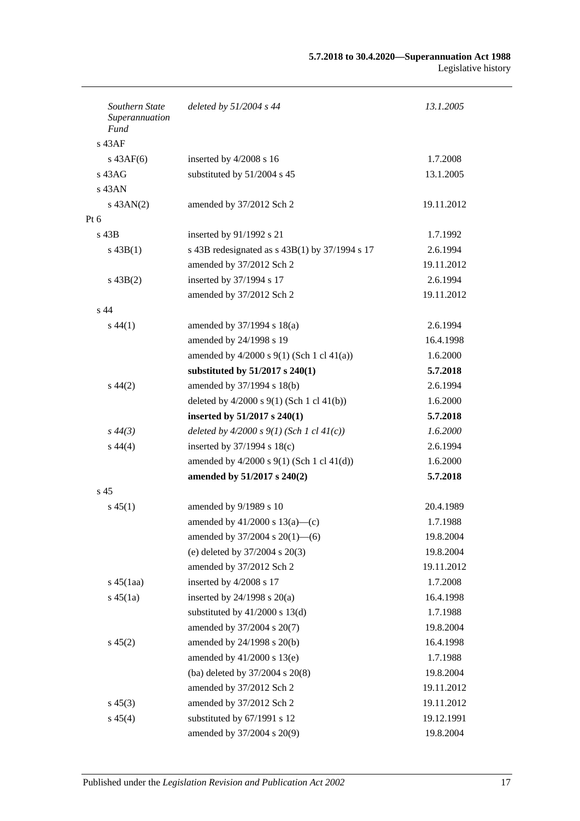| Southern State<br>Superannuation<br>Fund | deleted by $51/2004$ s 44                        | 13.1.2005  |
|------------------------------------------|--------------------------------------------------|------------|
| $s$ 43AF                                 |                                                  |            |
| $s\,43AF(6)$                             | inserted by 4/2008 s 16                          | 1.7.2008   |
| $s\,43AG$                                | substituted by 51/2004 s 45                      | 13.1.2005  |
| $s$ 43AN                                 |                                                  |            |
| $s$ 43AN(2)                              | amended by 37/2012 Sch 2                         | 19.11.2012 |
| Pt $6$                                   |                                                  |            |
| s 43B                                    | inserted by 91/1992 s 21                         | 1.7.1992   |
| $s\,43B(1)$                              | s 43B redesignated as $s$ 43B(1) by 37/1994 s 17 | 2.6.1994   |
|                                          | amended by 37/2012 Sch 2                         | 19.11.2012 |
| $s\,43B(2)$                              | inserted by 37/1994 s 17                         | 2.6.1994   |
|                                          | amended by 37/2012 Sch 2                         | 19.11.2012 |
| s <sub>44</sub>                          |                                                  |            |
| $s\,44(1)$                               | amended by 37/1994 s 18(a)                       | 2.6.1994   |
|                                          | amended by 24/1998 s 19                          | 16.4.1998  |
|                                          | amended by $4/2000$ s $9(1)$ (Sch 1 cl $41(a)$ ) | 1.6.2000   |
|                                          | substituted by $51/2017$ s $240(1)$              | 5.7.2018   |
| $s\,44(2)$                               | amended by 37/1994 s 18(b)                       | 2.6.1994   |
|                                          | deleted by $4/2000$ s $9(1)$ (Sch 1 cl $41(b)$ ) | 1.6.2000   |
|                                          | inserted by 51/2017 s 240(1)                     | 5.7.2018   |
| $s\,44(3)$                               | deleted by $4/2000 s 9(1)$ (Sch 1 cl $41(c)$ )   | 1.6.2000   |
| $s\,44(4)$                               | inserted by $37/1994$ s $18(c)$                  | 2.6.1994   |
|                                          | amended by 4/2000 s 9(1) (Sch 1 cl 41(d))        | 1.6.2000   |
|                                          | amended by 51/2017 s 240(2)                      | 5.7.2018   |
| s 45                                     |                                                  |            |
| $s\,45(1)$                               | amended by 9/1989 s 10                           | 20.4.1989  |
|                                          | amended by $41/2000$ s $13(a)$ —(c)              | 1.7.1988   |
|                                          | amended by $37/2004$ s $20(1)$ —(6)              | 19.8.2004  |
|                                          | (e) deleted by $37/2004$ s $20(3)$               | 19.8.2004  |
|                                          | amended by 37/2012 Sch 2                         | 19.11.2012 |
| $s\,45(1aa)$                             | inserted by 4/2008 s 17                          | 1.7.2008   |
| $s\,45(1a)$                              | inserted by $24/1998$ s $20(a)$                  | 16.4.1998  |
|                                          | substituted by $41/2000$ s $13(d)$               | 1.7.1988   |
|                                          | amended by 37/2004 s 20(7)                       | 19.8.2004  |
| $s\,45(2)$                               | amended by 24/1998 s 20(b)                       | 16.4.1998  |
|                                          | amended by $41/2000$ s $13(e)$                   | 1.7.1988   |
|                                          | (ba) deleted by 37/2004 s 20(8)                  | 19.8.2004  |
|                                          | amended by 37/2012 Sch 2                         | 19.11.2012 |
| $s\,45(3)$                               | amended by 37/2012 Sch 2                         | 19.11.2012 |
| $s\,45(4)$                               | substituted by 67/1991 s 12                      | 19.12.1991 |
|                                          | amended by 37/2004 s 20(9)                       | 19.8.2004  |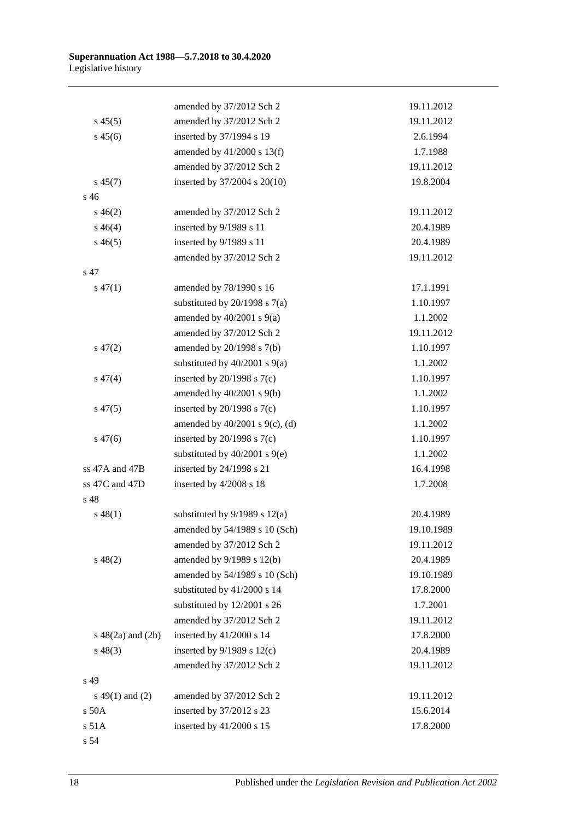|                       | amended by 37/2012 Sch 2            | 19.11.2012 |
|-----------------------|-------------------------------------|------------|
| $s\,45(5)$            | amended by 37/2012 Sch 2            | 19.11.2012 |
| $s\,45(6)$            | inserted by 37/1994 s 19            | 2.6.1994   |
|                       | amended by 41/2000 s 13(f)          | 1.7.1988   |
|                       | amended by 37/2012 Sch 2            | 19.11.2012 |
| $s\,45(7)$            | inserted by 37/2004 s 20(10)        | 19.8.2004  |
| s <sub>46</sub>       |                                     |            |
| $s\,46(2)$            | amended by 37/2012 Sch 2            | 19.11.2012 |
| $s\,46(4)$            | inserted by 9/1989 s 11             | 20.4.1989  |
| $s\,46(5)$            | inserted by 9/1989 s 11             | 20.4.1989  |
|                       | amended by 37/2012 Sch 2            | 19.11.2012 |
| s 47                  |                                     |            |
| $s\,47(1)$            | amended by 78/1990 s 16             | 17.1.1991  |
|                       | substituted by $20/1998$ s $7(a)$   | 1.10.1997  |
|                       | amended by $40/2001$ s $9(a)$       | 1.1.2002   |
|                       | amended by 37/2012 Sch 2            | 19.11.2012 |
| $s\,47(2)$            | amended by 20/1998 s 7(b)           | 1.10.1997  |
|                       | substituted by $40/2001$ s $9(a)$   | 1.1.2002   |
| $s\,47(4)$            | inserted by $20/1998$ s $7(c)$      | 1.10.1997  |
|                       | amended by $40/2001$ s $9(b)$       | 1.1.2002   |
| $s\,47(5)$            | inserted by $20/1998$ s $7(c)$      | 1.10.1997  |
|                       | amended by $40/2001$ s $9(c)$ , (d) | 1.1.2002   |
| $s\,47(6)$            | inserted by $20/1998$ s $7(c)$      | 1.10.1997  |
|                       | substituted by $40/2001$ s $9(e)$   | 1.1.2002   |
| ss 47A and 47B        | inserted by 24/1998 s 21            | 16.4.1998  |
| ss 47C and 47D        | inserted by 4/2008 s 18             | 1.7.2008   |
| s 48                  |                                     |            |
| $s\,48(1)$            | substituted by $9/1989$ s $12(a)$   | 20.4.1989  |
|                       | amended by 54/1989 s 10 (Sch)       | 19.10.1989 |
|                       | amended by 37/2012 Sch 2            | 19.11.2012 |
| $s\ 48(2)$            | amended by 9/1989 s 12(b)           | 20.4.1989  |
|                       | amended by 54/1989 s 10 (Sch)       | 19.10.1989 |
|                       | substituted by 41/2000 s 14         | 17.8.2000  |
|                       | substituted by 12/2001 s 26         | 1.7.2001   |
|                       | amended by 37/2012 Sch 2            | 19.11.2012 |
| s $48(2a)$ and $(2b)$ | inserted by 41/2000 s 14            | 17.8.2000  |
| $s\,48(3)$            | inserted by $9/1989$ s $12(c)$      | 20.4.1989  |
|                       | amended by 37/2012 Sch 2            | 19.11.2012 |
| s 49                  |                                     |            |
| s 49(1) and (2)       | amended by 37/2012 Sch 2            | 19.11.2012 |
| $s$ 50 $A$            | inserted by 37/2012 s 23            | 15.6.2014  |
| s 51A                 | inserted by 41/2000 s 15            | 17.8.2000  |
| s 54                  |                                     |            |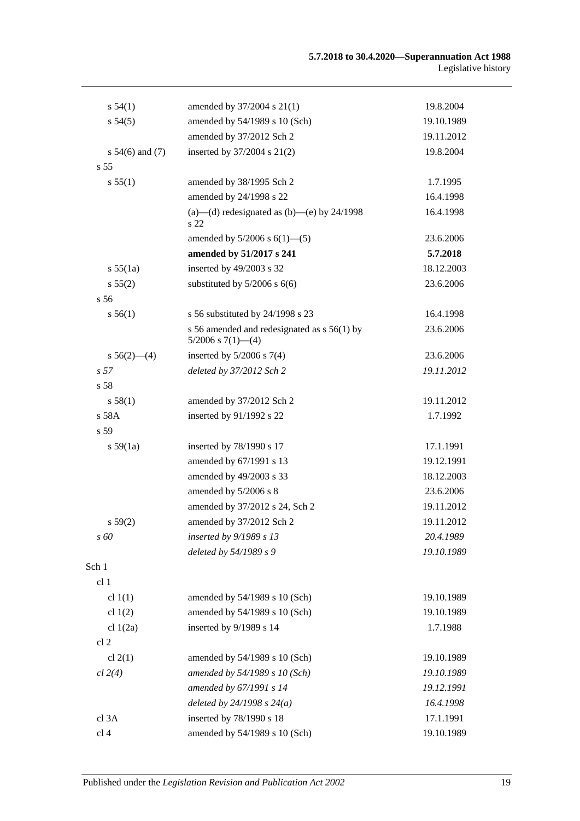| s 54(1)             | amended by 37/2004 s 21(1)                                                 | 19.8.2004  |
|---------------------|----------------------------------------------------------------------------|------------|
| s 54(5)             | amended by 54/1989 s 10 (Sch)                                              | 19.10.1989 |
|                     | amended by 37/2012 Sch 2                                                   | 19.11.2012 |
| $s 54(6)$ and $(7)$ | inserted by 37/2004 s 21(2)                                                | 19.8.2004  |
| s <sub>55</sub>     |                                                                            |            |
| s 55(1)             | amended by 38/1995 Sch 2                                                   | 1.7.1995   |
|                     | amended by 24/1998 s 22                                                    | 16.4.1998  |
|                     | (a)—(d) redesignated as (b)—(e) by $24/1998$<br>s 22                       | 16.4.1998  |
|                     | amended by $5/2006$ s $6(1)$ — $(5)$                                       | 23.6.2006  |
|                     | amended by 51/2017 s 241                                                   | 5.7.2018   |
| s 55(1a)            | inserted by 49/2003 s 32                                                   | 18.12.2003 |
| s 55(2)             | substituted by $5/2006$ s $6(6)$                                           | 23.6.2006  |
| s 56                |                                                                            |            |
| s 56(1)             | s 56 substituted by 24/1998 s 23                                           | 16.4.1998  |
|                     | s 56 amended and redesignated as $s$ 56(1) by<br>$5/2006$ s $7(1)$ — $(4)$ | 23.6.2006  |
| $s 56(2)$ - (4)     | inserted by $5/2006$ s $7(4)$                                              | 23.6.2006  |
| s <sub>57</sub>     | deleted by 37/2012 Sch 2                                                   | 19.11.2012 |
| s <sub>58</sub>     |                                                                            |            |
| s 58(1)             | amended by 37/2012 Sch 2                                                   | 19.11.2012 |
| s 58A               | inserted by 91/1992 s 22                                                   | 1.7.1992   |
| s 59                |                                                                            |            |
| s 59(1a)            | inserted by 78/1990 s 17                                                   | 17.1.1991  |
|                     | amended by 67/1991 s 13                                                    | 19.12.1991 |
|                     | amended by 49/2003 s 33                                                    | 18.12.2003 |
|                     | amended by 5/2006 s 8                                                      | 23.6.2006  |
|                     | amended by 37/2012 s 24, Sch 2                                             | 19.11.2012 |
| s 59(2)             | amended by 37/2012 Sch 2                                                   | 19.11.2012 |
| s 60                | inserted by 9/1989 s 13                                                    | 20.4.1989  |
|                     | deleted by 54/1989 s 9                                                     | 19.10.1989 |
| Sch 1               |                                                                            |            |
| cl <sub>1</sub>     |                                                                            |            |
| cl $1(1)$           | amended by 54/1989 s 10 (Sch)                                              | 19.10.1989 |
| cl $1(2)$           | amended by 54/1989 s 10 (Sch)                                              | 19.10.1989 |
| cl $1(2a)$          | inserted by 9/1989 s 14                                                    | 1.7.1988   |
| cl <sub>2</sub>     |                                                                            |            |
| cl $2(1)$           | amended by 54/1989 s 10 (Sch)                                              | 19.10.1989 |
| cl 2(4)             | amended by 54/1989 s 10 (Sch)                                              | 19.10.1989 |
|                     | amended by 67/1991 s 14                                                    | 19.12.1991 |
|                     | deleted by $24/1998 s 24(a)$                                               | 16.4.1998  |
| cl 3A               | inserted by 78/1990 s 18                                                   | 17.1.1991  |
| cl 4                | amended by 54/1989 s 10 (Sch)                                              | 19.10.1989 |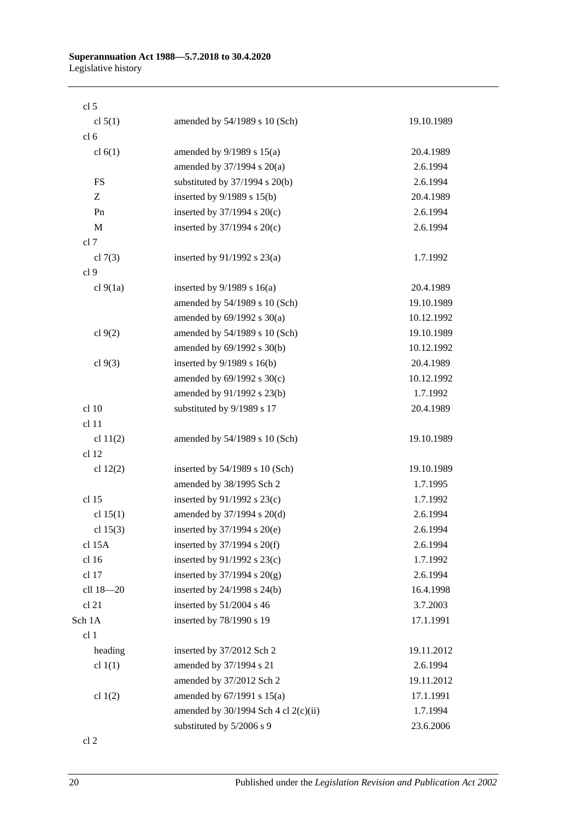| cl <sub>5</sub>  |                                        |            |
|------------------|----------------------------------------|------------|
| cl $5(1)$        | amended by 54/1989 s 10 (Sch)          | 19.10.1989 |
| cl <sub>6</sub>  |                                        |            |
| cl $6(1)$        | amended by $9/1989$ s $15(a)$          | 20.4.1989  |
|                  | amended by $37/1994$ s $20(a)$         | 2.6.1994   |
| <b>FS</b>        | substituted by $37/1994$ s $20(b)$     | 2.6.1994   |
| Z                | inserted by $9/1989$ s $15(b)$         | 20.4.1989  |
| Pn               | inserted by $37/1994$ s $20(c)$        | 2.6.1994   |
| M                | inserted by $37/1994$ s $20(c)$        | 2.6.1994   |
| cl 7             |                                        |            |
| cl $7(3)$        | inserted by $91/1992$ s $23(a)$        | 1.7.1992   |
| cl <sub>9</sub>  |                                        |            |
| cl 9(1a)         | inserted by $9/1989$ s $16(a)$         | 20.4.1989  |
|                  | amended by 54/1989 s 10 (Sch)          | 19.10.1989 |
|                  | amended by $69/1992$ s $30(a)$         | 10.12.1992 |
| cl $9(2)$        | amended by 54/1989 s 10 (Sch)          | 19.10.1989 |
|                  | amended by 69/1992 s 30(b)             | 10.12.1992 |
| cl $9(3)$        | inserted by $9/1989$ s $16(b)$         | 20.4.1989  |
|                  | amended by $69/1992$ s $30(c)$         | 10.12.1992 |
|                  | amended by 91/1992 s 23(b)             | 1.7.1992   |
| cl 10            | substituted by 9/1989 s 17             | 20.4.1989  |
| cl 11            |                                        |            |
| cl $11(2)$       | amended by 54/1989 s 10 (Sch)          | 19.10.1989 |
| cl <sub>12</sub> |                                        |            |
| cl $12(2)$       | inserted by $54/1989$ s 10 (Sch)       | 19.10.1989 |
|                  | amended by 38/1995 Sch 2               | 1.7.1995   |
| cl 15            | inserted by $91/1992$ s $23(c)$        | 1.7.1992   |
| cl $15(1)$       | amended by 37/1994 s 20(d)             | 2.6.1994   |
| cl $15(3)$       | inserted by 37/1994 s 20(e)            | 2.6.1994   |
| cl 15A           | inserted by 37/1994 s 20(f)            | 2.6.1994   |
| cl 16            | inserted by 91/1992 s 23(c)            | 1.7.1992   |
| cl 17            | inserted by $37/1994$ s $20(g)$        | 2.6.1994   |
| cll 18-20        | inserted by 24/1998 s 24(b)            | 16.4.1998  |
| cl 21            | inserted by 51/2004 s 46               | 3.7.2003   |
| Sch 1A           | inserted by 78/1990 s 19               | 17.1.1991  |
| cl <sub>1</sub>  |                                        |            |
| heading          | inserted by 37/2012 Sch 2              | 19.11.2012 |
| cl $1(1)$        | amended by 37/1994 s 21                | 2.6.1994   |
|                  | amended by 37/2012 Sch 2               | 19.11.2012 |
| cl $1(2)$        | amended by $67/1991$ s $15(a)$         | 17.1.1991  |
|                  | amended by $30/1994$ Sch 4 cl 2(c)(ii) | 1.7.1994   |
|                  | substituted by 5/2006 s 9              | 23.6.2006  |

cl 2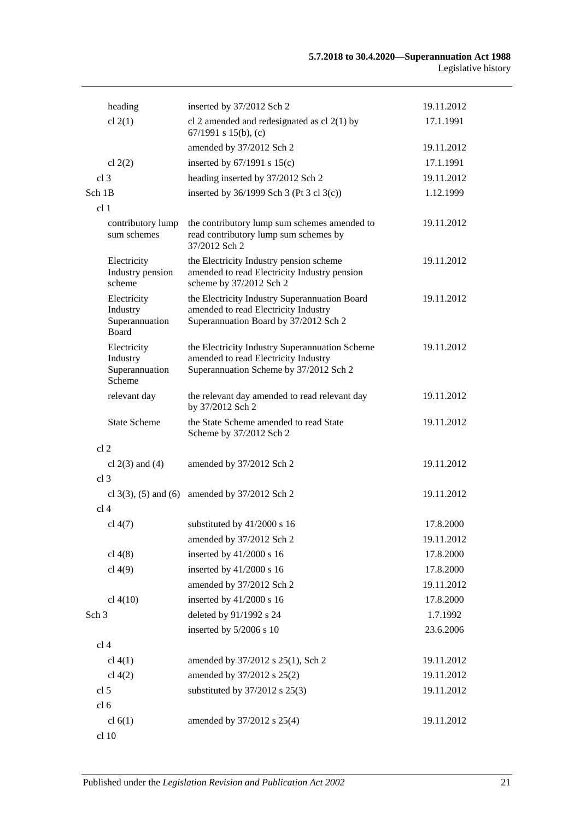|                  | heading                                             | inserted by 37/2012 Sch 2                                                                                                        | 19.11.2012 |
|------------------|-----------------------------------------------------|----------------------------------------------------------------------------------------------------------------------------------|------------|
|                  | cl $2(1)$                                           | cl 2 amended and redesignated as cl $2(1)$ by<br>67/1991 s 15(b), (c)                                                            | 17.1.1991  |
|                  |                                                     | amended by 37/2012 Sch 2                                                                                                         | 19.11.2012 |
|                  | cl $2(2)$                                           | inserted by $67/1991$ s $15(c)$                                                                                                  | 17.1.1991  |
| cl <sub>3</sub>  |                                                     | heading inserted by 37/2012 Sch 2                                                                                                | 19.11.2012 |
| Sch 1B           |                                                     | inserted by $36/1999$ Sch 3 (Pt 3 cl 3(c))                                                                                       | 1.12.1999  |
| cl <sub>1</sub>  |                                                     |                                                                                                                                  |            |
|                  | contributory lump<br>sum schemes                    | the contributory lump sum schemes amended to<br>read contributory lump sum schemes by<br>37/2012 Sch 2                           | 19.11.2012 |
|                  | Electricity<br>Industry pension<br>scheme           | the Electricity Industry pension scheme<br>amended to read Electricity Industry pension<br>scheme by 37/2012 Sch 2               | 19.11.2012 |
|                  | Electricity<br>Industry<br>Superannuation<br>Board  | the Electricity Industry Superannuation Board<br>amended to read Electricity Industry<br>Superannuation Board by 37/2012 Sch 2   | 19.11.2012 |
|                  | Electricity<br>Industry<br>Superannuation<br>Scheme | the Electricity Industry Superannuation Scheme<br>amended to read Electricity Industry<br>Superannuation Scheme by 37/2012 Sch 2 | 19.11.2012 |
|                  | relevant day                                        | the relevant day amended to read relevant day<br>by 37/2012 Sch 2                                                                | 19.11.2012 |
|                  | <b>State Scheme</b>                                 | the State Scheme amended to read State<br>Scheme by 37/2012 Sch 2                                                                | 19.11.2012 |
| cl <sub>2</sub>  |                                                     |                                                                                                                                  |            |
|                  | cl $2(3)$ and $(4)$                                 | amended by 37/2012 Sch 2                                                                                                         | 19.11.2012 |
| cl <sub>3</sub>  |                                                     |                                                                                                                                  |            |
|                  | cl $3(3)$ , $(5)$ and $(6)$                         | amended by 37/2012 Sch 2                                                                                                         | 19.11.2012 |
| cl <sub>4</sub>  |                                                     |                                                                                                                                  |            |
|                  | cl $4(7)$                                           | substituted by 41/2000 s 16                                                                                                      | 17.8.2000  |
|                  |                                                     | amended by 37/2012 Sch 2                                                                                                         | 19.11.2012 |
|                  | cl $4(8)$                                           | inserted by 41/2000 s 16                                                                                                         | 17.8.2000  |
|                  | cl $4(9)$                                           | inserted by 41/2000 s 16                                                                                                         | 17.8.2000  |
|                  |                                                     | amended by 37/2012 Sch 2                                                                                                         | 19.11.2012 |
|                  | cl $4(10)$                                          | inserted by 41/2000 s 16                                                                                                         | 17.8.2000  |
| Sch <sub>3</sub> |                                                     | deleted by 91/1992 s 24                                                                                                          | 1.7.1992   |
|                  |                                                     | inserted by 5/2006 s 10                                                                                                          | 23.6.2006  |
| cl <sub>4</sub>  |                                                     |                                                                                                                                  |            |
|                  | cl 4(1)                                             | amended by 37/2012 s 25(1), Sch 2                                                                                                | 19.11.2012 |
|                  | cl $4(2)$                                           | amended by 37/2012 s 25(2)                                                                                                       | 19.11.2012 |
| cl 5             |                                                     | substituted by 37/2012 s 25(3)                                                                                                   | 19.11.2012 |
| cl <sub>6</sub>  |                                                     |                                                                                                                                  |            |
|                  | cl $6(1)$                                           | amended by 37/2012 s 25(4)                                                                                                       | 19.11.2012 |
|                  | cl 10                                               |                                                                                                                                  |            |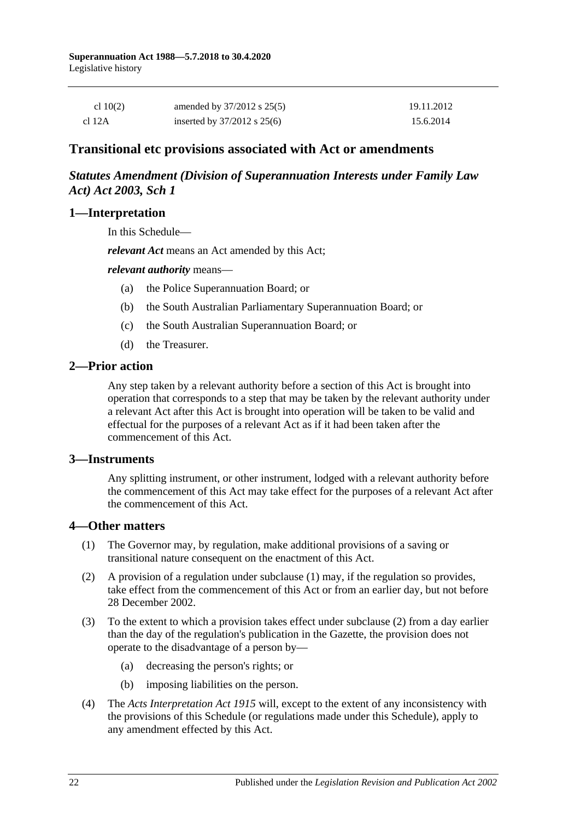| cl $10(2)$ | amended by $37/2012$ s $25(5)$  | 19.11.2012 |
|------------|---------------------------------|------------|
| cl 12A     | inserted by $37/2012$ s $25(6)$ | 15.6.2014  |

# **Transitional etc provisions associated with Act or amendments**

## *Statutes Amendment (Division of Superannuation Interests under Family Law Act) Act 2003, Sch 1*

### **1—Interpretation**

In this Schedule—

*relevant Act* means an Act amended by this Act;

### *relevant authority* means—

- (a) the Police Superannuation Board; or
- (b) the South Australian Parliamentary Superannuation Board; or
- (c) the South Australian Superannuation Board; or
- (d) the Treasurer.

### **2—Prior action**

Any step taken by a relevant authority before a section of this Act is brought into operation that corresponds to a step that may be taken by the relevant authority under a relevant Act after this Act is brought into operation will be taken to be valid and effectual for the purposes of a relevant Act as if it had been taken after the commencement of this Act.

### **3—Instruments**

Any splitting instrument, or other instrument, lodged with a relevant authority before the commencement of this Act may take effect for the purposes of a relevant Act after the commencement of this Act.

### **4—Other matters**

- (1) The Governor may, by regulation, make additional provisions of a saving or transitional nature consequent on the enactment of this Act.
- (2) A provision of a regulation under subclause (1) may, if the regulation so provides, take effect from the commencement of this Act or from an earlier day, but not before 28 December 2002.
- (3) To the extent to which a provision takes effect under subclause (2) from a day earlier than the day of the regulation's publication in the Gazette, the provision does not operate to the disadvantage of a person by—
	- (a) decreasing the person's rights; or
	- (b) imposing liabilities on the person.
- (4) The *[Acts Interpretation Act](http://www.legislation.sa.gov.au/index.aspx?action=legref&type=act&legtitle=Acts%20Interpretation%20Act%201915) 1915* will, except to the extent of any inconsistency with the provisions of this Schedule (or regulations made under this Schedule), apply to any amendment effected by this Act.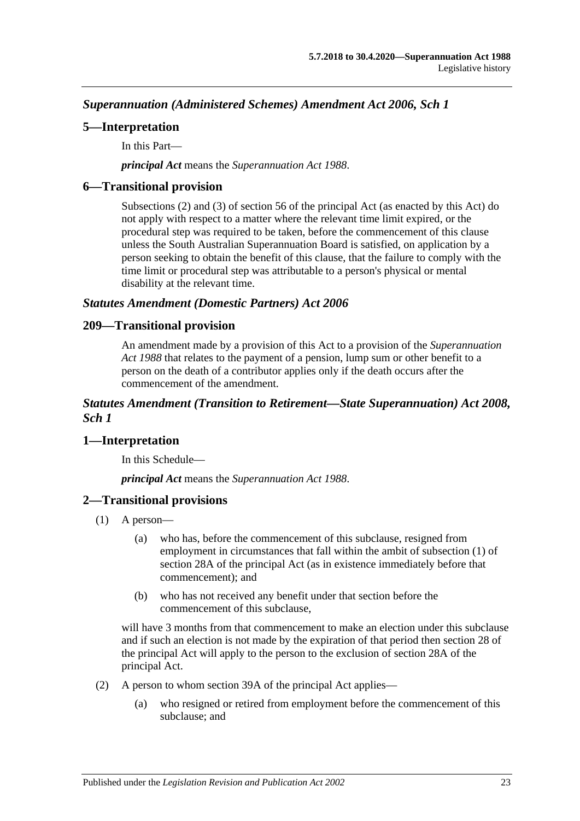*Superannuation (Administered Schemes) Amendment Act 2006, Sch 1*

## **5—Interpretation**

In this Part—

*principal Act* means the *[Superannuation Act](http://www.legislation.sa.gov.au/index.aspx?action=legref&type=act&legtitle=Superannuation%20Act%201988) 1988*.

## **6—Transitional provision**

Subsections (2) and (3) of section 56 of the principal Act (as enacted by this Act) do not apply with respect to a matter where the relevant time limit expired, or the procedural step was required to be taken, before the commencement of this clause unless the South Australian Superannuation Board is satisfied, on application by a person seeking to obtain the benefit of this clause, that the failure to comply with the time limit or procedural step was attributable to a person's physical or mental disability at the relevant time.

## *Statutes Amendment (Domestic Partners) Act 2006*

## **209—Transitional provision**

An amendment made by a provision of this Act to a provision of the *[Superannuation](http://www.legislation.sa.gov.au/index.aspx?action=legref&type=act&legtitle=Superannuation%20Act%201988)  Act [1988](http://www.legislation.sa.gov.au/index.aspx?action=legref&type=act&legtitle=Superannuation%20Act%201988)* that relates to the payment of a pension, lump sum or other benefit to a person on the death of a contributor applies only if the death occurs after the commencement of the amendment.

## *Statutes Amendment (Transition to Retirement—State Superannuation) Act 2008, Sch 1*

# **1—Interpretation**

In this Schedule—

*principal Act* means the *[Superannuation Act](http://www.legislation.sa.gov.au/index.aspx?action=legref&type=act&legtitle=Superannuation%20Act%201988) 1988*.

# **2—Transitional provisions**

- (1) A person—
	- (a) who has, before the commencement of this subclause, resigned from employment in circumstances that fall within the ambit of subsection (1) of section 28A of the principal Act (as in existence immediately before that commencement); and
	- (b) who has not received any benefit under that section before the commencement of this subclause,

will have 3 months from that commencement to make an election under this subclause and if such an election is not made by the expiration of that period then section 28 of the principal Act will apply to the person to the exclusion of section 28A of the principal Act.

- (2) A person to whom section 39A of the principal Act applies—
	- (a) who resigned or retired from employment before the commencement of this subclause; and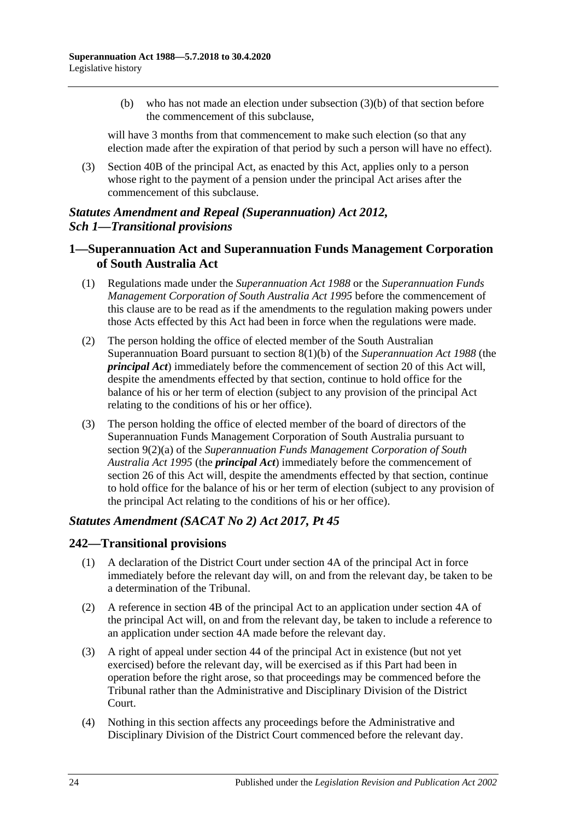(b) who has not made an election under subsection (3)(b) of that section before the commencement of this subclause,

will have 3 months from that commencement to make such election (so that any election made after the expiration of that period by such a person will have no effect).

(3) Section 40B of the principal Act, as enacted by this Act, applies only to a person whose right to the payment of a pension under the principal Act arises after the commencement of this subclause.

# *Statutes Amendment and Repeal (Superannuation) Act 2012, Sch 1—Transitional provisions*

## **1—Superannuation Act and Superannuation Funds Management Corporation of South Australia Act**

- (1) Regulations made under the *[Superannuation Act](http://www.legislation.sa.gov.au/index.aspx?action=legref&type=act&legtitle=Superannuation%20Act%201988) 1988* or the *[Superannuation Funds](http://www.legislation.sa.gov.au/index.aspx?action=legref&type=act&legtitle=Superannuation%20Funds%20Management%20Corporation%20of%20South%20Australia%20Act%201995)  [Management Corporation of South Australia Act](http://www.legislation.sa.gov.au/index.aspx?action=legref&type=act&legtitle=Superannuation%20Funds%20Management%20Corporation%20of%20South%20Australia%20Act%201995) 1995* before the commencement of this clause are to be read as if the amendments to the regulation making powers under those Acts effected by this Act had been in force when the regulations were made.
- (2) The person holding the office of elected member of the South Australian Superannuation Board pursuant to section 8(1)(b) of the *[Superannuation Act](http://www.legislation.sa.gov.au/index.aspx?action=legref&type=act&legtitle=Superannuation%20Act%201988) 1988* (the *principal Act*) immediately before the commencement of section 20 of this Act will, despite the amendments effected by that section, continue to hold office for the balance of his or her term of election (subject to any provision of the principal Act relating to the conditions of his or her office).
- (3) The person holding the office of elected member of the board of directors of the Superannuation Funds Management Corporation of South Australia pursuant to section 9(2)(a) of the *[Superannuation Funds Management Corporation of South](http://www.legislation.sa.gov.au/index.aspx?action=legref&type=act&legtitle=Superannuation%20Funds%20Management%20Corporation%20of%20South%20Australia%20Act%201995)  [Australia Act](http://www.legislation.sa.gov.au/index.aspx?action=legref&type=act&legtitle=Superannuation%20Funds%20Management%20Corporation%20of%20South%20Australia%20Act%201995) 1995* (the *principal Act*) immediately before the commencement of section 26 of this Act will, despite the amendments effected by that section, continue to hold office for the balance of his or her term of election (subject to any provision of the principal Act relating to the conditions of his or her office).

## *Statutes Amendment (SACAT No 2) Act 2017, Pt 45*

## **242—Transitional provisions**

- (1) A declaration of the District Court under section 4A of the principal Act in force immediately before the relevant day will, on and from the relevant day, be taken to be a determination of the Tribunal.
- (2) A reference in section 4B of the principal Act to an application under section 4A of the principal Act will, on and from the relevant day, be taken to include a reference to an application under section 4A made before the relevant day.
- (3) A right of appeal under section 44 of the principal Act in existence (but not yet exercised) before the relevant day, will be exercised as if this Part had been in operation before the right arose, so that proceedings may be commenced before the Tribunal rather than the Administrative and Disciplinary Division of the District Court.
- (4) Nothing in this section affects any proceedings before the Administrative and Disciplinary Division of the District Court commenced before the relevant day.